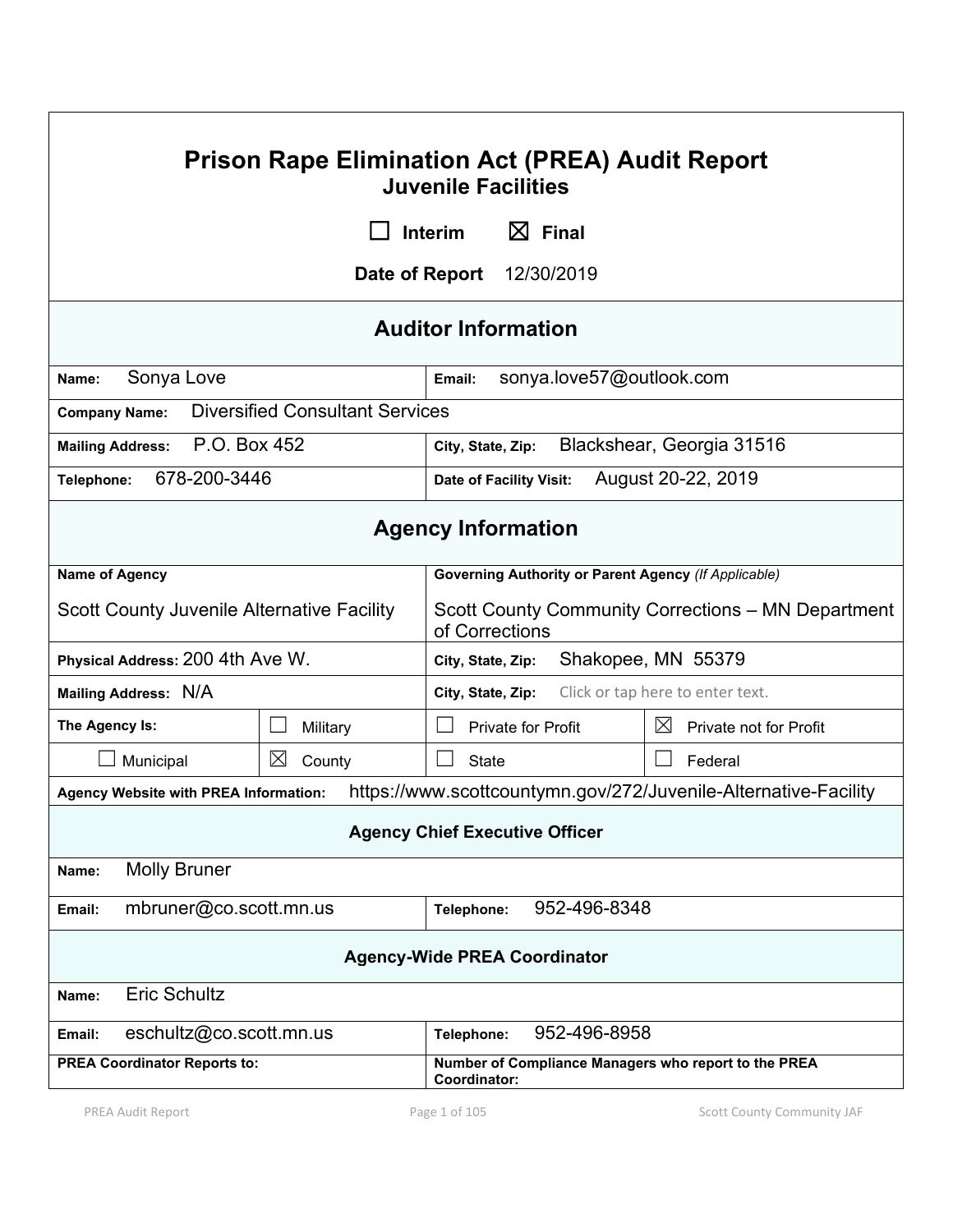| <b>Prison Rape Elimination Act (PREA) Audit Report</b><br><b>Juvenile Facilities</b>      |                                        |                                                                      |                                                                 |
|-------------------------------------------------------------------------------------------|----------------------------------------|----------------------------------------------------------------------|-----------------------------------------------------------------|
|                                                                                           |                                        | $\boxtimes$ Final<br><b>Interim</b>                                  |                                                                 |
|                                                                                           | Date of Report                         | 12/30/2019                                                           |                                                                 |
| <b>Auditor Information</b>                                                                |                                        |                                                                      |                                                                 |
| Sonya Love<br>Name:                                                                       |                                        | sonya.love57@outlook.com<br>Email:                                   |                                                                 |
| <b>Company Name:</b>                                                                      | <b>Diversified Consultant Services</b> |                                                                      |                                                                 |
| P.O. Box 452<br>Blackshear, Georgia 31516<br><b>Mailing Address:</b><br>City, State, Zip: |                                        |                                                                      |                                                                 |
| 678-200-3446<br>Telephone:                                                                |                                        | Date of Facility Visit:                                              | August 20-22, 2019                                              |
| <b>Agency Information</b>                                                                 |                                        |                                                                      |                                                                 |
| <b>Name of Agency</b>                                                                     |                                        | <b>Governing Authority or Parent Agency (If Applicable)</b>          |                                                                 |
| <b>Scott County Juvenile Alternative Facility</b>                                         |                                        | of Corrections                                                       | Scott County Community Corrections - MN Department              |
| Physical Address: 200 4th Ave W.                                                          |                                        | City, State, Zip:                                                    | Shakopee, MN 55379                                              |
| Mailing Address: N/A                                                                      |                                        | City, State, Zip:                                                    | Click or tap here to enter text.                                |
| The Agency Is:                                                                            | Military                               | <b>Private for Profit</b>                                            | $\boxtimes$<br>Private not for Profit                           |
| Municipal                                                                                 | ⊠<br>County                            | <b>State</b>                                                         | Federal                                                         |
| <b>Agency Website with PREA Information:</b>                                              |                                        |                                                                      | https://www.scottcountymn.gov/272/Juvenile-Alternative-Facility |
| <b>Agency Chief Executive Officer</b>                                                     |                                        |                                                                      |                                                                 |
| <b>Molly Bruner</b><br>Name:                                                              |                                        |                                                                      |                                                                 |
| mbruner@co.scott.mn.us<br>952-496-8348<br>Telephone:<br>Email:                            |                                        |                                                                      |                                                                 |
| <b>Agency-Wide PREA Coordinator</b>                                                       |                                        |                                                                      |                                                                 |
| <b>Eric Schultz</b><br>Name:                                                              |                                        |                                                                      |                                                                 |
| eschultz@co.scott.mn.us<br>Email:                                                         |                                        | 952-496-8958<br>Telephone:                                           |                                                                 |
| <b>PREA Coordinator Reports to:</b>                                                       |                                        | Number of Compliance Managers who report to the PREA<br>Coordinator: |                                                                 |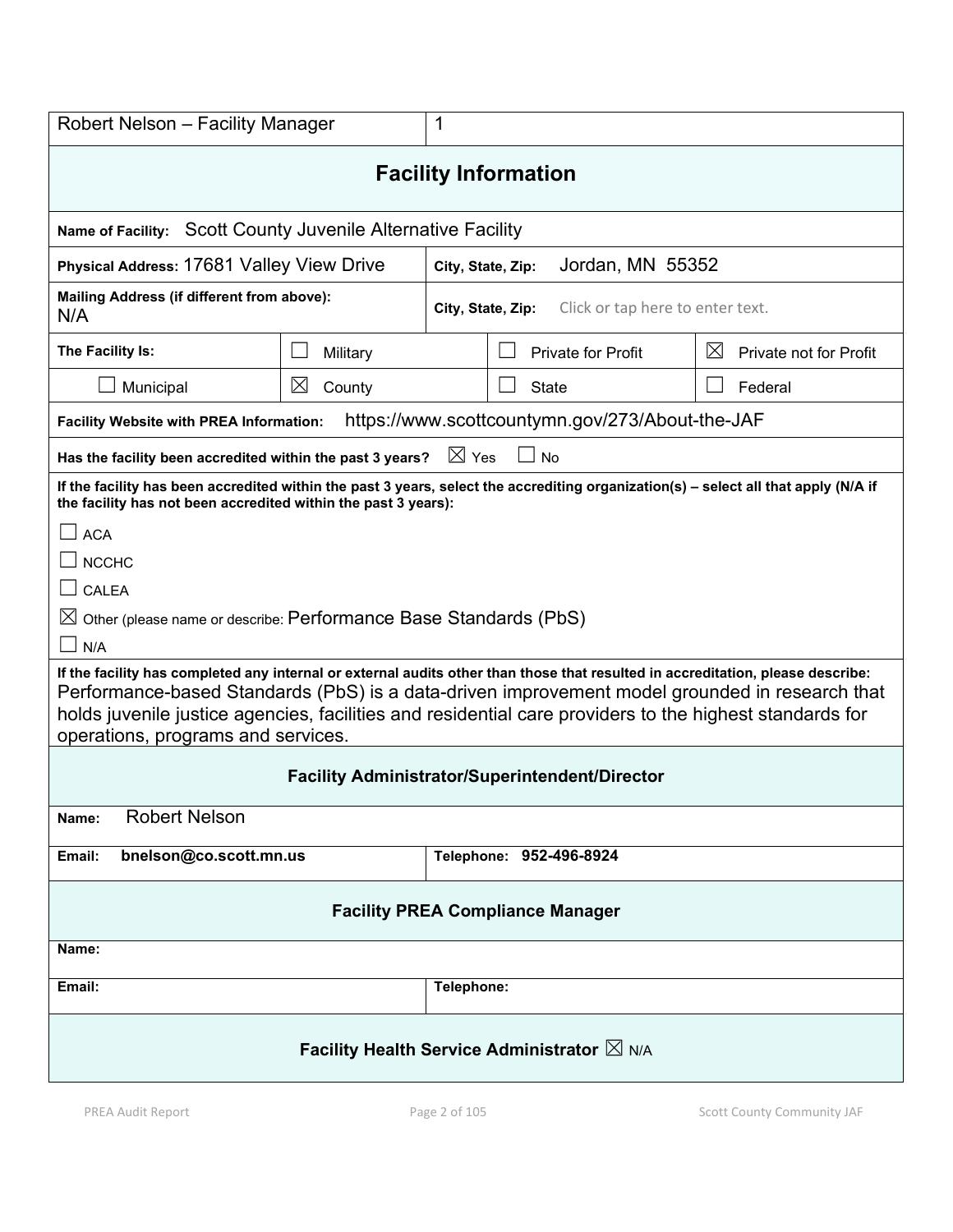| Robert Nelson - Facility Manager                                                                                                                                                                                                                                                                                                                                                   |                                            | 1                 |                                                 |                                       |
|------------------------------------------------------------------------------------------------------------------------------------------------------------------------------------------------------------------------------------------------------------------------------------------------------------------------------------------------------------------------------------|--------------------------------------------|-------------------|-------------------------------------------------|---------------------------------------|
| <b>Facility Information</b>                                                                                                                                                                                                                                                                                                                                                        |                                            |                   |                                                 |                                       |
| <b>Name of Facility:</b>                                                                                                                                                                                                                                                                                                                                                           | Scott County Juvenile Alternative Facility |                   |                                                 |                                       |
| Physical Address: 17681 Valley View Drive                                                                                                                                                                                                                                                                                                                                          |                                            | City, State, Zip: | Jordan, MN 55352                                |                                       |
| Mailing Address (if different from above):<br>N/A                                                                                                                                                                                                                                                                                                                                  |                                            | City, State, Zip: | Click or tap here to enter text.                |                                       |
| The Facility Is:                                                                                                                                                                                                                                                                                                                                                                   | Military                                   |                   | <b>Private for Profit</b>                       | $\boxtimes$<br>Private not for Profit |
| Municipal                                                                                                                                                                                                                                                                                                                                                                          | $\boxtimes$<br>County                      |                   | <b>State</b>                                    | Federal                               |
| <b>Facility Website with PREA Information:</b>                                                                                                                                                                                                                                                                                                                                     |                                            |                   | https://www.scottcountymn.gov/273/About-the-JAF |                                       |
| Has the facility been accredited within the past 3 years?                                                                                                                                                                                                                                                                                                                          |                                            | $\boxtimes$ Yes   | <b>No</b>                                       |                                       |
| If the facility has been accredited within the past 3 years, select the accrediting organization(s) - select all that apply (N/A if<br>the facility has not been accredited within the past 3 years):                                                                                                                                                                              |                                            |                   |                                                 |                                       |
| <b>ACA</b>                                                                                                                                                                                                                                                                                                                                                                         |                                            |                   |                                                 |                                       |
| <b>NCCHC</b>                                                                                                                                                                                                                                                                                                                                                                       |                                            |                   |                                                 |                                       |
| CALEA                                                                                                                                                                                                                                                                                                                                                                              |                                            |                   |                                                 |                                       |
| $\boxtimes$ Other (please name or describe: <code>Performance Base Standards</code> ( <code>PbS)</code>                                                                                                                                                                                                                                                                            |                                            |                   |                                                 |                                       |
| $\Box$ N/A                                                                                                                                                                                                                                                                                                                                                                         |                                            |                   |                                                 |                                       |
| If the facility has completed any internal or external audits other than those that resulted in accreditation, please describe:<br>Performance-based Standards (PbS) is a data-driven improvement model grounded in research that<br>holds juvenile justice agencies, facilities and residential care providers to the highest standards for<br>operations, programs and services. |                                            |                   |                                                 |                                       |
| <b>Facility Administrator/Superintendent/Director</b>                                                                                                                                                                                                                                                                                                                              |                                            |                   |                                                 |                                       |
| <b>Robert Nelson</b><br>Name:                                                                                                                                                                                                                                                                                                                                                      |                                            |                   |                                                 |                                       |
| bnelson@co.scott.mn.us<br>Email:                                                                                                                                                                                                                                                                                                                                                   |                                            |                   | Telephone: 952-496-8924                         |                                       |
| <b>Facility PREA Compliance Manager</b>                                                                                                                                                                                                                                                                                                                                            |                                            |                   |                                                 |                                       |
| Name:                                                                                                                                                                                                                                                                                                                                                                              |                                            |                   |                                                 |                                       |
| Email:                                                                                                                                                                                                                                                                                                                                                                             |                                            | Telephone:        |                                                 |                                       |
| Facility Health Service Administrator $\boxtimes$ N/A                                                                                                                                                                                                                                                                                                                              |                                            |                   |                                                 |                                       |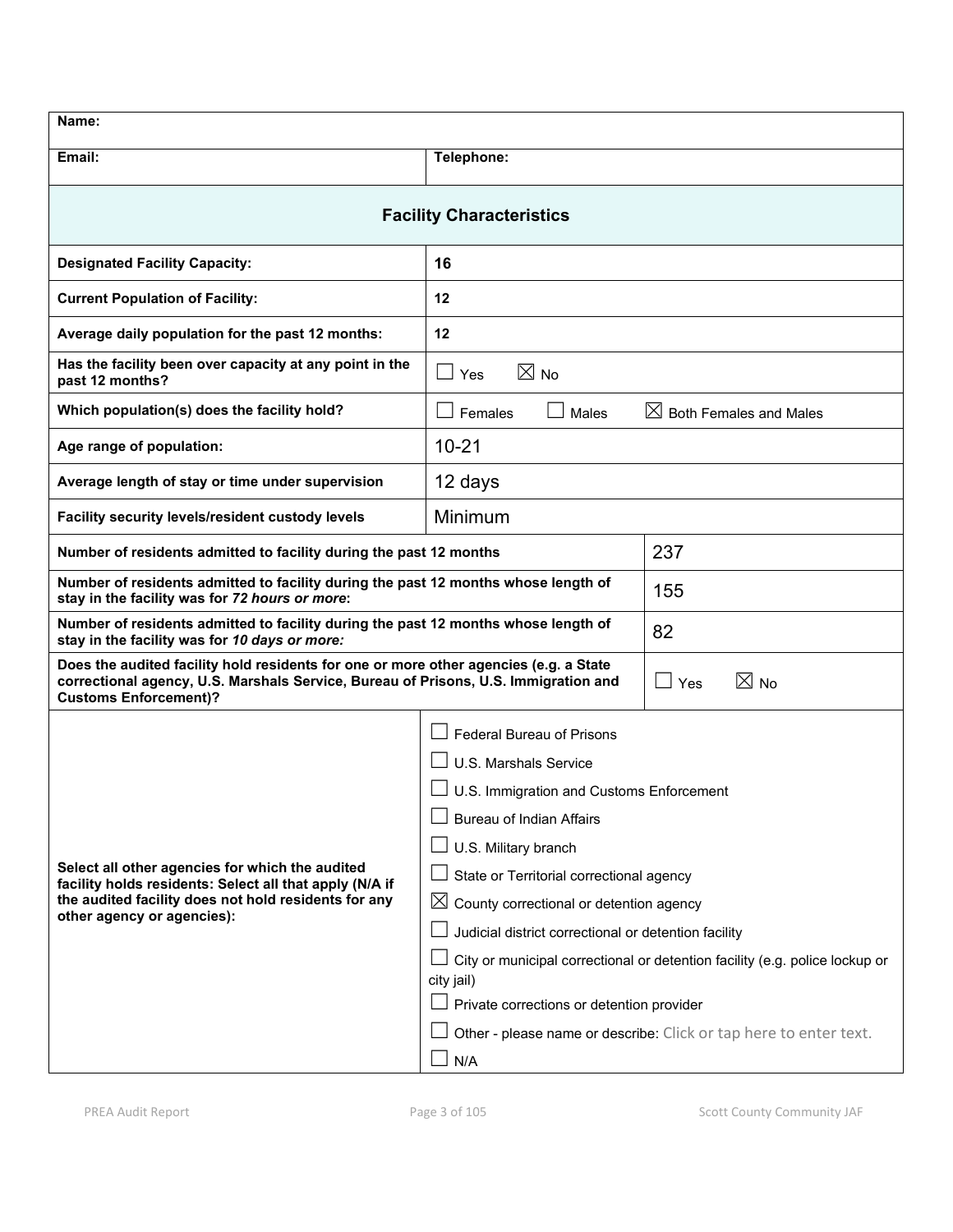| Name:                                                                                                                                                                                                        |                                                                                           |                                    |
|--------------------------------------------------------------------------------------------------------------------------------------------------------------------------------------------------------------|-------------------------------------------------------------------------------------------|------------------------------------|
| Email:                                                                                                                                                                                                       | Telephone:                                                                                |                                    |
| <b>Facility Characteristics</b>                                                                                                                                                                              |                                                                                           |                                    |
| <b>Designated Facility Capacity:</b>                                                                                                                                                                         | 16                                                                                        |                                    |
| <b>Current Population of Facility:</b>                                                                                                                                                                       | 12                                                                                        |                                    |
| Average daily population for the past 12 months:                                                                                                                                                             | 12                                                                                        |                                    |
| Has the facility been over capacity at any point in the<br>past 12 months?                                                                                                                                   | $\boxtimes$ No<br>Yes<br>$\blacksquare$                                                   |                                    |
| Which population(s) does the facility hold?                                                                                                                                                                  | Females<br>Males                                                                          | $\boxtimes$ Both Females and Males |
| Age range of population:                                                                                                                                                                                     | $10 - 21$                                                                                 |                                    |
| Average length of stay or time under supervision                                                                                                                                                             | 12 days                                                                                   |                                    |
| Facility security levels/resident custody levels                                                                                                                                                             | Minimum                                                                                   |                                    |
| Number of residents admitted to facility during the past 12 months                                                                                                                                           |                                                                                           | 237                                |
| Number of residents admitted to facility during the past 12 months whose length of<br>stay in the facility was for 72 hours or more:                                                                         |                                                                                           | 155                                |
| Number of residents admitted to facility during the past 12 months whose length of<br>stay in the facility was for 10 days or more:                                                                          |                                                                                           | 82                                 |
| Does the audited facility hold residents for one or more other agencies (e.g. a State<br>correctional agency, U.S. Marshals Service, Bureau of Prisons, U.S. Immigration and<br><b>Customs Enforcement)?</b> |                                                                                           | $\boxtimes$ No<br>$\Box$ Yes       |
|                                                                                                                                                                                                              | <b>Federal Bureau of Prisons</b>                                                          |                                    |
|                                                                                                                                                                                                              | U.S. Marshals Service                                                                     |                                    |
|                                                                                                                                                                                                              | U.S. Immigration and Customs Enforcement                                                  |                                    |
|                                                                                                                                                                                                              | <b>Bureau of Indian Affairs</b>                                                           |                                    |
|                                                                                                                                                                                                              | U.S. Military branch                                                                      |                                    |
| Select all other agencies for which the audited<br>facility holds residents: Select all that apply (N/A if                                                                                                   | State or Territorial correctional agency                                                  |                                    |
| the audited facility does not hold residents for any<br>other agency or agencies):                                                                                                                           | $\boxtimes$ County correctional or detention agency                                       |                                    |
|                                                                                                                                                                                                              | Judicial district correctional or detention facility                                      |                                    |
|                                                                                                                                                                                                              | City or municipal correctional or detention facility (e.g. police lockup or<br>city jail) |                                    |
|                                                                                                                                                                                                              | Private corrections or detention provider                                                 |                                    |
|                                                                                                                                                                                                              | Other - please name or describe: Click or tap here to enter text.                         |                                    |
|                                                                                                                                                                                                              | N/A                                                                                       |                                    |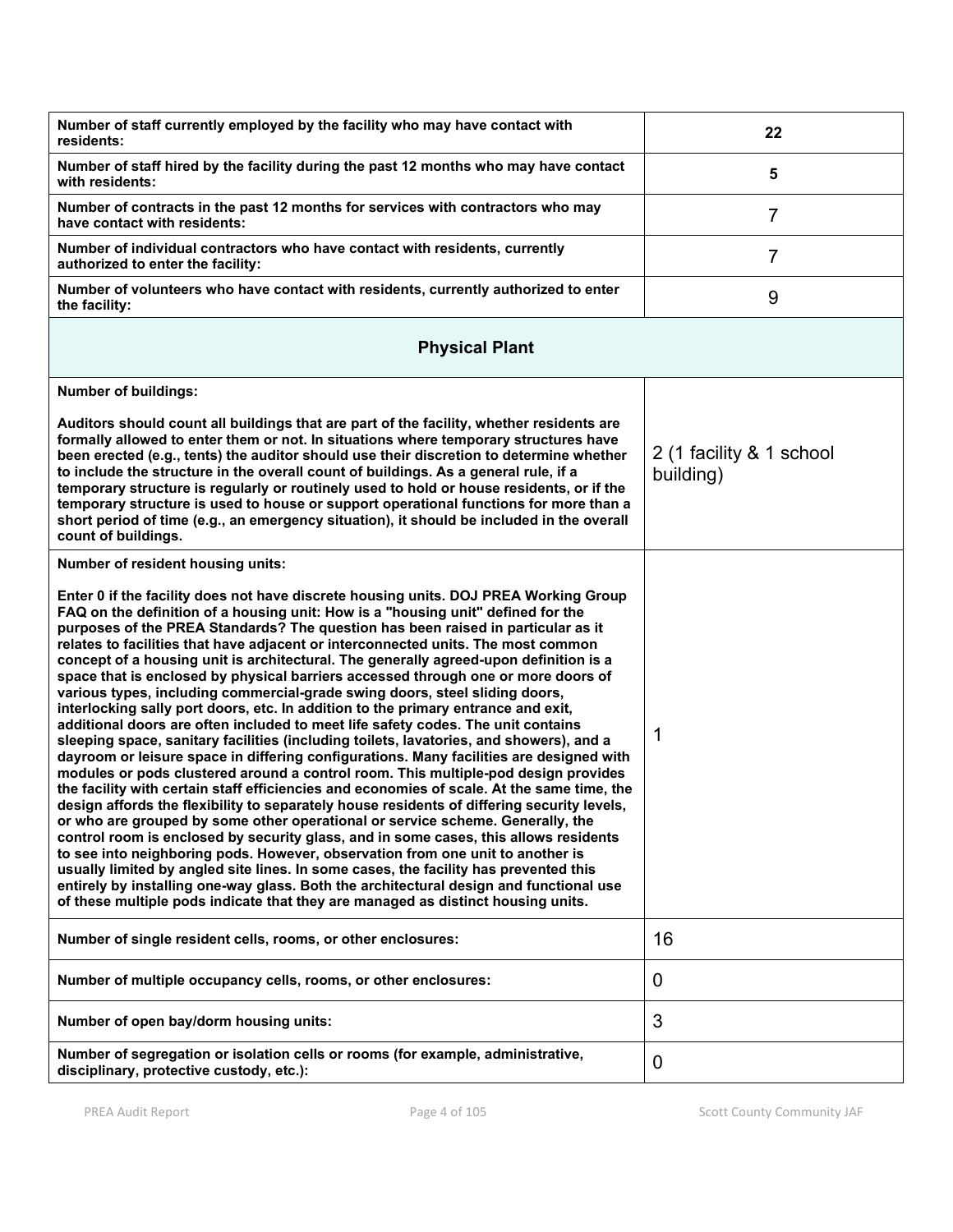| Number of staff currently employed by the facility who may have contact with<br>residents:                                                                                                                                                                                                                                                                                                                                                                                                                                                                                                                                                                                                                                                                                                                                                                                                                                                                                                                                                                                                                                                                                                                                                                                                                                                                                                                                                                                                                                                                                                                                                                                                                                                                                                        | 22                                    |
|---------------------------------------------------------------------------------------------------------------------------------------------------------------------------------------------------------------------------------------------------------------------------------------------------------------------------------------------------------------------------------------------------------------------------------------------------------------------------------------------------------------------------------------------------------------------------------------------------------------------------------------------------------------------------------------------------------------------------------------------------------------------------------------------------------------------------------------------------------------------------------------------------------------------------------------------------------------------------------------------------------------------------------------------------------------------------------------------------------------------------------------------------------------------------------------------------------------------------------------------------------------------------------------------------------------------------------------------------------------------------------------------------------------------------------------------------------------------------------------------------------------------------------------------------------------------------------------------------------------------------------------------------------------------------------------------------------------------------------------------------------------------------------------------------|---------------------------------------|
| Number of staff hired by the facility during the past 12 months who may have contact<br>with residents:                                                                                                                                                                                                                                                                                                                                                                                                                                                                                                                                                                                                                                                                                                                                                                                                                                                                                                                                                                                                                                                                                                                                                                                                                                                                                                                                                                                                                                                                                                                                                                                                                                                                                           | 5                                     |
| Number of contracts in the past 12 months for services with contractors who may<br>have contact with residents:                                                                                                                                                                                                                                                                                                                                                                                                                                                                                                                                                                                                                                                                                                                                                                                                                                                                                                                                                                                                                                                                                                                                                                                                                                                                                                                                                                                                                                                                                                                                                                                                                                                                                   | $\overline{7}$                        |
| Number of individual contractors who have contact with residents, currently<br>authorized to enter the facility:                                                                                                                                                                                                                                                                                                                                                                                                                                                                                                                                                                                                                                                                                                                                                                                                                                                                                                                                                                                                                                                                                                                                                                                                                                                                                                                                                                                                                                                                                                                                                                                                                                                                                  | 7                                     |
| Number of volunteers who have contact with residents, currently authorized to enter<br>the facility:                                                                                                                                                                                                                                                                                                                                                                                                                                                                                                                                                                                                                                                                                                                                                                                                                                                                                                                                                                                                                                                                                                                                                                                                                                                                                                                                                                                                                                                                                                                                                                                                                                                                                              | 9                                     |
| <b>Physical Plant</b>                                                                                                                                                                                                                                                                                                                                                                                                                                                                                                                                                                                                                                                                                                                                                                                                                                                                                                                                                                                                                                                                                                                                                                                                                                                                                                                                                                                                                                                                                                                                                                                                                                                                                                                                                                             |                                       |
| <b>Number of buildings:</b>                                                                                                                                                                                                                                                                                                                                                                                                                                                                                                                                                                                                                                                                                                                                                                                                                                                                                                                                                                                                                                                                                                                                                                                                                                                                                                                                                                                                                                                                                                                                                                                                                                                                                                                                                                       |                                       |
| Auditors should count all buildings that are part of the facility, whether residents are<br>formally allowed to enter them or not. In situations where temporary structures have<br>been erected (e.g., tents) the auditor should use their discretion to determine whether<br>to include the structure in the overall count of buildings. As a general rule, if a<br>temporary structure is regularly or routinely used to hold or house residents, or if the<br>temporary structure is used to house or support operational functions for more than a<br>short period of time (e.g., an emergency situation), it should be included in the overall<br>count of buildings.                                                                                                                                                                                                                                                                                                                                                                                                                                                                                                                                                                                                                                                                                                                                                                                                                                                                                                                                                                                                                                                                                                                       | 2 (1 facility & 1 school<br>building) |
| Number of resident housing units:                                                                                                                                                                                                                                                                                                                                                                                                                                                                                                                                                                                                                                                                                                                                                                                                                                                                                                                                                                                                                                                                                                                                                                                                                                                                                                                                                                                                                                                                                                                                                                                                                                                                                                                                                                 |                                       |
| Enter 0 if the facility does not have discrete housing units. DOJ PREA Working Group<br>FAQ on the definition of a housing unit: How is a "housing unit" defined for the<br>purposes of the PREA Standards? The question has been raised in particular as it<br>relates to facilities that have adjacent or interconnected units. The most common<br>concept of a housing unit is architectural. The generally agreed-upon definition is a<br>space that is enclosed by physical barriers accessed through one or more doors of<br>various types, including commercial-grade swing doors, steel sliding doors,<br>interlocking sally port doors, etc. In addition to the primary entrance and exit,<br>additional doors are often included to meet life safety codes. The unit contains<br>sleeping space, sanitary facilities (including toilets, lavatories, and showers), and a<br>dayroom or leisure space in differing configurations. Many facilities are designed with<br>modules or pods clustered around a control room. This multiple-pod design provides<br>the facility with certain staff efficiencies and economies of scale. At the same time, the<br>design affords the flexibility to separately house residents of differing security levels,<br>or who are grouped by some other operational or service scheme. Generally, the<br>control room is enclosed by security glass, and in some cases, this allows residents<br>to see into neighboring pods. However, observation from one unit to another is<br>usually limited by angled site lines. In some cases, the facility has prevented this<br>entirely by installing one-way glass. Both the architectural design and functional use<br>of these multiple pods indicate that they are managed as distinct housing units. | 1                                     |
| Number of single resident cells, rooms, or other enclosures:                                                                                                                                                                                                                                                                                                                                                                                                                                                                                                                                                                                                                                                                                                                                                                                                                                                                                                                                                                                                                                                                                                                                                                                                                                                                                                                                                                                                                                                                                                                                                                                                                                                                                                                                      | 16                                    |
| Number of multiple occupancy cells, rooms, or other enclosures:                                                                                                                                                                                                                                                                                                                                                                                                                                                                                                                                                                                                                                                                                                                                                                                                                                                                                                                                                                                                                                                                                                                                                                                                                                                                                                                                                                                                                                                                                                                                                                                                                                                                                                                                   | 0                                     |
| Number of open bay/dorm housing units:                                                                                                                                                                                                                                                                                                                                                                                                                                                                                                                                                                                                                                                                                                                                                                                                                                                                                                                                                                                                                                                                                                                                                                                                                                                                                                                                                                                                                                                                                                                                                                                                                                                                                                                                                            | 3                                     |
| Number of segregation or isolation cells or rooms (for example, administrative,<br>disciplinary, protective custody, etc.):                                                                                                                                                                                                                                                                                                                                                                                                                                                                                                                                                                                                                                                                                                                                                                                                                                                                                                                                                                                                                                                                                                                                                                                                                                                                                                                                                                                                                                                                                                                                                                                                                                                                       | $\mathbf 0$                           |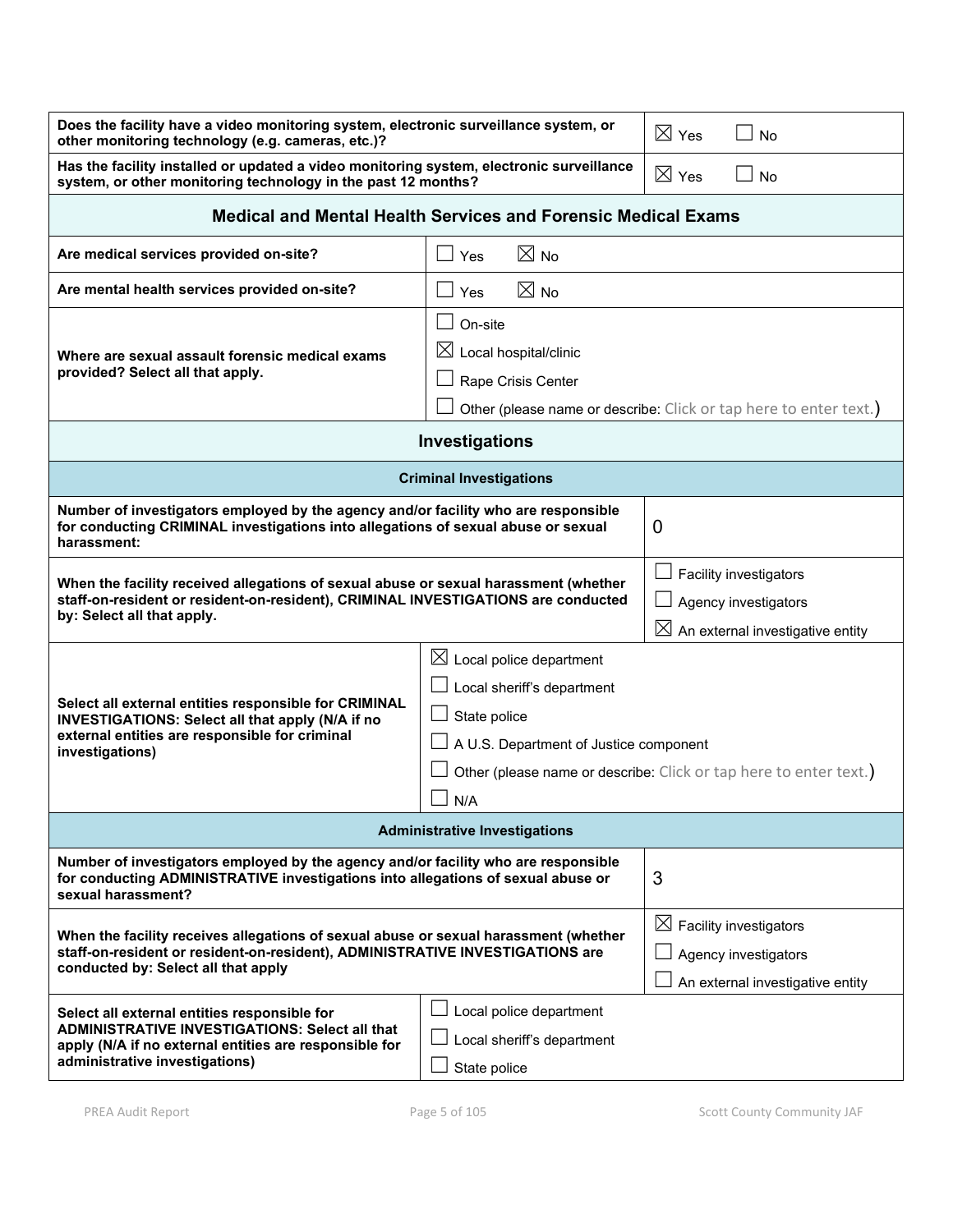| Does the facility have a video monitoring system, electronic surveillance system, or<br>other monitoring technology (e.g. cameras, etc.)?                                                                                                                                  |                                                                                                                                                                                                   | $\boxtimes$ Yes | No                                                                                                    |
|----------------------------------------------------------------------------------------------------------------------------------------------------------------------------------------------------------------------------------------------------------------------------|---------------------------------------------------------------------------------------------------------------------------------------------------------------------------------------------------|-----------------|-------------------------------------------------------------------------------------------------------|
| Has the facility installed or updated a video monitoring system, electronic surveillance<br>system, or other monitoring technology in the past 12 months?                                                                                                                  |                                                                                                                                                                                                   | $\boxtimes$ Yes | No                                                                                                    |
| <b>Medical and Mental Health Services and Forensic Medical Exams</b>                                                                                                                                                                                                       |                                                                                                                                                                                                   |                 |                                                                                                       |
| Are medical services provided on-site?                                                                                                                                                                                                                                     | $\boxtimes$ No<br>Yes                                                                                                                                                                             |                 |                                                                                                       |
| Are mental health services provided on-site?                                                                                                                                                                                                                               | $\boxtimes$ No<br>Yes                                                                                                                                                                             |                 |                                                                                                       |
| Where are sexual assault forensic medical exams<br>provided? Select all that apply.                                                                                                                                                                                        | On-site<br>$\boxtimes$ Local hospital/clinic<br>Rape Crisis Center<br>Other (please name or describe: Click or tap here to enter text.)                                                           |                 |                                                                                                       |
|                                                                                                                                                                                                                                                                            | Investigations                                                                                                                                                                                    |                 |                                                                                                       |
|                                                                                                                                                                                                                                                                            | <b>Criminal Investigations</b>                                                                                                                                                                    |                 |                                                                                                       |
| Number of investigators employed by the agency and/or facility who are responsible<br>for conducting CRIMINAL investigations into allegations of sexual abuse or sexual<br>0<br>harassment:                                                                                |                                                                                                                                                                                                   |                 |                                                                                                       |
| When the facility received allegations of sexual abuse or sexual harassment (whether<br>staff-on-resident or resident-on-resident), CRIMINAL INVESTIGATIONS are conducted<br>by: Select all that apply.                                                                    |                                                                                                                                                                                                   |                 | <b>Facility investigators</b><br>Agency investigators<br>$\boxtimes$ An external investigative entity |
| Select all external entities responsible for CRIMINAL<br>INVESTIGATIONS: Select all that apply (N/A if no<br>external entities are responsible for criminal<br>investigations)                                                                                             | $[3]$ Local police department<br>Local sheriff's department<br>State police<br>A U.S. Department of Justice component<br>Other (please name or describe: Click or tap here to enter text.)<br>N/A |                 |                                                                                                       |
| <b>Administrative Investigations</b>                                                                                                                                                                                                                                       |                                                                                                                                                                                                   |                 |                                                                                                       |
| Number of investigators employed by the agency and/or facility who are responsible<br>3<br>for conducting ADMINISTRATIVE investigations into allegations of sexual abuse or<br>sexual harassment?                                                                          |                                                                                                                                                                                                   |                 |                                                                                                       |
| When the facility receives allegations of sexual abuse or sexual harassment (whether<br>staff-on-resident or resident-on-resident), ADMINISTRATIVE INVESTIGATIONS are<br>conducted by: Select all that apply                                                               |                                                                                                                                                                                                   |                 | $\boxtimes$ Facility investigators<br>Agency investigators<br>An external investigative entity        |
| Local police department<br>Select all external entities responsible for<br><b>ADMINISTRATIVE INVESTIGATIONS: Select all that</b><br>Local sheriff's department<br>apply (N/A if no external entities are responsible for<br>administrative investigations)<br>State police |                                                                                                                                                                                                   |                 |                                                                                                       |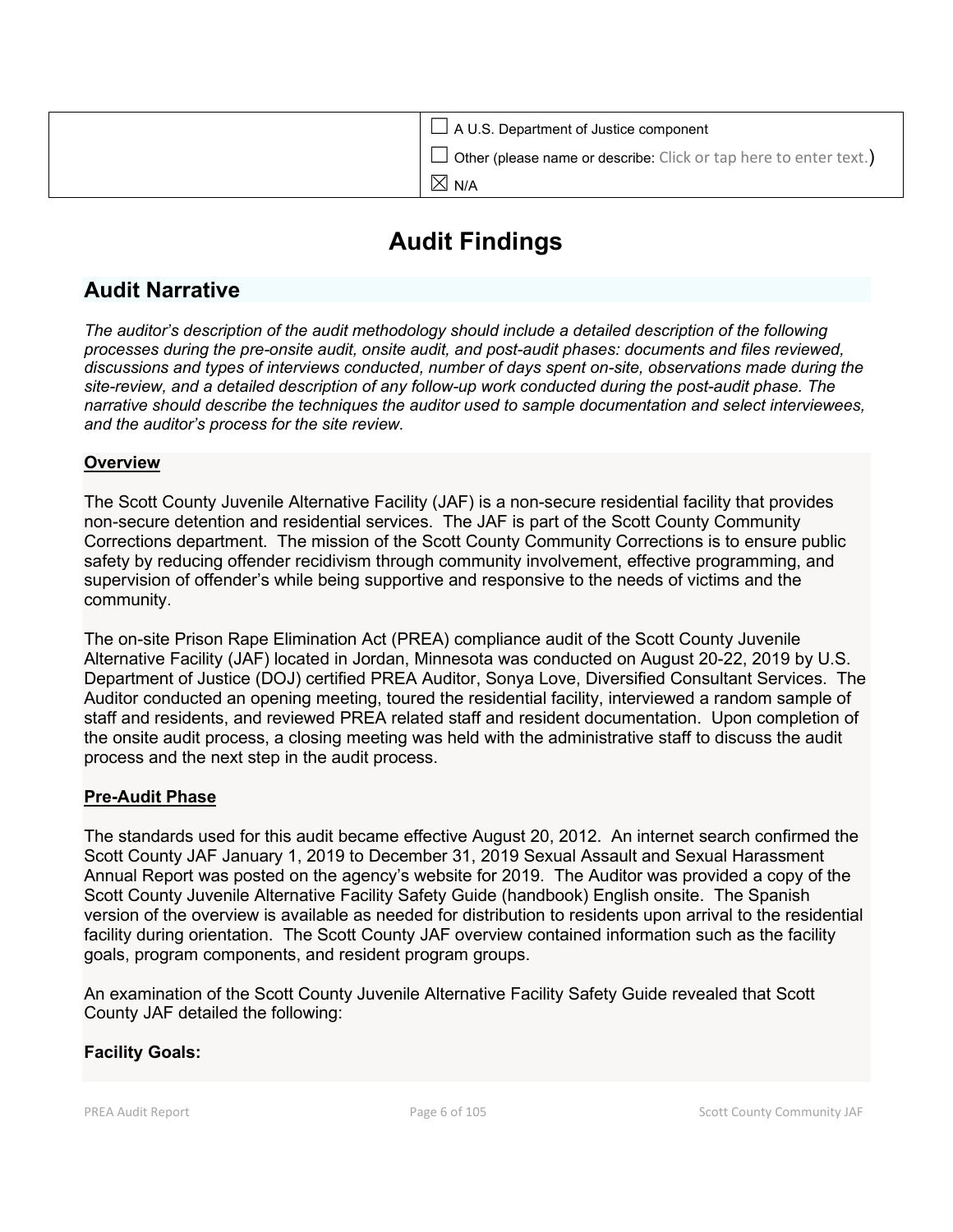| $\Box$ A U.S. Department of Justice component                            |
|--------------------------------------------------------------------------|
| $\Box$ Other (please name or describe: Click or tap here to enter text.) |
| $\boxtimes$ N/A                                                          |

# **Audit Findings**

# **Audit Narrative**

*The auditor's description of the audit methodology should include a detailed description of the following processes during the pre-onsite audit, onsite audit, and post-audit phases: documents and files reviewed, discussions and types of interviews conducted, number of days spent on-site, observations made during the site-review, and a detailed description of any follow-up work conducted during the post-audit phase. The narrative should describe the techniques the auditor used to sample documentation and select interviewees, and the auditor's process for the site review.*

# **Overview**

The Scott County Juvenile Alternative Facility (JAF) is a non-secure residential facility that provides non-secure detention and residential services. The JAF is part of the Scott County Community Corrections department. The mission of the Scott County Community Corrections is to ensure public safety by reducing offender recidivism through community involvement, effective programming, and supervision of offender's while being supportive and responsive to the needs of victims and the community.

The on-site Prison Rape Elimination Act (PREA) compliance audit of the Scott County Juvenile Alternative Facility (JAF) located in Jordan, Minnesota was conducted on August 20-22, 2019 by U.S. Department of Justice (DOJ) certified PREA Auditor, Sonya Love, Diversified Consultant Services. The Auditor conducted an opening meeting, toured the residential facility, interviewed a random sample of staff and residents, and reviewed PREA related staff and resident documentation. Upon completion of the onsite audit process, a closing meeting was held with the administrative staff to discuss the audit process and the next step in the audit process.

# **Pre-Audit Phase**

The standards used for this audit became effective August 20, 2012. An internet search confirmed the Scott County JAF January 1, 2019 to December 31, 2019 Sexual Assault and Sexual Harassment Annual Report was posted on the agency's website for 2019. The Auditor was provided a copy of the Scott County Juvenile Alternative Facility Safety Guide (handbook) English onsite. The Spanish version of the overview is available as needed for distribution to residents upon arrival to the residential facility during orientation. The Scott County JAF overview contained information such as the facility goals, program components, and resident program groups.

An examination of the Scott County Juvenile Alternative Facility Safety Guide revealed that Scott County JAF detailed the following:

# **Facility Goals:**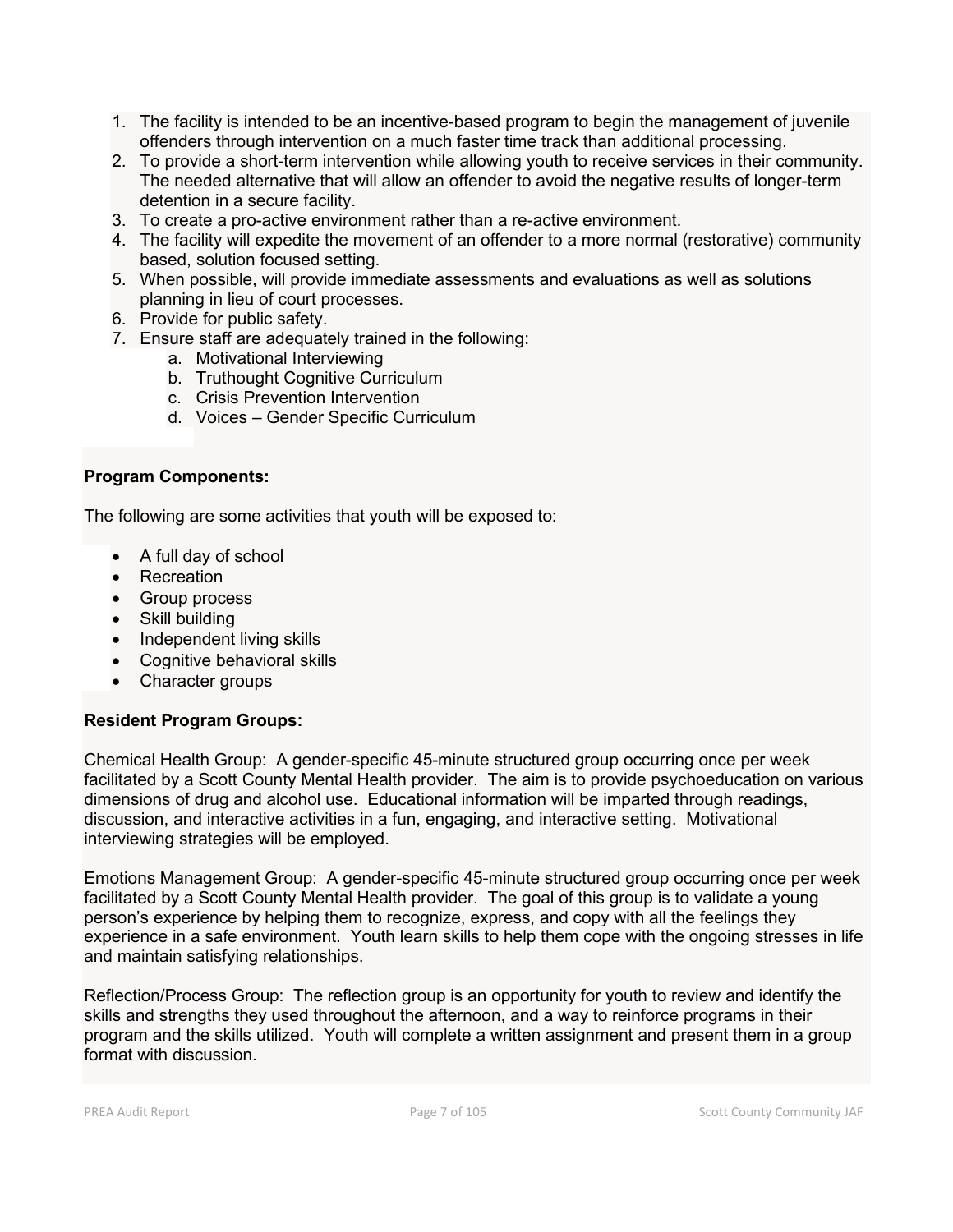- 1. The facility is intended to be an incentive-based program to begin the management of juvenile offenders through intervention on a much faster time track than additional processing.
- 2. To provide a short-term intervention while allowing youth to receive services in their community. The needed alternative that will allow an offender to avoid the negative results of longer-term detention in a secure facility.
- 3. To create a pro-active environment rather than a re-active environment.
- 4. The facility will expedite the movement of an offender to a more normal (restorative) community based, solution focused setting.
- 5. When possible, will provide immediate assessments and evaluations as well as solutions planning in lieu of court processes.
- 6. Provide for public safety.
- 7. Ensure staff are adequately trained in the following:
	- a. Motivational Interviewing
	- b. Truthought Cognitive Curriculum
	- c. Crisis Prevention Intervention
	- d. Voices Gender Specific Curriculum

## **Program Components:**

The following are some activities that youth will be exposed to:

- A full day of school
- Recreation
- Group process
- Skill building
- Independent living skills
- Cognitive behavioral skills
- Character groups

#### **Resident Program Groups:**

Chemical Health Group: A gender-specific 45-minute structured group occurring once per week facilitated by a Scott County Mental Health provider. The aim is to provide psychoeducation on various dimensions of drug and alcohol use. Educational information will be imparted through readings, discussion, and interactive activities in a fun, engaging, and interactive setting. Motivational interviewing strategies will be employed.

Emotions Management Group: A gender-specific 45-minute structured group occurring once per week facilitated by a Scott County Mental Health provider. The goal of this group is to validate a young person's experience by helping them to recognize, express, and copy with all the feelings they experience in a safe environment. Youth learn skills to help them cope with the ongoing stresses in life and maintain satisfying relationships.

Reflection/Process Group: The reflection group is an opportunity for youth to review and identify the skills and strengths they used throughout the afternoon, and a way to reinforce programs in their program and the skills utilized. Youth will complete a written assignment and present them in a group format with discussion.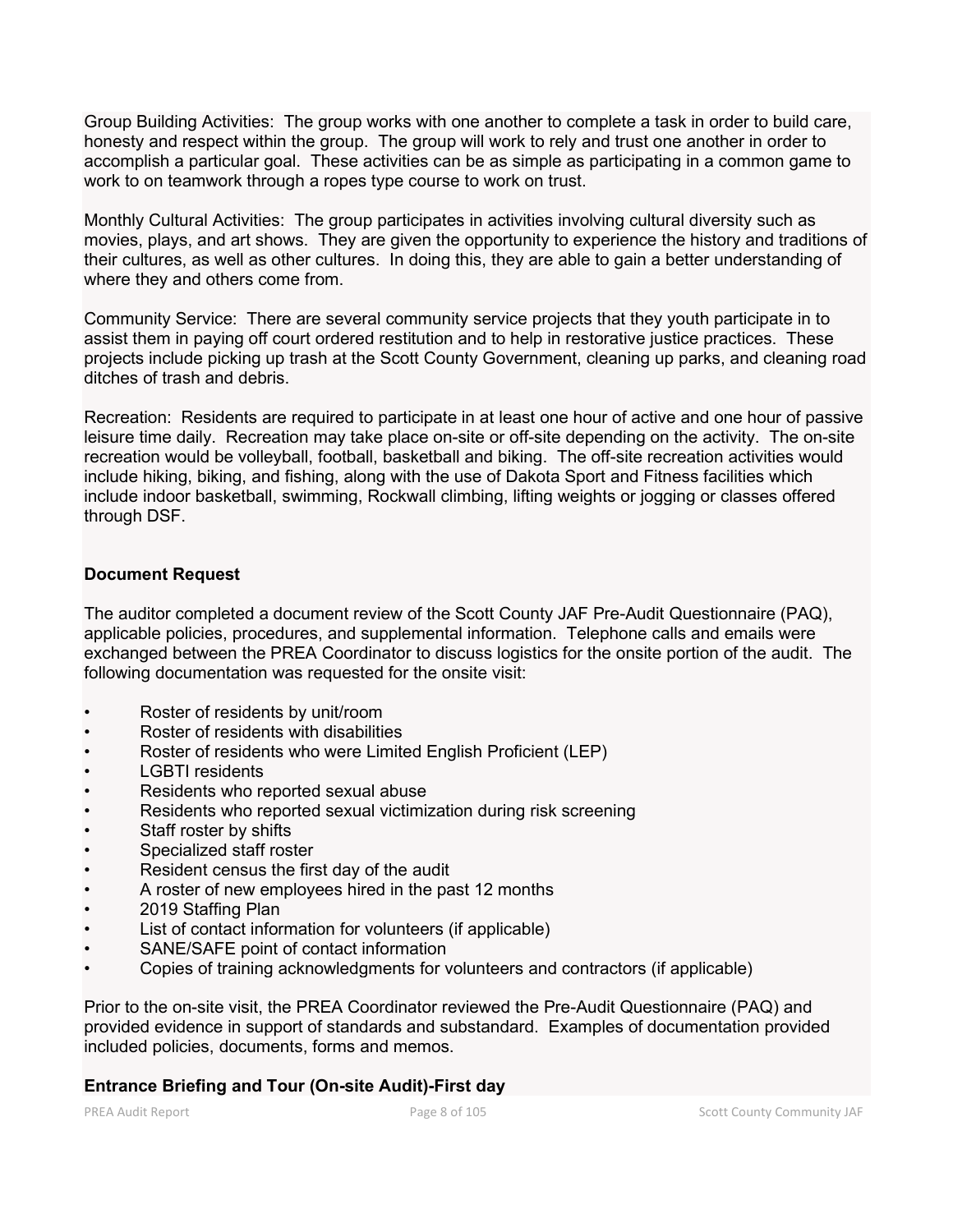Group Building Activities: The group works with one another to complete a task in order to build care, honesty and respect within the group. The group will work to rely and trust one another in order to accomplish a particular goal. These activities can be as simple as participating in a common game to work to on teamwork through a ropes type course to work on trust.

Monthly Cultural Activities: The group participates in activities involving cultural diversity such as movies, plays, and art shows. They are given the opportunity to experience the history and traditions of their cultures, as well as other cultures. In doing this, they are able to gain a better understanding of where they and others come from.

Community Service: There are several community service projects that they youth participate in to assist them in paying off court ordered restitution and to help in restorative justice practices. These projects include picking up trash at the Scott County Government, cleaning up parks, and cleaning road ditches of trash and debris.

Recreation: Residents are required to participate in at least one hour of active and one hour of passive leisure time daily. Recreation may take place on-site or off-site depending on the activity. The on-site recreation would be volleyball, football, basketball and biking. The off-site recreation activities would include hiking, biking, and fishing, along with the use of Dakota Sport and Fitness facilities which include indoor basketball, swimming, Rockwall climbing, lifting weights or jogging or classes offered through DSF.

# **Document Request**

The auditor completed a document review of the Scott County JAF Pre-Audit Questionnaire (PAQ), applicable policies, procedures, and supplemental information. Telephone calls and emails were exchanged between the PREA Coordinator to discuss logistics for the onsite portion of the audit. The following documentation was requested for the onsite visit:

- Roster of residents by unit/room
- Roster of residents with disabilities
- Roster of residents who were Limited English Proficient (LEP)
- LGBTI residents
- Residents who reported sexual abuse
- Residents who reported sexual victimization during risk screening
- Staff roster by shifts
- Specialized staff roster
- Resident census the first day of the audit
- A roster of new employees hired in the past 12 months
- 2019 Staffing Plan
- List of contact information for volunteers (if applicable)
- SANE/SAFE point of contact information
- Copies of training acknowledgments for volunteers and contractors (if applicable)

Prior to the on-site visit, the PREA Coordinator reviewed the Pre-Audit Questionnaire (PAQ) and provided evidence in support of standards and substandard. Examples of documentation provided included policies, documents, forms and memos.

# **Entrance Briefing and Tour (On-site Audit)-First day**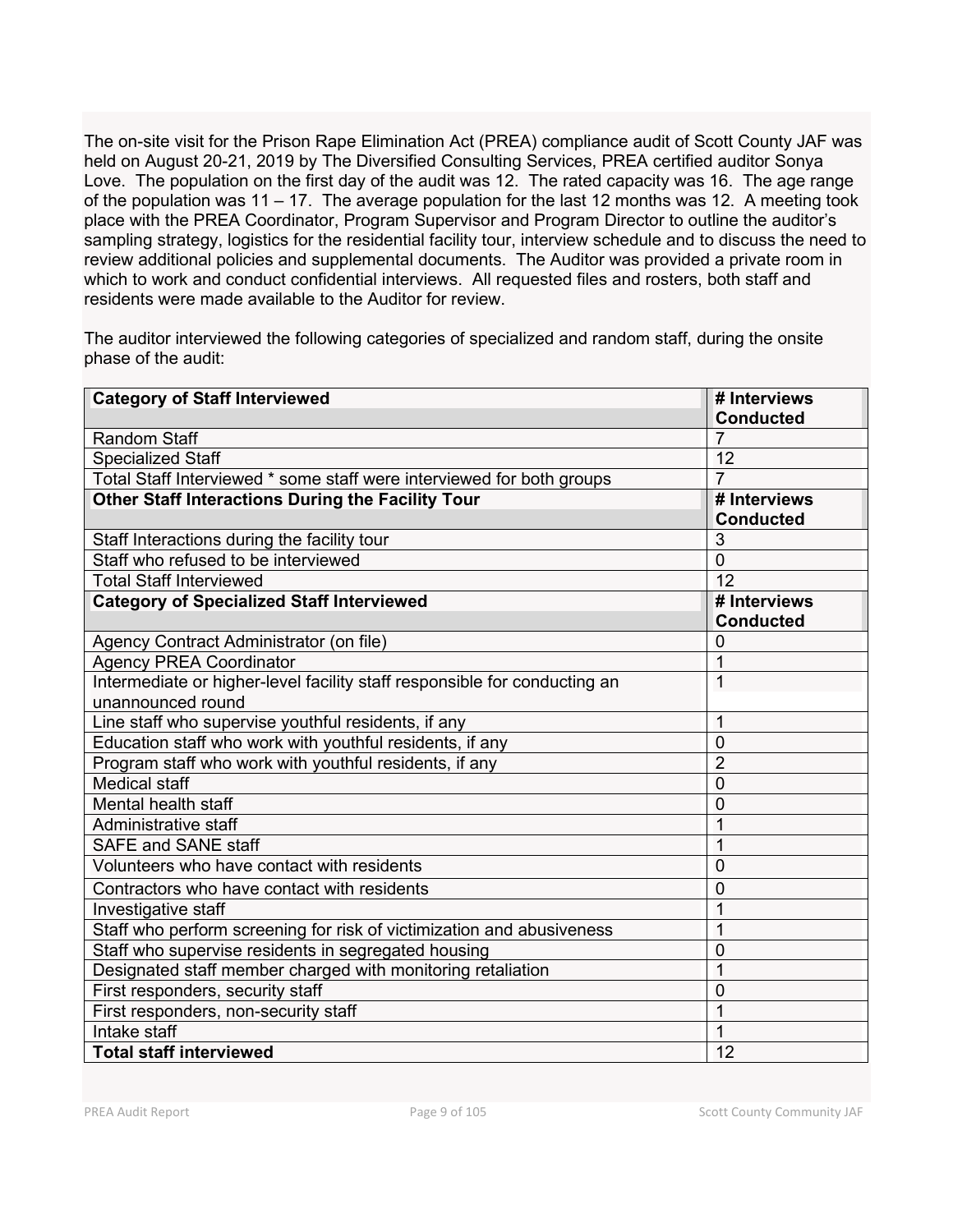The on-site visit for the Prison Rape Elimination Act (PREA) compliance audit of Scott County JAF was held on August 20-21, 2019 by The Diversified Consulting Services, PREA certified auditor Sonya Love. The population on the first day of the audit was 12. The rated capacity was 16. The age range of the population was 11 – 17. The average population for the last 12 months was 12. A meeting took place with the PREA Coordinator, Program Supervisor and Program Director to outline the auditor's sampling strategy, logistics for the residential facility tour, interview schedule and to discuss the need to review additional policies and supplemental documents. The Auditor was provided a private room in which to work and conduct confidential interviews. All requested files and rosters, both staff and residents were made available to the Auditor for review.

The auditor interviewed the following categories of specialized and random staff, during the onsite phase of the audit:

| <b>Category of Staff Interviewed</b>                                      | # Interviews     |
|---------------------------------------------------------------------------|------------------|
|                                                                           | <b>Conducted</b> |
| <b>Random Staff</b>                                                       | 7                |
| <b>Specialized Staff</b>                                                  | 12               |
| Total Staff Interviewed * some staff were interviewed for both groups     | 7                |
| <b>Other Staff Interactions During the Facility Tour</b>                  | # Interviews     |
|                                                                           | <b>Conducted</b> |
| Staff Interactions during the facility tour                               | 3                |
| Staff who refused to be interviewed                                       | $\overline{0}$   |
| <b>Total Staff Interviewed</b>                                            | 12               |
| <b>Category of Specialized Staff Interviewed</b>                          | # Interviews     |
|                                                                           | <b>Conducted</b> |
| Agency Contract Administrator (on file)                                   | 0                |
| <b>Agency PREA Coordinator</b>                                            | 1                |
| Intermediate or higher-level facility staff responsible for conducting an | $\overline{1}$   |
| unannounced round                                                         |                  |
| Line staff who supervise youthful residents, if any                       | $\overline{1}$   |
| Education staff who work with youthful residents, if any                  | $\mathbf 0$      |
| Program staff who work with youthful residents, if any                    | $\overline{2}$   |
| <b>Medical staff</b>                                                      | $\overline{0}$   |
| Mental health staff                                                       | $\overline{0}$   |
| Administrative staff                                                      | 1                |
| <b>SAFE and SANE staff</b>                                                | 1                |
| Volunteers who have contact with residents                                | $\overline{0}$   |
| Contractors who have contact with residents                               | 0                |
| Investigative staff                                                       | 1                |
| Staff who perform screening for risk of victimization and abusiveness     | $\mathbf{1}$     |
| Staff who supervise residents in segregated housing                       | $\mathbf 0$      |
| Designated staff member charged with monitoring retaliation               | $\overline{1}$   |
| First responders, security staff                                          | $\mathbf 0$      |
| First responders, non-security staff                                      | $\overline{1}$   |
| Intake staff                                                              | $\overline{1}$   |
| <b>Total staff interviewed</b>                                            | 12               |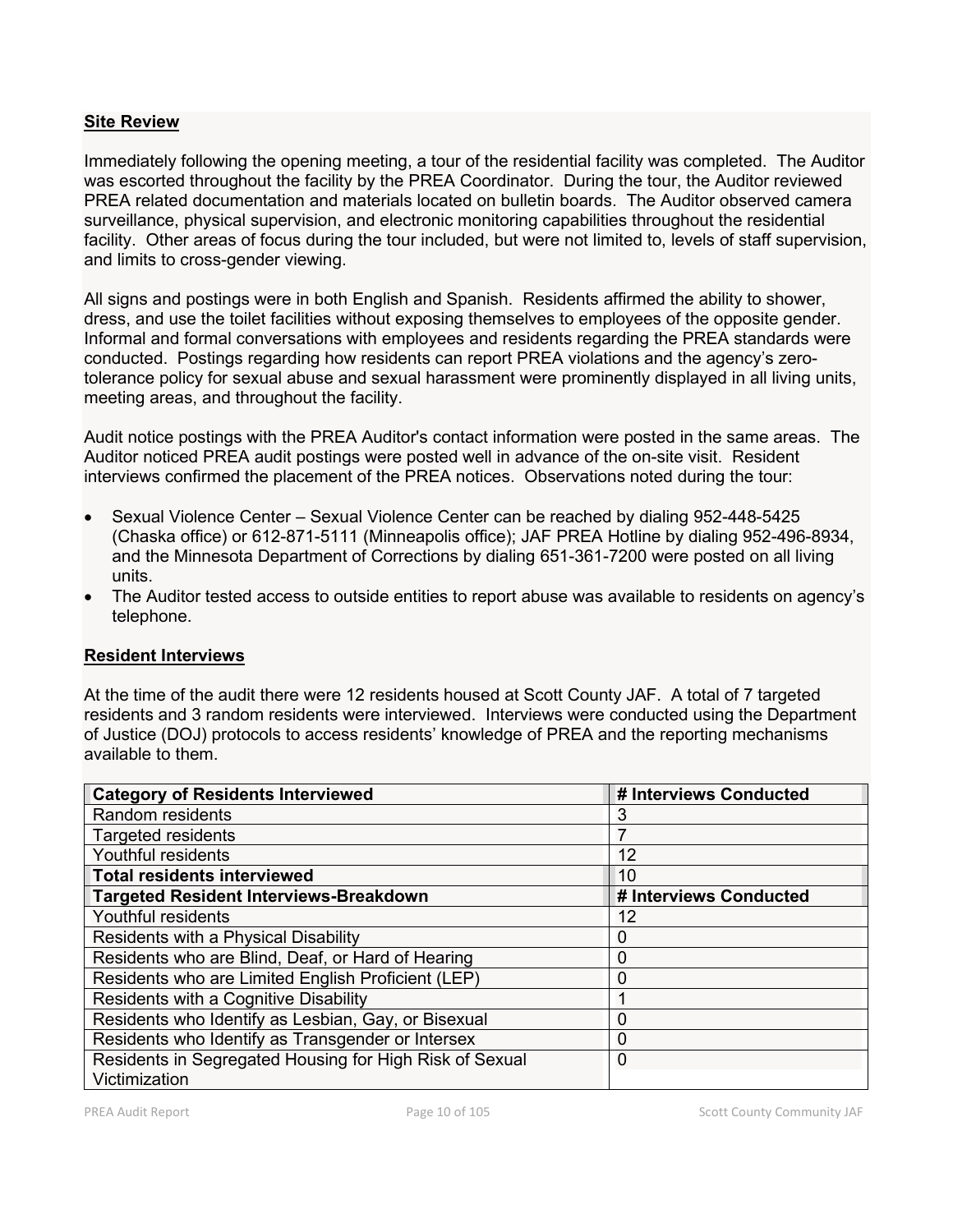# **Site Review**

Immediately following the opening meeting, a tour of the residential facility was completed. The Auditor was escorted throughout the facility by the PREA Coordinator. During the tour, the Auditor reviewed PREA related documentation and materials located on bulletin boards. The Auditor observed camera surveillance, physical supervision, and electronic monitoring capabilities throughout the residential facility. Other areas of focus during the tour included, but were not limited to, levels of staff supervision, and limits to cross-gender viewing.

All signs and postings were in both English and Spanish. Residents affirmed the ability to shower, dress, and use the toilet facilities without exposing themselves to employees of the opposite gender. Informal and formal conversations with employees and residents regarding the PREA standards were conducted. Postings regarding how residents can report PREA violations and the agency's zerotolerance policy for sexual abuse and sexual harassment were prominently displayed in all living units, meeting areas, and throughout the facility.

Audit notice postings with the PREA Auditor's contact information were posted in the same areas. The Auditor noticed PREA audit postings were posted well in advance of the on-site visit. Resident interviews confirmed the placement of the PREA notices. Observations noted during the tour:

- Sexual Violence Center Sexual Violence Center can be reached by dialing 952-448-5425 (Chaska office) or 612-871-5111 (Minneapolis office); JAF PREA Hotline by dialing 952-496-8934, and the Minnesota Department of Corrections by dialing 651-361-7200 were posted on all living units.
- The Auditor tested access to outside entities to report abuse was available to residents on agency's telephone.

# **Resident Interviews**

At the time of the audit there were 12 residents housed at Scott County JAF. A total of 7 targeted residents and 3 random residents were interviewed. Interviews were conducted using the Department of Justice (DOJ) protocols to access residents' knowledge of PREA and the reporting mechanisms available to them.

| <b>Category of Residents Interviewed</b>                | # Interviews Conducted |
|---------------------------------------------------------|------------------------|
| Random residents                                        | 3                      |
| <b>Targeted residents</b>                               |                        |
| Youthful residents                                      | 12                     |
| <b>Total residents interviewed</b>                      | 10                     |
| Targeted Resident Interviews-Breakdown                  | # Interviews Conducted |
| Youthful residents                                      | 12                     |
| Residents with a Physical Disability                    | 0                      |
| Residents who are Blind, Deaf, or Hard of Hearing       | 0                      |
| Residents who are Limited English Proficient (LEP)      | 0                      |
| Residents with a Cognitive Disability                   |                        |
| Residents who Identify as Lesbian, Gay, or Bisexual     | 0                      |
| Residents who Identify as Transgender or Intersex       | 0                      |
| Residents in Segregated Housing for High Risk of Sexual | 0                      |
| Victimization                                           |                        |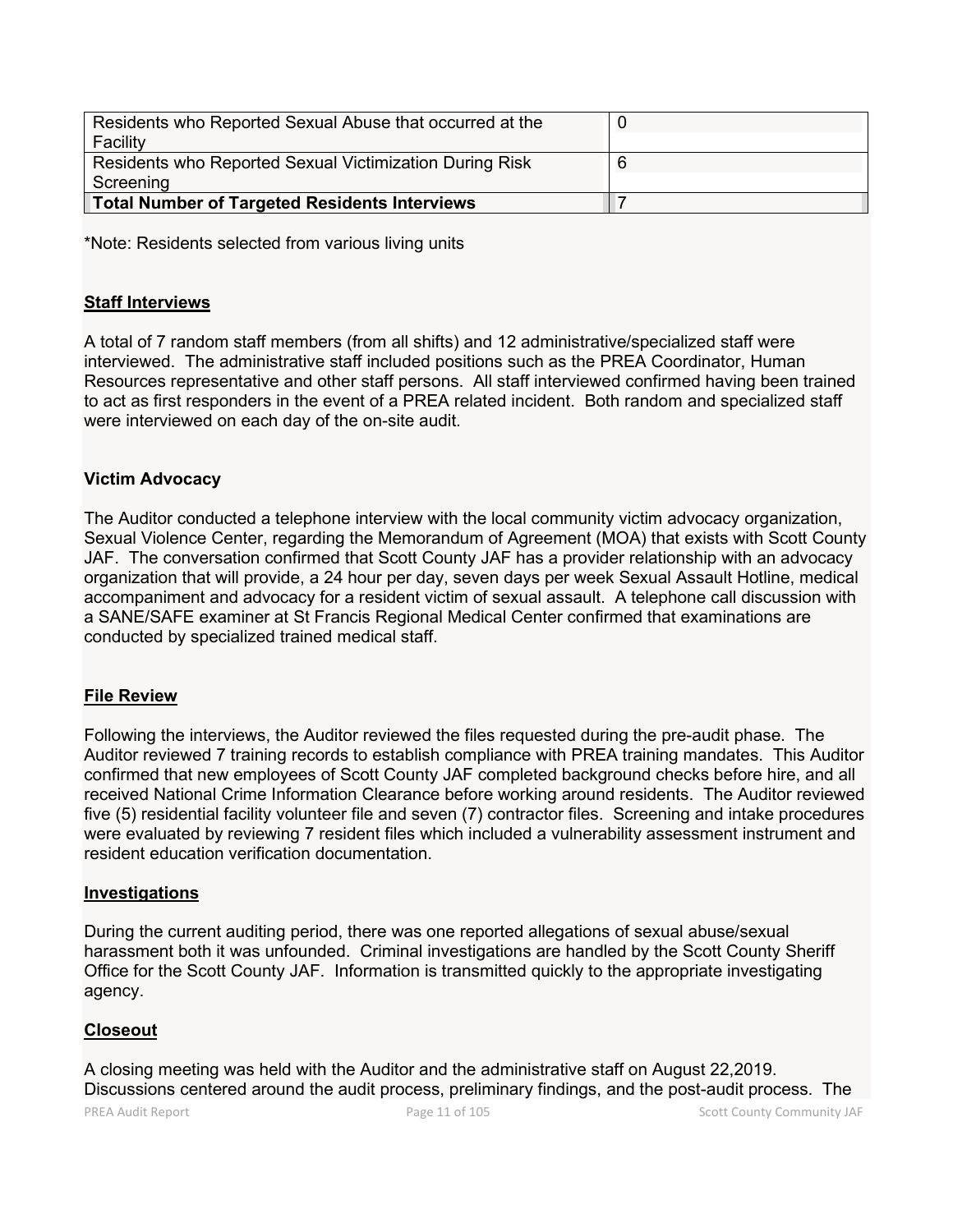| Residents who Reported Sexual Abuse that occurred at the |  |
|----------------------------------------------------------|--|
| Facility                                                 |  |
| Residents who Reported Sexual Victimization During Risk  |  |
| Screening                                                |  |
| <b>Total Number of Targeted Residents Interviews</b>     |  |

\*Note: Residents selected from various living units

## **Staff Interviews**

A total of 7 random staff members (from all shifts) and 12 administrative/specialized staff were interviewed. The administrative staff included positions such as the PREA Coordinator, Human Resources representative and other staff persons. All staff interviewed confirmed having been trained to act as first responders in the event of a PREA related incident. Both random and specialized staff were interviewed on each day of the on-site audit.

# **Victim Advocacy**

The Auditor conducted a telephone interview with the local community victim advocacy organization, Sexual Violence Center, regarding the Memorandum of Agreement (MOA) that exists with Scott County JAF. The conversation confirmed that Scott County JAF has a provider relationship with an advocacy organization that will provide, a 24 hour per day, seven days per week Sexual Assault Hotline, medical accompaniment and advocacy for a resident victim of sexual assault. A telephone call discussion with a SANE/SAFE examiner at St Francis Regional Medical Center confirmed that examinations are conducted by specialized trained medical staff.

#### **File Review**

Following the interviews, the Auditor reviewed the files requested during the pre-audit phase. The Auditor reviewed 7 training records to establish compliance with PREA training mandates. This Auditor confirmed that new employees of Scott County JAF completed background checks before hire, and all received National Crime Information Clearance before working around residents. The Auditor reviewed five (5) residential facility volunteer file and seven (7) contractor files. Screening and intake procedures were evaluated by reviewing 7 resident files which included a vulnerability assessment instrument and resident education verification documentation.

#### **Investigations**

During the current auditing period, there was one reported allegations of sexual abuse/sexual harassment both it was unfounded. Criminal investigations are handled by the Scott County Sheriff Office for the Scott County JAF. Information is transmitted quickly to the appropriate investigating agency.

#### **Closeout**

A closing meeting was held with the Auditor and the administrative staff on August 22,2019. Discussions centered around the audit process, preliminary findings, and the post-audit process. The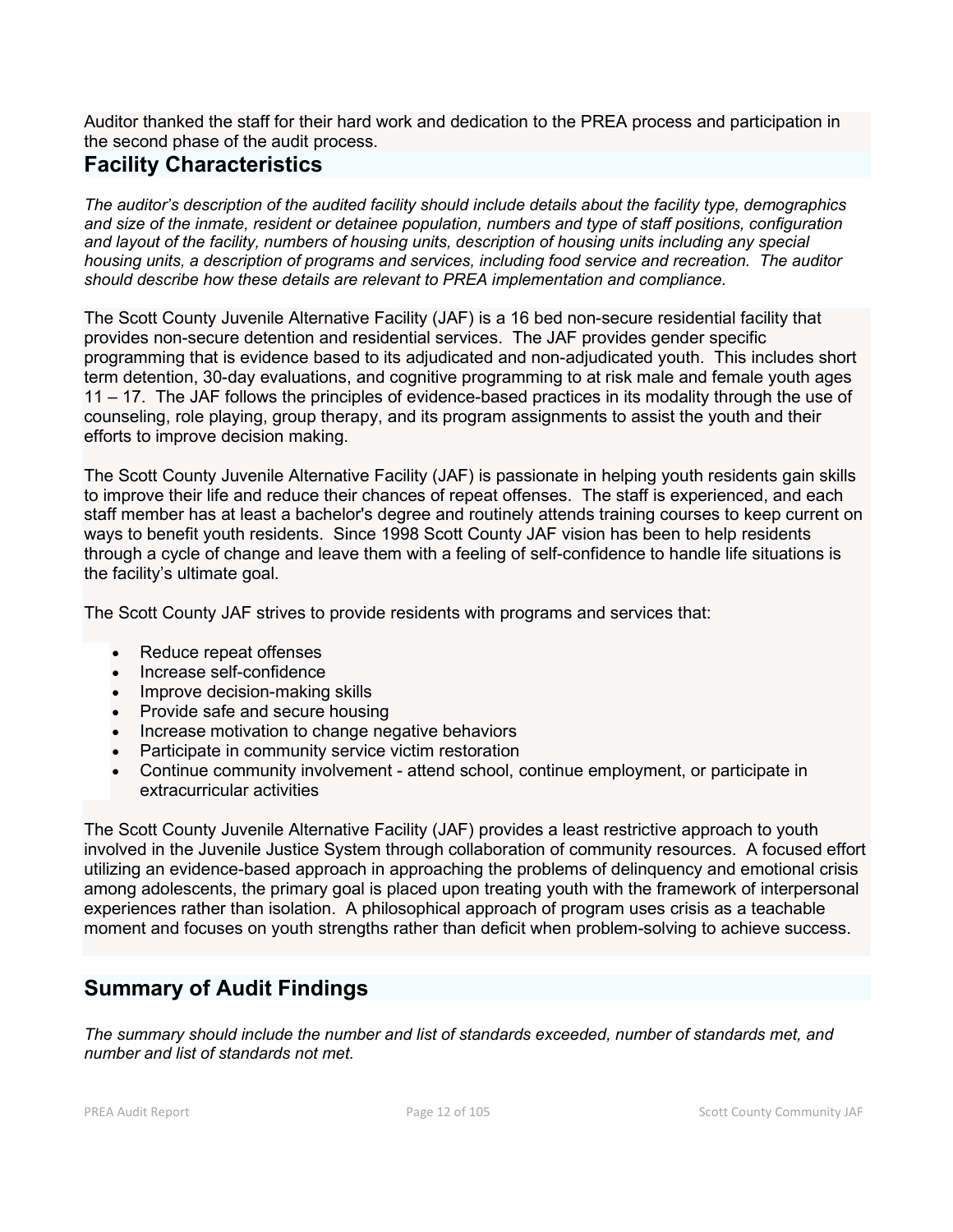Auditor thanked the staff for their hard work and dedication to the PREA process and participation in the second phase of the audit process.

# **Facility Characteristics**

*The auditor's description of the audited facility should include details about the facility type, demographics and size of the inmate, resident or detainee population, numbers and type of staff positions, configuration and layout of the facility, numbers of housing units, description of housing units including any special housing units, a description of programs and services, including food service and recreation. The auditor should describe how these details are relevant to PREA implementation and compliance.*

The Scott County Juvenile Alternative Facility (JAF) is a 16 bed non-secure residential facility that provides non-secure detention and residential services. The JAF provides gender specific programming that is evidence based to its adjudicated and non-adjudicated youth. This includes short term detention, 30-day evaluations, and cognitive programming to at risk male and female youth ages 11 – 17. The JAF follows the principles of evidence-based practices in its modality through the use of counseling, role playing, group therapy, and its program assignments to assist the youth and their efforts to improve decision making.

The Scott County Juvenile Alternative Facility (JAF) is passionate in helping youth residents gain skills to improve their life and reduce their chances of repeat offenses. The staff is experienced, and each staff member has at least a bachelor's degree and routinely attends training courses to keep current on ways to benefit youth residents. Since 1998 Scott County JAF vision has been to help residents through a cycle of change and leave them with a feeling of self-confidence to handle life situations is the facility's ultimate goal.

The Scott County JAF strives to provide residents with programs and services that:

- Reduce repeat offenses
- Increase self-confidence
- Improve decision-making skills
- Provide safe and secure housing
- Increase motivation to change negative behaviors
- Participate in community service victim restoration
- Continue community involvement attend school, continue employment, or participate in extracurricular activities

The Scott County Juvenile Alternative Facility (JAF) provides a least restrictive approach to youth involved in the Juvenile Justice System through collaboration of community resources. A focused effort utilizing an evidence-based approach in approaching the problems of delinquency and emotional crisis among adolescents, the primary goal is placed upon treating youth with the framework of interpersonal experiences rather than isolation. A philosophical approach of program uses crisis as a teachable moment and focuses on youth strengths rather than deficit when problem-solving to achieve success.

# **Summary of Audit Findings**

*The summary should include the number and list of standards exceeded, number of standards met, and number and list of standards not met.*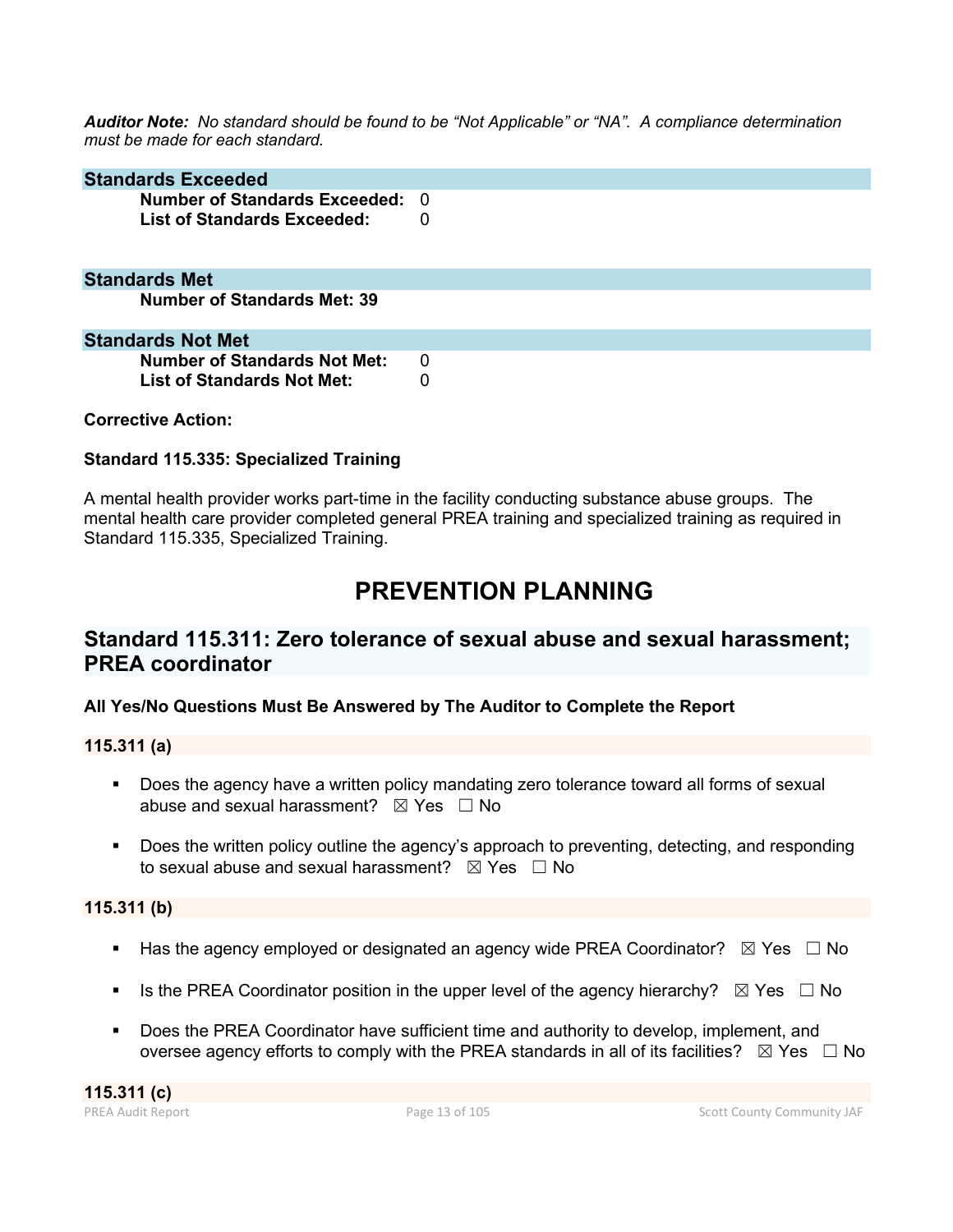*Auditor Note: No standard should be found to be "Not Applicable" or "NA". A compliance determination must be made for each standard.*

| <b>Standards Exceeded</b>                                             |          |
|-----------------------------------------------------------------------|----------|
| Number of Standards Exceeded: 0<br><b>List of Standards Exceeded:</b> | 0        |
| <b>Standards Met</b>                                                  |          |
| <b>Number of Standards Met: 39</b>                                    |          |
| <b>Standards Not Met</b>                                              |          |
| <b>Number of Standards Not Met:</b>                                   | $\Omega$ |
| <b>List of Standards Not Met:</b>                                     | 0        |

# **Corrective Action:**

# **Standard 115.335: Specialized Training**

A mental health provider works part-time in the facility conducting substance abuse groups. The mental health care provider completed general PREA training and specialized training as required in Standard 115.335, Specialized Training.

# **PREVENTION PLANNING**

# **Standard 115.311: Zero tolerance of sexual abuse and sexual harassment; PREA coordinator**

**All Yes/No Questions Must Be Answered by The Auditor to Complete the Report**

# **115.311 (a)**

- Does the agency have a written policy mandating zero tolerance toward all forms of sexual abuse and sexual harassment?  $\boxtimes$  Yes  $\Box$  No
- Does the written policy outline the agency's approach to preventing, detecting, and responding to sexual abuse and sexual harassment?  $\boxtimes$  Yes  $\Box$  No

#### **115.311 (b)**

- Has the agency employed or designated an agency wide PREA Coordinator?  $\boxtimes$  Yes  $\Box$  No
- Is the PREA Coordinator position in the upper level of the agency hierarchy?  $\boxtimes$  Yes  $\Box$  No
- Does the PREA Coordinator have sufficient time and authority to develop, implement, and oversee agency efforts to comply with the PREA standards in all of its facilities?  $\boxtimes$  Yes  $\Box$  No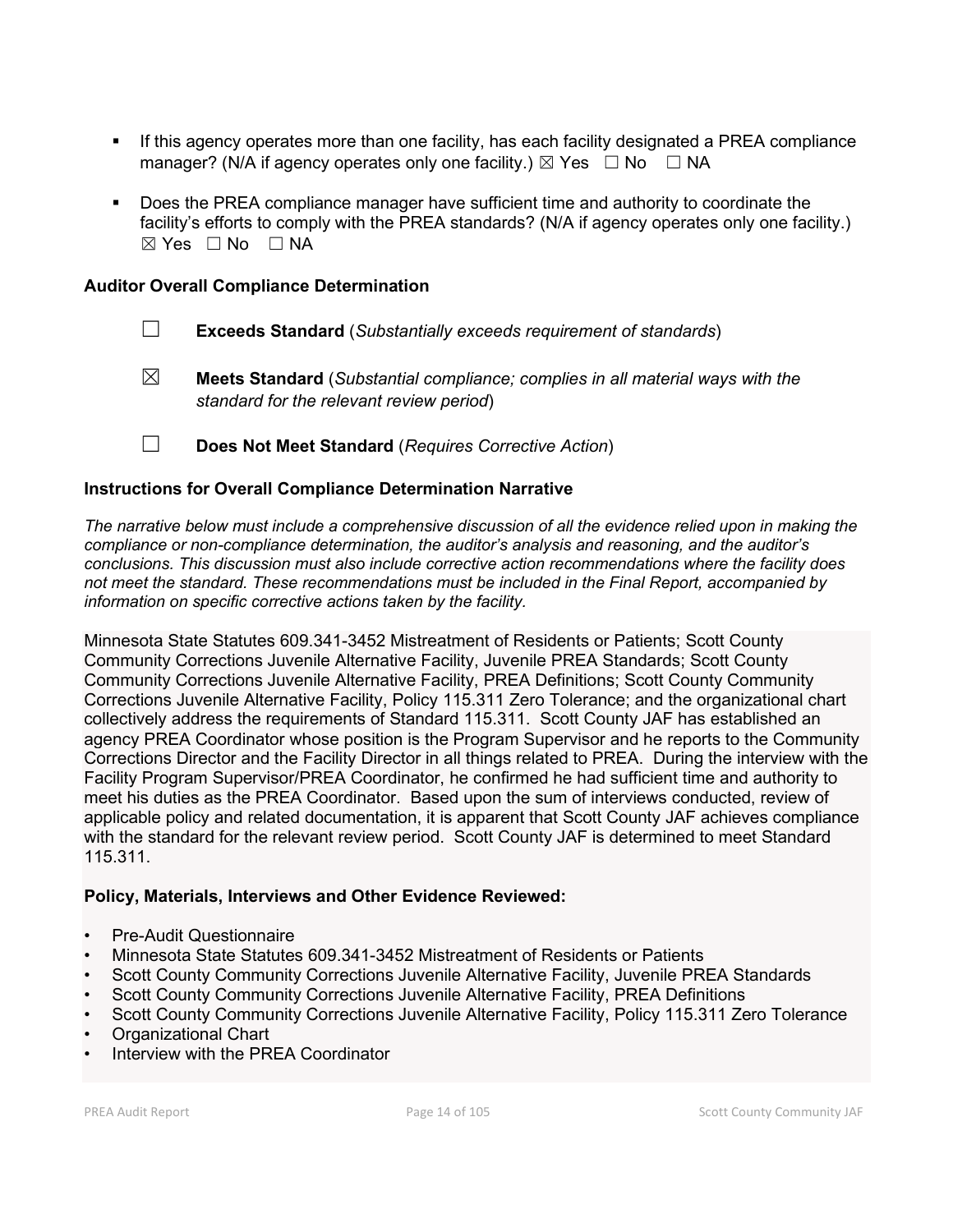- If this agency operates more than one facility, has each facility designated a PREA compliance manager? (N/A if agency operates only one facility.)  $\boxtimes$  Yes  $\Box$  No  $\Box$  NA
- Does the PREA compliance manager have sufficient time and authority to coordinate the facility's efforts to comply with the PREA standards? (N/A if agency operates only one facility.)  $\boxtimes$  Yes  $\Box$  No  $\Box$  NA

# **Auditor Overall Compliance Determination**

- ☐ **Exceeds Standard** (*Substantially exceeds requirement of standards*)
- ☒ **Meets Standard** (*Substantial compliance; complies in all material ways with the standard for the relevant review period*)
- ☐ **Does Not Meet Standard** (*Requires Corrective Action*)

# **Instructions for Overall Compliance Determination Narrative**

*The narrative below must include a comprehensive discussion of all the evidence relied upon in making the compliance or non-compliance determination, the auditor's analysis and reasoning, and the auditor's conclusions. This discussion must also include corrective action recommendations where the facility does not meet the standard. These recommendations must be included in the Final Report, accompanied by information on specific corrective actions taken by the facility.*

Minnesota State Statutes 609.341-3452 Mistreatment of Residents or Patients; Scott County Community Corrections Juvenile Alternative Facility, Juvenile PREA Standards; Scott County Community Corrections Juvenile Alternative Facility, PREA Definitions; Scott County Community Corrections Juvenile Alternative Facility, Policy 115.311 Zero Tolerance; and the organizational chart collectively address the requirements of Standard 115.311. Scott County JAF has established an agency PREA Coordinator whose position is the Program Supervisor and he reports to the Community Corrections Director and the Facility Director in all things related to PREA. During the interview with the Facility Program Supervisor/PREA Coordinator, he confirmed he had sufficient time and authority to meet his duties as the PREA Coordinator. Based upon the sum of interviews conducted, review of applicable policy and related documentation, it is apparent that Scott County JAF achieves compliance with the standard for the relevant review period. Scott County JAF is determined to meet Standard 115.311.

# **Policy, Materials, Interviews and Other Evidence Reviewed:**

- Pre-Audit Questionnaire
- Minnesota State Statutes 609.341-3452 Mistreatment of Residents or Patients
- Scott County Community Corrections Juvenile Alternative Facility, Juvenile PREA Standards
- Scott County Community Corrections Juvenile Alternative Facility, PREA Definitions
- Scott County Community Corrections Juvenile Alternative Facility, Policy 115.311 Zero Tolerance
- Organizational Chart
- Interview with the PREA Coordinator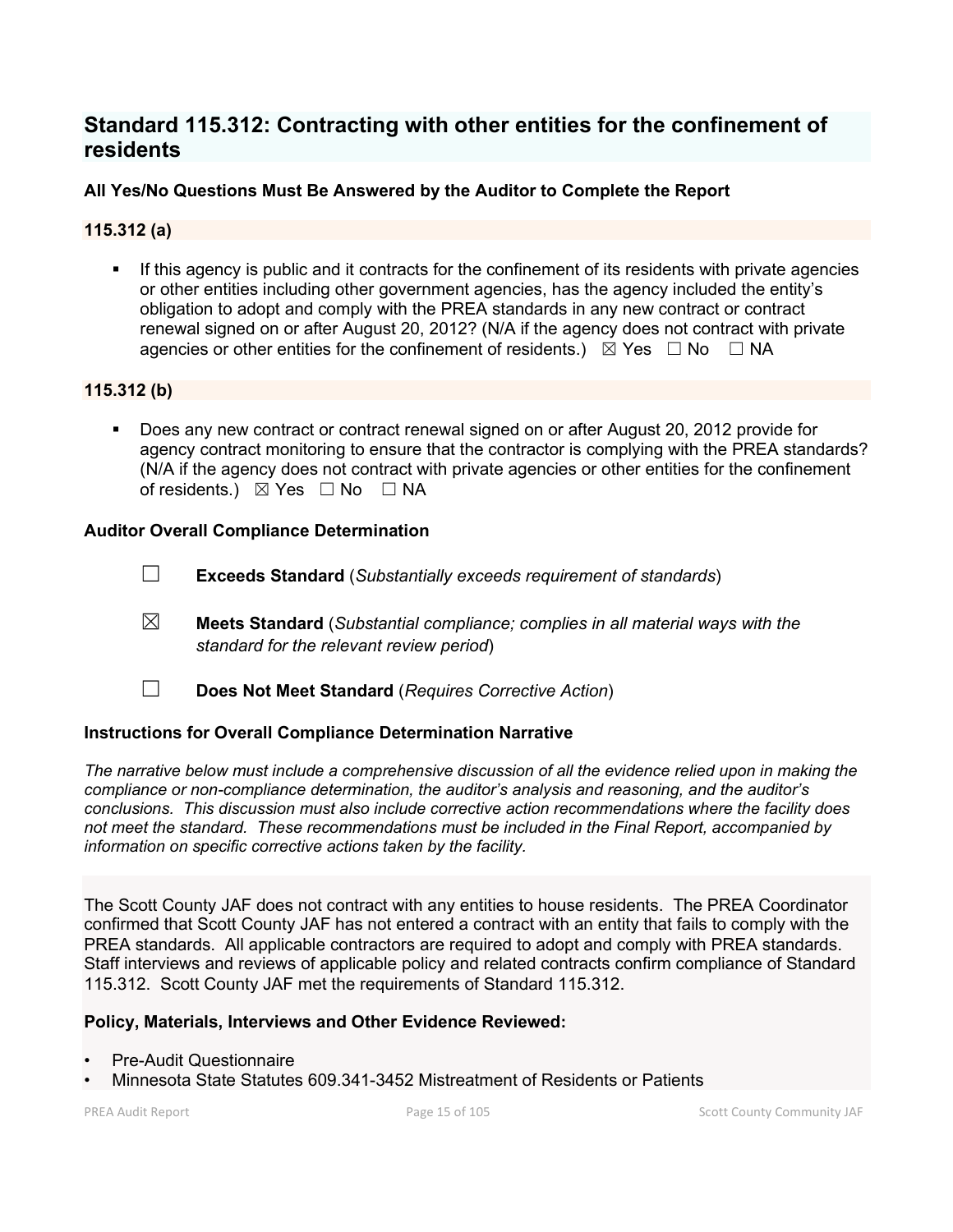# **Standard 115.312: Contracting with other entities for the confinement of residents**

# **All Yes/No Questions Must Be Answered by the Auditor to Complete the Report**

# **115.312 (a)**

 If this agency is public and it contracts for the confinement of its residents with private agencies or other entities including other government agencies, has the agency included the entity's obligation to adopt and comply with the PREA standards in any new contract or contract renewal signed on or after August 20, 2012? (N/A if the agency does not contract with private agencies or other entities for the confinement of residents.)  $\boxtimes$  Yes  $\Box$  No  $\Box$  NA

# **115.312 (b)**

 Does any new contract or contract renewal signed on or after August 20, 2012 provide for agency contract monitoring to ensure that the contractor is complying with the PREA standards? (N/A if the agency does not contract with private agencies or other entities for the confinement of residents.) ⊠ Yes □ No □ NA

# **Auditor Overall Compliance Determination**

- ☐ **Exceeds Standard** (*Substantially exceeds requirement of standards*)
- ☒ **Meets Standard** (*Substantial compliance; complies in all material ways with the standard for the relevant review period*)
- ☐ **Does Not Meet Standard** (*Requires Corrective Action*)

# **Instructions for Overall Compliance Determination Narrative**

*The narrative below must include a comprehensive discussion of all the evidence relied upon in making the compliance or non-compliance determination, the auditor's analysis and reasoning, and the auditor's conclusions. This discussion must also include corrective action recommendations where the facility does not meet the standard. These recommendations must be included in the Final Report, accompanied by information on specific corrective actions taken by the facility.*

The Scott County JAF does not contract with any entities to house residents. The PREA Coordinator confirmed that Scott County JAF has not entered a contract with an entity that fails to comply with the PREA standards. All applicable contractors are required to adopt and comply with PREA standards. Staff interviews and reviews of applicable policy and related contracts confirm compliance of Standard 115.312. Scott County JAF met the requirements of Standard 115.312.

# **Policy, Materials, Interviews and Other Evidence Reviewed:**

- Pre-Audit Questionnaire
- Minnesota State Statutes 609.341-3452 Mistreatment of Residents or Patients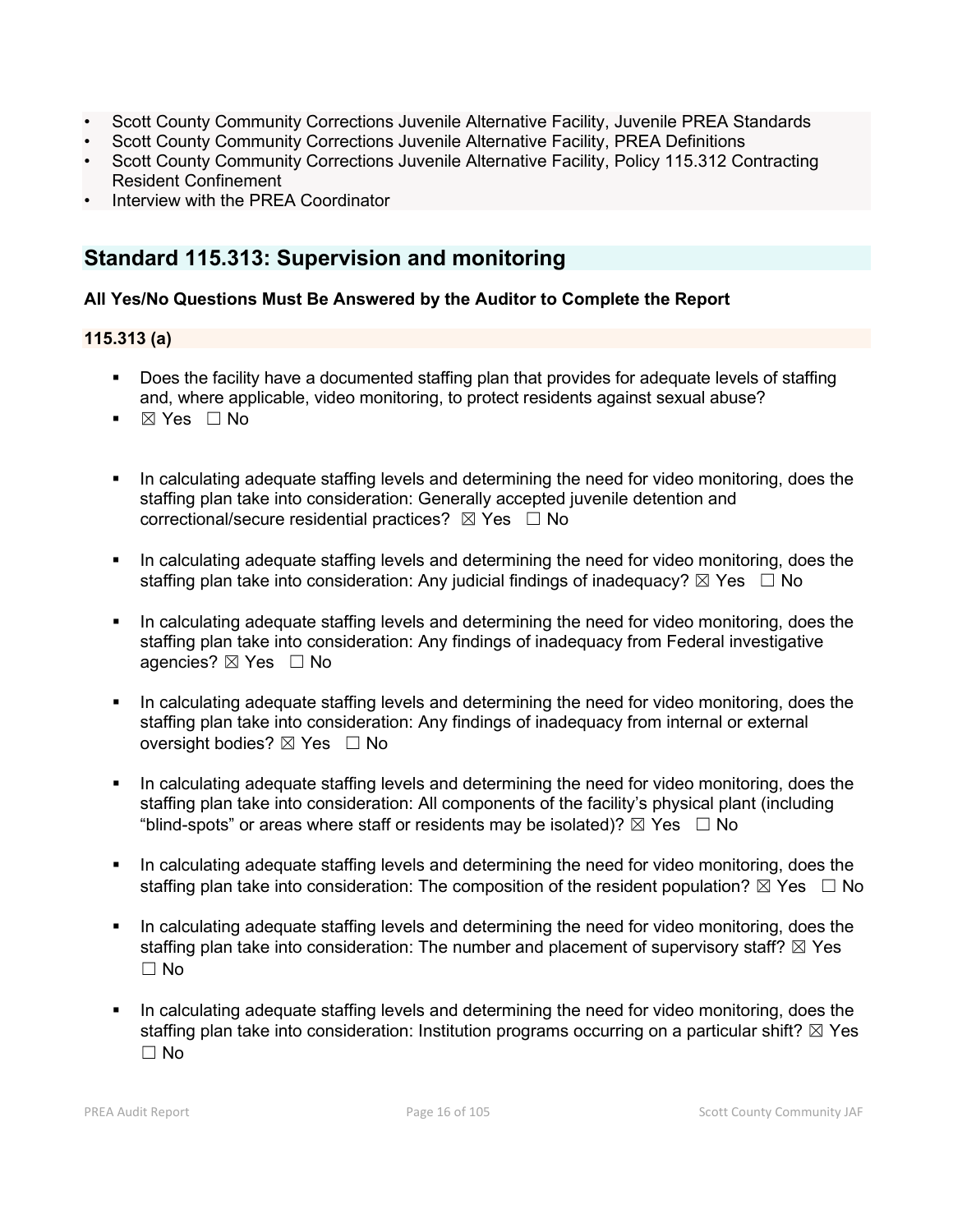- Scott County Community Corrections Juvenile Alternative Facility, Juvenile PREA Standards
- Scott County Community Corrections Juvenile Alternative Facility, PREA Definitions
- Scott County Community Corrections Juvenile Alternative Facility, Policy 115.312 Contracting Resident Confinement
- Interview with the PREA Coordinator

# **Standard 115.313: Supervision and monitoring**

# **All Yes/No Questions Must Be Answered by the Auditor to Complete the Report**

# **115.313 (a)**

- Does the facility have a documented staffing plan that provides for adequate levels of staffing and, where applicable, video monitoring, to protect residents against sexual abuse?
- $\blacksquare$   $\boxtimes$  Yes  $\Box$  No
- In calculating adequate staffing levels and determining the need for video monitoring, does the staffing plan take into consideration: Generally accepted juvenile detention and correctional/secure residential practices?  $\boxtimes$  Yes  $\Box$  No
- In calculating adequate staffing levels and determining the need for video monitoring, does the staffing plan take into consideration: Any judicial findings of inadequacy?  $\boxtimes$  Yes  $\Box$  No
- In calculating adequate staffing levels and determining the need for video monitoring, does the staffing plan take into consideration: Any findings of inadequacy from Federal investigative agencies? ⊠ Yes □ No
- In calculating adequate staffing levels and determining the need for video monitoring, does the staffing plan take into consideration: Any findings of inadequacy from internal or external oversight bodies? ⊠ Yes □ No
- In calculating adequate staffing levels and determining the need for video monitoring, does the staffing plan take into consideration: All components of the facility's physical plant (including "blind-spots" or areas where staff or residents may be isolated)?  $\boxtimes$  Yes  $\Box$  No
- In calculating adequate staffing levels and determining the need for video monitoring, does the staffing plan take into consideration: The composition of the resident population?  $\boxtimes$  Yes  $\Box$  No
- In calculating adequate staffing levels and determining the need for video monitoring, does the staffing plan take into consideration: The number and placement of supervisory staff?  $\boxtimes$  Yes  $\Box$  No
- In calculating adequate staffing levels and determining the need for video monitoring, does the staffing plan take into consideration: Institution programs occurring on a particular shift?  $\boxtimes$  Yes ☐ No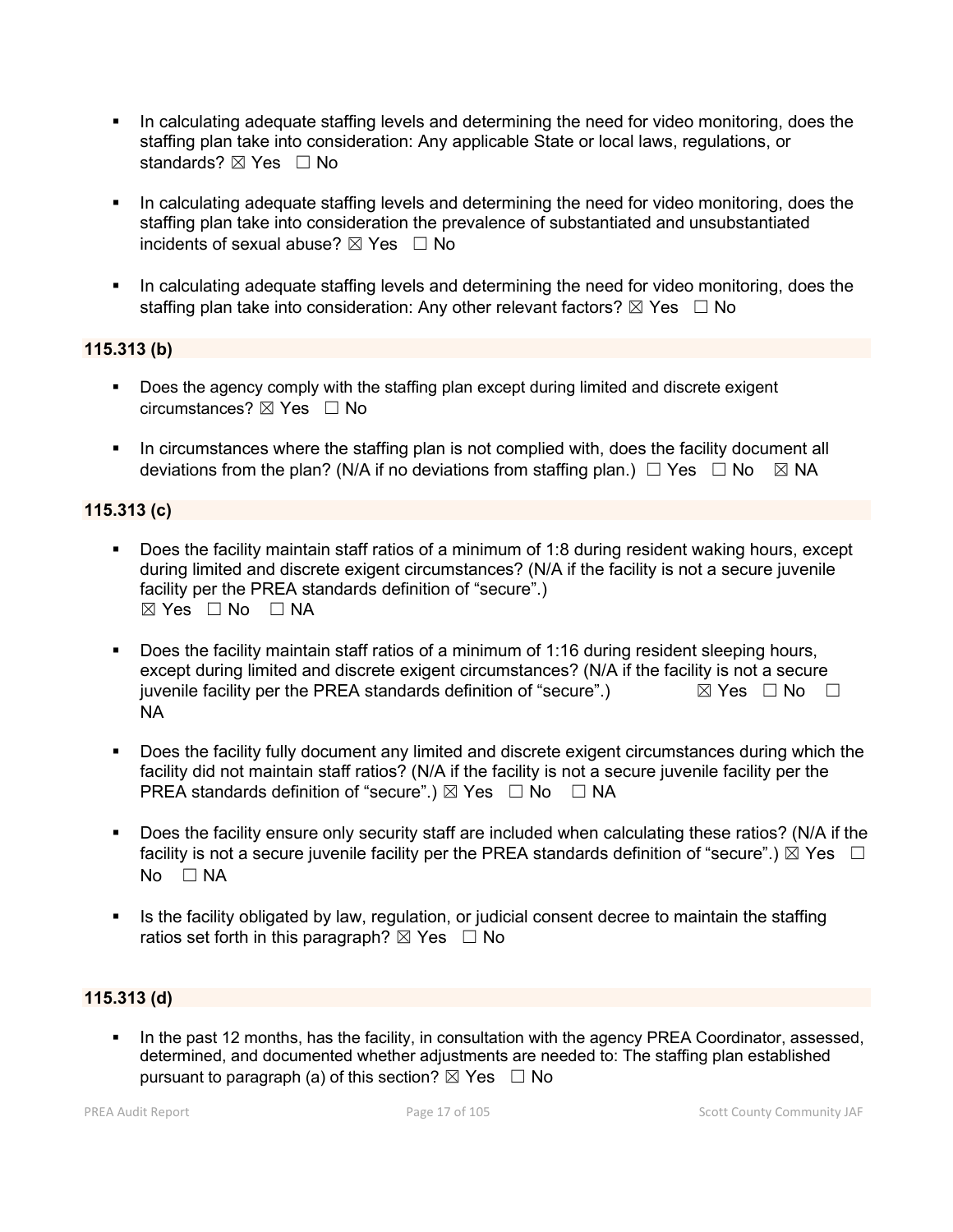- In calculating adequate staffing levels and determining the need for video monitoring, does the staffing plan take into consideration: Any applicable State or local laws, regulations, or standards? ⊠ Yes □ No
- In calculating adequate staffing levels and determining the need for video monitoring, does the staffing plan take into consideration the prevalence of substantiated and unsubstantiated incidents of sexual abuse?  $\boxtimes$  Yes  $\Box$  No
- In calculating adequate staffing levels and determining the need for video monitoring, does the staffing plan take into consideration: Any other relevant factors?  $\boxtimes$  Yes  $\Box$  No

# **115.313 (b)**

- Does the agency comply with the staffing plan except during limited and discrete exigent circumstances? ☒ Yes ☐ No
- In circumstances where the staffing plan is not complied with, does the facility document all deviations from the plan? (N/A if no deviations from staffing plan.)  $\Box$  Yes  $\Box$  No  $\boxtimes$  NA

# **115.313 (c)**

- Does the facility maintain staff ratios of a minimum of 1:8 during resident waking hours, except during limited and discrete exigent circumstances? (N/A if the facility is not a secure juvenile facility per the PREA standards definition of "secure".)  $\boxtimes$  Yes  $\Box$  No  $\Box$  NA
- **Does the facility maintain staff ratios of a minimum of 1:16 during resident sleeping hours,** except during limited and discrete exigent circumstances? (N/A if the facility is not a secure juvenile facility per the PREA standards definition of "secure".)  $\boxtimes$  Yes  $\Box$  No  $\Box$ NA
- Does the facility fully document any limited and discrete exigent circumstances during which the facility did not maintain staff ratios? (N/A if the facility is not a secure juvenile facility per the PREA standards definition of "secure".)  $\boxtimes$  Yes  $\Box$  No  $\Box$  NA
- Does the facility ensure only security staff are included when calculating these ratios? (N/A if the facility is not a secure juvenile facility per the PREA standards definition of "secure".)  $\boxtimes$  Yes  $\Box$ No □ NA
- Is the facility obligated by law, regulation, or judicial consent decree to maintain the staffing ratios set forth in this paragraph?  $\boxtimes$  Yes  $\Box$  No

# **115.313 (d)**

In the past 12 months, has the facility, in consultation with the agency PREA Coordinator, assessed, determined, and documented whether adjustments are needed to: The staffing plan established pursuant to paragraph (a) of this section?  $\boxtimes$  Yes  $\Box$  No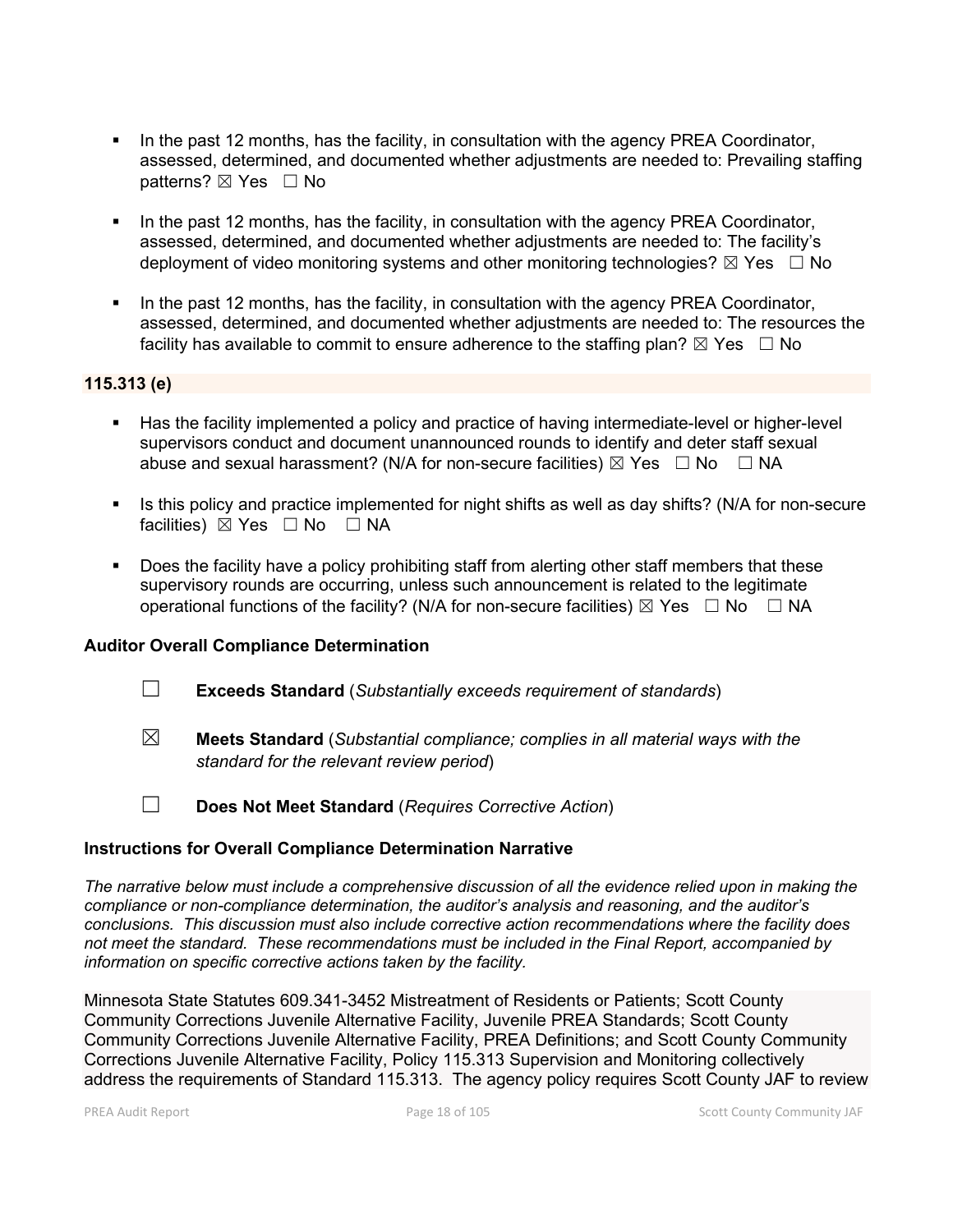- In the past 12 months, has the facility, in consultation with the agency PREA Coordinator, assessed, determined, and documented whether adjustments are needed to: Prevailing staffing patterns? ⊠ Yes □ No
- In the past 12 months, has the facility, in consultation with the agency PREA Coordinator, assessed, determined, and documented whether adjustments are needed to: The facility's deployment of video monitoring systems and other monitoring technologies?  $\boxtimes$  Yes  $\Box$  No
- In the past 12 months, has the facility, in consultation with the agency PREA Coordinator, assessed, determined, and documented whether adjustments are needed to: The resources the facility has available to commit to ensure adherence to the staffing plan?  $\boxtimes$  Yes  $\;\;\Box$  No

# **115.313 (e)**

- Has the facility implemented a policy and practice of having intermediate-level or higher-level supervisors conduct and document unannounced rounds to identify and deter staff sexual abuse and sexual harassment? (N/A for non-secure facilities)  $\boxtimes$  Yes  $\Box$  No  $\Box$  NA
- Is this policy and practice implemented for night shifts as well as day shifts? (N/A for non-secure facilities) ⊠ Yes □ No □ NA
- Does the facility have a policy prohibiting staff from alerting other staff members that these supervisory rounds are occurring, unless such announcement is related to the legitimate operational functions of the facility? (N/A for non-secure facilities)  $\boxtimes$  Yes  $\Box$  No  $\Box$  NA

# **Auditor Overall Compliance Determination**

- ☐ **Exceeds Standard** (*Substantially exceeds requirement of standards*)
- ☒ **Meets Standard** (*Substantial compliance; complies in all material ways with the standard for the relevant review period*)

☐ **Does Not Meet Standard** (*Requires Corrective Action*)

#### **Instructions for Overall Compliance Determination Narrative**

*The narrative below must include a comprehensive discussion of all the evidence relied upon in making the compliance or non-compliance determination, the auditor's analysis and reasoning, and the auditor's conclusions. This discussion must also include corrective action recommendations where the facility does not meet the standard. These recommendations must be included in the Final Report, accompanied by information on specific corrective actions taken by the facility.*

Minnesota State Statutes 609.341-3452 Mistreatment of Residents or Patients; Scott County Community Corrections Juvenile Alternative Facility, Juvenile PREA Standards; Scott County Community Corrections Juvenile Alternative Facility, PREA Definitions; and Scott County Community Corrections Juvenile Alternative Facility, Policy 115.313 Supervision and Monitoring collectively address the requirements of Standard 115.313. The agency policy requires Scott County JAF to review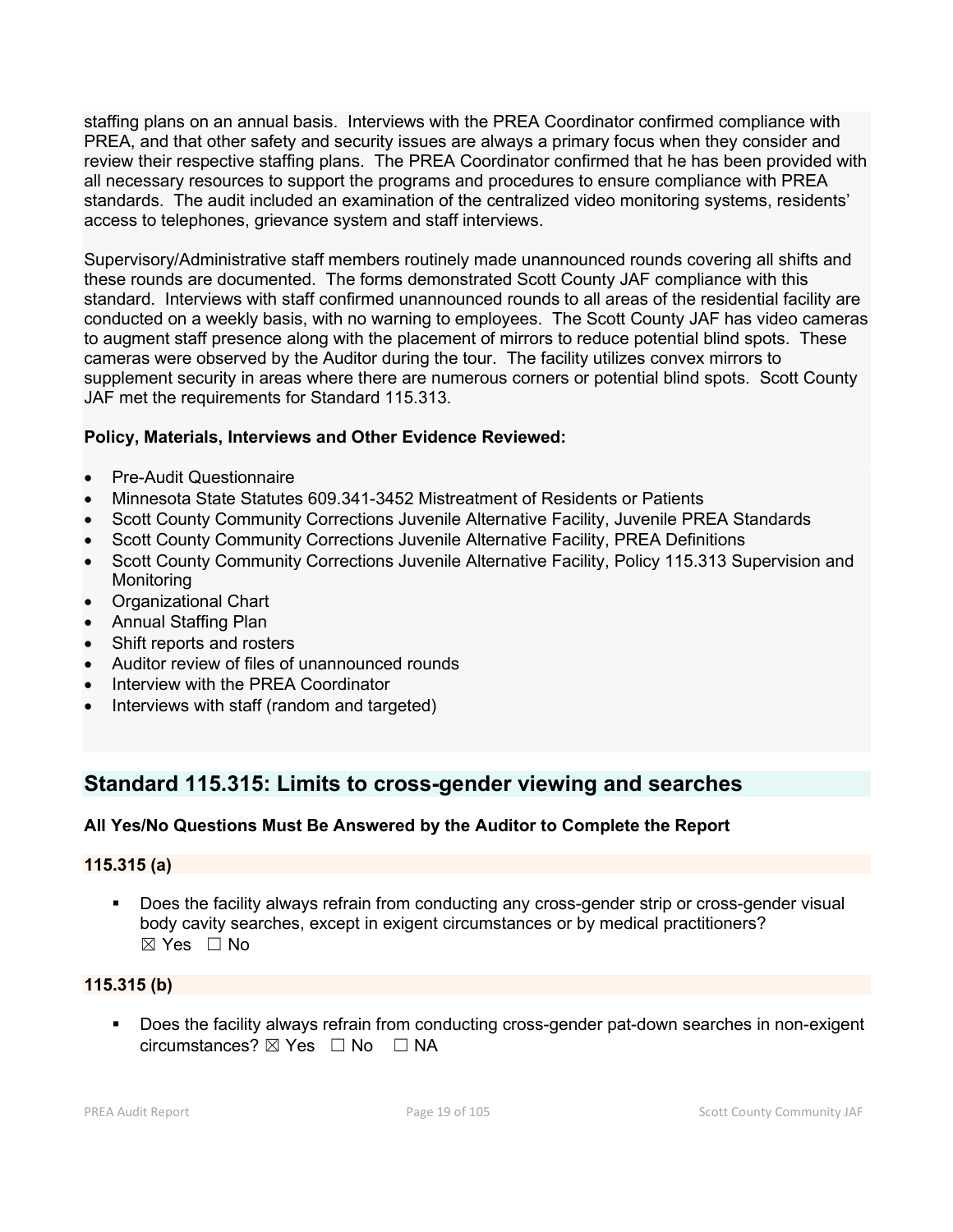staffing plans on an annual basis. Interviews with the PREA Coordinator confirmed compliance with PREA, and that other safety and security issues are always a primary focus when they consider and review their respective staffing plans. The PREA Coordinator confirmed that he has been provided with all necessary resources to support the programs and procedures to ensure compliance with PREA standards. The audit included an examination of the centralized video monitoring systems, residents' access to telephones, grievance system and staff interviews.

Supervisory/Administrative staff members routinely made unannounced rounds covering all shifts and these rounds are documented. The forms demonstrated Scott County JAF compliance with this standard. Interviews with staff confirmed unannounced rounds to all areas of the residential facility are conducted on a weekly basis, with no warning to employees. The Scott County JAF has video cameras to augment staff presence along with the placement of mirrors to reduce potential blind spots. These cameras were observed by the Auditor during the tour. The facility utilizes convex mirrors to supplement security in areas where there are numerous corners or potential blind spots. Scott County JAF met the requirements for Standard 115.313.

# **Policy, Materials, Interviews and Other Evidence Reviewed:**

- Pre-Audit Questionnaire
- Minnesota State Statutes 609.341-3452 Mistreatment of Residents or Patients
- Scott County Community Corrections Juvenile Alternative Facility, Juvenile PREA Standards
- Scott County Community Corrections Juvenile Alternative Facility, PREA Definitions
- Scott County Community Corrections Juvenile Alternative Facility, Policy 115.313 Supervision and Monitoring
- Organizational Chart
- Annual Staffing Plan
- Shift reports and rosters
- Auditor review of files of unannounced rounds
- Interview with the PREA Coordinator
- Interviews with staff (random and targeted)

# **Standard 115.315: Limits to cross-gender viewing and searches**

# **All Yes/No Questions Must Be Answered by the Auditor to Complete the Report**

# **115.315 (a)**

 Does the facility always refrain from conducting any cross-gender strip or cross-gender visual body cavity searches, except in exigent circumstances or by medical practitioners?  $\boxtimes$  Yes  $\Box$  No

# **115.315 (b)**

**Does the facility always refrain from conducting cross-gender pat-down searches in non-exigent**  $circumstances? \boxtimes Yes \square No \square NA$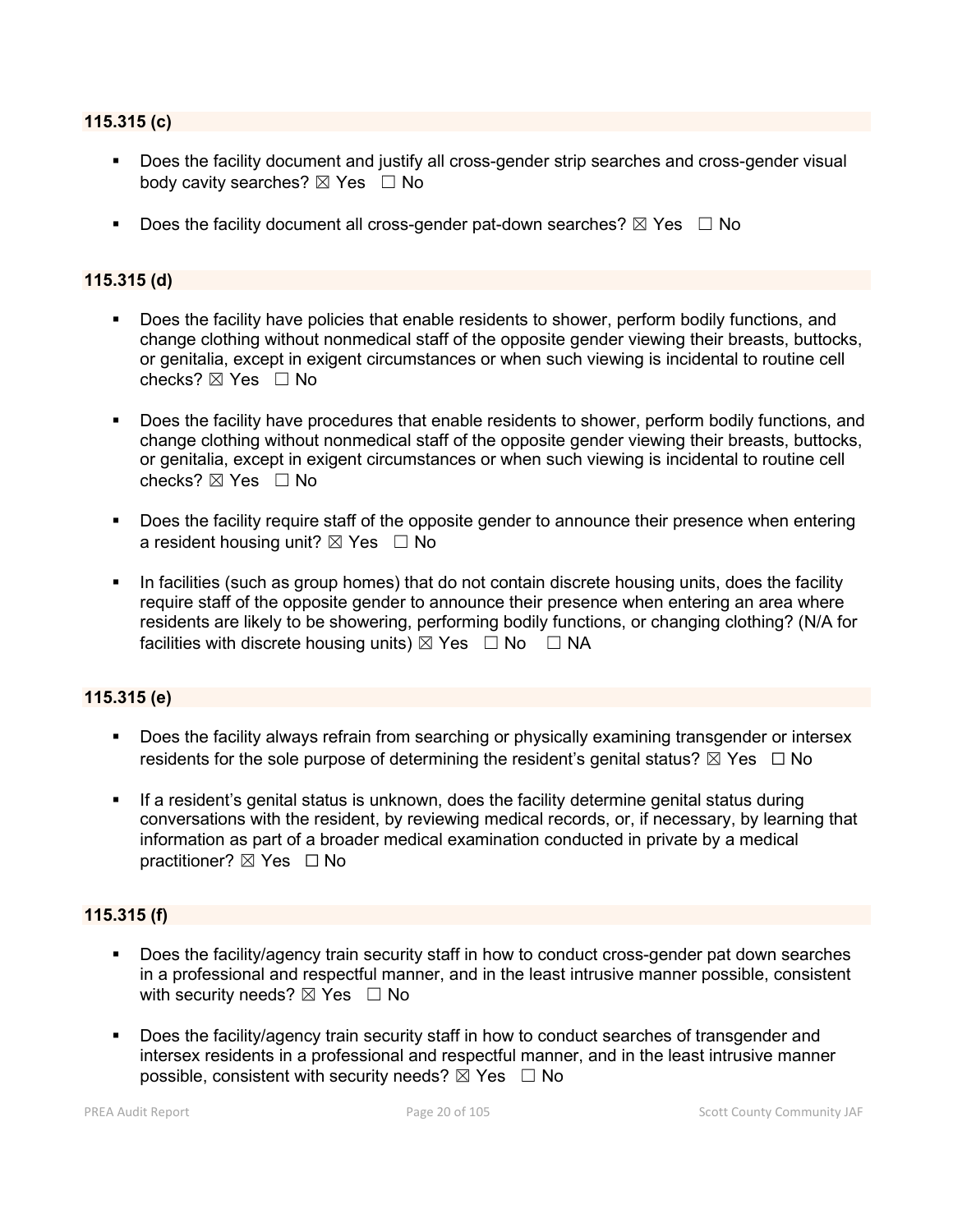#### **115.315 (c)**

- Does the facility document and justify all cross-gender strip searches and cross-gender visual body cavity searches?  $\boxtimes$  Yes  $\Box$  No
- Does the facility document all cross-gender pat-down searches?  $\boxtimes$  Yes  $\Box$  No

## **115.315 (d)**

- Does the facility have policies that enable residents to shower, perform bodily functions, and change clothing without nonmedical staff of the opposite gender viewing their breasts, buttocks, or genitalia, except in exigent circumstances or when such viewing is incidental to routine cell checks? ☒ Yes ☐ No
- Does the facility have procedures that enable residents to shower, perform bodily functions, and change clothing without nonmedical staff of the opposite gender viewing their breasts, buttocks, or genitalia, except in exigent circumstances or when such viewing is incidental to routine cell checks?  $\boxtimes$  Yes  $\Box$  No
- **Does the facility require staff of the opposite gender to announce their presence when entering** a resident housing unit?  $\boxtimes$  Yes  $\Box$  No
- In facilities (such as group homes) that do not contain discrete housing units, does the facility require staff of the opposite gender to announce their presence when entering an area where residents are likely to be showering, performing bodily functions, or changing clothing? (N/A for facilities with discrete housing units)  $\boxtimes$  Yes  $\Box$  No  $\Box$  NA

# **115.315 (e)**

- Does the facility always refrain from searching or physically examining transgender or intersex residents for the sole purpose of determining the resident's genital status?  $\boxtimes$  Yes  $\Box$  No
- If a resident's genital status is unknown, does the facility determine genital status during conversations with the resident, by reviewing medical records, or, if necessary, by learning that information as part of a broader medical examination conducted in private by a medical practitioner? ⊠ Yes □ No

#### **115.315 (f)**

- Does the facility/agency train security staff in how to conduct cross-gender pat down searches in a professional and respectful manner, and in the least intrusive manner possible, consistent with security needs?  $\boxtimes$  Yes  $\Box$  No
- Does the facility/agency train security staff in how to conduct searches of transgender and intersex residents in a professional and respectful manner, and in the least intrusive manner possible, consistent with security needs?  $\boxtimes$  Yes  $\Box$  No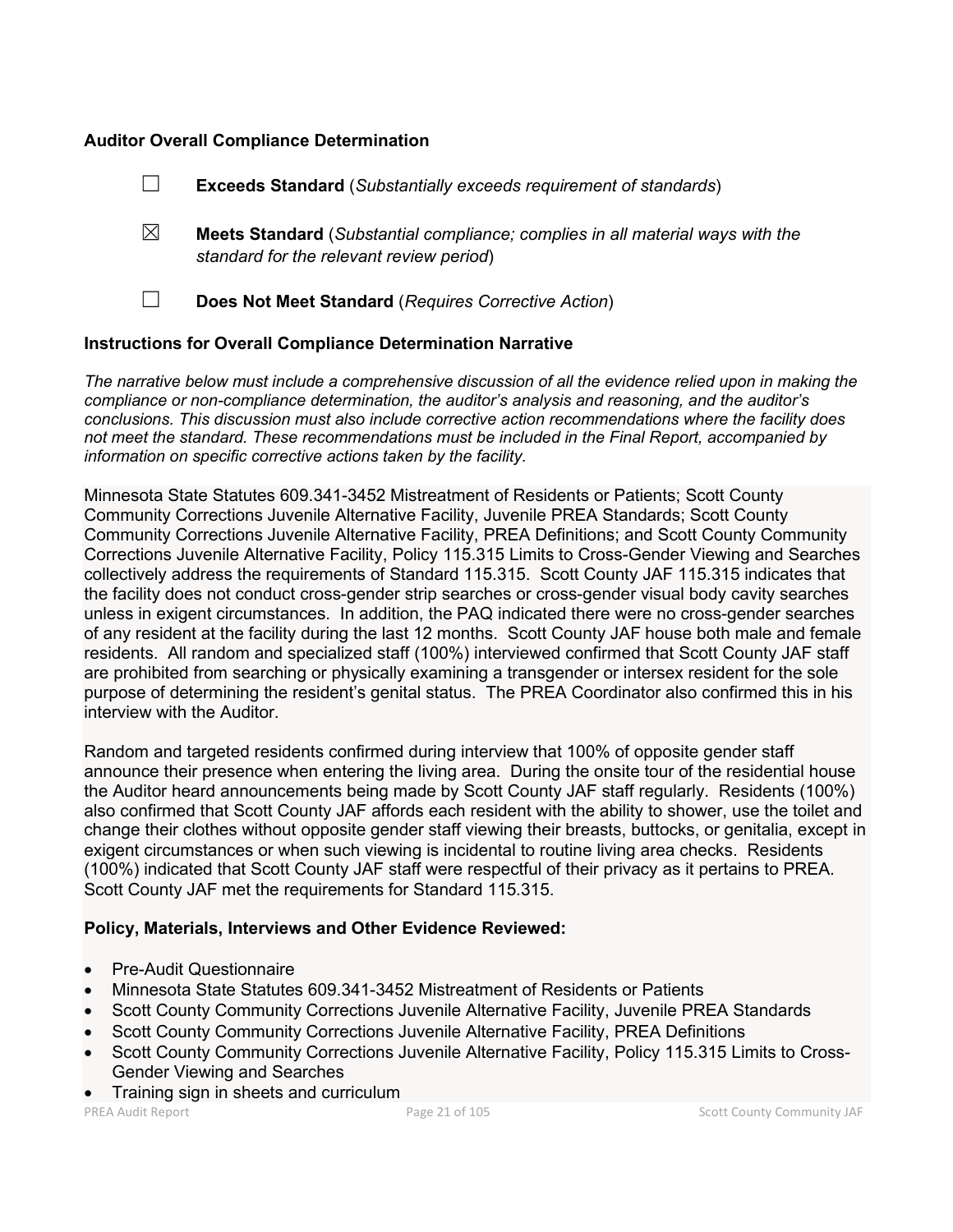# **Auditor Overall Compliance Determination**

|                                                                    | <b>Exceeds Standard (Substantially exceeds requirement of standards)</b>                                                          |
|--------------------------------------------------------------------|-----------------------------------------------------------------------------------------------------------------------------------|
| ⊠                                                                  | <b>Meets Standard</b> (Substantial compliance; complies in all material ways with the<br>standard for the relevant review period) |
|                                                                    | Does Not Meet Standard (Requires Corrective Action)                                                                               |
| <b>Instructions for Overall Compliance Determination Narrative</b> |                                                                                                                                   |

*The narrative below must include a comprehensive discussion of all the evidence relied upon in making the compliance or non-compliance determination, the auditor's analysis and reasoning, and the auditor's conclusions. This discussion must also include corrective action recommendations where the facility does not meet the standard. These recommendations must be included in the Final Report, accompanied by information on specific corrective actions taken by the facility.*

Minnesota State Statutes 609.341-3452 Mistreatment of Residents or Patients; Scott County Community Corrections Juvenile Alternative Facility, Juvenile PREA Standards; Scott County Community Corrections Juvenile Alternative Facility, PREA Definitions; and Scott County Community Corrections Juvenile Alternative Facility, Policy 115.315 Limits to Cross-Gender Viewing and Searches collectively address the requirements of Standard 115.315. Scott County JAF 115.315 indicates that the facility does not conduct cross-gender strip searches or cross-gender visual body cavity searches unless in exigent circumstances. In addition, the PAQ indicated there were no cross-gender searches of any resident at the facility during the last 12 months. Scott County JAF house both male and female residents. All random and specialized staff (100%) interviewed confirmed that Scott County JAF staff are prohibited from searching or physically examining a transgender or intersex resident for the sole purpose of determining the resident's genital status. The PREA Coordinator also confirmed this in his interview with the Auditor.

Random and targeted residents confirmed during interview that 100% of opposite gender staff announce their presence when entering the living area. During the onsite tour of the residential house the Auditor heard announcements being made by Scott County JAF staff regularly. Residents (100%) also confirmed that Scott County JAF affords each resident with the ability to shower, use the toilet and change their clothes without opposite gender staff viewing their breasts, buttocks, or genitalia, except in exigent circumstances or when such viewing is incidental to routine living area checks. Residents (100%) indicated that Scott County JAF staff were respectful of their privacy as it pertains to PREA. Scott County JAF met the requirements for Standard 115.315.

# **Policy, Materials, Interviews and Other Evidence Reviewed:**

- Pre-Audit Questionnaire
- Minnesota State Statutes 609.341-3452 Mistreatment of Residents or Patients
- Scott County Community Corrections Juvenile Alternative Facility, Juvenile PREA Standards
- Scott County Community Corrections Juvenile Alternative Facility, PREA Definitions
- Scott County Community Corrections Juvenile Alternative Facility, Policy 115.315 Limits to Cross-Gender Viewing and Searches
- Training sign in sheets and curriculum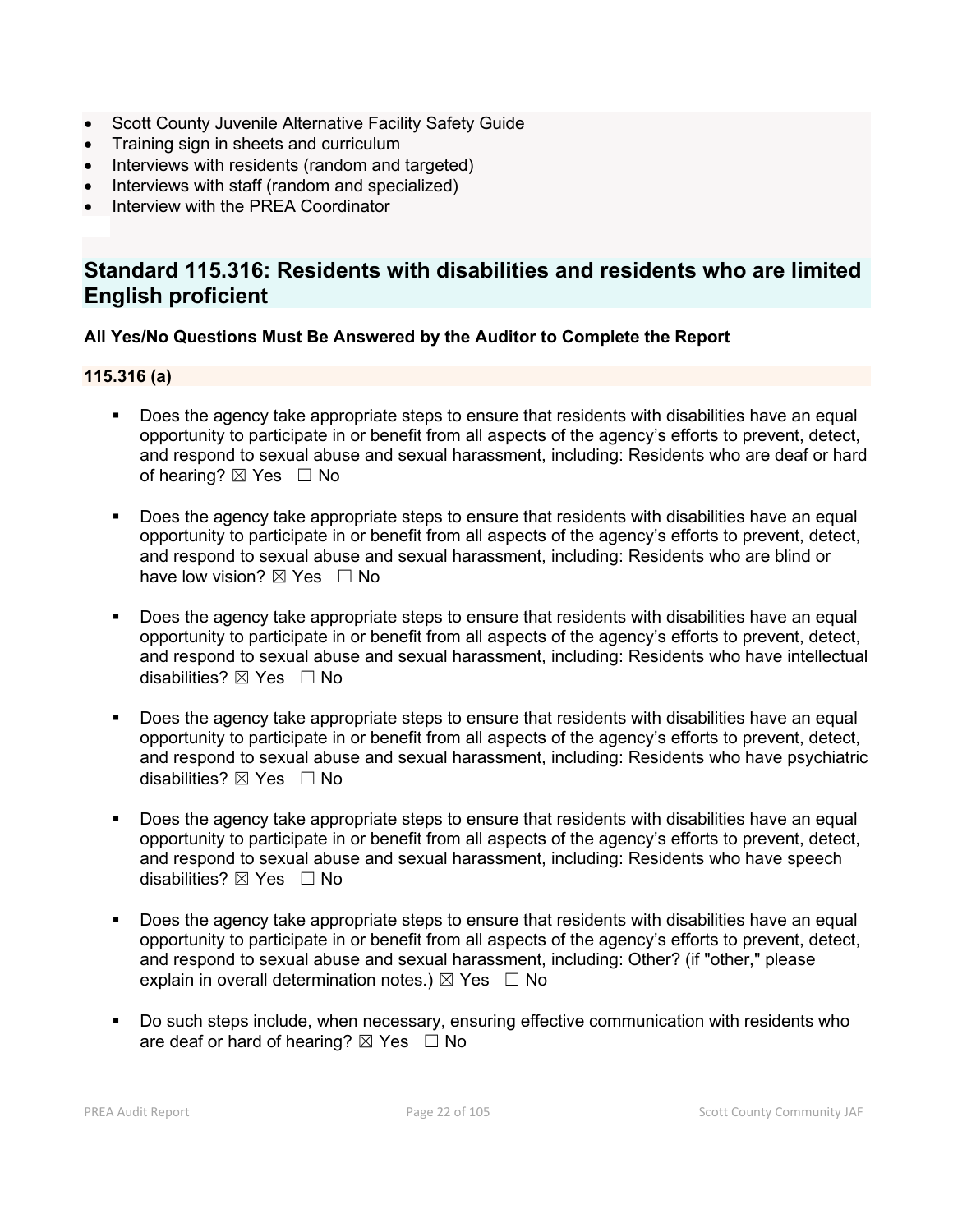- Scott County Juvenile Alternative Facility Safety Guide
- Training sign in sheets and curriculum
- Interviews with residents (random and targeted)
- Interviews with staff (random and specialized)
- Interview with the PREA Coordinator

# **Standard 115.316: Residents with disabilities and residents who are limited English proficient**

# **All Yes/No Questions Must Be Answered by the Auditor to Complete the Report**

## **115.316 (a)**

- Does the agency take appropriate steps to ensure that residents with disabilities have an equal opportunity to participate in or benefit from all aspects of the agency's efforts to prevent, detect, and respond to sexual abuse and sexual harassment, including: Residents who are deaf or hard of hearing?  $\boxtimes$  Yes  $\Box$  No
- Does the agency take appropriate steps to ensure that residents with disabilities have an equal opportunity to participate in or benefit from all aspects of the agency's efforts to prevent, detect, and respond to sexual abuse and sexual harassment, including: Residents who are blind or have low vision?  $\boxtimes$  Yes  $\Box$  No
- Does the agency take appropriate steps to ensure that residents with disabilities have an equal opportunity to participate in or benefit from all aspects of the agency's efforts to prevent, detect, and respond to sexual abuse and sexual harassment, including: Residents who have intellectual disabilities?  $\boxtimes$  Yes  $\Box$  No
- Does the agency take appropriate steps to ensure that residents with disabilities have an equal opportunity to participate in or benefit from all aspects of the agency's efforts to prevent, detect, and respond to sexual abuse and sexual harassment, including: Residents who have psychiatric disabilities?  $\boxtimes$  Yes  $\Box$  No
- Does the agency take appropriate steps to ensure that residents with disabilities have an equal opportunity to participate in or benefit from all aspects of the agency's efforts to prevent, detect, and respond to sexual abuse and sexual harassment, including: Residents who have speech disabilities?  $\boxtimes$  Yes  $\Box$  No
- Does the agency take appropriate steps to ensure that residents with disabilities have an equal opportunity to participate in or benefit from all aspects of the agency's efforts to prevent, detect, and respond to sexual abuse and sexual harassment, including: Other? (if "other," please explain in overall determination notes.)  $\boxtimes$  Yes  $\Box$  No
- Do such steps include, when necessary, ensuring effective communication with residents who are deaf or hard of hearing?  $\boxtimes$  Yes  $\Box$  No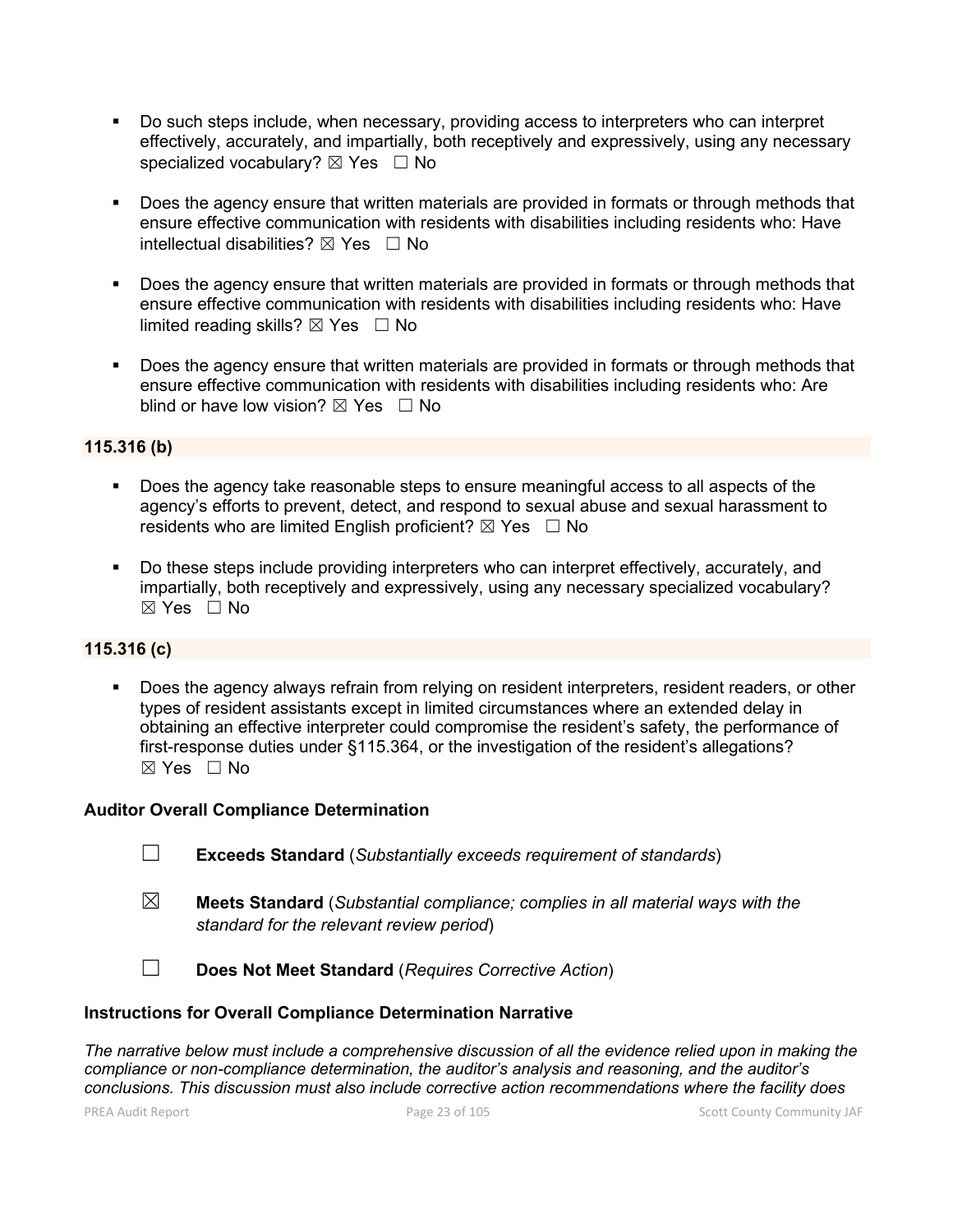- Do such steps include, when necessary, providing access to interpreters who can interpret effectively, accurately, and impartially, both receptively and expressively, using any necessary specialized vocabulary?  $\boxtimes$  Yes  $\Box$  No
- Does the agency ensure that written materials are provided in formats or through methods that ensure effective communication with residents with disabilities including residents who: Have intellectual disabilities?  $\boxtimes$  Yes  $\Box$  No
- Does the agency ensure that written materials are provided in formats or through methods that ensure effective communication with residents with disabilities including residents who: Have limited reading skills?  $\boxtimes$  Yes  $\Box$  No
- Does the agency ensure that written materials are provided in formats or through methods that ensure effective communication with residents with disabilities including residents who: Are blind or have low vision?  $\boxtimes$  Yes  $\Box$  No

# **115.316 (b)**

- Does the agency take reasonable steps to ensure meaningful access to all aspects of the agency's efforts to prevent, detect, and respond to sexual abuse and sexual harassment to residents who are limited English proficient?  $\boxtimes$  Yes  $\Box$  No
- Do these steps include providing interpreters who can interpret effectively, accurately, and impartially, both receptively and expressively, using any necessary specialized vocabulary?  $\boxtimes$  Yes  $\Box$  No

# **115.316 (c)**

 Does the agency always refrain from relying on resident interpreters, resident readers, or other types of resident assistants except in limited circumstances where an extended delay in obtaining an effective interpreter could compromise the resident's safety, the performance of first-response duties under §115.364, or the investigation of the resident's allegations? ☒ Yes ☐ No

#### **Auditor Overall Compliance Determination**

- ☐ **Exceeds Standard** (*Substantially exceeds requirement of standards*)
- ☒ **Meets Standard** (*Substantial compliance; complies in all material ways with the standard for the relevant review period*)
- ☐ **Does Not Meet Standard** (*Requires Corrective Action*)

# **Instructions for Overall Compliance Determination Narrative**

*The narrative below must include a comprehensive discussion of all the evidence relied upon in making the compliance or non-compliance determination, the auditor's analysis and reasoning, and the auditor's conclusions. This discussion must also include corrective action recommendations where the facility does*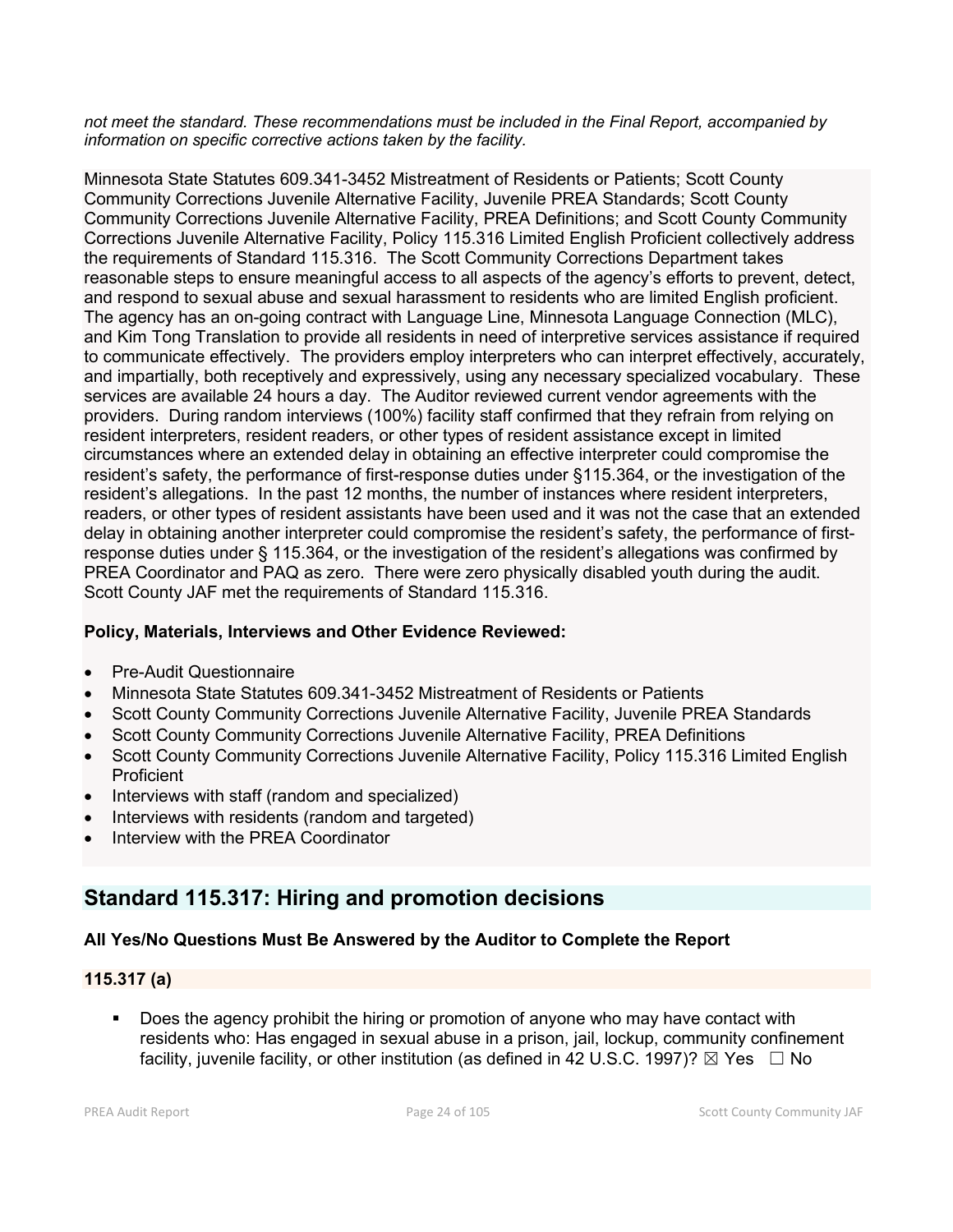*not meet the standard. These recommendations must be included in the Final Report, accompanied by information on specific corrective actions taken by the facility.*

Minnesota State Statutes 609.341-3452 Mistreatment of Residents or Patients; Scott County Community Corrections Juvenile Alternative Facility, Juvenile PREA Standards; Scott County Community Corrections Juvenile Alternative Facility, PREA Definitions; and Scott County Community Corrections Juvenile Alternative Facility, Policy 115.316 Limited English Proficient collectively address the requirements of Standard 115.316. The Scott Community Corrections Department takes reasonable steps to ensure meaningful access to all aspects of the agency's efforts to prevent, detect, and respond to sexual abuse and sexual harassment to residents who are limited English proficient. The agency has an on-going contract with Language Line, Minnesota Language Connection (MLC), and Kim Tong Translation to provide all residents in need of interpretive services assistance if required to communicate effectively. The providers employ interpreters who can interpret effectively, accurately, and impartially, both receptively and expressively, using any necessary specialized vocabulary. These services are available 24 hours a day. The Auditor reviewed current vendor agreements with the providers. During random interviews (100%) facility staff confirmed that they refrain from relying on resident interpreters, resident readers, or other types of resident assistance except in limited circumstances where an extended delay in obtaining an effective interpreter could compromise the resident's safety, the performance of first-response duties under §115.364, or the investigation of the resident's allegations. In the past 12 months, the number of instances where resident interpreters, readers, or other types of resident assistants have been used and it was not the case that an extended delay in obtaining another interpreter could compromise the resident's safety, the performance of firstresponse duties under § 115.364, or the investigation of the resident's allegations was confirmed by PREA Coordinator and PAQ as zero. There were zero physically disabled youth during the audit. Scott County JAF met the requirements of Standard 115.316.

# **Policy, Materials, Interviews and Other Evidence Reviewed:**

- Pre-Audit Questionnaire
- Minnesota State Statutes 609.341-3452 Mistreatment of Residents or Patients
- Scott County Community Corrections Juvenile Alternative Facility, Juvenile PREA Standards
- Scott County Community Corrections Juvenile Alternative Facility, PREA Definitions
- Scott County Community Corrections Juvenile Alternative Facility, Policy 115.316 Limited English **Proficient**
- Interviews with staff (random and specialized)
- Interviews with residents (random and targeted)
- Interview with the PREA Coordinator

# **Standard 115.317: Hiring and promotion decisions**

# **All Yes/No Questions Must Be Answered by the Auditor to Complete the Report**

# **115.317 (a)**

 Does the agency prohibit the hiring or promotion of anyone who may have contact with residents who: Has engaged in sexual abuse in a prison, jail, lockup, community confinement facility, juvenile facility, or other institution (as defined in 42 U.S.C. 1997)?  $\boxtimes$  Yes  $\Box$  No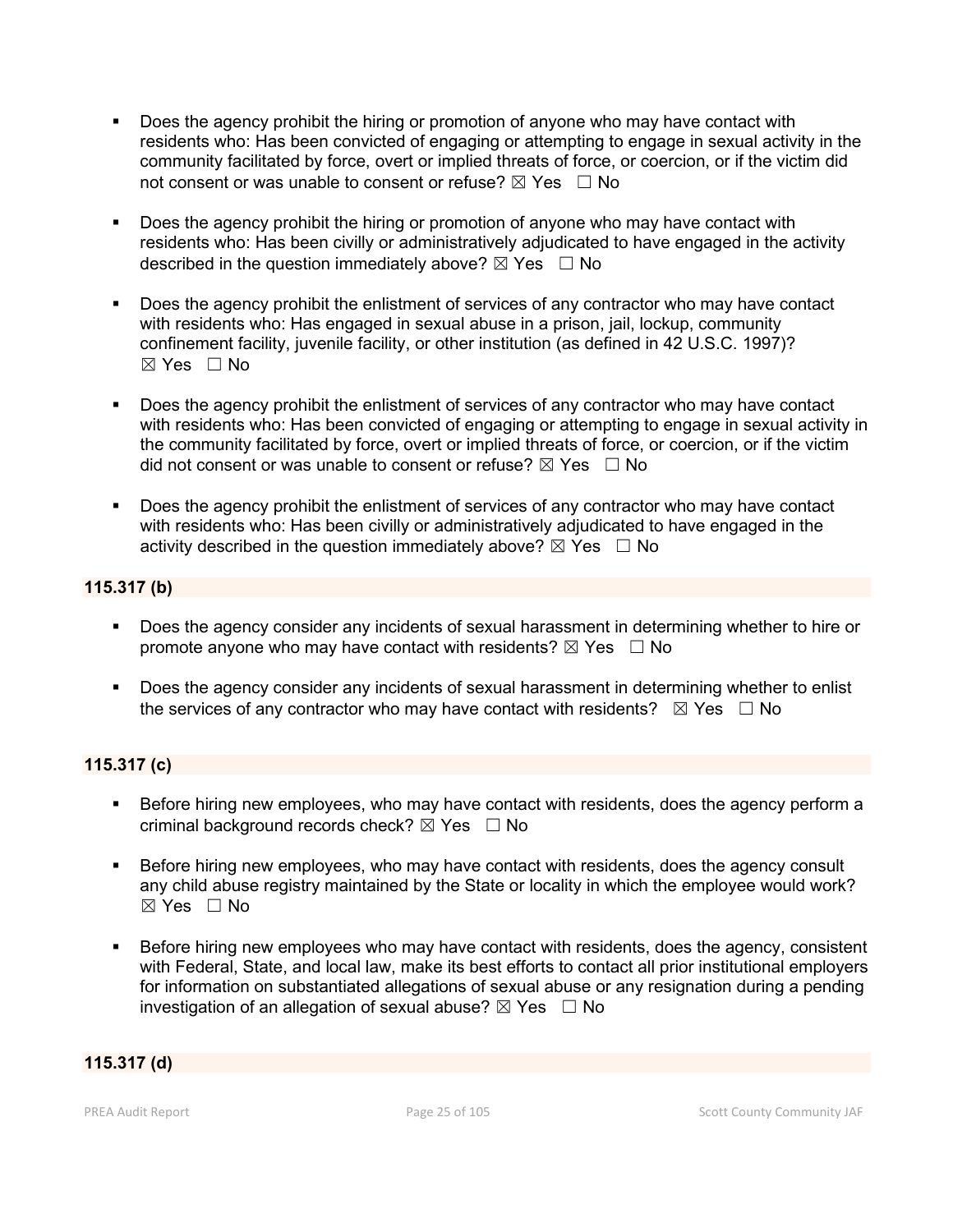- Does the agency prohibit the hiring or promotion of anyone who may have contact with residents who: Has been convicted of engaging or attempting to engage in sexual activity in the community facilitated by force, overt or implied threats of force, or coercion, or if the victim did not consent or was unable to consent or refuse?  $\boxtimes$  Yes  $\Box$  No
- Does the agency prohibit the hiring or promotion of anyone who may have contact with residents who: Has been civilly or administratively adjudicated to have engaged in the activity described in the question immediately above?  $\boxtimes$  Yes  $\Box$  No
- Does the agency prohibit the enlistment of services of any contractor who may have contact with residents who: Has engaged in sexual abuse in a prison, jail, lockup, community confinement facility, juvenile facility, or other institution (as defined in 42 U.S.C. 1997)? ☒ Yes ☐ No
- Does the agency prohibit the enlistment of services of any contractor who may have contact with residents who: Has been convicted of engaging or attempting to engage in sexual activity in the community facilitated by force, overt or implied threats of force, or coercion, or if the victim did not consent or was unable to consent or refuse?  $\boxtimes$  Yes  $\Box$  No
- Does the agency prohibit the enlistment of services of any contractor who may have contact with residents who: Has been civilly or administratively adjudicated to have engaged in the activity described in the question immediately above?  $\boxtimes$  Yes  $\Box$  No

# **115.317 (b)**

- Does the agency consider any incidents of sexual harassment in determining whether to hire or promote anyone who may have contact with residents?  $\boxtimes$  Yes  $\Box$  No
- Does the agency consider any incidents of sexual harassment in determining whether to enlist the services of any contractor who may have contact with residents?  $\boxtimes$  Yes  $\Box$  No

# **115.317 (c)**

- Before hiring new employees, who may have contact with residents, does the agency perform a criminal background records check?  $\boxtimes$  Yes  $\Box$  No
- Before hiring new employees, who may have contact with residents, does the agency consult any child abuse registry maintained by the State or locality in which the employee would work?  $\boxtimes$  Yes  $\Box$  No
- Before hiring new employees who may have contact with residents, does the agency, consistent with Federal, State, and local law, make its best efforts to contact all prior institutional employers for information on substantiated allegations of sexual abuse or any resignation during a pending investigation of an allegation of sexual abuse?  $\boxtimes$  Yes  $\Box$  No

# **115.317 (d)**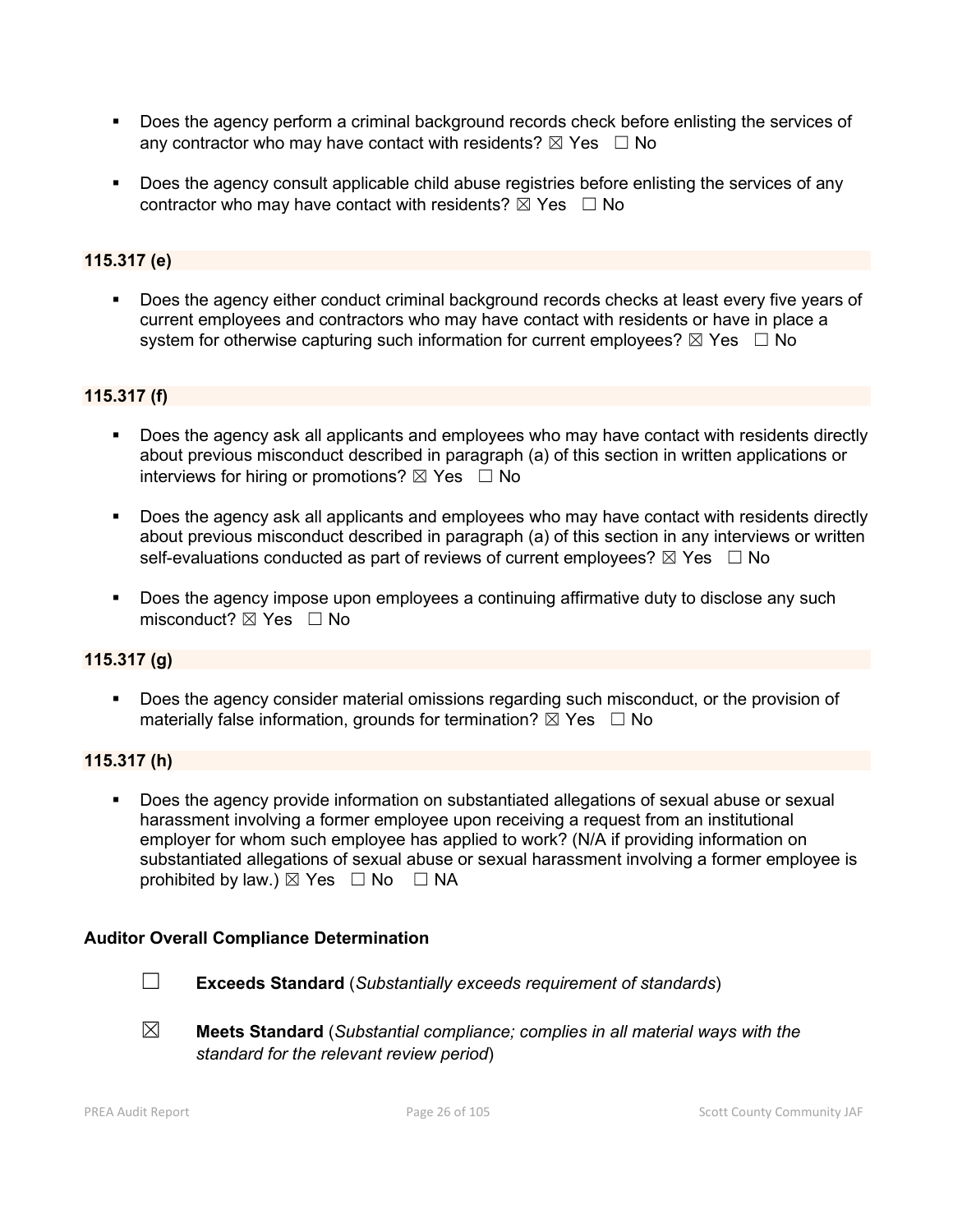- Does the agency perform a criminal background records check before enlisting the services of any contractor who may have contact with residents?  $\boxtimes$  Yes  $\Box$  No
- Does the agency consult applicable child abuse registries before enlisting the services of any contractor who may have contact with residents?  $\boxtimes$  Yes  $\Box$  No

# **115.317 (e)**

 Does the agency either conduct criminal background records checks at least every five years of current employees and contractors who may have contact with residents or have in place a system for otherwise capturing such information for current employees?  $\boxtimes$  Yes  $\Box$  No

# **115.317 (f)**

- **Does the agency ask all applicants and employees who may have contact with residents directly** about previous misconduct described in paragraph (a) of this section in written applications or interviews for hiring or promotions?  $\boxtimes$  Yes  $\Box$  No
- Does the agency ask all applicants and employees who may have contact with residents directly about previous misconduct described in paragraph (a) of this section in any interviews or written self-evaluations conducted as part of reviews of current employees?  $\boxtimes$  Yes  $\Box$  No
- **Does the agency impose upon employees a continuing affirmative duty to disclose any such** misconduct?  $\boxtimes$  Yes  $\Box$  No

# **115.317 (g)**

 Does the agency consider material omissions regarding such misconduct, or the provision of materially false information, grounds for termination?  $\boxtimes$  Yes  $\Box$  No

# **115.317 (h)**

 Does the agency provide information on substantiated allegations of sexual abuse or sexual harassment involving a former employee upon receiving a request from an institutional employer for whom such employee has applied to work? (N/A if providing information on substantiated allegations of sexual abuse or sexual harassment involving a former employee is prohibited by law.)  $\boxtimes$  Yes  $\Box$  No  $\Box$  NA

# **Auditor Overall Compliance Determination**



- ☐ **Exceeds Standard** (*Substantially exceeds requirement of standards*)
- ☒ **Meets Standard** (*Substantial compliance; complies in all material ways with the standard for the relevant review period*)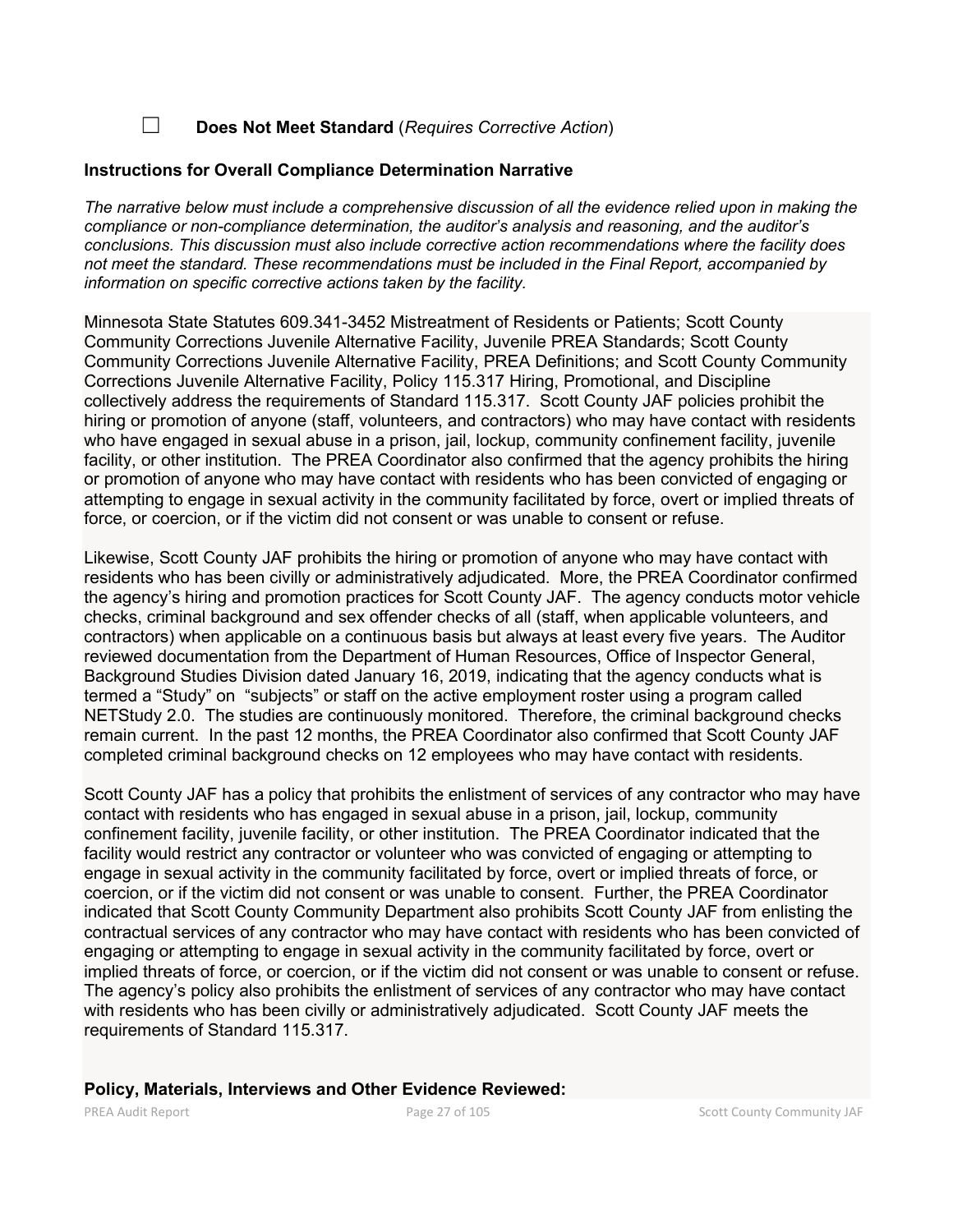☐ **Does Not Meet Standard** (*Requires Corrective Action*)

#### **Instructions for Overall Compliance Determination Narrative**

*The narrative below must include a comprehensive discussion of all the evidence relied upon in making the compliance or non-compliance determination, the auditor's analysis and reasoning, and the auditor's conclusions. This discussion must also include corrective action recommendations where the facility does not meet the standard. These recommendations must be included in the Final Report, accompanied by information on specific corrective actions taken by the facility.*

Minnesota State Statutes 609.341-3452 Mistreatment of Residents or Patients; Scott County Community Corrections Juvenile Alternative Facility, Juvenile PREA Standards; Scott County Community Corrections Juvenile Alternative Facility, PREA Definitions; and Scott County Community Corrections Juvenile Alternative Facility, Policy 115.317 Hiring, Promotional, and Discipline collectively address the requirements of Standard 115.317. Scott County JAF policies prohibit the hiring or promotion of anyone (staff, volunteers, and contractors) who may have contact with residents who have engaged in sexual abuse in a prison, jail, lockup, community confinement facility, juvenile facility, or other institution. The PREA Coordinator also confirmed that the agency prohibits the hiring or promotion of anyone who may have contact with residents who has been convicted of engaging or attempting to engage in sexual activity in the community facilitated by force, overt or implied threats of force, or coercion, or if the victim did not consent or was unable to consent or refuse.

Likewise, Scott County JAF prohibits the hiring or promotion of anyone who may have contact with residents who has been civilly or administratively adjudicated. More, the PREA Coordinator confirmed the agency's hiring and promotion practices for Scott County JAF. The agency conducts motor vehicle checks, criminal background and sex offender checks of all (staff, when applicable volunteers, and contractors) when applicable on a continuous basis but always at least every five years. The Auditor reviewed documentation from the Department of Human Resources, Office of Inspector General, Background Studies Division dated January 16, 2019, indicating that the agency conducts what is termed a "Study" on "subjects" or staff on the active employment roster using a program called NETStudy 2.0. The studies are continuously monitored. Therefore, the criminal background checks remain current. In the past 12 months, the PREA Coordinator also confirmed that Scott County JAF completed criminal background checks on 12 employees who may have contact with residents.

Scott County JAF has a policy that prohibits the enlistment of services of any contractor who may have contact with residents who has engaged in sexual abuse in a prison, jail, lockup, community confinement facility, juvenile facility, or other institution. The PREA Coordinator indicated that the facility would restrict any contractor or volunteer who was convicted of engaging or attempting to engage in sexual activity in the community facilitated by force, overt or implied threats of force, or coercion, or if the victim did not consent or was unable to consent. Further, the PREA Coordinator indicated that Scott County Community Department also prohibits Scott County JAF from enlisting the contractual services of any contractor who may have contact with residents who has been convicted of engaging or attempting to engage in sexual activity in the community facilitated by force, overt or implied threats of force, or coercion, or if the victim did not consent or was unable to consent or refuse. The agency's policy also prohibits the enlistment of services of any contractor who may have contact with residents who has been civilly or administratively adjudicated. Scott County JAF meets the requirements of Standard 115.317.

#### **Policy, Materials, Interviews and Other Evidence Reviewed:**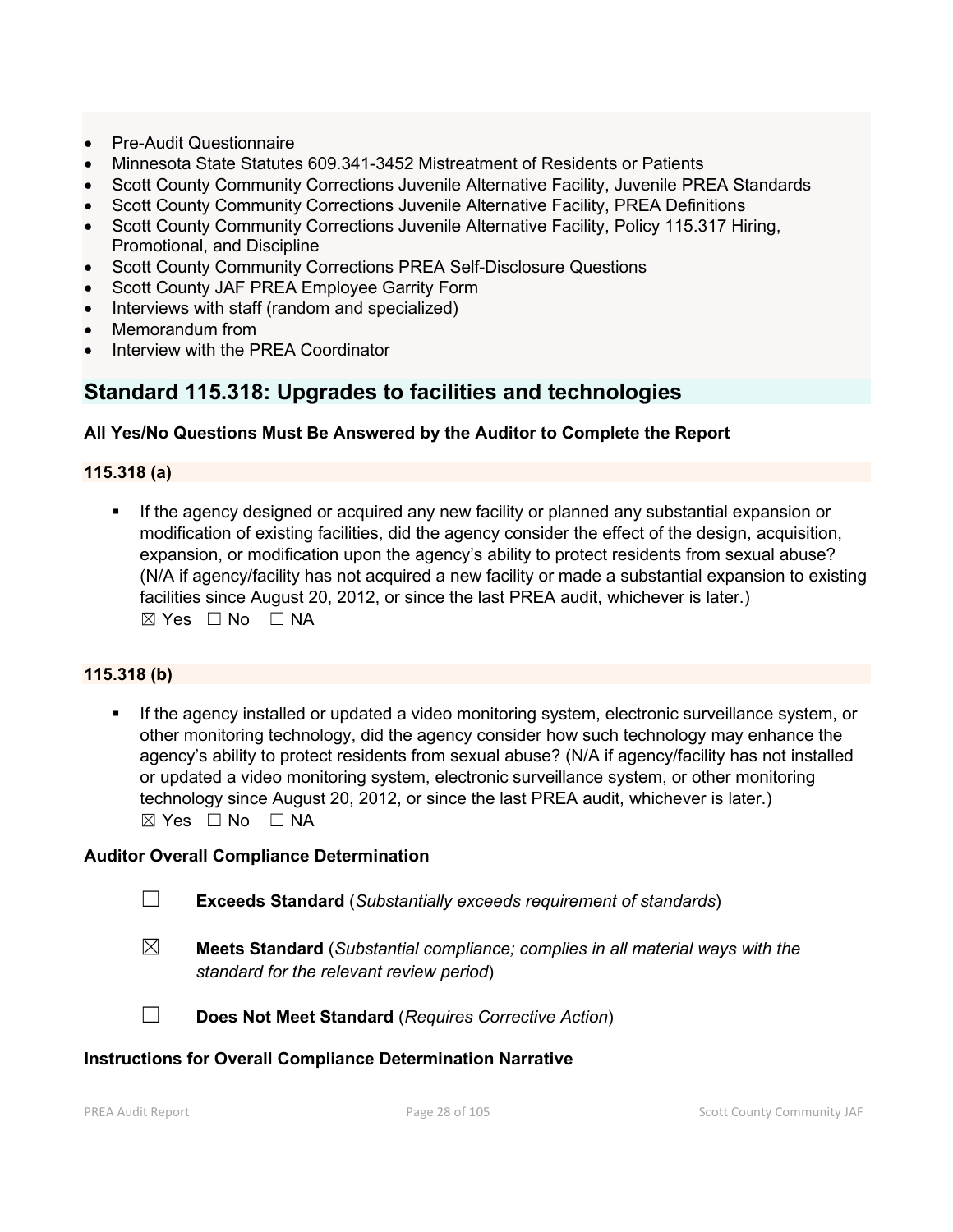- Pre-Audit Questionnaire
- Minnesota State Statutes 609.341-3452 Mistreatment of Residents or Patients
- Scott County Community Corrections Juvenile Alternative Facility, Juvenile PREA Standards
- Scott County Community Corrections Juvenile Alternative Facility, PREA Definitions
- Scott County Community Corrections Juvenile Alternative Facility, Policy 115.317 Hiring, Promotional, and Discipline
- Scott County Community Corrections PREA Self-Disclosure Questions
- Scott County JAF PREA Employee Garrity Form
- Interviews with staff (random and specialized)
- Memorandum from
- Interview with the PREA Coordinator

# **Standard 115.318: Upgrades to facilities and technologies**

# **All Yes/No Questions Must Be Answered by the Auditor to Complete the Report**

## **115.318 (a)**

 If the agency designed or acquired any new facility or planned any substantial expansion or modification of existing facilities, did the agency consider the effect of the design, acquisition, expansion, or modification upon the agency's ability to protect residents from sexual abuse? (N/A if agency/facility has not acquired a new facility or made a substantial expansion to existing facilities since August 20, 2012, or since the last PREA audit, whichever is later.)  $\boxtimes$  Yes  $\Box$  No  $\Box$  NA

#### **115.318 (b)**

 If the agency installed or updated a video monitoring system, electronic surveillance system, or other monitoring technology, did the agency consider how such technology may enhance the agency's ability to protect residents from sexual abuse? (N/A if agency/facility has not installed or updated a video monitoring system, electronic surveillance system, or other monitoring technology since August 20, 2012, or since the last PREA audit, whichever is later.)  $\boxtimes$  Yes  $\Box$  No  $\Box$  NA

#### **Auditor Overall Compliance Determination**

- ☐ **Exceeds Standard** (*Substantially exceeds requirement of standards*)
- ☒ **Meets Standard** (*Substantial compliance; complies in all material ways with the standard for the relevant review period*)
- 
- ☐ **Does Not Meet Standard** (*Requires Corrective Action*)

#### **Instructions for Overall Compliance Determination Narrative**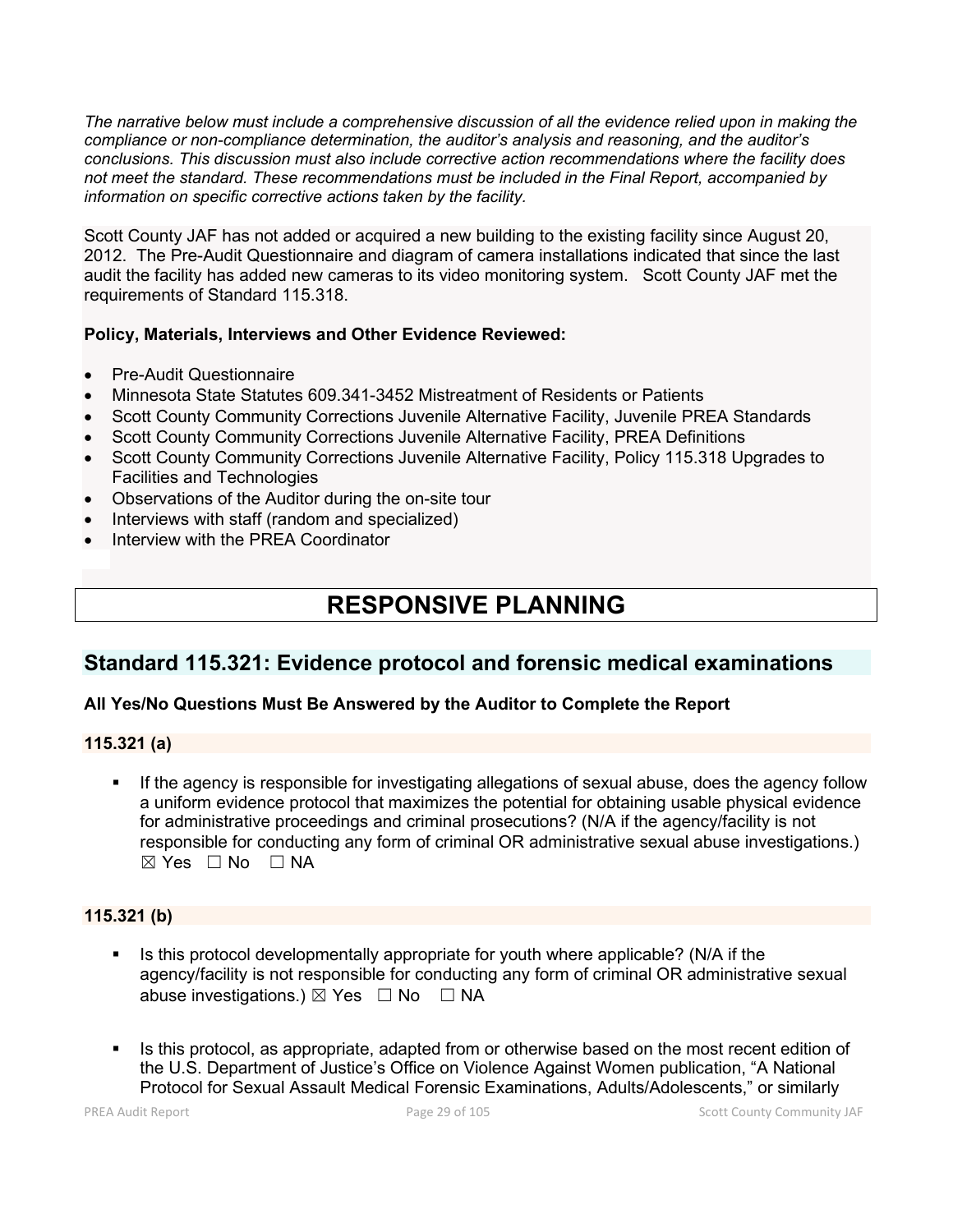*The narrative below must include a comprehensive discussion of all the evidence relied upon in making the compliance or non-compliance determination, the auditor's analysis and reasoning, and the auditor's conclusions. This discussion must also include corrective action recommendations where the facility does not meet the standard. These recommendations must be included in the Final Report, accompanied by information on specific corrective actions taken by the facility.*

Scott County JAF has not added or acquired a new building to the existing facility since August 20, 2012. The Pre-Audit Questionnaire and diagram of camera installations indicated that since the last audit the facility has added new cameras to its video monitoring system. Scott County JAF met the requirements of Standard 115.318.

# **Policy, Materials, Interviews and Other Evidence Reviewed:**

- Pre-Audit Questionnaire
- Minnesota State Statutes 609.341-3452 Mistreatment of Residents or Patients
- Scott County Community Corrections Juvenile Alternative Facility, Juvenile PREA Standards
- Scott County Community Corrections Juvenile Alternative Facility, PREA Definitions
- Scott County Community Corrections Juvenile Alternative Facility, Policy 115.318 Upgrades to Facilities and Technologies
- Observations of the Auditor during the on-site tour
- Interviews with staff (random and specialized)
- Interview with the PREA Coordinator

# **RESPONSIVE PLANNING**

# **Standard 115.321: Evidence protocol and forensic medical examinations**

# **All Yes/No Questions Must Be Answered by the Auditor to Complete the Report**

# **115.321 (a)**

 If the agency is responsible for investigating allegations of sexual abuse, does the agency follow a uniform evidence protocol that maximizes the potential for obtaining usable physical evidence for administrative proceedings and criminal prosecutions? (N/A if the agency/facility is not responsible for conducting any form of criminal OR administrative sexual abuse investigations.)  $\boxtimes$  Yes  $\Box$  No  $\Box$  NA

# **115.321 (b)**

- Is this protocol developmentally appropriate for youth where applicable? (N/A if the agency/facility is not responsible for conducting any form of criminal OR administrative sexual abuse investigations.)  $\boxtimes$  Yes  $\Box$  No  $\Box$  NA
- Is this protocol, as appropriate, adapted from or otherwise based on the most recent edition of the U.S. Department of Justice's Office on Violence Against Women publication, "A National Protocol for Sexual Assault Medical Forensic Examinations, Adults/Adolescents," or similarly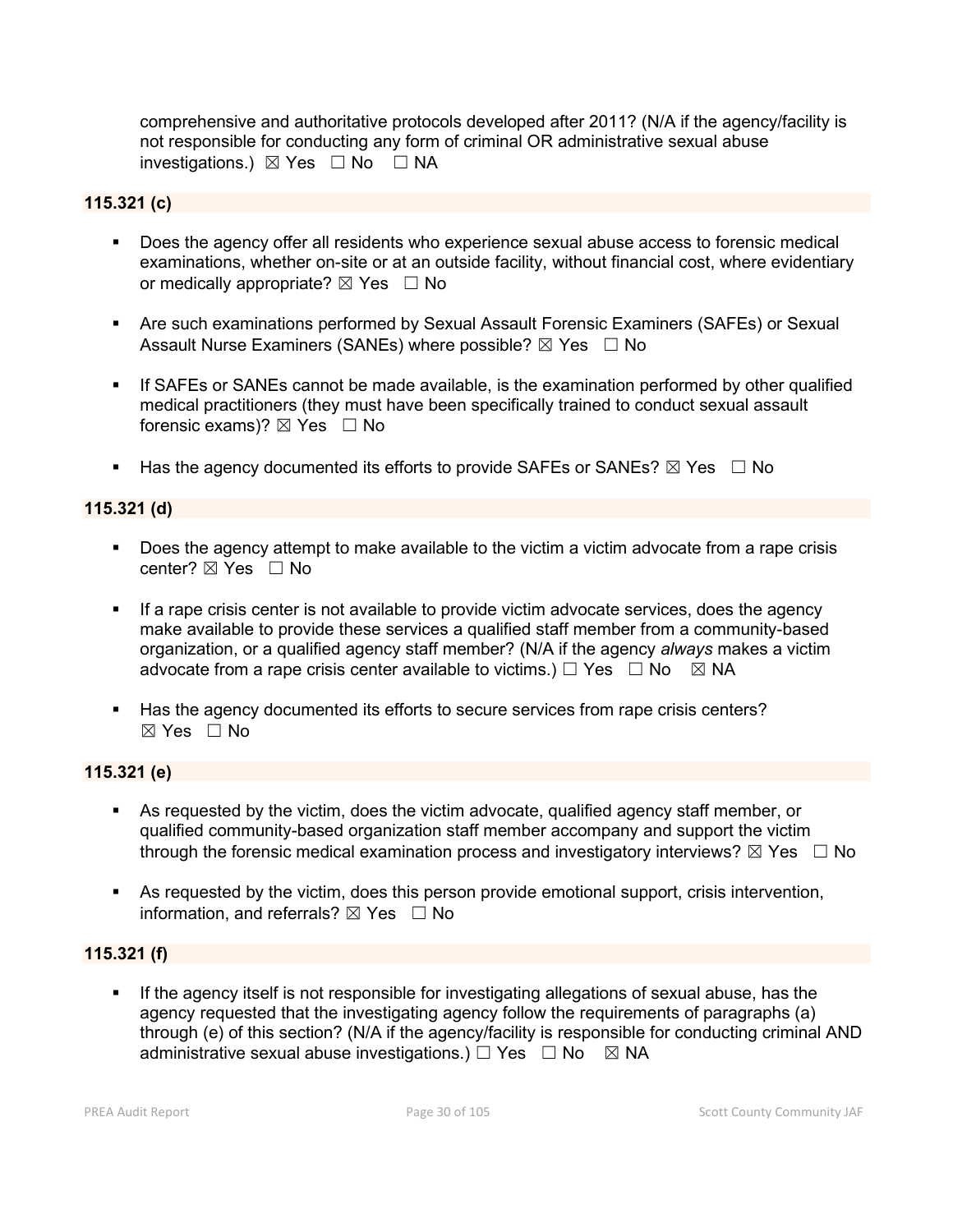comprehensive and authoritative protocols developed after 2011? (N/A if the agency/facility is not responsible for conducting any form of criminal OR administrative sexual abuse investigations.)  $\boxtimes$  Yes  $\Box$  No  $\Box$  NA

#### **115.321 (c)**

- Does the agency offer all residents who experience sexual abuse access to forensic medical examinations, whether on-site or at an outside facility, without financial cost, where evidentiary or medically appropriate?  $\boxtimes$  Yes  $\Box$  No
- Are such examinations performed by Sexual Assault Forensic Examiners (SAFEs) or Sexual Assault Nurse Examiners (SANEs) where possible?  $\boxtimes$  Yes  $\Box$  No
- If SAFEs or SANEs cannot be made available, is the examination performed by other qualified medical practitioners (they must have been specifically trained to conduct sexual assault forensic exams)?  $\boxtimes$  Yes  $\Box$  No
- Has the agency documented its efforts to provide SAFEs or SANEs?  $\boxtimes$  Yes  $\Box$  No

## **115.321 (d)**

- Does the agency attempt to make available to the victim a victim advocate from a rape crisis center? ⊠ Yes □ No
- If a rape crisis center is not available to provide victim advocate services, does the agency make available to provide these services a qualified staff member from a community-based organization, or a qualified agency staff member? (N/A if the agency *always* makes a victim advocate from a rape crisis center available to victims.)  $\Box$  Yes  $\Box$  No  $\Box$  NA
- Has the agency documented its efforts to secure services from rape crisis centers?  $\boxtimes$  Yes  $\Box$  No

## **115.321 (e)**

- As requested by the victim, does the victim advocate, qualified agency staff member, or qualified community-based organization staff member accompany and support the victim through the forensic medical examination process and investigatory interviews?  $\boxtimes$  Yes  $\Box$  No
- As requested by the victim, does this person provide emotional support, crisis intervention, information, and referrals?  $\boxtimes$  Yes  $\Box$  No

## **115.321 (f)**

If the agency itself is not responsible for investigating allegations of sexual abuse, has the agency requested that the investigating agency follow the requirements of paragraphs (a) through (e) of this section? (N/A if the agency/facility is responsible for conducting criminal AND administrative sexual abuse investigations.)  $\Box$  Yes  $\Box$  No  $\boxtimes$  NA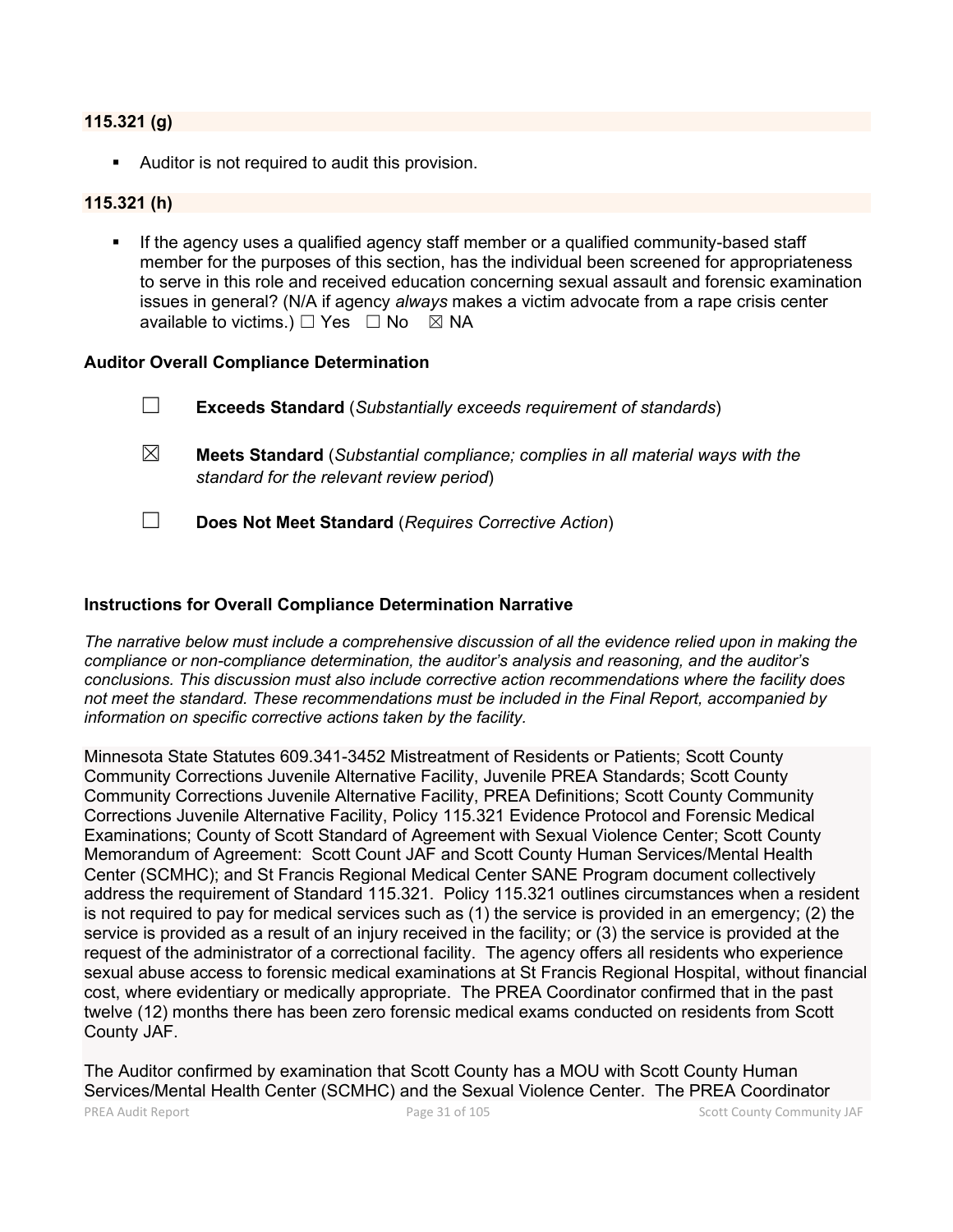#### **115.321 (g)**

Auditor is not required to audit this provision.

#### **115.321 (h)**

 If the agency uses a qualified agency staff member or a qualified community-based staff member for the purposes of this section, has the individual been screened for appropriateness to serve in this role and received education concerning sexual assault and forensic examination issues in general? (N/A if agency *always* makes a victim advocate from a rape crisis center available to victims.)  $\Box$  Yes  $\Box$  No  $\boxtimes$  NA

#### **Auditor Overall Compliance Determination**

|             | <b>Exceeds Standard</b> (Substantially exceeds requirement of standards)                                                          |
|-------------|-----------------------------------------------------------------------------------------------------------------------------------|
| $\boxtimes$ | <b>Meets Standard</b> (Substantial compliance; complies in all material ways with the<br>standard for the relevant review period) |

☐ **Does Not Meet Standard** (*Requires Corrective Action*)

#### **Instructions for Overall Compliance Determination Narrative**

*The narrative below must include a comprehensive discussion of all the evidence relied upon in making the compliance or non-compliance determination, the auditor's analysis and reasoning, and the auditor's conclusions. This discussion must also include corrective action recommendations where the facility does not meet the standard. These recommendations must be included in the Final Report, accompanied by information on specific corrective actions taken by the facility.*

Minnesota State Statutes 609.341-3452 Mistreatment of Residents or Patients; Scott County Community Corrections Juvenile Alternative Facility, Juvenile PREA Standards; Scott County Community Corrections Juvenile Alternative Facility, PREA Definitions; Scott County Community Corrections Juvenile Alternative Facility, Policy 115.321 Evidence Protocol and Forensic Medical Examinations; County of Scott Standard of Agreement with Sexual Violence Center; Scott County Memorandum of Agreement: Scott Count JAF and Scott County Human Services/Mental Health Center (SCMHC); and St Francis Regional Medical Center SANE Program document collectively address the requirement of Standard 115.321. Policy 115.321 outlines circumstances when a resident is not required to pay for medical services such as (1) the service is provided in an emergency; (2) the service is provided as a result of an injury received in the facility; or (3) the service is provided at the request of the administrator of a correctional facility. The agency offers all residents who experience sexual abuse access to forensic medical examinations at St Francis Regional Hospital, without financial cost, where evidentiary or medically appropriate. The PREA Coordinator confirmed that in the past twelve (12) months there has been zero forensic medical exams conducted on residents from Scott County JAF.

The Auditor confirmed by examination that Scott County has a MOU with Scott County Human Services/Mental Health Center (SCMHC) and the Sexual Violence Center. The PREA Coordinator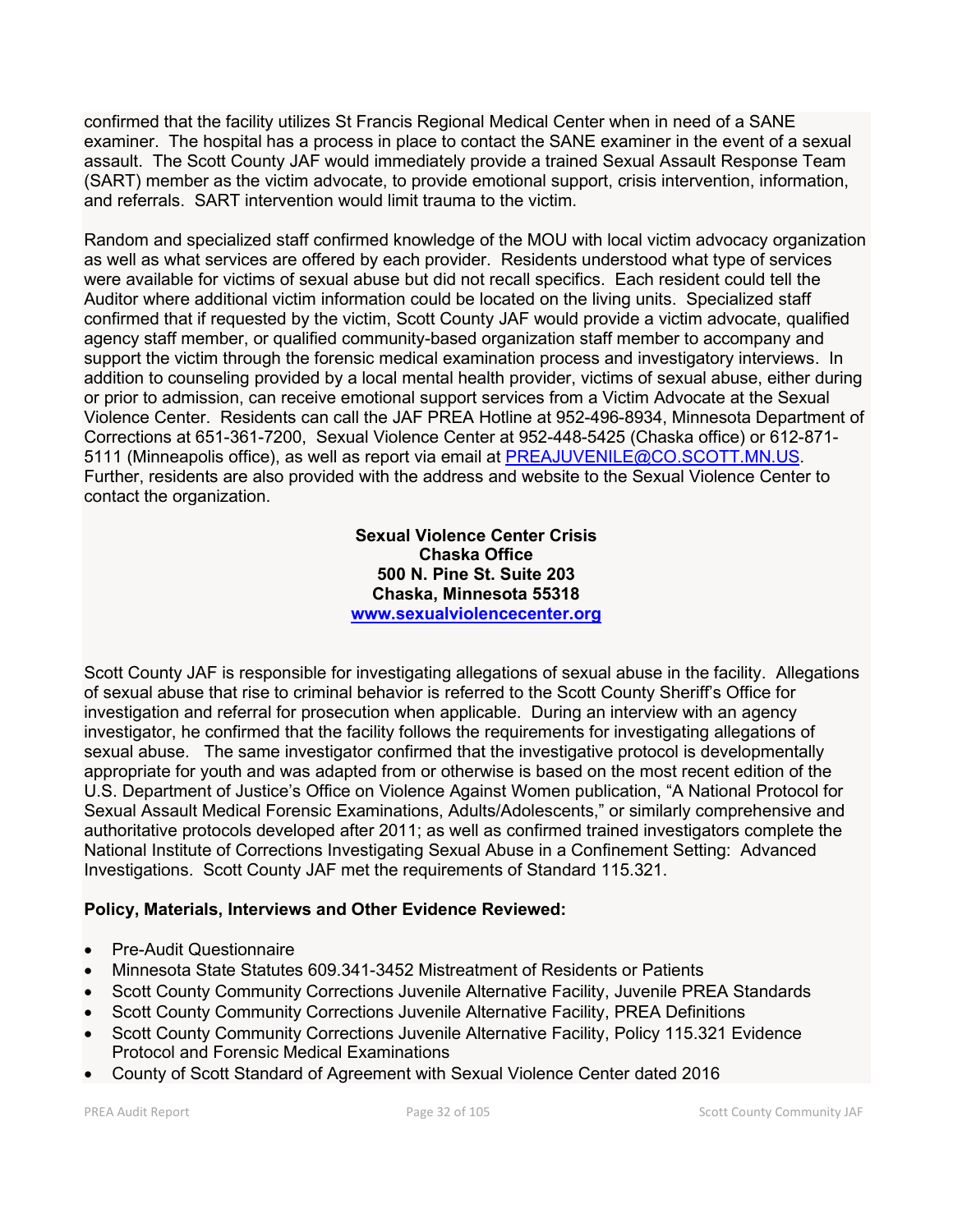confirmed that the facility utilizes St Francis Regional Medical Center when in need of a SANE examiner. The hospital has a process in place to contact the SANE examiner in the event of a sexual assault. The Scott County JAF would immediately provide a trained Sexual Assault Response Team (SART) member as the victim advocate, to provide emotional support, crisis intervention, information, and referrals. SART intervention would limit trauma to the victim.

Random and specialized staff confirmed knowledge of the MOU with local victim advocacy organization as well as what services are offered by each provider. Residents understood what type of services were available for victims of sexual abuse but did not recall specifics. Each resident could tell the Auditor where additional victim information could be located on the living units. Specialized staff confirmed that if requested by the victim, Scott County JAF would provide a victim advocate, qualified agency staff member, or qualified community-based organization staff member to accompany and support the victim through the forensic medical examination process and investigatory interviews. In addition to counseling provided by a local mental health provider, victims of sexual abuse, either during or prior to admission, can receive emotional support services from a Victim Advocate at the Sexual Violence Center. Residents can call the JAF PREA Hotline at 952-496-8934, Minnesota Department of Corrections at 651-361-7200, Sexual Violence Center at 952-448-5425 (Chaska office) or 612-871- 5111 (Minneapolis office), as well as report via email at [PREAJUVENILE@CO.SCOTT.MN.US.](mailto:PREAJUVENILE@CO.SCOTT.MN.US) Further, residents are also provided with the address and website to the Sexual Violence Center to contact the organization.

> **Sexual Violence Center Crisis Chaska Office 500 N. Pine St. Suite 203 Chaska, Minnesota 55318 [www.sexualviolencecenter.org](http://www.sexualviolencecenter.org/)**

Scott County JAF is responsible for investigating allegations of sexual abuse in the facility. Allegations of sexual abuse that rise to criminal behavior is referred to the Scott County Sheriff's Office for investigation and referral for prosecution when applicable. During an interview with an agency investigator, he confirmed that the facility follows the requirements for investigating allegations of sexual abuse. The same investigator confirmed that the investigative protocol is developmentally appropriate for youth and was adapted from or otherwise is based on the most recent edition of the U.S. Department of Justice's Office on Violence Against Women publication, "A National Protocol for Sexual Assault Medical Forensic Examinations, Adults/Adolescents," or similarly comprehensive and authoritative protocols developed after 2011; as well as confirmed trained investigators complete the National Institute of Corrections Investigating Sexual Abuse in a Confinement Setting: Advanced Investigations. Scott County JAF met the requirements of Standard 115.321.

# **Policy, Materials, Interviews and Other Evidence Reviewed:**

- Pre-Audit Questionnaire
- Minnesota State Statutes 609.341-3452 Mistreatment of Residents or Patients
- Scott County Community Corrections Juvenile Alternative Facility, Juvenile PREA Standards
- Scott County Community Corrections Juvenile Alternative Facility, PREA Definitions
- Scott County Community Corrections Juvenile Alternative Facility, Policy 115.321 Evidence Protocol and Forensic Medical Examinations
- County of Scott Standard of Agreement with Sexual Violence Center dated 2016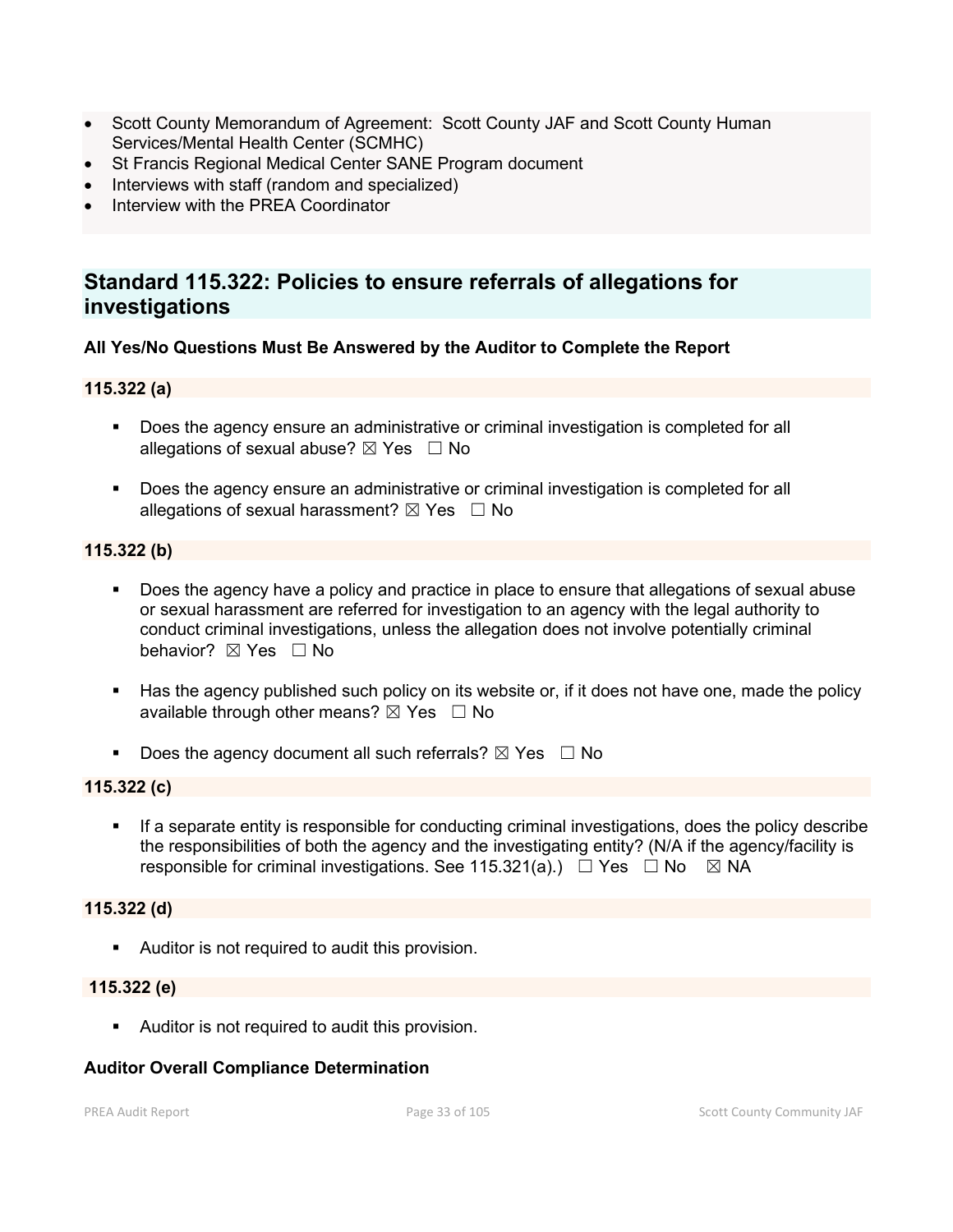- Scott County Memorandum of Agreement: Scott County JAF and Scott County Human Services/Mental Health Center (SCMHC)
- St Francis Regional Medical Center SANE Program document
- Interviews with staff (random and specialized)
- Interview with the PREA Coordinator

# **Standard 115.322: Policies to ensure referrals of allegations for investigations**

# **All Yes/No Questions Must Be Answered by the Auditor to Complete the Report**

## **115.322 (a)**

- **Does the agency ensure an administrative or criminal investigation is completed for all** allegations of sexual abuse?  $\boxtimes$  Yes  $\Box$  No
- Does the agency ensure an administrative or criminal investigation is completed for all allegations of sexual harassment?  $\boxtimes$  Yes  $\Box$  No

## **115.322 (b)**

- Does the agency have a policy and practice in place to ensure that allegations of sexual abuse or sexual harassment are referred for investigation to an agency with the legal authority to conduct criminal investigations, unless the allegation does not involve potentially criminal behavior? **⊠** Yes □ No
- Has the agency published such policy on its website or, if it does not have one, made the policy available through other means?  $\boxtimes$  Yes  $\Box$  No
- Does the agency document all such referrals?  $\boxtimes$  Yes  $\Box$  No

#### **115.322 (c)**

 If a separate entity is responsible for conducting criminal investigations, does the policy describe the responsibilities of both the agency and the investigating entity? (N/A if the agency/facility is responsible for criminal investigations. See 115.321(a).)  $\Box$  Yes  $\Box$  No  $\boxtimes$  NA

# **115.322 (d)**

Auditor is not required to audit this provision.

#### **115.322 (e)**

**Auditor is not required to audit this provision.** 

#### **Auditor Overall Compliance Determination**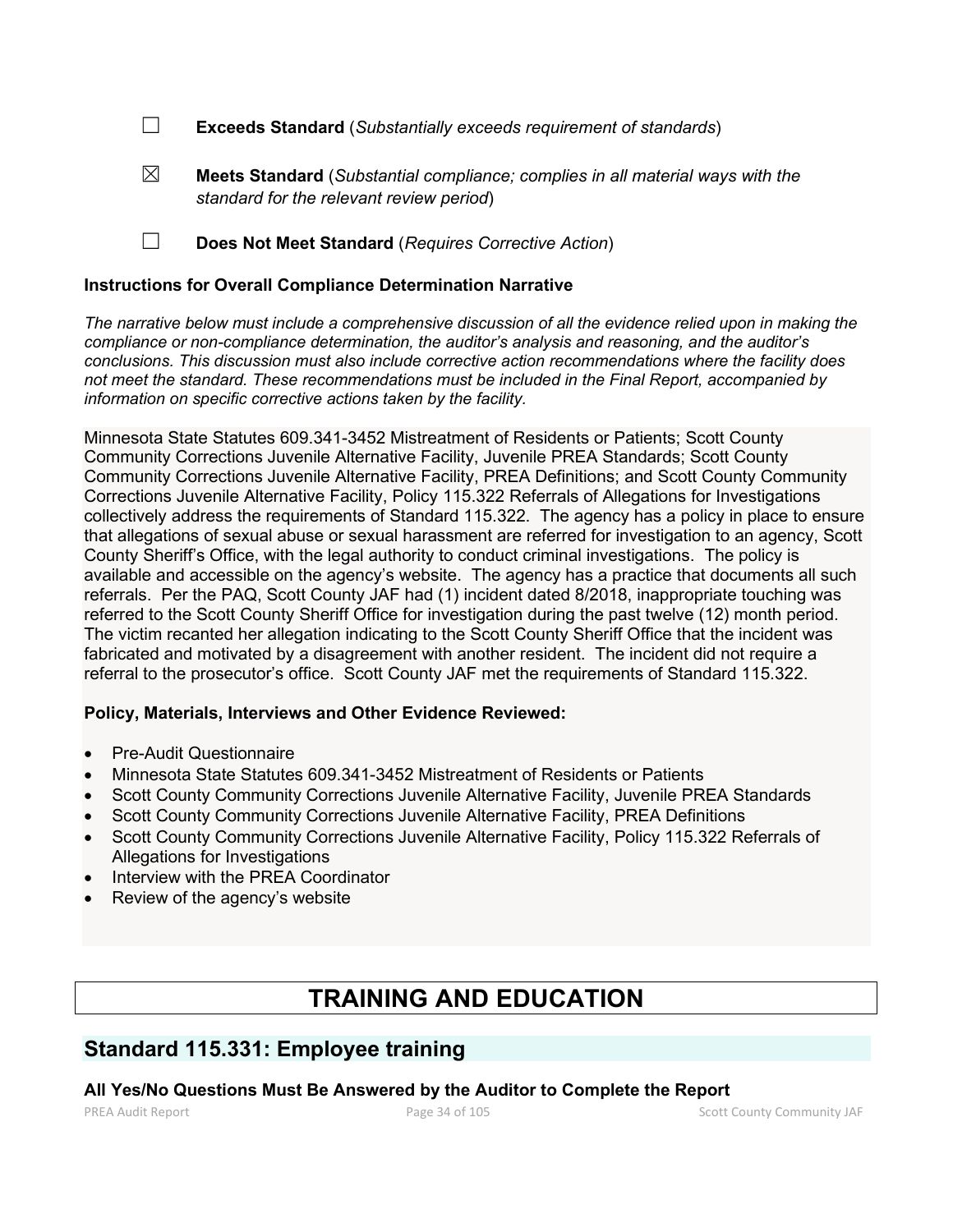☐ **Exceeds Standard** (*Substantially exceeds requirement of standards*)

- ☒ **Meets Standard** (*Substantial compliance; complies in all material ways with the standard for the relevant review period*)
- ☐ **Does Not Meet Standard** (*Requires Corrective Action*)

# **Instructions for Overall Compliance Determination Narrative**

*The narrative below must include a comprehensive discussion of all the evidence relied upon in making the compliance or non-compliance determination, the auditor's analysis and reasoning, and the auditor's conclusions. This discussion must also include corrective action recommendations where the facility does not meet the standard. These recommendations must be included in the Final Report, accompanied by information on specific corrective actions taken by the facility.*

Minnesota State Statutes 609.341-3452 Mistreatment of Residents or Patients; Scott County Community Corrections Juvenile Alternative Facility, Juvenile PREA Standards; Scott County Community Corrections Juvenile Alternative Facility, PREA Definitions; and Scott County Community Corrections Juvenile Alternative Facility, Policy 115.322 Referrals of Allegations for Investigations collectively address the requirements of Standard 115.322. The agency has a policy in place to ensure that allegations of sexual abuse or sexual harassment are referred for investigation to an agency, Scott County Sheriff's Office, with the legal authority to conduct criminal investigations. The policy is available and accessible on the agency's website. The agency has a practice that documents all such referrals. Per the PAQ, Scott County JAF had (1) incident dated 8/2018, inappropriate touching was referred to the Scott County Sheriff Office for investigation during the past twelve (12) month period. The victim recanted her allegation indicating to the Scott County Sheriff Office that the incident was fabricated and motivated by a disagreement with another resident. The incident did not require a referral to the prosecutor's office. Scott County JAF met the requirements of Standard 115.322.

# **Policy, Materials, Interviews and Other Evidence Reviewed:**

- Pre-Audit Questionnaire
- Minnesota State Statutes 609.341-3452 Mistreatment of Residents or Patients
- Scott County Community Corrections Juvenile Alternative Facility, Juvenile PREA Standards
- Scott County Community Corrections Juvenile Alternative Facility, PREA Definitions
- Scott County Community Corrections Juvenile Alternative Facility, Policy 115.322 Referrals of Allegations for Investigations
- Interview with the PREA Coordinator
- Review of the agency's website

# **TRAINING AND EDUCATION**

# **Standard 115.331: Employee training**

# **All Yes/No Questions Must Be Answered by the Auditor to Complete the Report**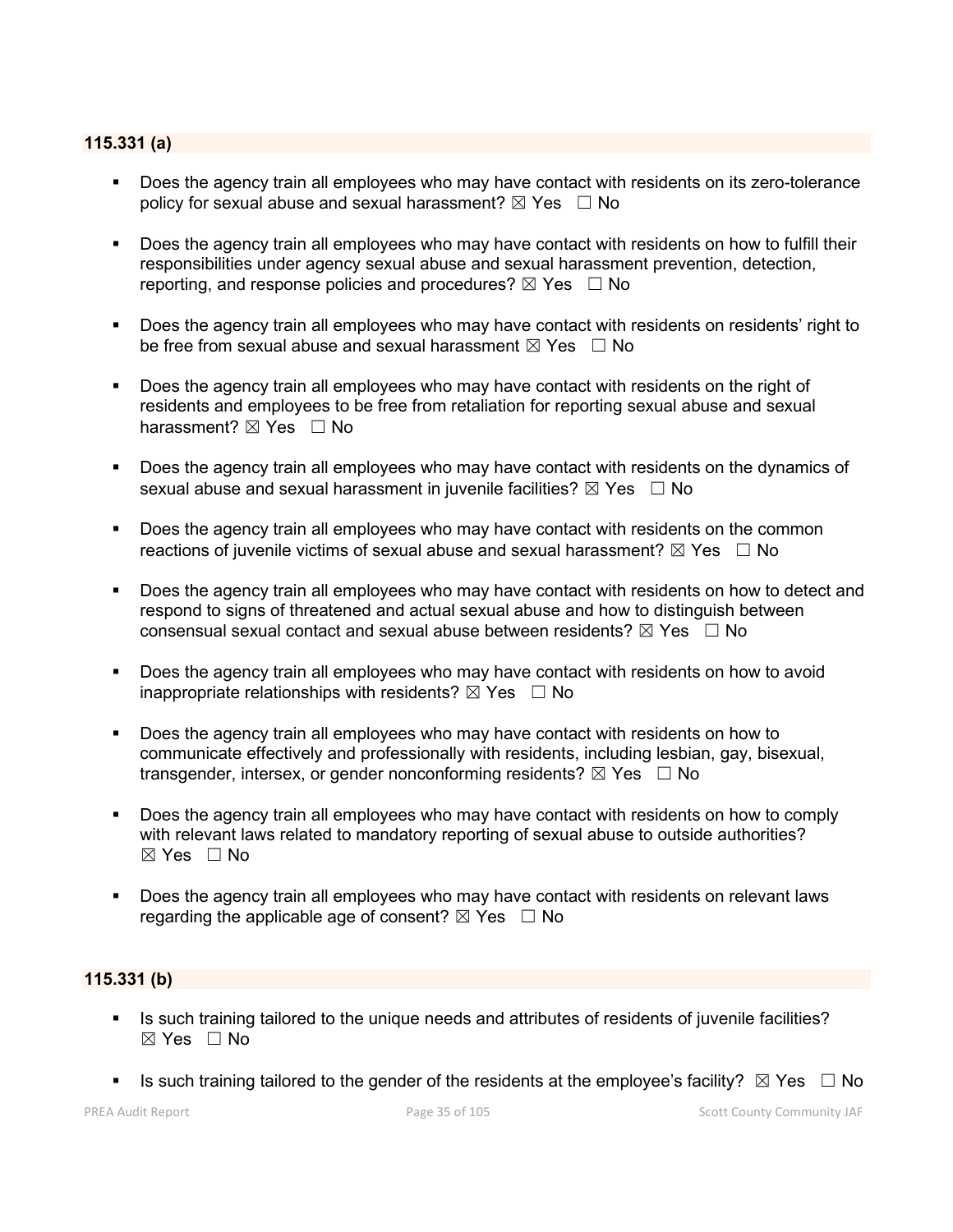## **115.331 (a)**

- Does the agency train all employees who may have contact with residents on its zero-tolerance policy for sexual abuse and sexual harassment?  $\boxtimes$  Yes  $\Box$  No
- Does the agency train all employees who may have contact with residents on how to fulfill their responsibilities under agency sexual abuse and sexual harassment prevention, detection, reporting, and response policies and procedures?  $\boxtimes$  Yes  $\Box$  No
- **Does the agency train all employees who may have contact with residents on residents' right to** be free from sexual abuse and sexual harassment  $\boxtimes$  Yes  $\Box$  No
- Does the agency train all employees who may have contact with residents on the right of residents and employees to be free from retaliation for reporting sexual abuse and sexual harassment? ⊠ Yes □ No
- Does the agency train all employees who may have contact with residents on the dynamics of sexual abuse and sexual harassment in juvenile facilities?  $\boxtimes$  Yes  $\Box$  No
- Does the agency train all employees who may have contact with residents on the common reactions of juvenile victims of sexual abuse and sexual harassment?  $\boxtimes$  Yes  $\Box$  No
- Does the agency train all employees who may have contact with residents on how to detect and respond to signs of threatened and actual sexual abuse and how to distinguish between consensual sexual contact and sexual abuse between residents?  $\boxtimes$  Yes  $\Box$  No
- Does the agency train all employees who may have contact with residents on how to avoid inappropriate relationships with residents?  $\boxtimes$  Yes  $\Box$  No
- Does the agency train all employees who may have contact with residents on how to communicate effectively and professionally with residents, including lesbian, gay, bisexual, transgender, intersex, or gender nonconforming residents?  $\boxtimes$  Yes  $\Box$  No
- Does the agency train all employees who may have contact with residents on how to comply with relevant laws related to mandatory reporting of sexual abuse to outside authorities? ☒ Yes ☐ No
- Does the agency train all employees who may have contact with residents on relevant laws regarding the applicable age of consent?  $\boxtimes$  Yes  $\Box$  No

# **115.331 (b)**

- Is such training tailored to the unique needs and attributes of residents of juvenile facilities?  $\boxtimes$  Yes  $\Box$  No
- Is such training tailored to the gender of the residents at the employee's facility?  $\boxtimes$  Yes  $\Box$  No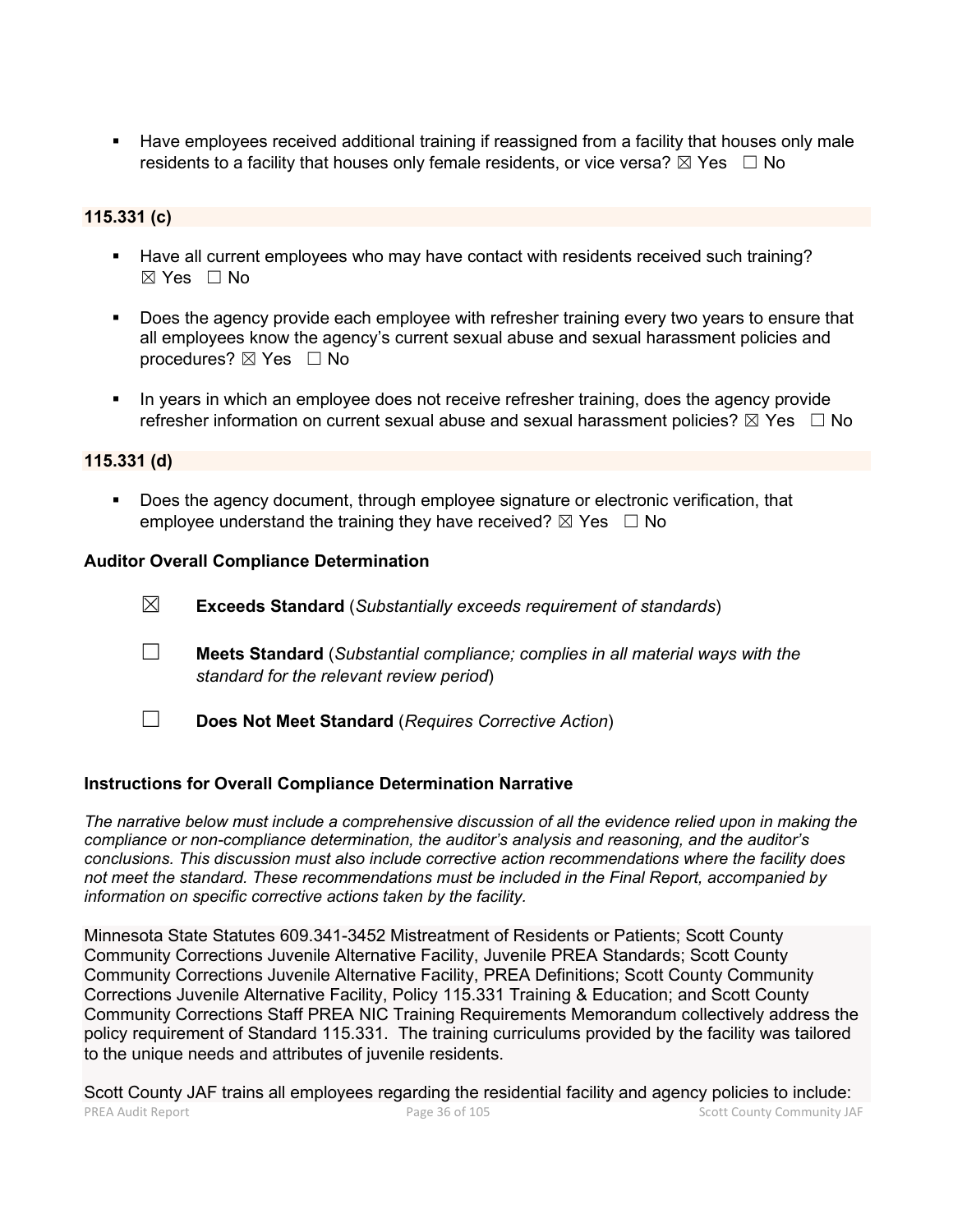Have employees received additional training if reassigned from a facility that houses only male residents to a facility that houses only female residents, or vice versa?  $\boxtimes$  Yes  $\Box$  No

# **115.331 (c)**

- Have all current employees who may have contact with residents received such training?  $\boxtimes$  Yes  $\Box$  No
- Does the agency provide each employee with refresher training every two years to ensure that all employees know the agency's current sexual abuse and sexual harassment policies and procedures? ⊠ Yes □ No
- In years in which an employee does not receive refresher training, does the agency provide refresher information on current sexual abuse and sexual harassment policies?  $\boxtimes$  Yes  $\Box$  No

## **115.331 (d)**

Does the agency document, through employee signature or electronic verification, that employee understand the training they have received?  $\boxtimes$  Yes  $\Box$  No

## **Auditor Overall Compliance Determination**

- ☒ **Exceeds Standard** (*Substantially exceeds requirement of standards*)
- ☐ **Meets Standard** (*Substantial compliance; complies in all material ways with the standard for the relevant review period*)
- ☐ **Does Not Meet Standard** (*Requires Corrective Action*)

#### **Instructions for Overall Compliance Determination Narrative**

*The narrative below must include a comprehensive discussion of all the evidence relied upon in making the compliance or non-compliance determination, the auditor's analysis and reasoning, and the auditor's conclusions. This discussion must also include corrective action recommendations where the facility does not meet the standard. These recommendations must be included in the Final Report, accompanied by information on specific corrective actions taken by the facility.*

Minnesota State Statutes 609.341-3452 Mistreatment of Residents or Patients; Scott County Community Corrections Juvenile Alternative Facility, Juvenile PREA Standards; Scott County Community Corrections Juvenile Alternative Facility, PREA Definitions; Scott County Community Corrections Juvenile Alternative Facility, Policy 115.331 Training & Education; and Scott County Community Corrections Staff PREA NIC Training Requirements Memorandum collectively address the policy requirement of Standard 115.331. The training curriculums provided by the facility was tailored to the unique needs and attributes of juvenile residents.

PREA Audit Report **Page 36 of 105** Page 36 of 105 Scott County Community JAF Scott County JAF trains all employees regarding the residential facility and agency policies to include: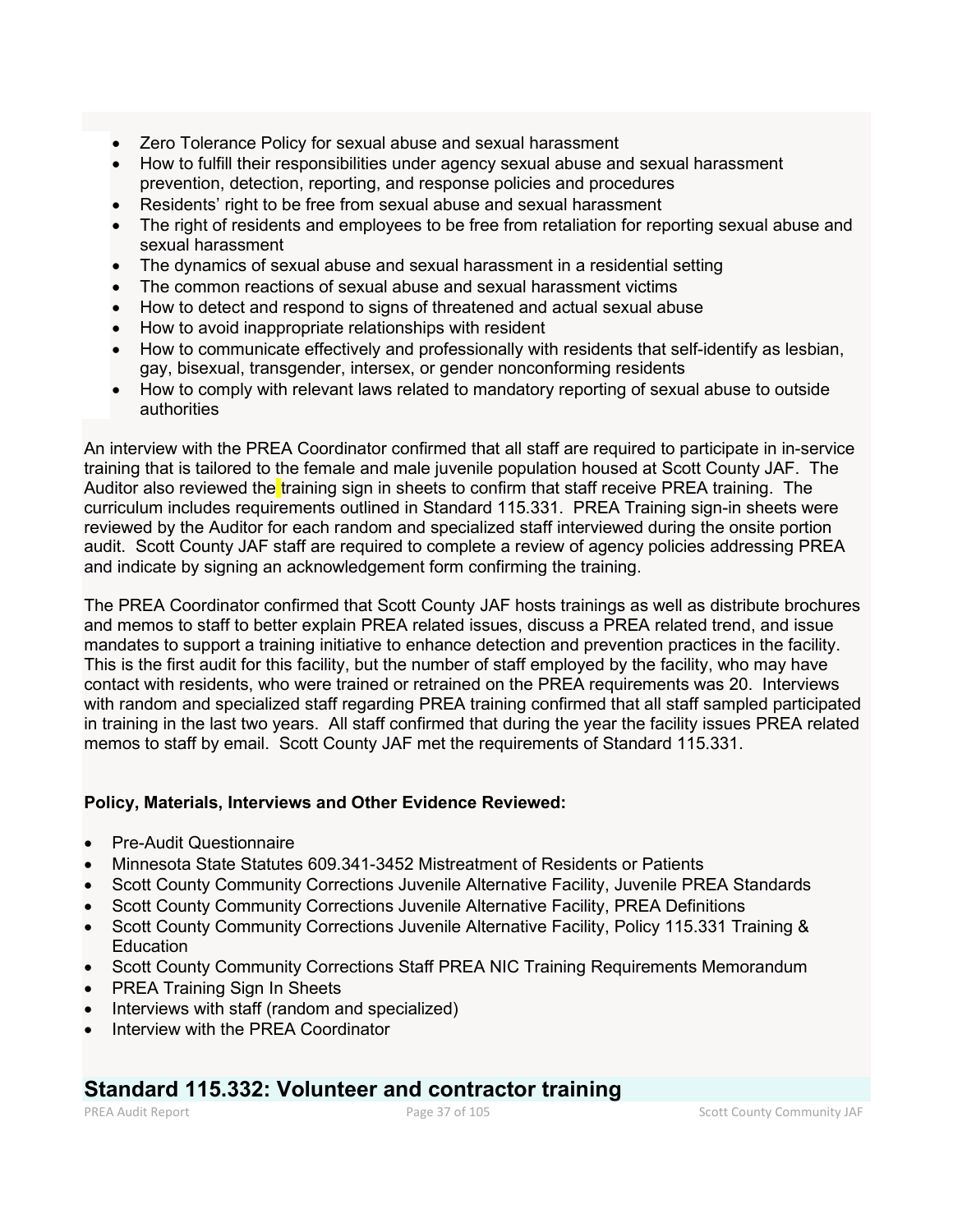- Zero Tolerance Policy for sexual abuse and sexual harassment
- How to fulfill their responsibilities under agency sexual abuse and sexual harassment prevention, detection, reporting, and response policies and procedures
- Residents' right to be free from sexual abuse and sexual harassment
- The right of residents and employees to be free from retaliation for reporting sexual abuse and sexual harassment
- The dynamics of sexual abuse and sexual harassment in a residential setting
- The common reactions of sexual abuse and sexual harassment victims
- How to detect and respond to signs of threatened and actual sexual abuse
- How to avoid inappropriate relationships with resident
- How to communicate effectively and professionally with residents that self-identify as lesbian, gay, bisexual, transgender, intersex, or gender nonconforming residents
- How to comply with relevant laws related to mandatory reporting of sexual abuse to outside authorities

An interview with the PREA Coordinator confirmed that all staff are required to participate in in-service training that is tailored to the female and male juvenile population housed at Scott County JAF. The Auditor also reviewed the training sign in sheets to confirm that staff receive PREA training. The curriculum includes requirements outlined in Standard 115.331. PREA Training sign-in sheets were reviewed by the Auditor for each random and specialized staff interviewed during the onsite portion audit. Scott County JAF staff are required to complete a review of agency policies addressing PREA and indicate by signing an acknowledgement form confirming the training.

The PREA Coordinator confirmed that Scott County JAF hosts trainings as well as distribute brochures and memos to staff to better explain PREA related issues, discuss a PREA related trend, and issue mandates to support a training initiative to enhance detection and prevention practices in the facility. This is the first audit for this facility, but the number of staff employed by the facility, who may have contact with residents, who were trained or retrained on the PREA requirements was 20. Interviews with random and specialized staff regarding PREA training confirmed that all staff sampled participated in training in the last two years. All staff confirmed that during the year the facility issues PREA related memos to staff by email. Scott County JAF met the requirements of Standard 115.331.

# **Policy, Materials, Interviews and Other Evidence Reviewed:**

- Pre-Audit Questionnaire
- Minnesota State Statutes 609.341-3452 Mistreatment of Residents or Patients
- Scott County Community Corrections Juvenile Alternative Facility, Juvenile PREA Standards
- Scott County Community Corrections Juvenile Alternative Facility, PREA Definitions
- Scott County Community Corrections Juvenile Alternative Facility, Policy 115.331 Training & **Education**
- Scott County Community Corrections Staff PREA NIC Training Requirements Memorandum
- PREA Training Sign In Sheets
- Interviews with staff (random and specialized)
- Interview with the PREA Coordinator

# **Standard 115.332: Volunteer and contractor training**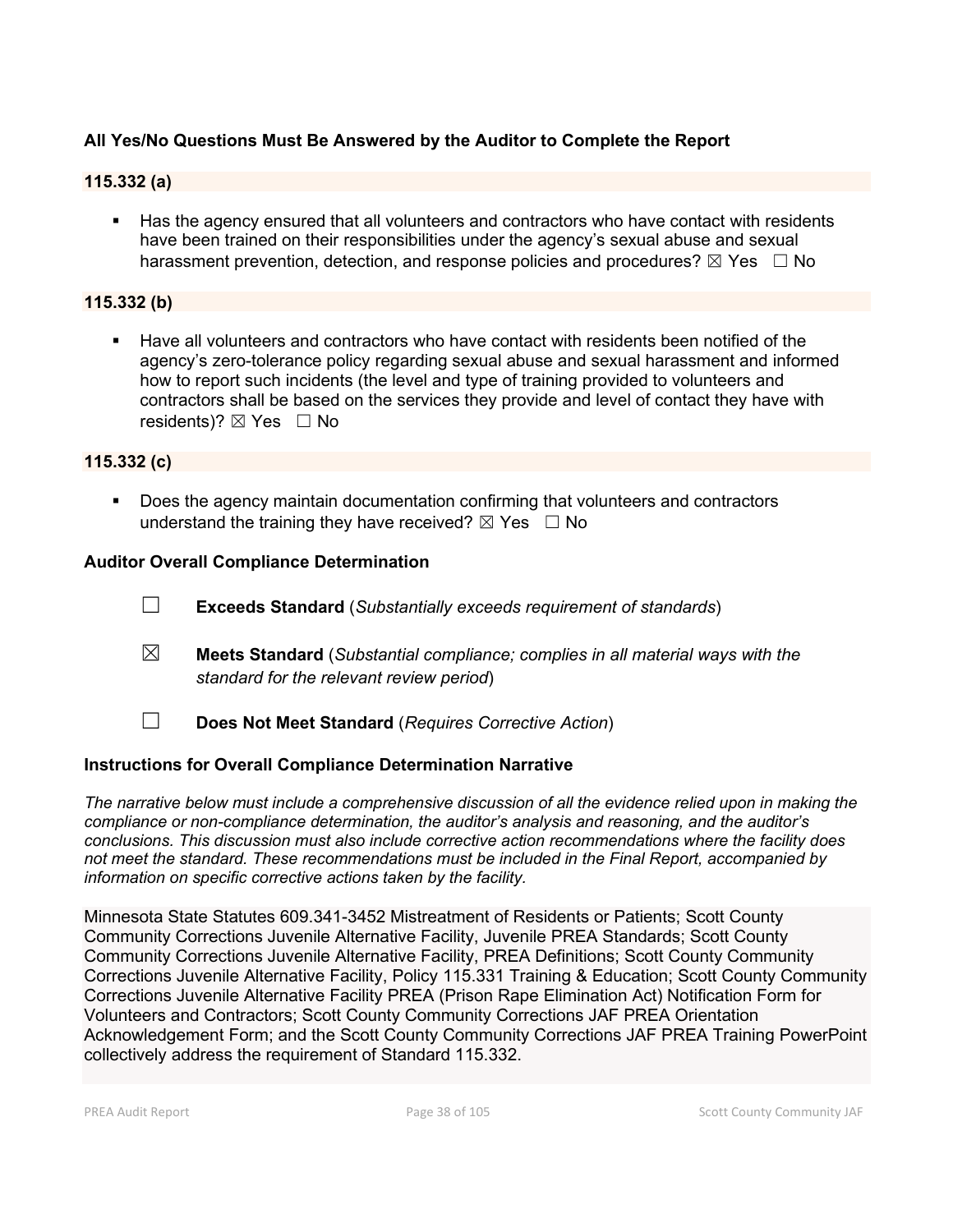# **All Yes/No Questions Must Be Answered by the Auditor to Complete the Report**

# **115.332 (a)**

 Has the agency ensured that all volunteers and contractors who have contact with residents have been trained on their responsibilities under the agency's sexual abuse and sexual harassment prevention, detection, and response policies and procedures?  $\boxtimes$  Yes  $\Box$  No

#### **115.332 (b)**

 Have all volunteers and contractors who have contact with residents been notified of the agency's zero-tolerance policy regarding sexual abuse and sexual harassment and informed how to report such incidents (the level and type of training provided to volunteers and contractors shall be based on the services they provide and level of contact they have with residents)?  $\boxtimes$  Yes  $\Box$  No

### **115.332 (c)**

**Does the agency maintain documentation confirming that volunteers and contractors** understand the training they have received?  $\boxtimes$  Yes  $\Box$  No

### **Auditor Overall Compliance Determination**

- ☐ **Exceeds Standard** (*Substantially exceeds requirement of standards*)
- ☒ **Meets Standard** (*Substantial compliance; complies in all material ways with the standard for the relevant review period*)
- ☐ **Does Not Meet Standard** (*Requires Corrective Action*)

#### **Instructions for Overall Compliance Determination Narrative**

*The narrative below must include a comprehensive discussion of all the evidence relied upon in making the compliance or non-compliance determination, the auditor's analysis and reasoning, and the auditor's conclusions. This discussion must also include corrective action recommendations where the facility does not meet the standard. These recommendations must be included in the Final Report, accompanied by information on specific corrective actions taken by the facility.*

Minnesota State Statutes 609.341-3452 Mistreatment of Residents or Patients; Scott County Community Corrections Juvenile Alternative Facility, Juvenile PREA Standards; Scott County Community Corrections Juvenile Alternative Facility, PREA Definitions; Scott County Community Corrections Juvenile Alternative Facility, Policy 115.331 Training & Education; Scott County Community Corrections Juvenile Alternative Facility PREA (Prison Rape Elimination Act) Notification Form for Volunteers and Contractors; Scott County Community Corrections JAF PREA Orientation Acknowledgement Form; and the Scott County Community Corrections JAF PREA Training PowerPoint collectively address the requirement of Standard 115.332.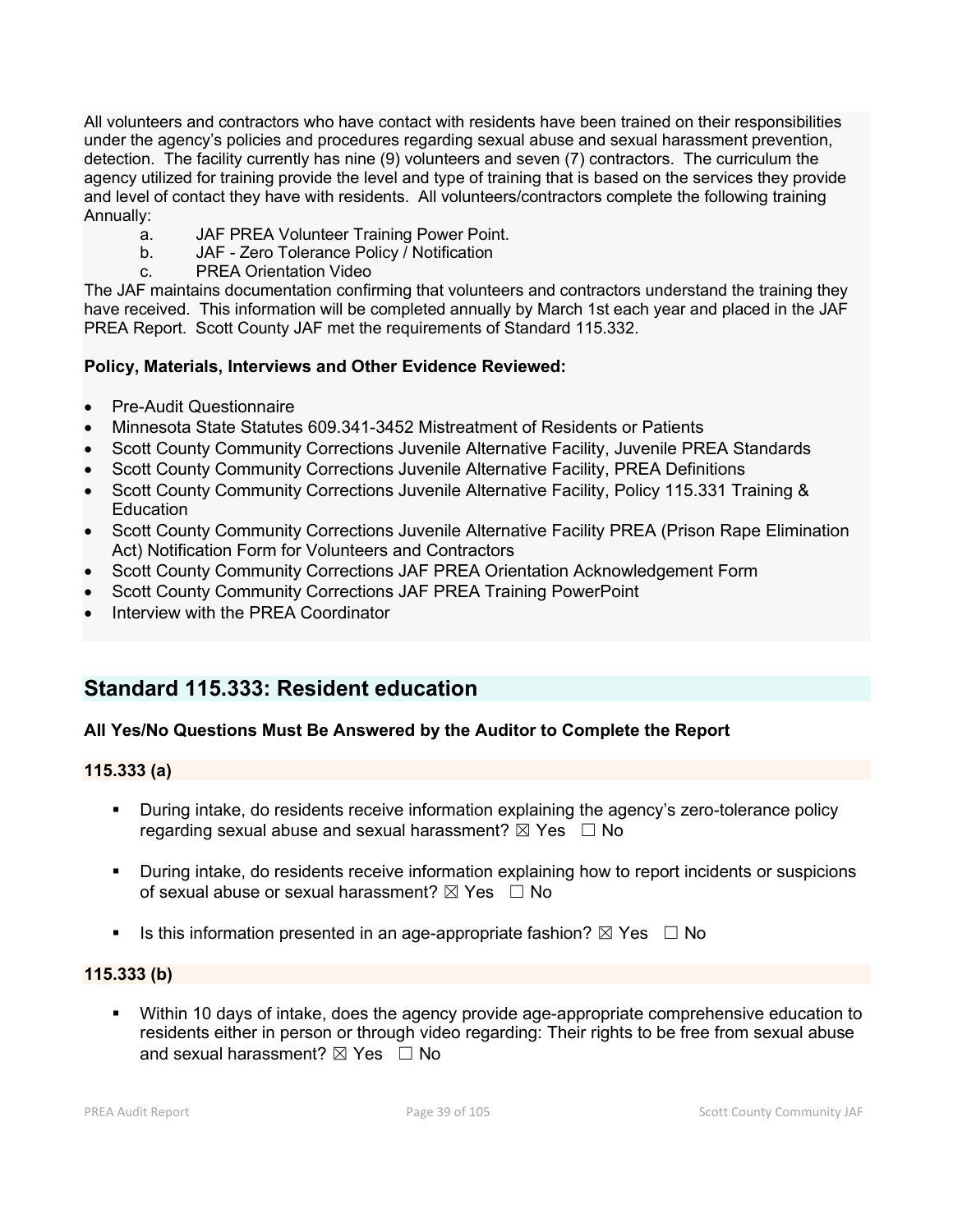All volunteers and contractors who have contact with residents have been trained on their responsibilities under the agency's policies and procedures regarding sexual abuse and sexual harassment prevention, detection. The facility currently has nine (9) volunteers and seven (7) contractors. The curriculum the agency utilized for training provide the level and type of training that is based on the services they provide and level of contact they have with residents. All volunteers/contractors complete the following training Annually:

- a. JAF PREA Volunteer Training Power Point.
- b. JAF Zero Tolerance Policy / Notification
- c. PREA Orientation Video

The JAF maintains documentation confirming that volunteers and contractors understand the training they have received. This information will be completed annually by March 1st each year and placed in the JAF PREA Report. Scott County JAF met the requirements of Standard 115.332.

# **Policy, Materials, Interviews and Other Evidence Reviewed:**

- Pre-Audit Questionnaire
- Minnesota State Statutes 609.341-3452 Mistreatment of Residents or Patients
- Scott County Community Corrections Juvenile Alternative Facility, Juvenile PREA Standards
- Scott County Community Corrections Juvenile Alternative Facility, PREA Definitions
- Scott County Community Corrections Juvenile Alternative Facility, Policy 115.331 Training & **Education**
- Scott County Community Corrections Juvenile Alternative Facility PREA (Prison Rape Elimination Act) Notification Form for Volunteers and Contractors
- Scott County Community Corrections JAF PREA Orientation Acknowledgement Form
- Scott County Community Corrections JAF PREA Training PowerPoint
- Interview with the PREA Coordinator

# **Standard 115.333: Resident education**

# **All Yes/No Questions Must Be Answered by the Auditor to Complete the Report**

# **115.333 (a)**

- During intake, do residents receive information explaining the agency's zero-tolerance policy regarding sexual abuse and sexual harassment?  $\boxtimes$  Yes  $\Box$  No
- During intake, do residents receive information explaining how to report incidents or suspicions of sexual abuse or sexual harassment?  $\boxtimes$  Yes  $\Box$  No
- Is this information presented in an age-appropriate fashion?  $\boxtimes$  Yes  $\Box$  No

# **115.333 (b)**

 Within 10 days of intake, does the agency provide age-appropriate comprehensive education to residents either in person or through video regarding: Their rights to be free from sexual abuse and sexual harassment?  $\boxtimes$  Yes  $\Box$  No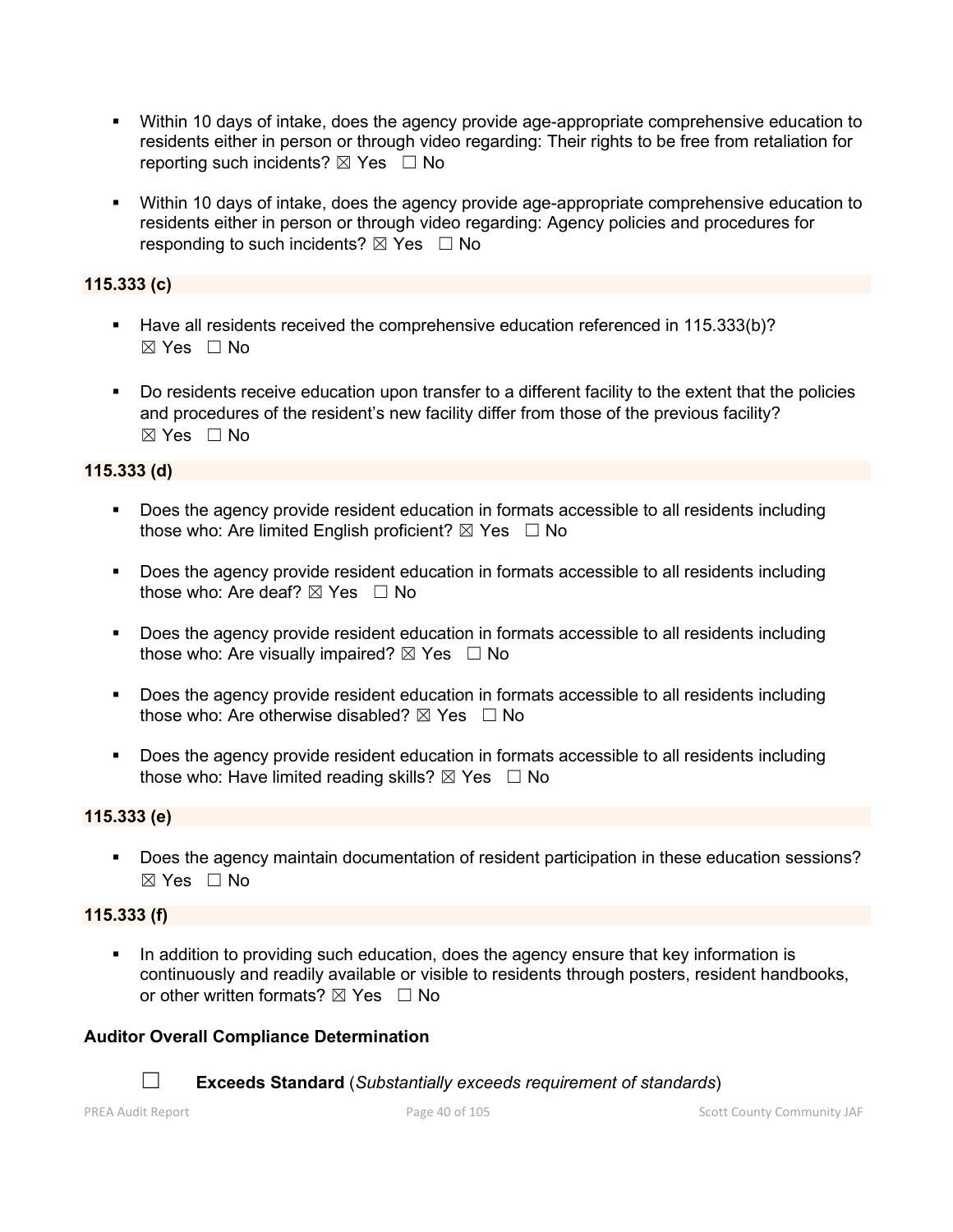- Within 10 days of intake, does the agency provide age-appropriate comprehensive education to residents either in person or through video regarding: Their rights to be free from retaliation for reporting such incidents?  $\boxtimes$  Yes  $\Box$  No
- Within 10 days of intake, does the agency provide age-appropriate comprehensive education to residents either in person or through video regarding: Agency policies and procedures for responding to such incidents?  $\boxtimes$  Yes  $\Box$  No

# **115.333 (c)**

- Have all residents received the comprehensive education referenced in 115.333(b)?  $\boxtimes$  Yes  $\Box$  No
- Do residents receive education upon transfer to a different facility to the extent that the policies and procedures of the resident's new facility differ from those of the previous facility? ☒ Yes ☐ No

# **115.333 (d)**

- Does the agency provide resident education in formats accessible to all residents including those who: Are limited English proficient?  $\boxtimes$  Yes  $\Box$  No
- Does the agency provide resident education in formats accessible to all residents including those who: Are deaf?  $\boxtimes$  Yes  $\Box$  No
- **Does the agency provide resident education in formats accessible to all residents including** those who: Are visually impaired?  $\boxtimes$  Yes  $\Box$  No
- Does the agency provide resident education in formats accessible to all residents including those who: Are otherwise disabled?  $\boxtimes$  Yes  $\Box$  No
- **Does the agency provide resident education in formats accessible to all residents including** those who: Have limited reading skills?  $\boxtimes$  Yes  $\Box$  No

# **115.333 (e)**

 Does the agency maintain documentation of resident participation in these education sessions?  $\boxtimes$  Yes  $\Box$  No

# **115.333 (f)**

In addition to providing such education, does the agency ensure that key information is continuously and readily available or visible to residents through posters, resident handbooks, or other written formats?  $\boxtimes$  Yes  $\Box$  No

# **Auditor Overall Compliance Determination**

☐ **Exceeds Standard** (*Substantially exceeds requirement of standards*)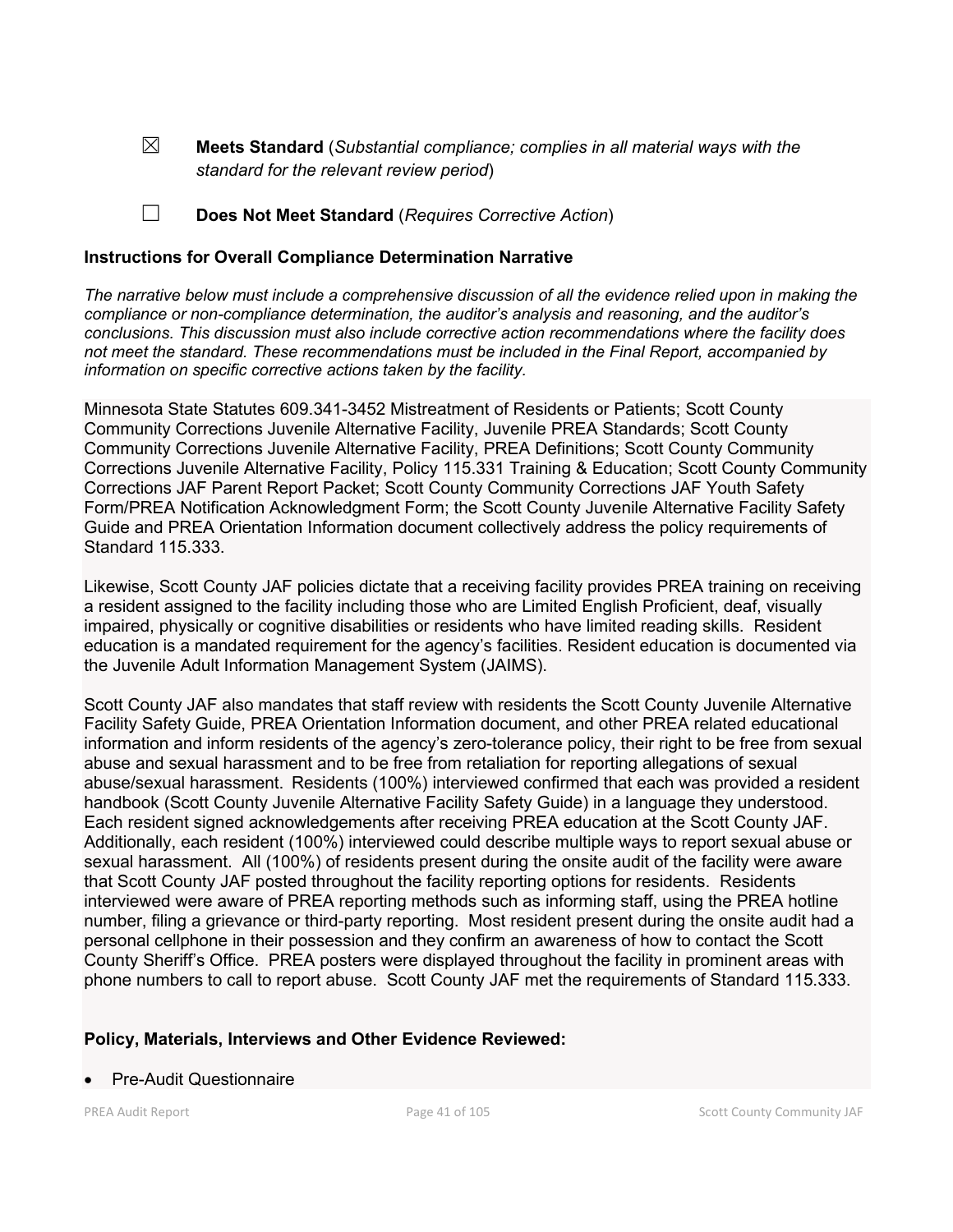☒ **Meets Standard** (*Substantial compliance; complies in all material ways with the standard for the relevant review period*)

☐ **Does Not Meet Standard** (*Requires Corrective Action*)

## **Instructions for Overall Compliance Determination Narrative**

*The narrative below must include a comprehensive discussion of all the evidence relied upon in making the compliance or non-compliance determination, the auditor's analysis and reasoning, and the auditor's conclusions. This discussion must also include corrective action recommendations where the facility does not meet the standard. These recommendations must be included in the Final Report, accompanied by information on specific corrective actions taken by the facility.*

Minnesota State Statutes 609.341-3452 Mistreatment of Residents or Patients; Scott County Community Corrections Juvenile Alternative Facility, Juvenile PREA Standards; Scott County Community Corrections Juvenile Alternative Facility, PREA Definitions; Scott County Community Corrections Juvenile Alternative Facility, Policy 115.331 Training & Education; Scott County Community Corrections JAF Parent Report Packet; Scott County Community Corrections JAF Youth Safety Form/PREA Notification Acknowledgment Form; the Scott County Juvenile Alternative Facility Safety Guide and PREA Orientation Information document collectively address the policy requirements of Standard 115.333.

Likewise, Scott County JAF policies dictate that a receiving facility provides PREA training on receiving a resident assigned to the facility including those who are Limited English Proficient, deaf, visually impaired, physically or cognitive disabilities or residents who have limited reading skills. Resident education is a mandated requirement for the agency's facilities. Resident education is documented via the Juvenile Adult Information Management System (JAIMS).

Scott County JAF also mandates that staff review with residents the Scott County Juvenile Alternative Facility Safety Guide, PREA Orientation Information document, and other PREA related educational information and inform residents of the agency's zero-tolerance policy, their right to be free from sexual abuse and sexual harassment and to be free from retaliation for reporting allegations of sexual abuse/sexual harassment. Residents (100%) interviewed confirmed that each was provided a resident handbook (Scott County Juvenile Alternative Facility Safety Guide) in a language they understood. Each resident signed acknowledgements after receiving PREA education at the Scott County JAF. Additionally, each resident (100%) interviewed could describe multiple ways to report sexual abuse or sexual harassment. All (100%) of residents present during the onsite audit of the facility were aware that Scott County JAF posted throughout the facility reporting options for residents. Residents interviewed were aware of PREA reporting methods such as informing staff, using the PREA hotline number, filing a grievance or third-party reporting. Most resident present during the onsite audit had a personal cellphone in their possession and they confirm an awareness of how to contact the Scott County Sheriff's Office. PREA posters were displayed throughout the facility in prominent areas with phone numbers to call to report abuse. Scott County JAF met the requirements of Standard 115.333.

# **Policy, Materials, Interviews and Other Evidence Reviewed:**

#### • Pre-Audit Questionnaire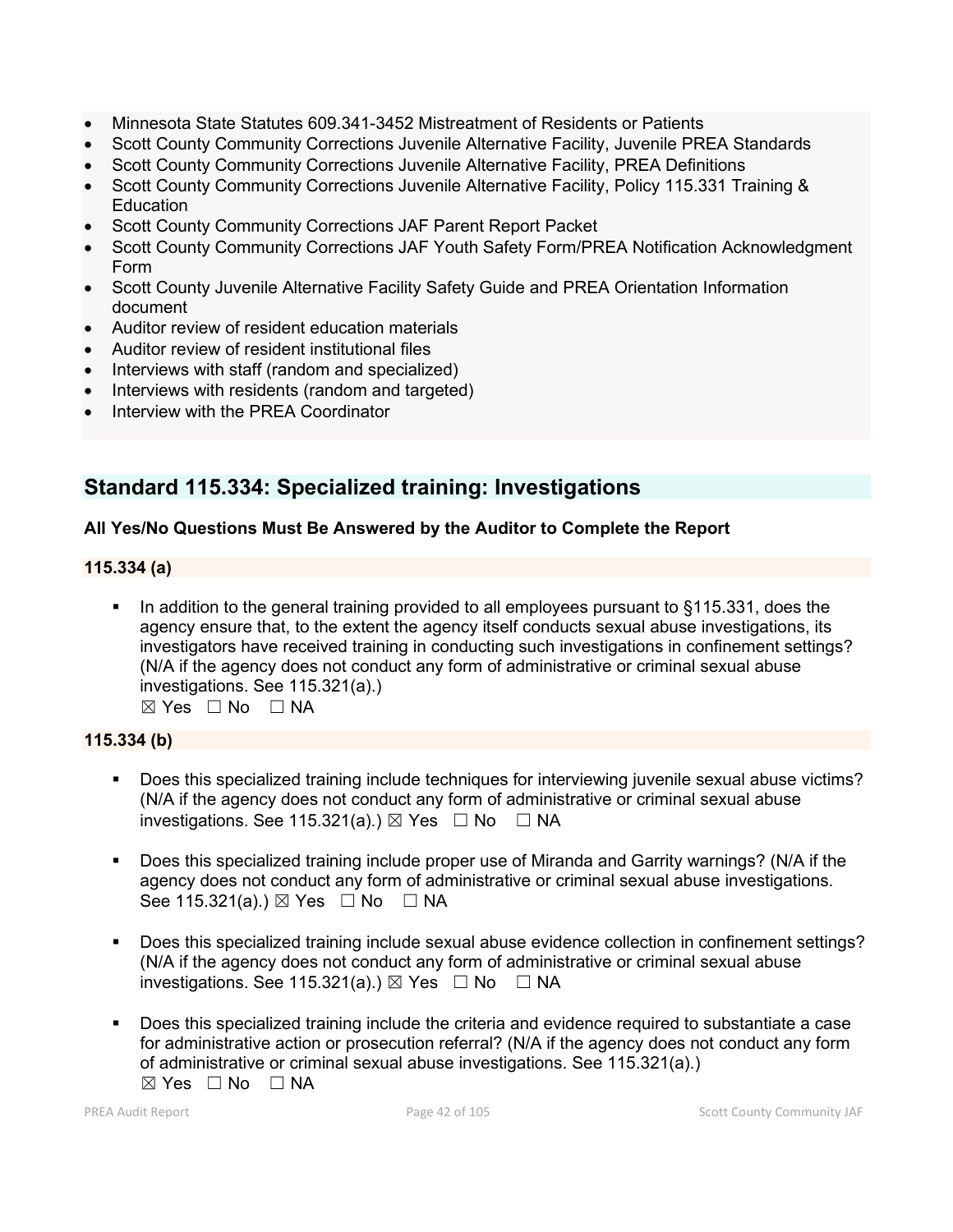- Minnesota State Statutes 609.341-3452 Mistreatment of Residents or Patients
- Scott County Community Corrections Juvenile Alternative Facility, Juvenile PREA Standards
- Scott County Community Corrections Juvenile Alternative Facility, PREA Definitions
- Scott County Community Corrections Juvenile Alternative Facility, Policy 115.331 Training & **Education**
- Scott County Community Corrections JAF Parent Report Packet
- Scott County Community Corrections JAF Youth Safety Form/PREA Notification Acknowledgment Form
- Scott County Juvenile Alternative Facility Safety Guide and PREA Orientation Information document
- Auditor review of resident education materials
- Auditor review of resident institutional files
- Interviews with staff (random and specialized)
- Interviews with residents (random and targeted)
- Interview with the PREA Coordinator

# **Standard 115.334: Specialized training: Investigations**

# **All Yes/No Questions Must Be Answered by the Auditor to Complete the Report**

# **115.334 (a)**

In addition to the general training provided to all employees pursuant to §115.331, does the agency ensure that, to the extent the agency itself conducts sexual abuse investigations, its investigators have received training in conducting such investigations in confinement settings? (N/A if the agency does not conduct any form of administrative or criminal sexual abuse investigations. See 115.321(a).) ☒ Yes ☐ No ☐ NA

# **115.334 (b)**

- Does this specialized training include techniques for interviewing juvenile sexual abuse victims? (N/A if the agency does not conduct any form of administrative or criminal sexual abuse investigations. See 115.321(a).)  $\boxtimes$  Yes  $\Box$  No  $\Box$  NA
- Does this specialized training include proper use of Miranda and Garrity warnings? (N/A if the agency does not conduct any form of administrative or criminal sexual abuse investigations. See 115.321(a).)  $\boxtimes$  Yes  $\Box$  No  $\Box$  NA
- Does this specialized training include sexual abuse evidence collection in confinement settings? (N/A if the agency does not conduct any form of administrative or criminal sexual abuse investigations. See 115.321(a).)  $\boxtimes$  Yes  $\Box$  No  $\Box$  NA
- Does this specialized training include the criteria and evidence required to substantiate a case for administrative action or prosecution referral? (N/A if the agency does not conduct any form of administrative or criminal sexual abuse investigations. See 115.321(a).)  $\boxtimes$  Yes  $\Box$  No  $\Box$  NA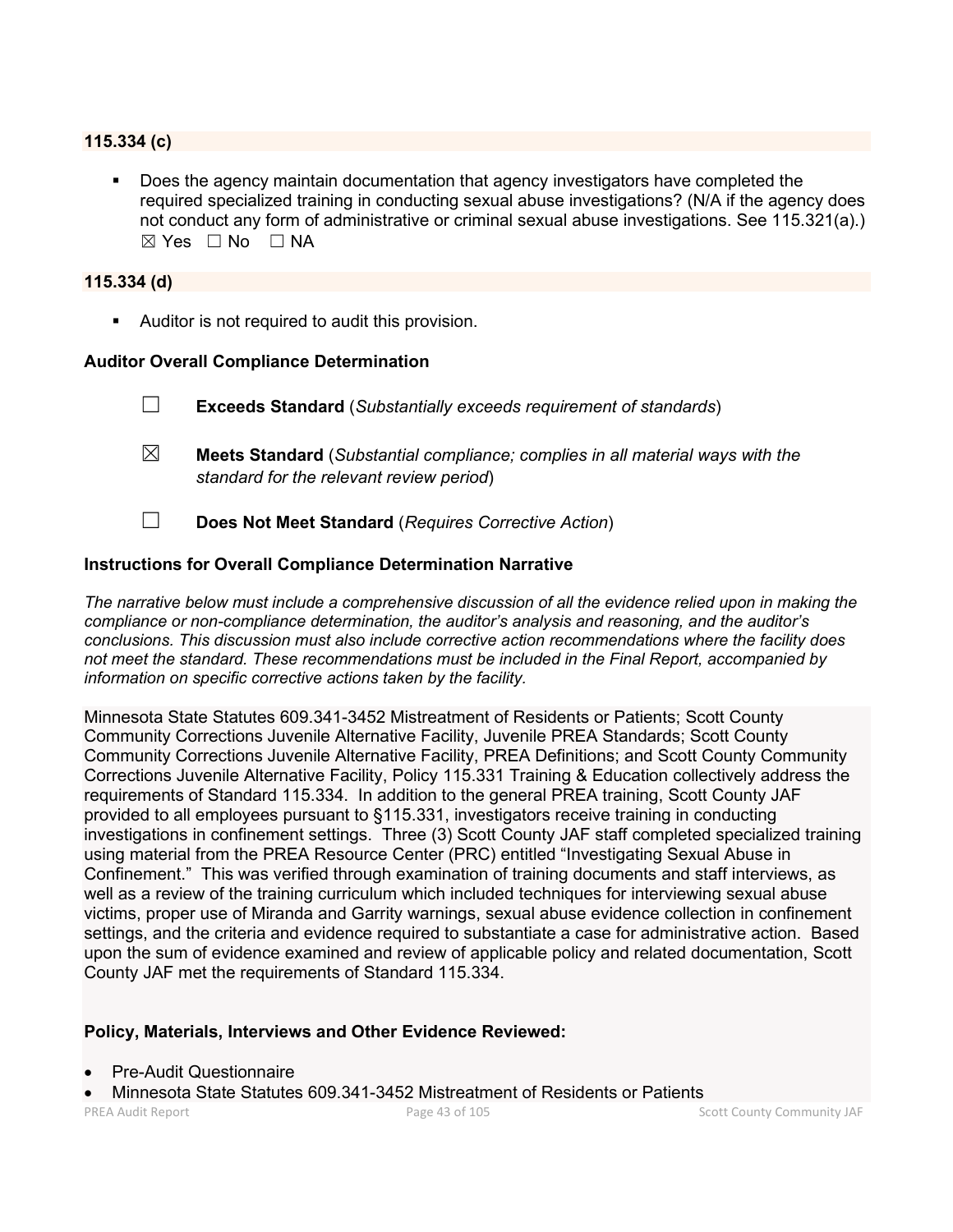## **115.334 (c)**

 Does the agency maintain documentation that agency investigators have completed the required specialized training in conducting sexual abuse investigations? (N/A if the agency does not conduct any form of administrative or criminal sexual abuse investigations. See 115.321(a).)  $\boxtimes$  Yes  $\Box$  No  $\Box$  NA

## **115.334 (d)**

**Auditor is not required to audit this provision.** 

#### **Auditor Overall Compliance Determination**

- ☐ **Exceeds Standard** (*Substantially exceeds requirement of standards*)
- ☒ **Meets Standard** (*Substantial compliance; complies in all material ways with the standard for the relevant review period*)
- ☐ **Does Not Meet Standard** (*Requires Corrective Action*)

### **Instructions for Overall Compliance Determination Narrative**

*The narrative below must include a comprehensive discussion of all the evidence relied upon in making the compliance or non-compliance determination, the auditor's analysis and reasoning, and the auditor's conclusions. This discussion must also include corrective action recommendations where the facility does not meet the standard. These recommendations must be included in the Final Report, accompanied by information on specific corrective actions taken by the facility.*

Minnesota State Statutes 609.341-3452 Mistreatment of Residents or Patients; Scott County Community Corrections Juvenile Alternative Facility, Juvenile PREA Standards; Scott County Community Corrections Juvenile Alternative Facility, PREA Definitions; and Scott County Community Corrections Juvenile Alternative Facility, Policy 115.331 Training & Education collectively address the requirements of Standard 115.334. In addition to the general PREA training, Scott County JAF provided to all employees pursuant to §115.331, investigators receive training in conducting investigations in confinement settings. Three (3) Scott County JAF staff completed specialized training using material from the PREA Resource Center (PRC) entitled "Investigating Sexual Abuse in Confinement." This was verified through examination of training documents and staff interviews, as well as a review of the training curriculum which included techniques for interviewing sexual abuse victims, proper use of Miranda and Garrity warnings, sexual abuse evidence collection in confinement settings, and the criteria and evidence required to substantiate a case for administrative action. Based upon the sum of evidence examined and review of applicable policy and related documentation, Scott County JAF met the requirements of Standard 115.334.

#### **Policy, Materials, Interviews and Other Evidence Reviewed:**

- Pre-Audit Questionnaire
- Minnesota State Statutes 609.341-3452 Mistreatment of Residents or Patients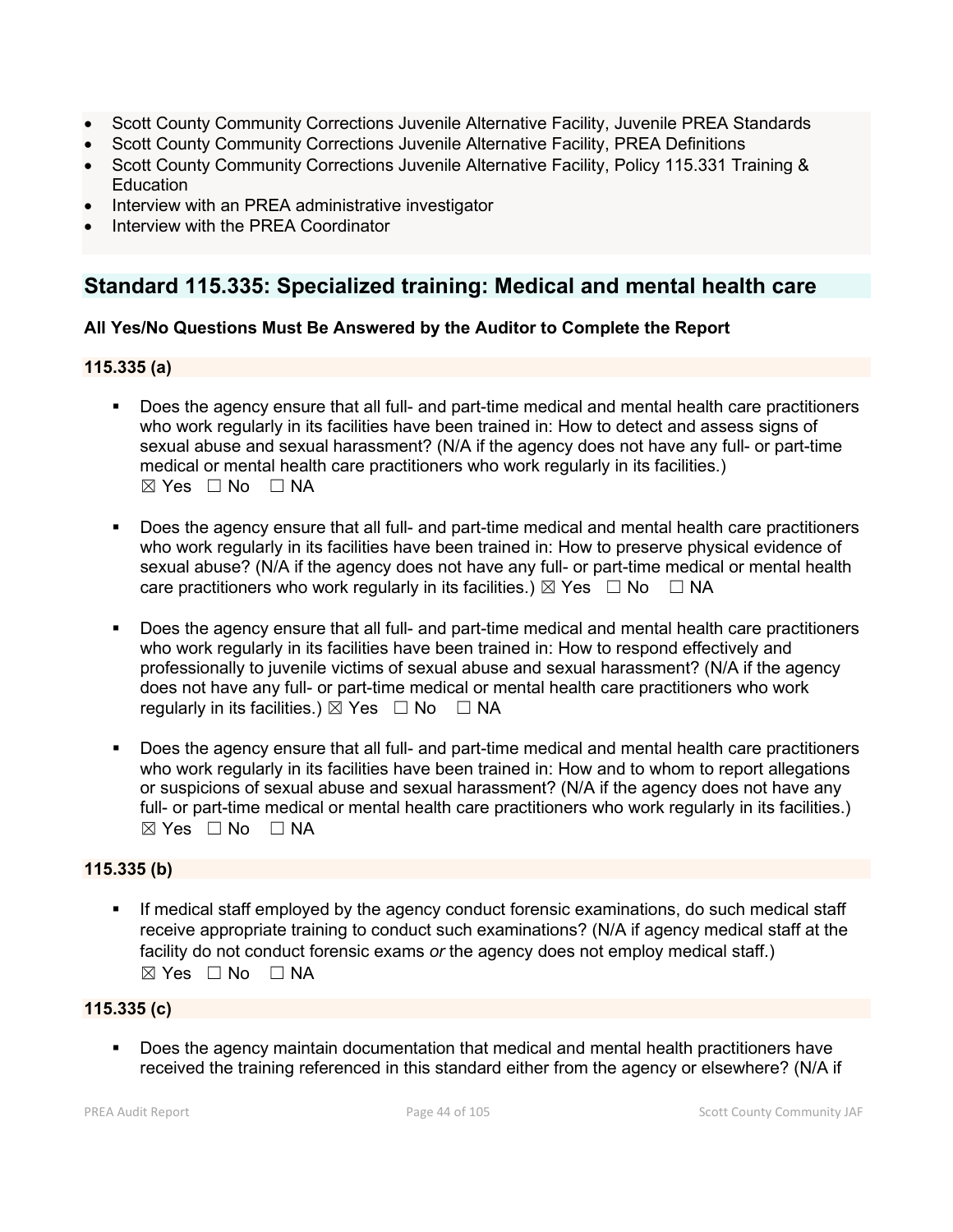- Scott County Community Corrections Juvenile Alternative Facility, Juvenile PREA Standards
- Scott County Community Corrections Juvenile Alternative Facility, PREA Definitions
- Scott County Community Corrections Juvenile Alternative Facility, Policy 115.331 Training & **Education**
- Interview with an PREA administrative investigator
- Interview with the PREA Coordinator

# **Standard 115.335: Specialized training: Medical and mental health care**

# **All Yes/No Questions Must Be Answered by the Auditor to Complete the Report**

# **115.335 (a)**

- Does the agency ensure that all full- and part-time medical and mental health care practitioners who work regularly in its facilities have been trained in: How to detect and assess signs of sexual abuse and sexual harassment? (N/A if the agency does not have any full- or part-time medical or mental health care practitioners who work regularly in its facilities.)  $\boxtimes$  Yes  $\Box$  No  $\Box$  NA
- Does the agency ensure that all full- and part-time medical and mental health care practitioners who work regularly in its facilities have been trained in: How to preserve physical evidence of sexual abuse? (N/A if the agency does not have any full- or part-time medical or mental health care practitioners who work regularly in its facilities.)  $\boxtimes$  Yes  $\Box$  No  $\Box$  NA
- Does the agency ensure that all full- and part-time medical and mental health care practitioners who work regularly in its facilities have been trained in: How to respond effectively and professionally to juvenile victims of sexual abuse and sexual harassment? (N/A if the agency does not have any full- or part-time medical or mental health care practitioners who work regularly in its facilities.)  $\boxtimes$  Yes  $\Box$  No  $\Box$  NA
- Does the agency ensure that all full- and part-time medical and mental health care practitioners who work regularly in its facilities have been trained in: How and to whom to report allegations or suspicions of sexual abuse and sexual harassment? (N/A if the agency does not have any full- or part-time medical or mental health care practitioners who work regularly in its facilities.) ☒ Yes ☐ No ☐ NA

# **115.335 (b)**

 If medical staff employed by the agency conduct forensic examinations, do such medical staff receive appropriate training to conduct such examinations? (N/A if agency medical staff at the facility do not conduct forensic exams *or* the agency does not employ medical staff.)  $\boxtimes$  Yes  $\Box$  No  $\Box$  NA

# **115.335 (c)**

 Does the agency maintain documentation that medical and mental health practitioners have received the training referenced in this standard either from the agency or elsewhere? (N/A if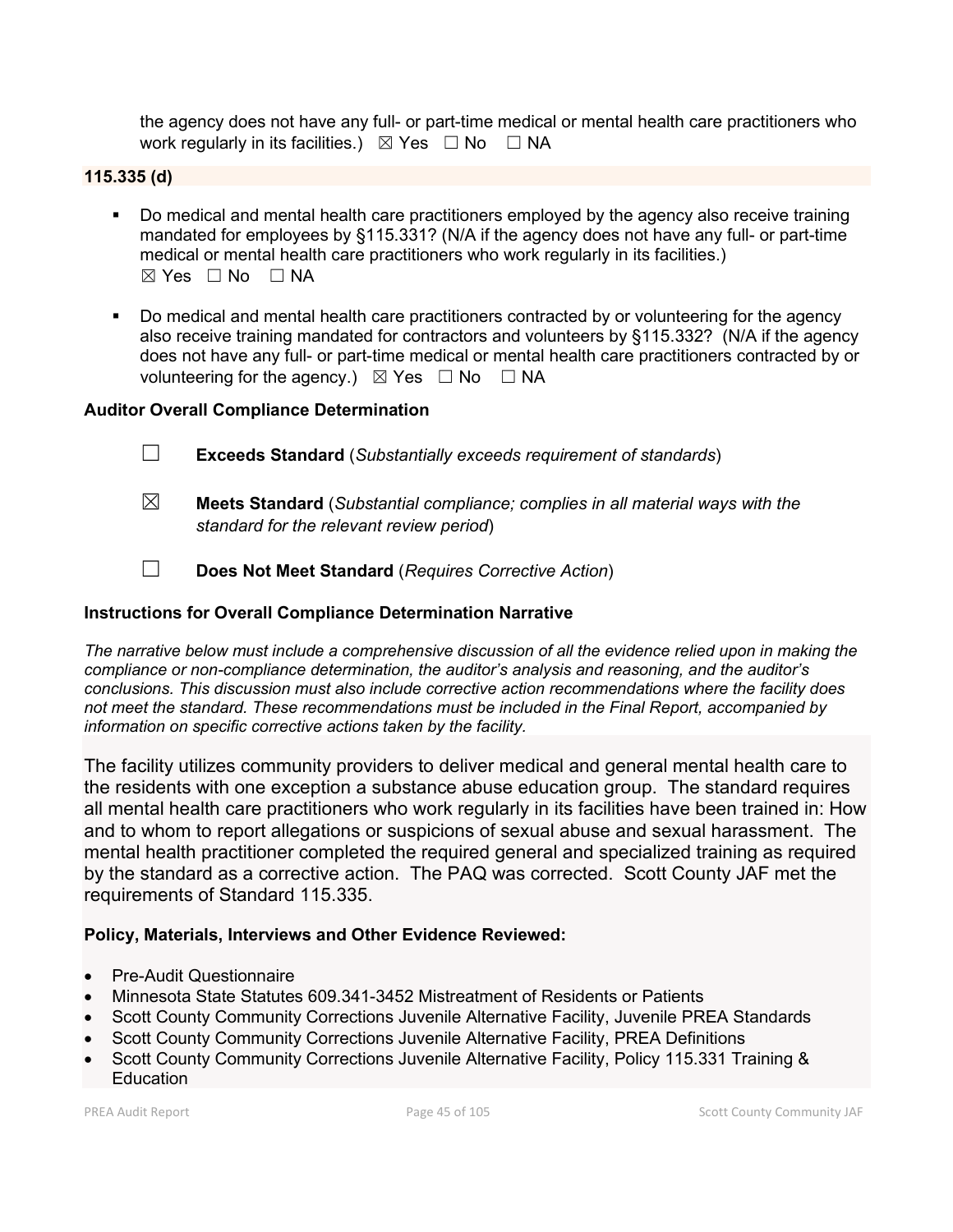the agency does not have any full- or part-time medical or mental health care practitioners who work regularly in its facilities.)  $\boxtimes$  Yes  $\Box$  No  $\Box$  NA

# **115.335 (d)**

- Do medical and mental health care practitioners employed by the agency also receive training mandated for employees by §115.331? (N/A if the agency does not have any full- or part-time medical or mental health care practitioners who work regularly in its facilities.)  $⊠ Yes ⊡ No ⊡ NA$
- Do medical and mental health care practitioners contracted by or volunteering for the agency also receive training mandated for contractors and volunteers by §115.332? (N/A if the agency does not have any full- or part-time medical or mental health care practitioners contracted by or volunteering for the agency.)  $\boxtimes$  Yes  $\Box$  No  $\Box$  NA

# **Auditor Overall Compliance Determination**

- ☐ **Exceeds Standard** (*Substantially exceeds requirement of standards*)
- ☒ **Meets Standard** (*Substantial compliance; complies in all material ways with the standard for the relevant review period*)
- ☐ **Does Not Meet Standard** (*Requires Corrective Action*)

# **Instructions for Overall Compliance Determination Narrative**

*The narrative below must include a comprehensive discussion of all the evidence relied upon in making the compliance or non-compliance determination, the auditor's analysis and reasoning, and the auditor's conclusions. This discussion must also include corrective action recommendations where the facility does not meet the standard. These recommendations must be included in the Final Report, accompanied by information on specific corrective actions taken by the facility.*

The facility utilizes community providers to deliver medical and general mental health care to the residents with one exception a substance abuse education group. The standard requires all mental health care practitioners who work regularly in its facilities have been trained in: How and to whom to report allegations or suspicions of sexual abuse and sexual harassment. The mental health practitioner completed the required general and specialized training as required by the standard as a corrective action. The PAQ was corrected. Scott County JAF met the requirements of Standard 115.335.

# **Policy, Materials, Interviews and Other Evidence Reviewed:**

- Pre-Audit Questionnaire
- Minnesota State Statutes 609.341-3452 Mistreatment of Residents or Patients
- Scott County Community Corrections Juvenile Alternative Facility, Juvenile PREA Standards
- Scott County Community Corrections Juvenile Alternative Facility, PREA Definitions
- Scott County Community Corrections Juvenile Alternative Facility, Policy 115.331 Training & **Education**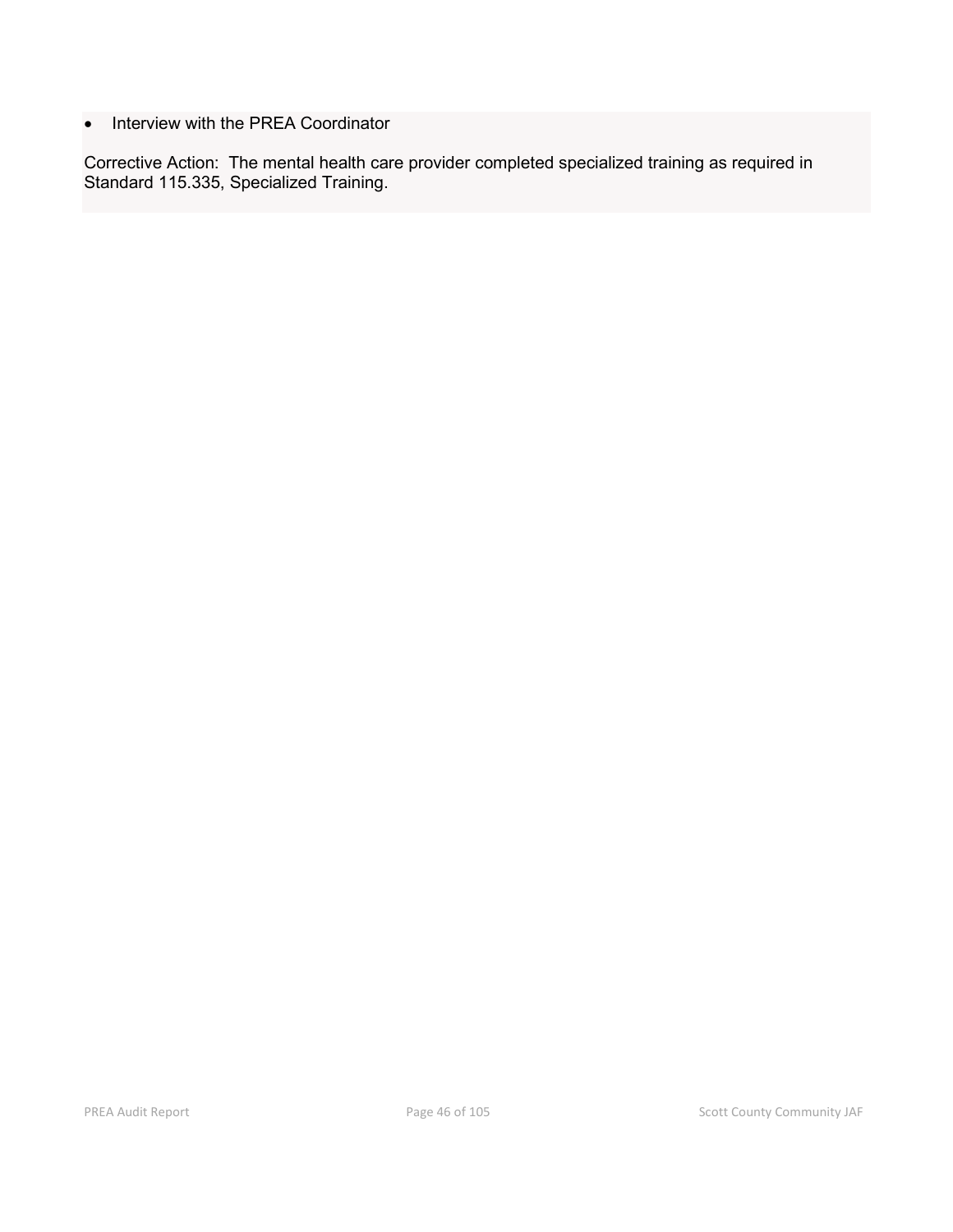• Interview with the PREA Coordinator

Corrective Action: The mental health care provider completed specialized training as required in Standard 115.335, Specialized Training.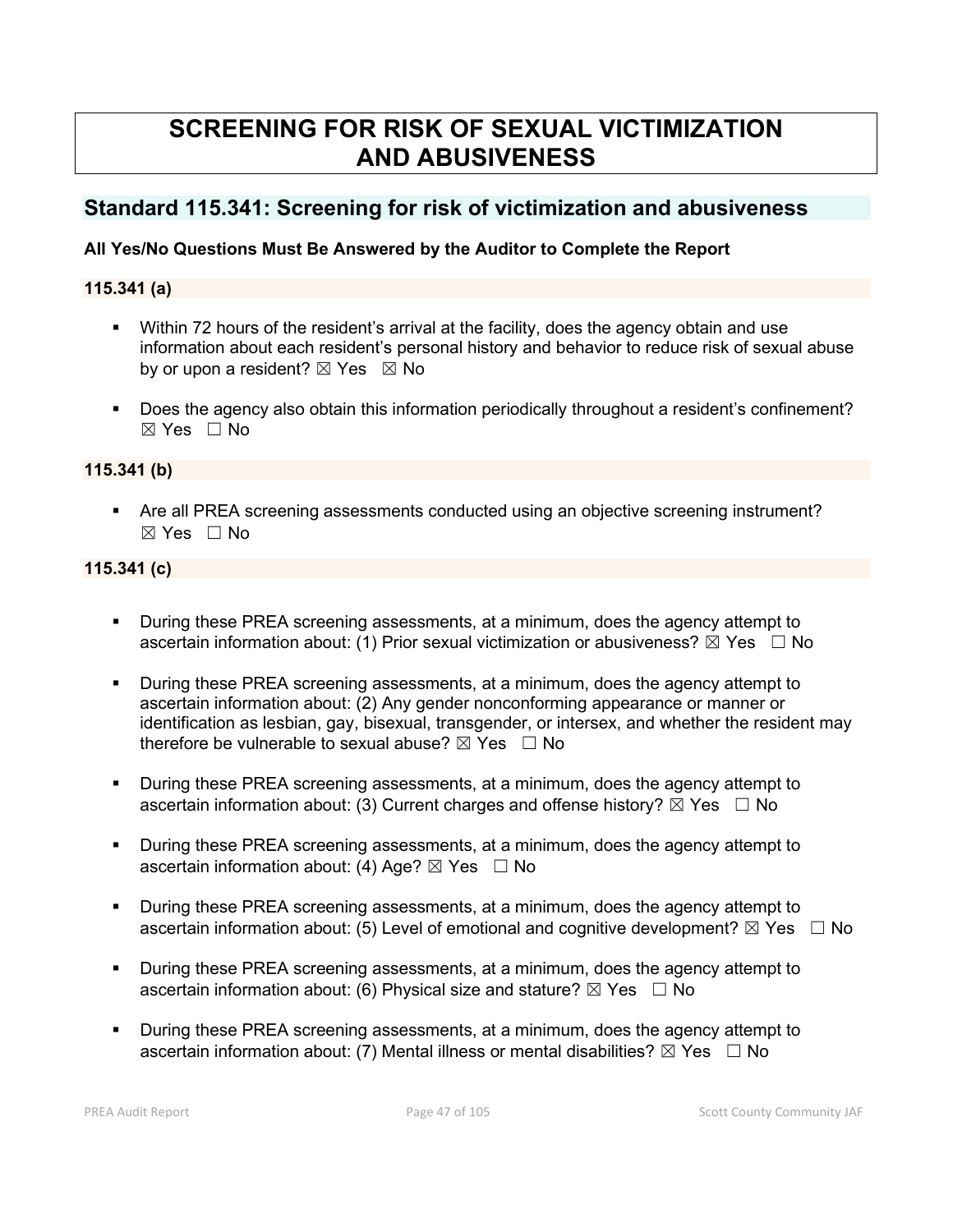# **SCREENING FOR RISK OF SEXUAL VICTIMIZATION AND ABUSIVENESS**

# **Standard 115.341: Screening for risk of victimization and abusiveness**

# **All Yes/No Questions Must Be Answered by the Auditor to Complete the Report**

## **115.341 (a)**

- Within 72 hours of the resident's arrival at the facility, does the agency obtain and use information about each resident's personal history and behavior to reduce risk of sexual abuse by or upon a resident?  $\boxtimes$  Yes  $\boxtimes$  No
- Does the agency also obtain this information periodically throughout a resident's confinement? ☒ Yes ☐ No

### **115.341 (b)**

 Are all PREA screening assessments conducted using an objective screening instrument? ☒ Yes ☐ No

# **115.341 (c)**

- During these PREA screening assessments, at a minimum, does the agency attempt to ascertain information about: (1) Prior sexual victimization or abusiveness?  $\boxtimes$  Yes  $\Box$  No
- During these PREA screening assessments, at a minimum, does the agency attempt to ascertain information about: (2) Any gender nonconforming appearance or manner or identification as lesbian, gay, bisexual, transgender, or intersex, and whether the resident may therefore be vulnerable to sexual abuse?  $\boxtimes$  Yes  $\Box$  No
- During these PREA screening assessments, at a minimum, does the agency attempt to ascertain information about: (3) Current charges and offense history?  $\boxtimes$  Yes  $\Box$  No
- During these PREA screening assessments, at a minimum, does the agency attempt to ascertain information about: (4) Age?  $\boxtimes$  Yes  $\Box$  No
- During these PREA screening assessments, at a minimum, does the agency attempt to ascertain information about: (5) Level of emotional and cognitive development?  $\boxtimes$  Yes  $\Box$  No
- During these PREA screening assessments, at a minimum, does the agency attempt to ascertain information about: (6) Physical size and stature?  $\boxtimes$  Yes  $\Box$  No
- During these PREA screening assessments, at a minimum, does the agency attempt to ascertain information about: (7) Mental illness or mental disabilities?  $\boxtimes$  Yes  $\Box$  No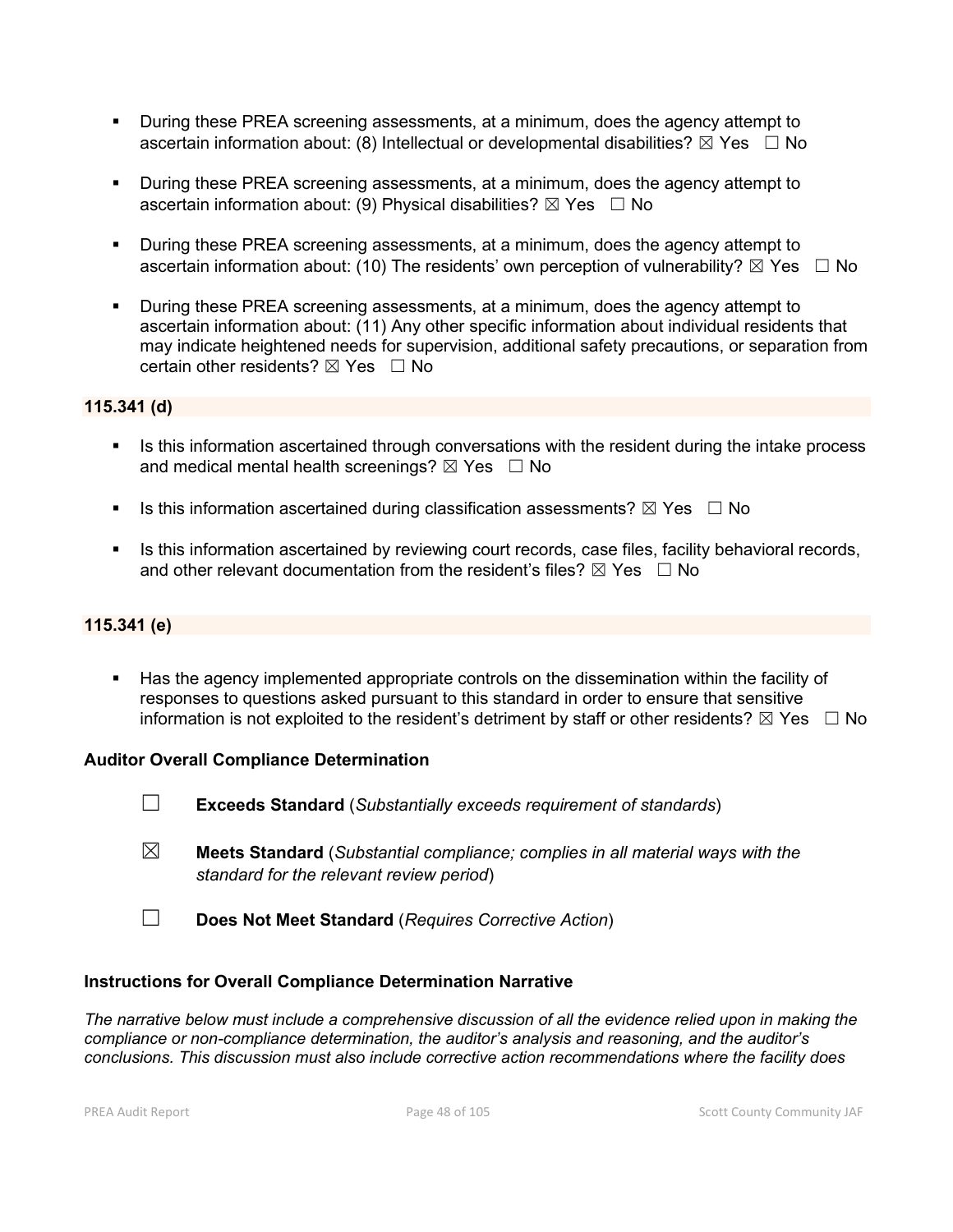- During these PREA screening assessments, at a minimum, does the agency attempt to ascertain information about: (8) Intellectual or developmental disabilities?  $\boxtimes$  Yes  $\Box$  No
- During these PREA screening assessments, at a minimum, does the agency attempt to ascertain information about: (9) Physical disabilities?  $\boxtimes$  Yes  $\Box$  No
- During these PREA screening assessments, at a minimum, does the agency attempt to ascertain information about: (10) The residents' own perception of vulnerability?  $\boxtimes$  Yes  $\Box$  No
- During these PREA screening assessments, at a minimum, does the agency attempt to ascertain information about: (11) Any other specific information about individual residents that may indicate heightened needs for supervision, additional safety precautions, or separation from certain other residents?  $\boxtimes$  Yes  $\Box$  No

### **115.341 (d)**

- In Its this information ascertained through conversations with the resident during the intake process and medical mental health screenings?  $\boxtimes$  Yes  $\Box$  No
- Is this information ascertained during classification assessments?  $\boxtimes$  Yes  $\Box$  No
- Is this information ascertained by reviewing court records, case files, facility behavioral records, and other relevant documentation from the resident's files?  $\boxtimes$  Yes  $\Box$  No

#### **115.341 (e)**

 Has the agency implemented appropriate controls on the dissemination within the facility of responses to questions asked pursuant to this standard in order to ensure that sensitive information is not exploited to the resident's detriment by staff or other residents?  $\boxtimes$  Yes  $\Box$  No

#### **Auditor Overall Compliance Determination**

- ☐ **Exceeds Standard** (*Substantially exceeds requirement of standards*)
- ☒ **Meets Standard** (*Substantial compliance; complies in all material ways with the standard for the relevant review period*)
- ☐ **Does Not Meet Standard** (*Requires Corrective Action*)

#### **Instructions for Overall Compliance Determination Narrative**

*The narrative below must include a comprehensive discussion of all the evidence relied upon in making the compliance or non-compliance determination, the auditor's analysis and reasoning, and the auditor's conclusions. This discussion must also include corrective action recommendations where the facility does*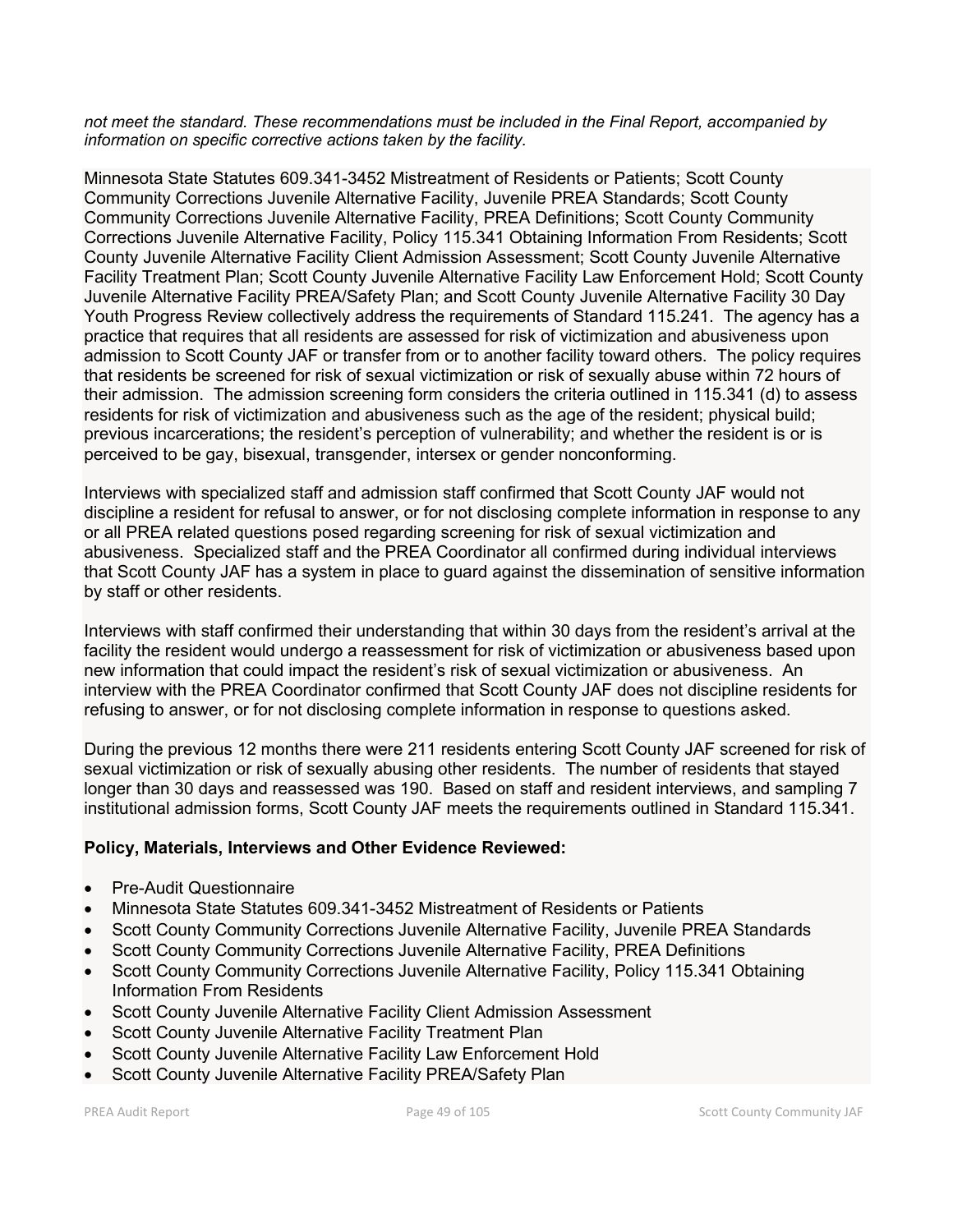*not meet the standard. These recommendations must be included in the Final Report, accompanied by information on specific corrective actions taken by the facility.*

Minnesota State Statutes 609.341-3452 Mistreatment of Residents or Patients; Scott County Community Corrections Juvenile Alternative Facility, Juvenile PREA Standards; Scott County Community Corrections Juvenile Alternative Facility, PREA Definitions; Scott County Community Corrections Juvenile Alternative Facility, Policy 115.341 Obtaining Information From Residents; Scott County Juvenile Alternative Facility Client Admission Assessment; Scott County Juvenile Alternative Facility Treatment Plan; Scott County Juvenile Alternative Facility Law Enforcement Hold; Scott County Juvenile Alternative Facility PREA/Safety Plan; and Scott County Juvenile Alternative Facility 30 Day Youth Progress Review collectively address the requirements of Standard 115.241. The agency has a practice that requires that all residents are assessed for risk of victimization and abusiveness upon admission to Scott County JAF or transfer from or to another facility toward others. The policy requires that residents be screened for risk of sexual victimization or risk of sexually abuse within 72 hours of their admission. The admission screening form considers the criteria outlined in 115.341 (d) to assess residents for risk of victimization and abusiveness such as the age of the resident; physical build; previous incarcerations; the resident's perception of vulnerability; and whether the resident is or is perceived to be gay, bisexual, transgender, intersex or gender nonconforming.

Interviews with specialized staff and admission staff confirmed that Scott County JAF would not discipline a resident for refusal to answer, or for not disclosing complete information in response to any or all PREA related questions posed regarding screening for risk of sexual victimization and abusiveness. Specialized staff and the PREA Coordinator all confirmed during individual interviews that Scott County JAF has a system in place to guard against the dissemination of sensitive information by staff or other residents.

Interviews with staff confirmed their understanding that within 30 days from the resident's arrival at the facility the resident would undergo a reassessment for risk of victimization or abusiveness based upon new information that could impact the resident's risk of sexual victimization or abusiveness. An interview with the PREA Coordinator confirmed that Scott County JAF does not discipline residents for refusing to answer, or for not disclosing complete information in response to questions asked.

During the previous 12 months there were 211 residents entering Scott County JAF screened for risk of sexual victimization or risk of sexually abusing other residents. The number of residents that stayed longer than 30 days and reassessed was 190. Based on staff and resident interviews, and sampling 7 institutional admission forms, Scott County JAF meets the requirements outlined in Standard 115.341.

# **Policy, Materials, Interviews and Other Evidence Reviewed:**

- Pre-Audit Questionnaire
- Minnesota State Statutes 609.341-3452 Mistreatment of Residents or Patients
- Scott County Community Corrections Juvenile Alternative Facility, Juvenile PREA Standards
- Scott County Community Corrections Juvenile Alternative Facility, PREA Definitions
- Scott County Community Corrections Juvenile Alternative Facility, Policy 115.341 Obtaining Information From Residents
- Scott County Juvenile Alternative Facility Client Admission Assessment
- Scott County Juvenile Alternative Facility Treatment Plan
- Scott County Juvenile Alternative Facility Law Enforcement Hold
- Scott County Juvenile Alternative Facility PREA/Safety Plan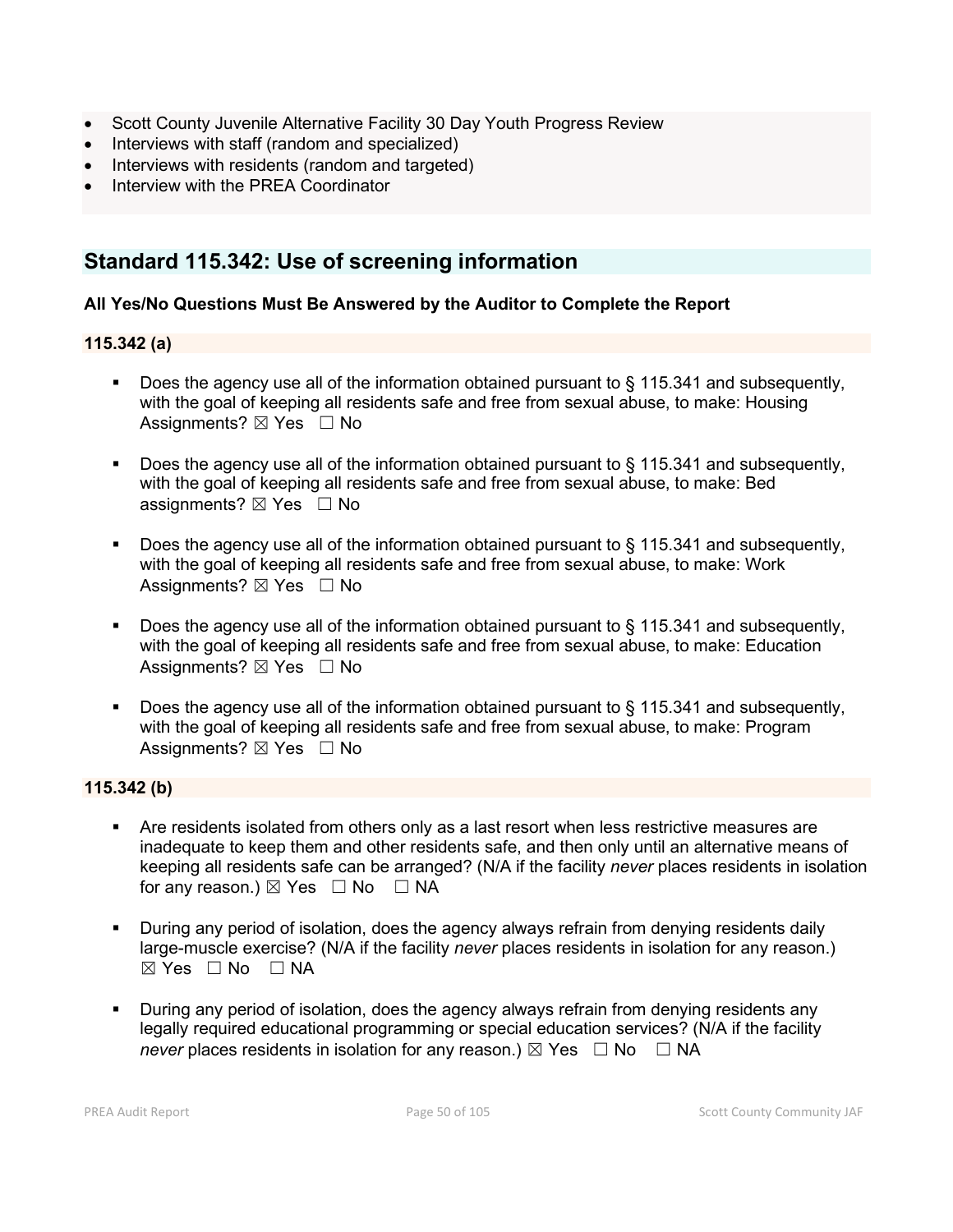- Scott County Juvenile Alternative Facility 30 Day Youth Progress Review
- Interviews with staff (random and specialized)
- Interviews with residents (random and targeted)
- Interview with the PREA Coordinator

# **Standard 115.342: Use of screening information**

# **All Yes/No Questions Must Be Answered by the Auditor to Complete the Report**

## **115.342 (a)**

- Does the agency use all of the information obtained pursuant to  $\S$  115.341 and subsequently, with the goal of keeping all residents safe and free from sexual abuse, to make: Housing Assignments? ⊠ Yes □ No
- Does the agency use all of the information obtained pursuant to § 115.341 and subsequently, with the goal of keeping all residents safe and free from sexual abuse, to make: Bed assignments?  $\boxtimes$  Yes  $\Box$  No
- Does the agency use all of the information obtained pursuant to § 115.341 and subsequently, with the goal of keeping all residents safe and free from sexual abuse, to make: Work Assignments?  $\boxtimes$  Yes  $\Box$  No
- Does the agency use all of the information obtained pursuant to § 115.341 and subsequently, with the goal of keeping all residents safe and free from sexual abuse, to make: Education Assignments?  $\boxtimes$  Yes  $\Box$  No
- Does the agency use all of the information obtained pursuant to  $\S$  115.341 and subsequently, with the goal of keeping all residents safe and free from sexual abuse, to make: Program Assignments? ⊠ Yes □ No

#### **115.342 (b)**

- Are residents isolated from others only as a last resort when less restrictive measures are inadequate to keep them and other residents safe, and then only until an alternative means of keeping all residents safe can be arranged? (N/A if the facility *never* places residents in isolation for any reason.)  $\boxtimes$  Yes  $\Box$  No  $\Box$  NA
- During any period of isolation, does the agency always refrain from denying residents daily large-muscle exercise? (N/A if the facility *never* places residents in isolation for any reason.)  $\boxtimes$  Yes  $\Box$  No  $\Box$  NA
- During any period of isolation, does the agency always refrain from denying residents any legally required educational programming or special education services? (N/A if the facility *never* places residents in isolation for any reason.)  $\boxtimes$  Yes  $\Box$  No  $\Box$  NA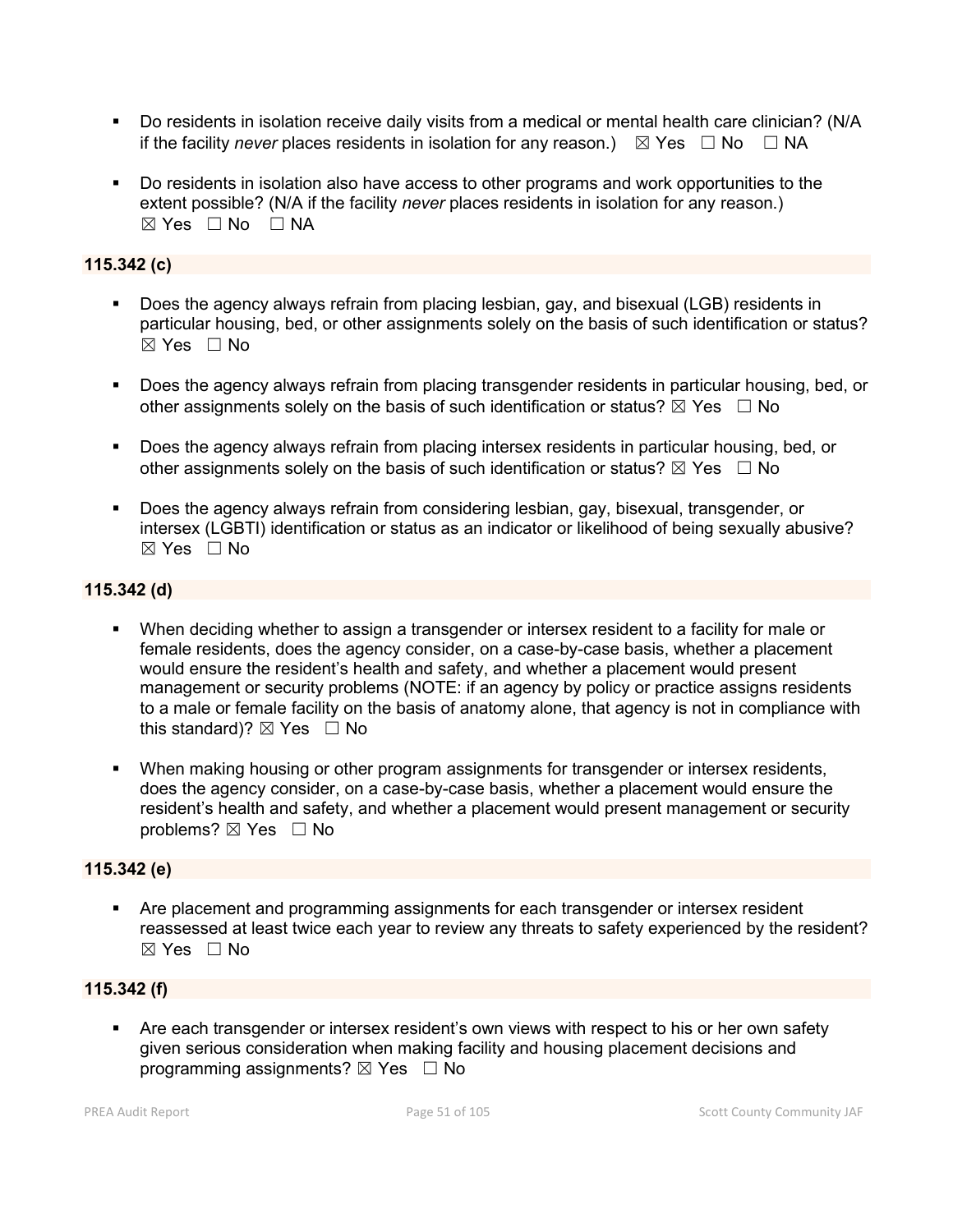- Do residents in isolation receive daily visits from a medical or mental health care clinician? (N/A if the facility *never* places residents in isolation for any reason.)  $\boxtimes$  Yes  $\Box$  No  $\Box$  NA
- Do residents in isolation also have access to other programs and work opportunities to the extent possible? (N/A if the facility *never* places residents in isolation for any reason.)  $\boxtimes$  Yes  $\Box$  No  $\Box$  NA

# **115.342 (c)**

- Does the agency always refrain from placing lesbian, gay, and bisexual (LGB) residents in particular housing, bed, or other assignments solely on the basis of such identification or status? ☒ Yes ☐ No
- Does the agency always refrain from placing transgender residents in particular housing, bed, or other assignments solely on the basis of such identification or status?  $\boxtimes$  Yes  $\Box$  No
- Does the agency always refrain from placing intersex residents in particular housing, bed, or other assignments solely on the basis of such identification or status?  $\boxtimes$  Yes  $\Box$  No
- Does the agency always refrain from considering lesbian, gay, bisexual, transgender, or intersex (LGBTI) identification or status as an indicator or likelihood of being sexually abusive? ☒ Yes ☐ No

# **115.342 (d)**

- When deciding whether to assign a transgender or intersex resident to a facility for male or female residents, does the agency consider, on a case-by-case basis, whether a placement would ensure the resident's health and safety, and whether a placement would present management or security problems (NOTE: if an agency by policy or practice assigns residents to a male or female facility on the basis of anatomy alone, that agency is not in compliance with this standard)?  $\boxtimes$  Yes  $\Box$  No
- When making housing or other program assignments for transgender or intersex residents, does the agency consider, on a case-by-case basis, whether a placement would ensure the resident's health and safety, and whether a placement would present management or security problems? ⊠ Yes □ No

# **115.342 (e)**

 Are placement and programming assignments for each transgender or intersex resident reassessed at least twice each year to review any threats to safety experienced by the resident?  $\boxtimes$  Yes  $\Box$  No

# **115.342 (f)**

 Are each transgender or intersex resident's own views with respect to his or her own safety given serious consideration when making facility and housing placement decisions and programming assignments?  $\boxtimes$  Yes  $\Box$  No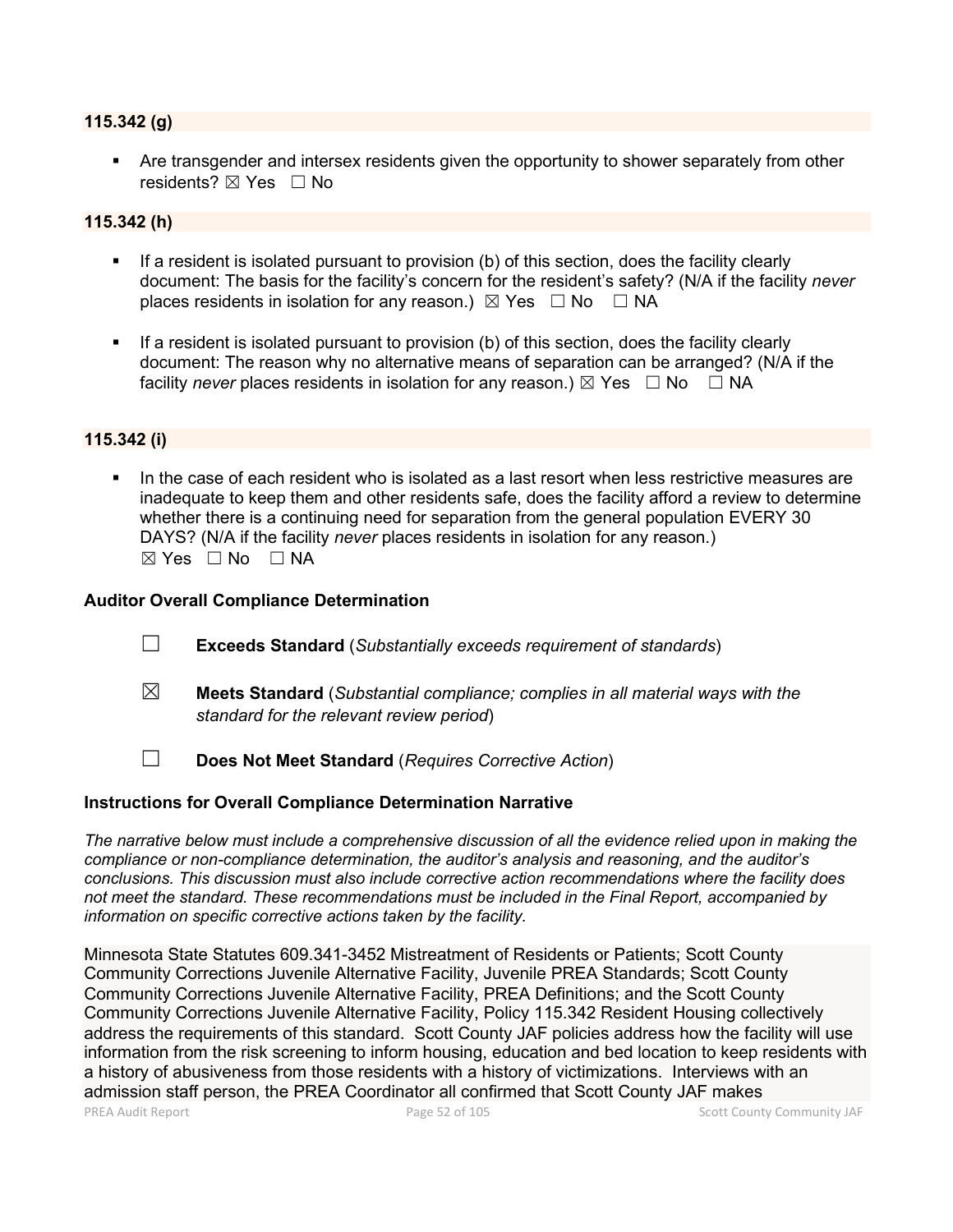#### **115.342 (g)**

 Are transgender and intersex residents given the opportunity to shower separately from other residents? ⊠ Yes □ No

# **115.342 (h)**

- If a resident is isolated pursuant to provision (b) of this section, does the facility clearly document: The basis for the facility's concern for the resident's safety? (N/A if the facility *never*  places residents in isolation for any reason.)  $\boxtimes$  Yes  $\Box$  No  $\Box$  NA
- If a resident is isolated pursuant to provision (b) of this section, does the facility clearly document: The reason why no alternative means of separation can be arranged? (N/A if the facility *never* places residents in isolation for any reason.)  $\boxtimes$  Yes  $\Box$  No  $\Box$  NA

## **115.342 (i)**

 In the case of each resident who is isolated as a last resort when less restrictive measures are inadequate to keep them and other residents safe, does the facility afford a review to determine whether there is a continuing need for separation from the general population EVERY 30 DAYS? (N/A if the facility *never* places residents in isolation for any reason.)  $\boxtimes$  Yes  $\Box$  No  $\Box$  NA

#### **Auditor Overall Compliance Determination**

- ☐ **Exceeds Standard** (*Substantially exceeds requirement of standards*)
- ☒ **Meets Standard** (*Substantial compliance; complies in all material ways with the standard for the relevant review period*)
- ☐ **Does Not Meet Standard** (*Requires Corrective Action*)

#### **Instructions for Overall Compliance Determination Narrative**

*The narrative below must include a comprehensive discussion of all the evidence relied upon in making the compliance or non-compliance determination, the auditor's analysis and reasoning, and the auditor's conclusions. This discussion must also include corrective action recommendations where the facility does not meet the standard. These recommendations must be included in the Final Report, accompanied by information on specific corrective actions taken by the facility.*

Minnesota State Statutes 609.341-3452 Mistreatment of Residents or Patients; Scott County Community Corrections Juvenile Alternative Facility, Juvenile PREA Standards; Scott County Community Corrections Juvenile Alternative Facility, PREA Definitions; and the Scott County Community Corrections Juvenile Alternative Facility, Policy 115.342 Resident Housing collectively address the requirements of this standard. Scott County JAF policies address how the facility will use information from the risk screening to inform housing, education and bed location to keep residents with a history of abusiveness from those residents with a history of victimizations. Interviews with an admission staff person, the PREA Coordinator all confirmed that Scott County JAF makes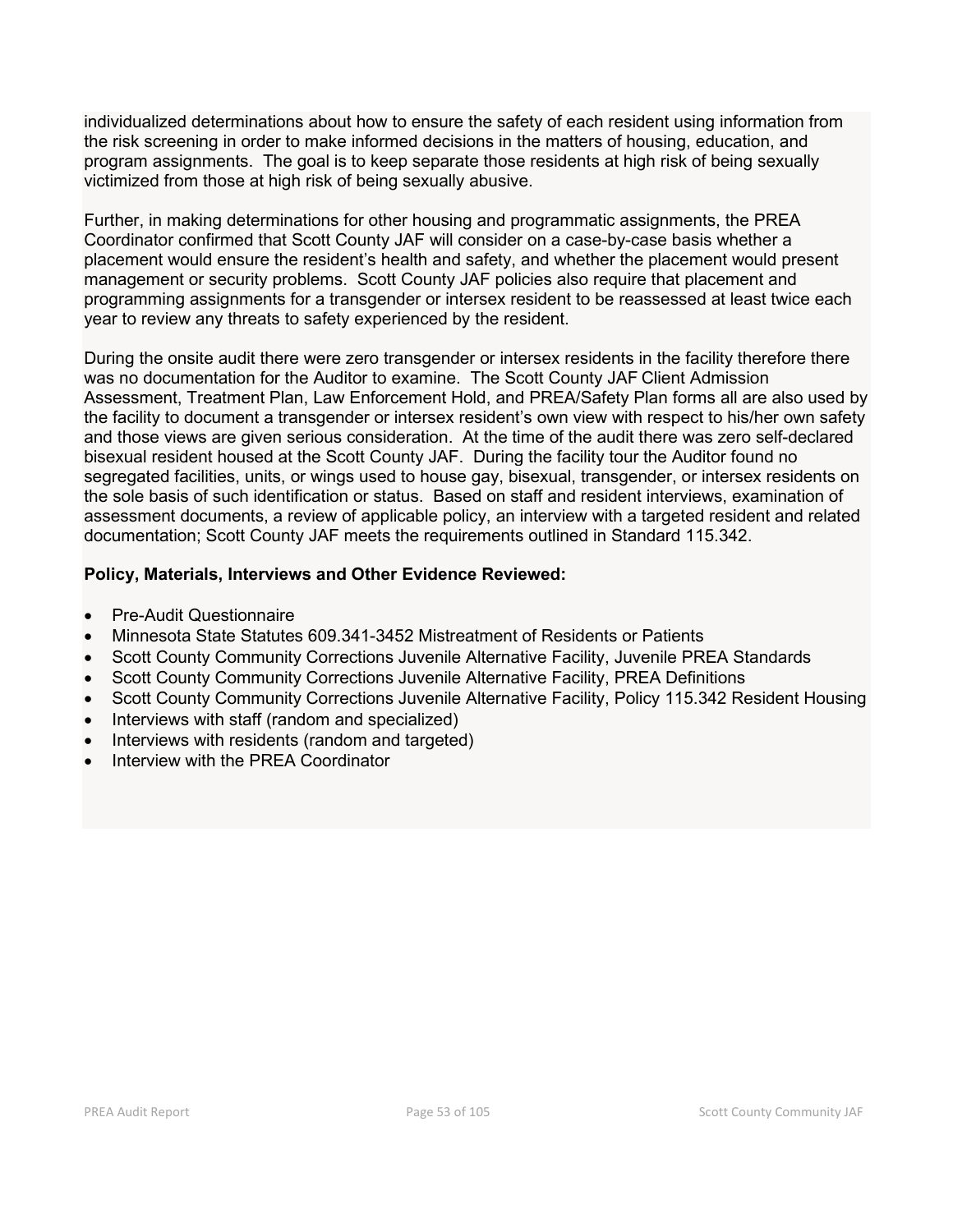individualized determinations about how to ensure the safety of each resident using information from the risk screening in order to make informed decisions in the matters of housing, education, and program assignments. The goal is to keep separate those residents at high risk of being sexually victimized from those at high risk of being sexually abusive.

Further, in making determinations for other housing and programmatic assignments, the PREA Coordinator confirmed that Scott County JAF will consider on a case-by-case basis whether a placement would ensure the resident's health and safety, and whether the placement would present management or security problems. Scott County JAF policies also require that placement and programming assignments for a transgender or intersex resident to be reassessed at least twice each year to review any threats to safety experienced by the resident.

During the onsite audit there were zero transgender or intersex residents in the facility therefore there was no documentation for the Auditor to examine. The Scott County JAF Client Admission Assessment, Treatment Plan, Law Enforcement Hold, and PREA/Safety Plan forms all are also used by the facility to document a transgender or intersex resident's own view with respect to his/her own safety and those views are given serious consideration. At the time of the audit there was zero self-declared bisexual resident housed at the Scott County JAF. During the facility tour the Auditor found no segregated facilities, units, or wings used to house gay, bisexual, transgender, or intersex residents on the sole basis of such identification or status. Based on staff and resident interviews, examination of assessment documents, a review of applicable policy, an interview with a targeted resident and related documentation; Scott County JAF meets the requirements outlined in Standard 115.342.

# **Policy, Materials, Interviews and Other Evidence Reviewed:**

- Pre-Audit Questionnaire
- Minnesota State Statutes 609.341-3452 Mistreatment of Residents or Patients
- Scott County Community Corrections Juvenile Alternative Facility, Juvenile PREA Standards
- Scott County Community Corrections Juvenile Alternative Facility, PREA Definitions
- Scott County Community Corrections Juvenile Alternative Facility, Policy 115.342 Resident Housing
- Interviews with staff (random and specialized)
- Interviews with residents (random and targeted)
- Interview with the PREA Coordinator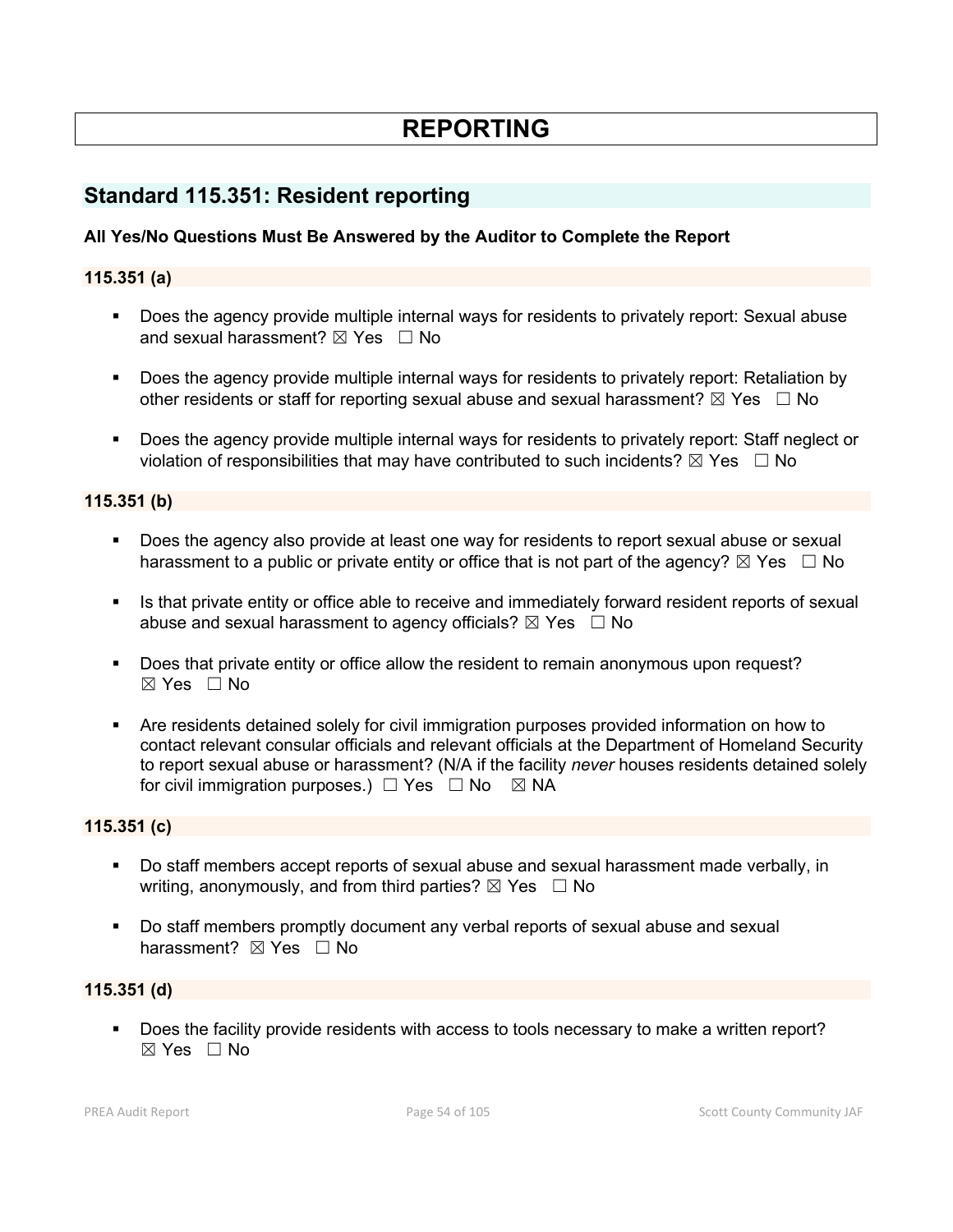# **REPORTING**

# **Standard 115.351: Resident reporting**

# **All Yes/No Questions Must Be Answered by the Auditor to Complete the Report**

## **115.351 (a)**

- Does the agency provide multiple internal ways for residents to privately report: Sexual abuse and sexual harassment?  $\boxtimes$  Yes  $\Box$  No
- Does the agency provide multiple internal ways for residents to privately report: Retaliation by other residents or staff for reporting sexual abuse and sexual harassment?  $\boxtimes$  Yes  $\Box$  No
- Does the agency provide multiple internal ways for residents to privately report: Staff neglect or violation of responsibilities that may have contributed to such incidents?  $\boxtimes$  Yes  $\Box$  No

#### **115.351 (b)**

- Does the agency also provide at least one way for residents to report sexual abuse or sexual harassment to a public or private entity or office that is not part of the agency?  $\boxtimes$  Yes  $\Box$  No
- Is that private entity or office able to receive and immediately forward resident reports of sexual abuse and sexual harassment to agency officials?  $\boxtimes$  Yes  $\Box$  No
- Does that private entity or office allow the resident to remain anonymous upon request? ☒ Yes ☐ No
- Are residents detained solely for civil immigration purposes provided information on how to contact relevant consular officials and relevant officials at the Department of Homeland Security to report sexual abuse or harassment? (N/A if the facility *never* houses residents detained solely for civil immigration purposes.)  $\Box$  Yes  $\Box$  No  $\boxtimes$  NA

#### **115.351 (c)**

- Do staff members accept reports of sexual abuse and sexual harassment made verbally, in writing, anonymously, and from third parties?  $\boxtimes$  Yes  $\Box$  No
- Do staff members promptly document any verbal reports of sexual abuse and sexual harassment? ⊠ Yes □ No

#### **115.351 (d)**

 Does the facility provide residents with access to tools necessary to make a written report?  $\boxtimes$  Yes  $\Box$  No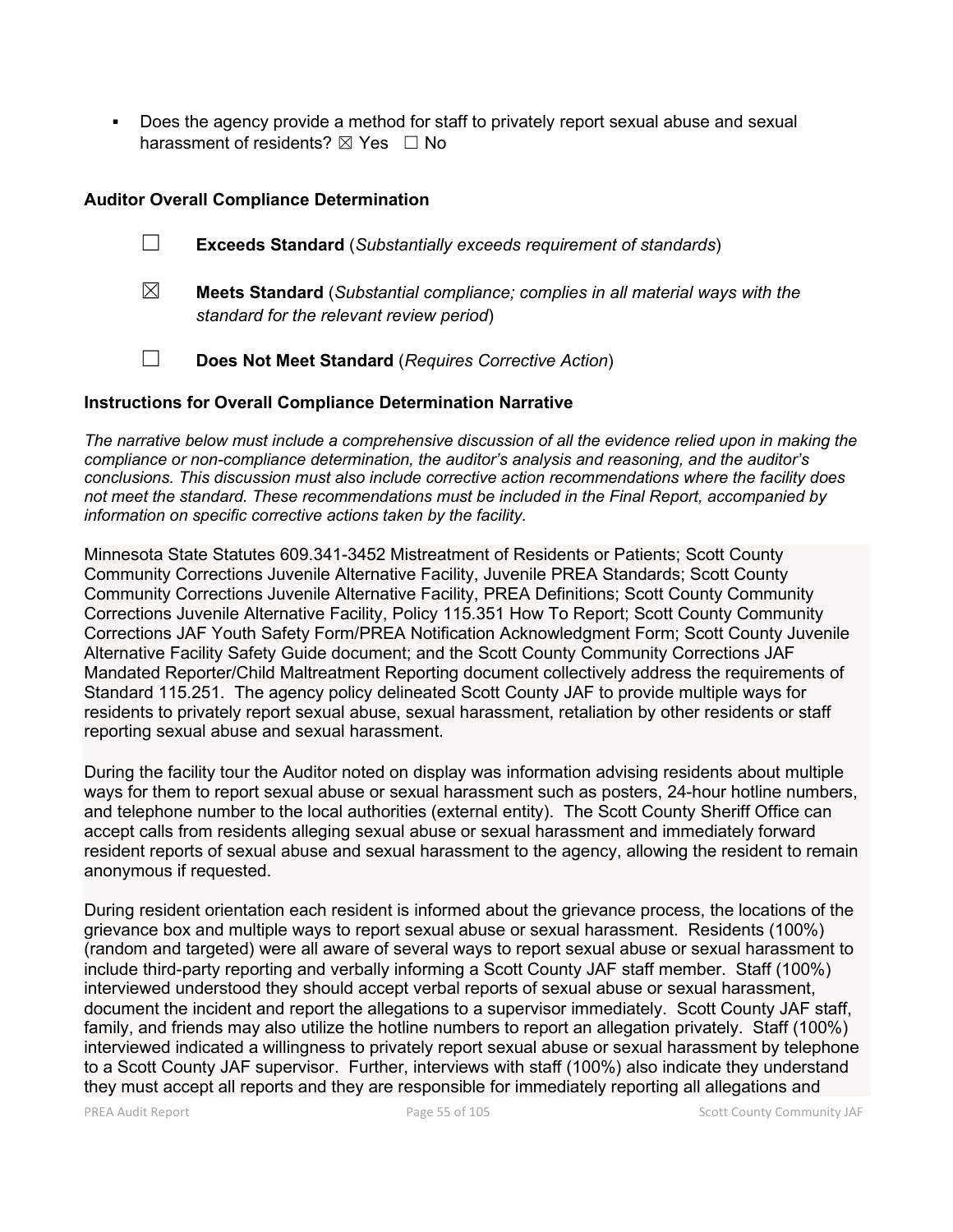Does the agency provide a method for staff to privately report sexual abuse and sexual harassment of residents?  $\boxtimes$  Yes  $\Box$  No

## **Auditor Overall Compliance Determination**

- ☐ **Exceeds Standard** (*Substantially exceeds requirement of standards*)
- ☒ **Meets Standard** (*Substantial compliance; complies in all material ways with the standard for the relevant review period*)
- ☐ **Does Not Meet Standard** (*Requires Corrective Action*)

### **Instructions for Overall Compliance Determination Narrative**

*The narrative below must include a comprehensive discussion of all the evidence relied upon in making the compliance or non-compliance determination, the auditor's analysis and reasoning, and the auditor's conclusions. This discussion must also include corrective action recommendations where the facility does not meet the standard. These recommendations must be included in the Final Report, accompanied by information on specific corrective actions taken by the facility.*

Minnesota State Statutes 609.341-3452 Mistreatment of Residents or Patients; Scott County Community Corrections Juvenile Alternative Facility, Juvenile PREA Standards; Scott County Community Corrections Juvenile Alternative Facility, PREA Definitions; Scott County Community Corrections Juvenile Alternative Facility, Policy 115.351 How To Report; Scott County Community Corrections JAF Youth Safety Form/PREA Notification Acknowledgment Form; Scott County Juvenile Alternative Facility Safety Guide document; and the Scott County Community Corrections JAF Mandated Reporter/Child Maltreatment Reporting document collectively address the requirements of Standard 115.251. The agency policy delineated Scott County JAF to provide multiple ways for residents to privately report sexual abuse, sexual harassment, retaliation by other residents or staff reporting sexual abuse and sexual harassment.

During the facility tour the Auditor noted on display was information advising residents about multiple ways for them to report sexual abuse or sexual harassment such as posters, 24-hour hotline numbers, and telephone number to the local authorities (external entity). The Scott County Sheriff Office can accept calls from residents alleging sexual abuse or sexual harassment and immediately forward resident reports of sexual abuse and sexual harassment to the agency, allowing the resident to remain anonymous if requested.

During resident orientation each resident is informed about the grievance process, the locations of the grievance box and multiple ways to report sexual abuse or sexual harassment. Residents (100%) (random and targeted) were all aware of several ways to report sexual abuse or sexual harassment to include third-party reporting and verbally informing a Scott County JAF staff member. Staff (100%) interviewed understood they should accept verbal reports of sexual abuse or sexual harassment, document the incident and report the allegations to a supervisor immediately. Scott County JAF staff, family, and friends may also utilize the hotline numbers to report an allegation privately. Staff (100%) interviewed indicated a willingness to privately report sexual abuse or sexual harassment by telephone to a Scott County JAF supervisor. Further, interviews with staff (100%) also indicate they understand they must accept all reports and they are responsible for immediately reporting all allegations and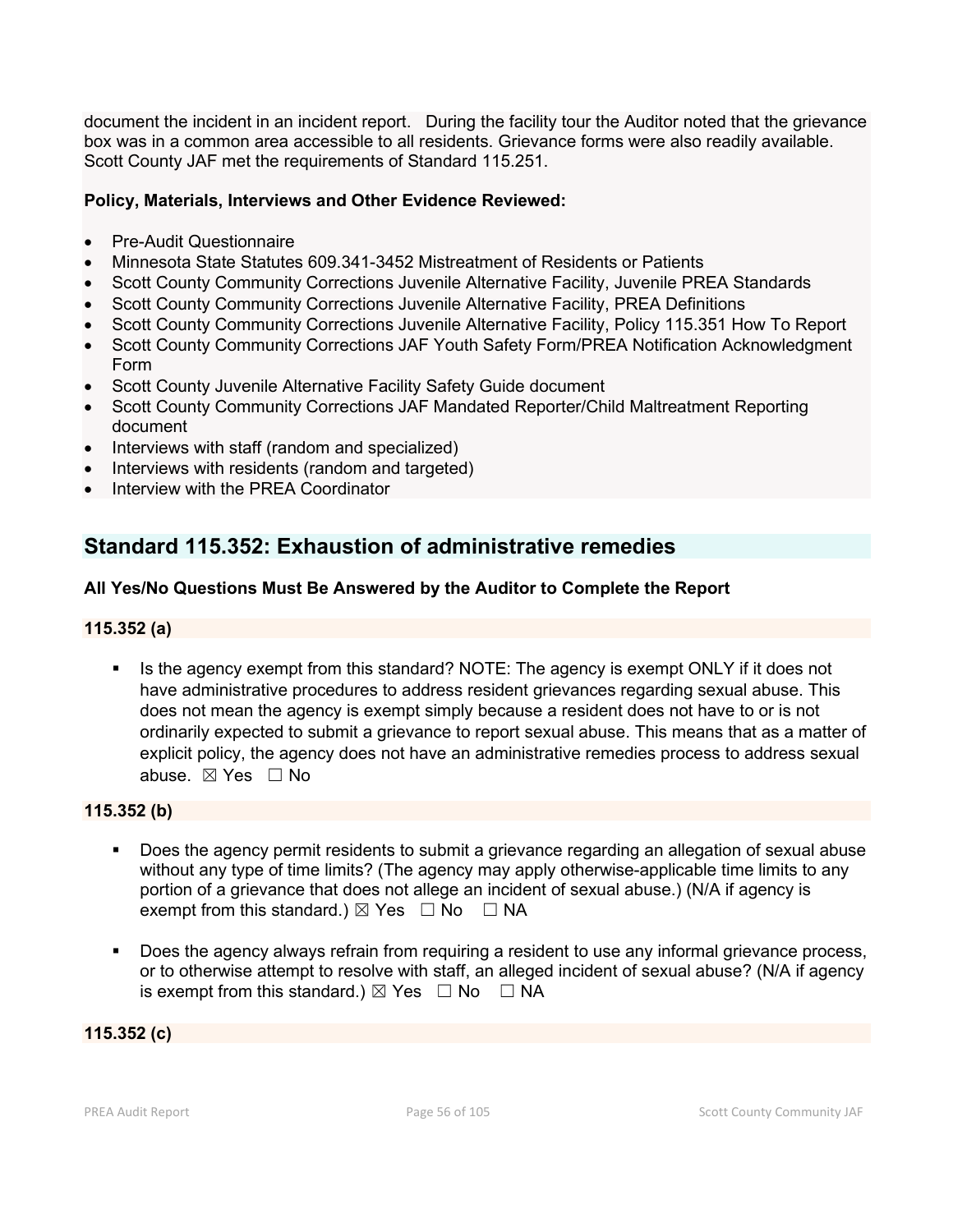document the incident in an incident report. During the facility tour the Auditor noted that the grievance box was in a common area accessible to all residents. Grievance forms were also readily available. Scott County JAF met the requirements of Standard 115.251.

# **Policy, Materials, Interviews and Other Evidence Reviewed:**

- Pre-Audit Questionnaire
- Minnesota State Statutes 609.341-3452 Mistreatment of Residents or Patients
- Scott County Community Corrections Juvenile Alternative Facility, Juvenile PREA Standards
- Scott County Community Corrections Juvenile Alternative Facility, PREA Definitions
- Scott County Community Corrections Juvenile Alternative Facility, Policy 115.351 How To Report
- Scott County Community Corrections JAF Youth Safety Form/PREA Notification Acknowledgment Form
- Scott County Juvenile Alternative Facility Safety Guide document
- Scott County Community Corrections JAF Mandated Reporter/Child Maltreatment Reporting document
- Interviews with staff (random and specialized)
- Interviews with residents (random and targeted)
- Interview with the PREA Coordinator

# **Standard 115.352: Exhaustion of administrative remedies**

# **All Yes/No Questions Must Be Answered by the Auditor to Complete the Report**

# **115.352 (a)**

Is the agency exempt from this standard? NOTE: The agency is exempt ONLY if it does not have administrative procedures to address resident grievances regarding sexual abuse. This does not mean the agency is exempt simply because a resident does not have to or is not ordinarily expected to submit a grievance to report sexual abuse. This means that as a matter of explicit policy, the agency does not have an administrative remedies process to address sexual abuse. ☒ Yes ☐ No

# **115.352 (b)**

- Does the agency permit residents to submit a grievance regarding an allegation of sexual abuse without any type of time limits? (The agency may apply otherwise-applicable time limits to any portion of a grievance that does not allege an incident of sexual abuse.) (N/A if agency is exempt from this standard.)  $\boxtimes$  Yes  $\Box$  No  $\Box$  NA
- Does the agency always refrain from requiring a resident to use any informal grievance process, or to otherwise attempt to resolve with staff, an alleged incident of sexual abuse? (N/A if agency is exempt from this standard.)  $\boxtimes$  Yes  $\Box$  No  $\Box$  NA

**115.352 (c)**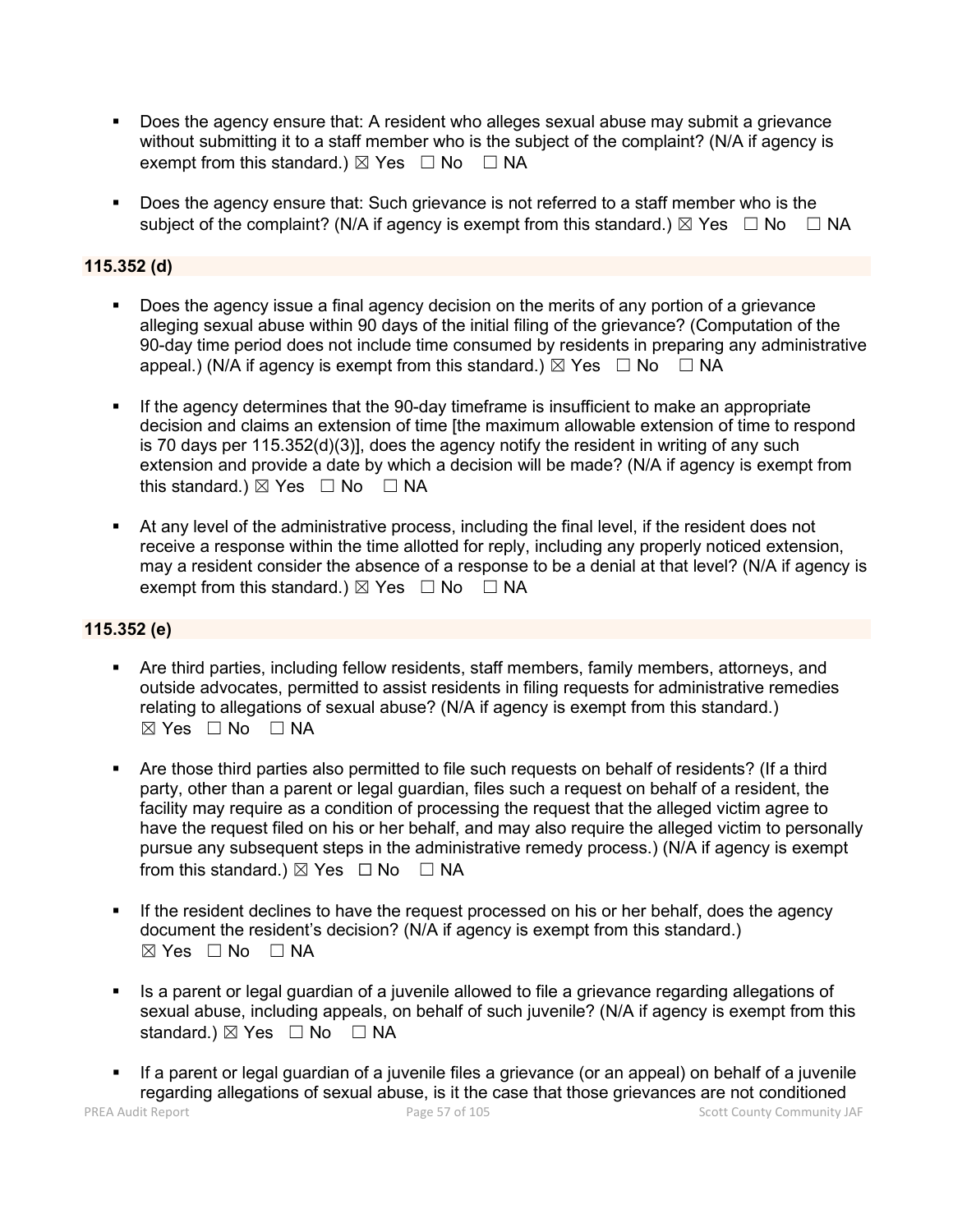- Does the agency ensure that: A resident who alleges sexual abuse may submit a grievance without submitting it to a staff member who is the subject of the complaint? (N/A if agency is exempt from this standard.)  $\boxtimes$  Yes  $\Box$  No  $\Box$  NA
- Does the agency ensure that: Such grievance is not referred to a staff member who is the subject of the complaint? (N/A if agency is exempt from this standard.)  $\boxtimes$  Yes  $\Box$  No  $\Box$  NA

# **115.352 (d)**

- Does the agency issue a final agency decision on the merits of any portion of a grievance alleging sexual abuse within 90 days of the initial filing of the grievance? (Computation of the 90-day time period does not include time consumed by residents in preparing any administrative appeal.) (N/A if agency is exempt from this standard.)  $\boxtimes$  Yes  $\Box$  No  $\Box$  NA
- If the agency determines that the 90-day timeframe is insufficient to make an appropriate decision and claims an extension of time [the maximum allowable extension of time to respond is 70 days per 115.352(d)(3)], does the agency notify the resident in writing of any such extension and provide a date by which a decision will be made? (N/A if agency is exempt from this standard.)  $\boxtimes$  Yes  $\Box$  No  $\Box$  NA
- At any level of the administrative process, including the final level, if the resident does not receive a response within the time allotted for reply, including any properly noticed extension, may a resident consider the absence of a response to be a denial at that level? (N/A if agency is exempt from this standard.)  $\boxtimes$  Yes  $\Box$  No  $\Box$  NA

# **115.352 (e)**

- Are third parties, including fellow residents, staff members, family members, attorneys, and outside advocates, permitted to assist residents in filing requests for administrative remedies relating to allegations of sexual abuse? (N/A if agency is exempt from this standard.)  $⊠ Yes ⊡ No ⊡ NA$
- Are those third parties also permitted to file such requests on behalf of residents? (If a third party, other than a parent or legal guardian, files such a request on behalf of a resident, the facility may require as a condition of processing the request that the alleged victim agree to have the request filed on his or her behalf, and may also require the alleged victim to personally pursue any subsequent steps in the administrative remedy process.) (N/A if agency is exempt from this standard.)  $\boxtimes$  Yes  $\Box$  No  $\Box$  NA
- If the resident declines to have the request processed on his or her behalf, does the agency document the resident's decision? (N/A if agency is exempt from this standard.) ☒ Yes ☐ No ☐ NA
- Is a parent or legal guardian of a juvenile allowed to file a grievance regarding allegations of sexual abuse, including appeals, on behalf of such juvenile? (N/A if agency is exempt from this standard.)  $\boxtimes$  Yes  $\Box$  No  $\Box$  NA
- If a parent or legal guardian of a juvenile files a grievance (or an appeal) on behalf of a juvenile regarding allegations of sexual abuse, is it the case that those grievances are not conditioned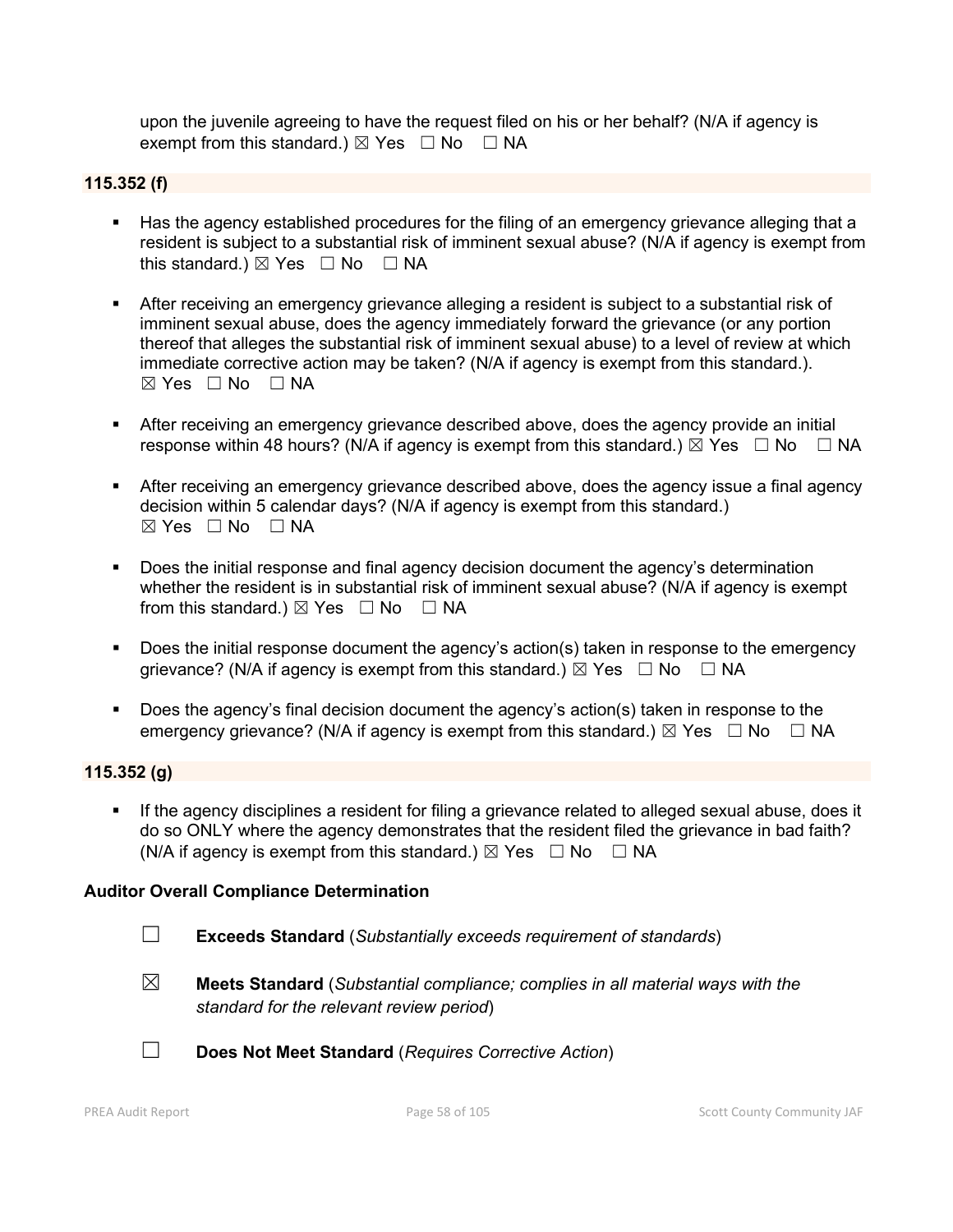upon the juvenile agreeing to have the request filed on his or her behalf? (N/A if agency is exempt from this standard.)  $\boxtimes$  Yes  $\Box$  No  $\Box$  NA

## **115.352 (f)**

- Has the agency established procedures for the filing of an emergency grievance alleging that a resident is subject to a substantial risk of imminent sexual abuse? (N/A if agency is exempt from this standard.)  $\boxtimes$  Yes  $\Box$  No  $\Box$  NA
- After receiving an emergency grievance alleging a resident is subject to a substantial risk of imminent sexual abuse, does the agency immediately forward the grievance (or any portion thereof that alleges the substantial risk of imminent sexual abuse) to a level of review at which immediate corrective action may be taken? (N/A if agency is exempt from this standard.).  $\boxtimes$  Yes  $\Box$  No  $\Box$  NA
- After receiving an emergency grievance described above, does the agency provide an initial response within 48 hours? (N/A if agency is exempt from this standard.)  $\boxtimes$  Yes  $\Box$  No  $\Box$  NA
- After receiving an emergency grievance described above, does the agency issue a final agency decision within 5 calendar days? (N/A if agency is exempt from this standard.)  $⊠ Yes ⊡ No ⊡ NA$
- Does the initial response and final agency decision document the agency's determination whether the resident is in substantial risk of imminent sexual abuse? (N/A if agency is exempt from this standard.)  $\boxtimes$  Yes  $\Box$  No  $\Box$  NA
- **Does the initial response document the agency's action(s) taken in response to the emergency** grievance? (N/A if agency is exempt from this standard.)  $\boxtimes$  Yes  $\Box$  No  $\Box$  NA
- Does the agency's final decision document the agency's action(s) taken in response to the emergency grievance? (N/A if agency is exempt from this standard.)  $\boxtimes$  Yes  $\Box$  No  $\Box$  NA

#### **115.352 (g)**

 If the agency disciplines a resident for filing a grievance related to alleged sexual abuse, does it do so ONLY where the agency demonstrates that the resident filed the grievance in bad faith? (N/A if agency is exempt from this standard.)  $\boxtimes$  Yes  $\Box$  No  $\Box$  NA

#### **Auditor Overall Compliance Determination**

- ☐ **Exceeds Standard** (*Substantially exceeds requirement of standards*)
- ☒ **Meets Standard** (*Substantial compliance; complies in all material ways with the standard for the relevant review period*)



☐ **Does Not Meet Standard** (*Requires Corrective Action*)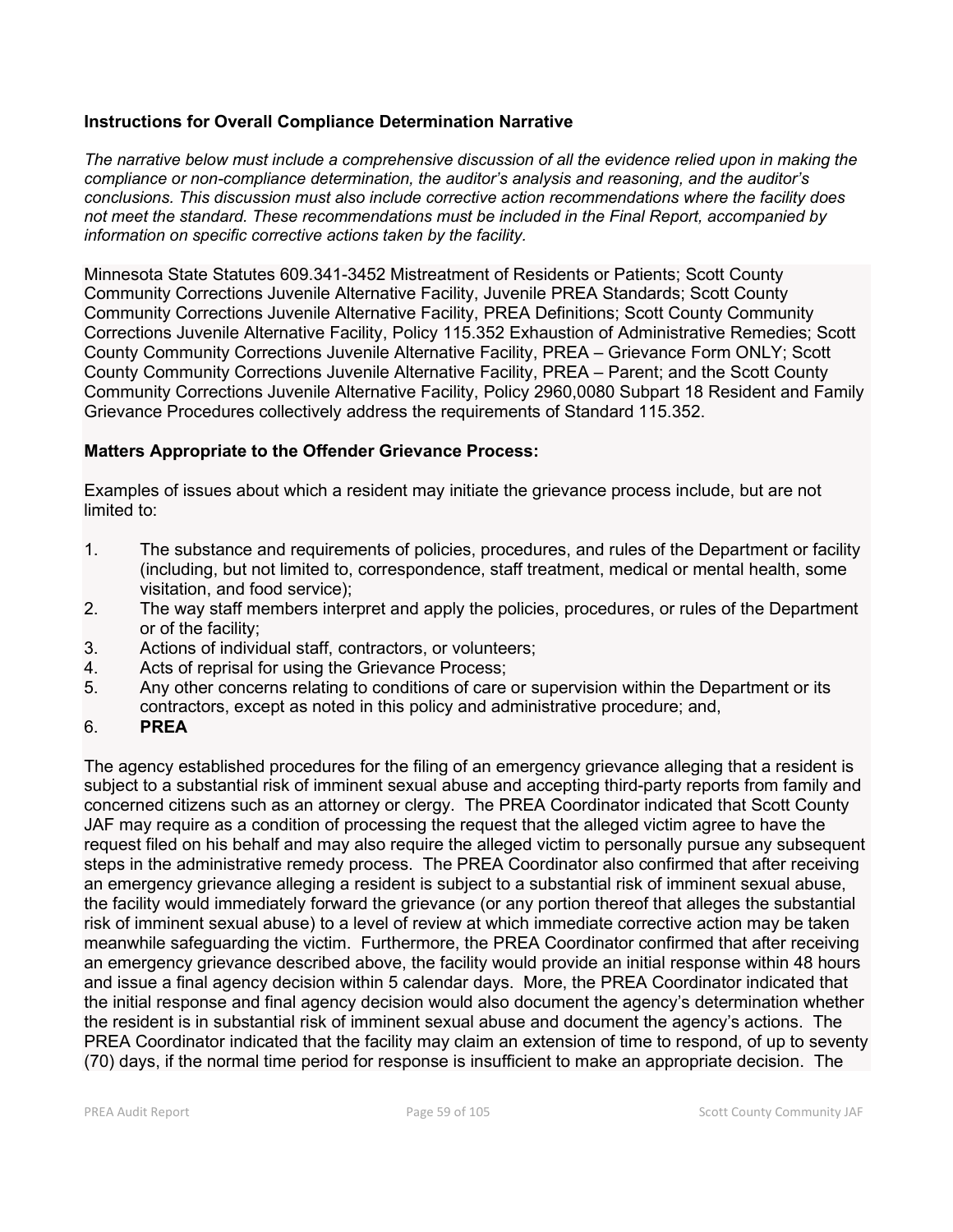# **Instructions for Overall Compliance Determination Narrative**

*The narrative below must include a comprehensive discussion of all the evidence relied upon in making the compliance or non-compliance determination, the auditor's analysis and reasoning, and the auditor's conclusions. This discussion must also include corrective action recommendations where the facility does not meet the standard. These recommendations must be included in the Final Report, accompanied by information on specific corrective actions taken by the facility.*

Minnesota State Statutes 609.341-3452 Mistreatment of Residents or Patients; Scott County Community Corrections Juvenile Alternative Facility, Juvenile PREA Standards; Scott County Community Corrections Juvenile Alternative Facility, PREA Definitions; Scott County Community Corrections Juvenile Alternative Facility, Policy 115.352 Exhaustion of Administrative Remedies; Scott County Community Corrections Juvenile Alternative Facility, PREA – Grievance Form ONLY; Scott County Community Corrections Juvenile Alternative Facility, PREA – Parent; and the Scott County Community Corrections Juvenile Alternative Facility, Policy 2960,0080 Subpart 18 Resident and Family Grievance Procedures collectively address the requirements of Standard 115.352.

# **Matters Appropriate to the Offender Grievance Process:**

Examples of issues about which a resident may initiate the grievance process include, but are not limited to:

- 1. The substance and requirements of policies, procedures, and rules of the Department or facility (including, but not limited to, correspondence, staff treatment, medical or mental health, some visitation, and food service);
- 2. The way staff members interpret and apply the policies, procedures, or rules of the Department or of the facility;
- 3. Actions of individual staff, contractors, or volunteers;
- 4. Acts of reprisal for using the Grievance Process;
- 5. Any other concerns relating to conditions of care or supervision within the Department or its contractors, except as noted in this policy and administrative procedure; and,
- 6. **PREA**

The agency established procedures for the filing of an emergency grievance alleging that a resident is subject to a substantial risk of imminent sexual abuse and accepting third-party reports from family and concerned citizens such as an attorney or clergy. The PREA Coordinator indicated that Scott County JAF may require as a condition of processing the request that the alleged victim agree to have the request filed on his behalf and may also require the alleged victim to personally pursue any subsequent steps in the administrative remedy process. The PREA Coordinator also confirmed that after receiving an emergency grievance alleging a resident is subject to a substantial risk of imminent sexual abuse, the facility would immediately forward the grievance (or any portion thereof that alleges the substantial risk of imminent sexual abuse) to a level of review at which immediate corrective action may be taken meanwhile safeguarding the victim. Furthermore, the PREA Coordinator confirmed that after receiving an emergency grievance described above, the facility would provide an initial response within 48 hours and issue a final agency decision within 5 calendar days. More, the PREA Coordinator indicated that the initial response and final agency decision would also document the agency's determination whether the resident is in substantial risk of imminent sexual abuse and document the agency's actions. The PREA Coordinator indicated that the facility may claim an extension of time to respond, of up to seventy (70) days, if the normal time period for response is insufficient to make an appropriate decision. The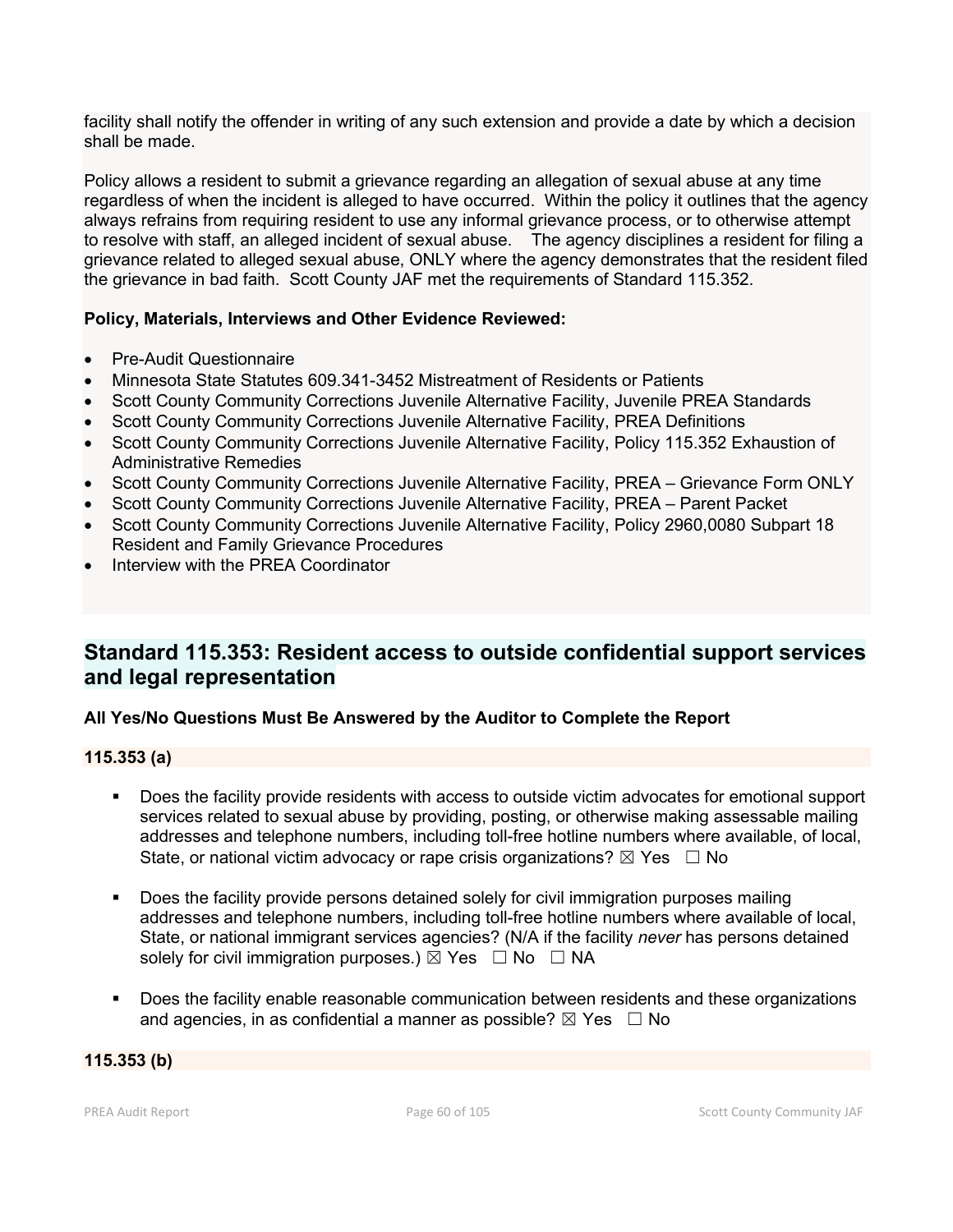facility shall notify the offender in writing of any such extension and provide a date by which a decision shall be made.

Policy allows a resident to submit a grievance regarding an allegation of sexual abuse at any time regardless of when the incident is alleged to have occurred. Within the policy it outlines that the agency always refrains from requiring resident to use any informal grievance process, or to otherwise attempt to resolve with staff, an alleged incident of sexual abuse. The agency disciplines a resident for filing a grievance related to alleged sexual abuse, ONLY where the agency demonstrates that the resident filed the grievance in bad faith. Scott County JAF met the requirements of Standard 115.352.

# **Policy, Materials, Interviews and Other Evidence Reviewed:**

- Pre-Audit Questionnaire
- Minnesota State Statutes 609.341-3452 Mistreatment of Residents or Patients
- Scott County Community Corrections Juvenile Alternative Facility, Juvenile PREA Standards
- Scott County Community Corrections Juvenile Alternative Facility, PREA Definitions
- Scott County Community Corrections Juvenile Alternative Facility, Policy 115.352 Exhaustion of Administrative Remedies
- Scott County Community Corrections Juvenile Alternative Facility, PREA Grievance Form ONLY
- Scott County Community Corrections Juvenile Alternative Facility, PREA Parent Packet
- Scott County Community Corrections Juvenile Alternative Facility, Policy 2960,0080 Subpart 18 Resident and Family Grievance Procedures
- Interview with the PREA Coordinator

# **Standard 115.353: Resident access to outside confidential support services and legal representation**

# **All Yes/No Questions Must Be Answered by the Auditor to Complete the Report**

# **115.353 (a)**

- Does the facility provide residents with access to outside victim advocates for emotional support services related to sexual abuse by providing, posting, or otherwise making assessable mailing addresses and telephone numbers, including toll-free hotline numbers where available, of local, State, or national victim advocacy or rape crisis organizations?  $\boxtimes$  Yes  $\Box$  No
- **Does the facility provide persons detained solely for civil immigration purposes mailing** addresses and telephone numbers, including toll-free hotline numbers where available of local, State, or national immigrant services agencies? (N/A if the facility *never* has persons detained solely for civil immigration purposes.)  $\boxtimes$  Yes  $\Box$  No  $\Box$  NA
- **Does the facility enable reasonable communication between residents and these organizations** and agencies, in as confidential a manner as possible?  $\boxtimes$  Yes  $\Box$  No

# **115.353 (b)**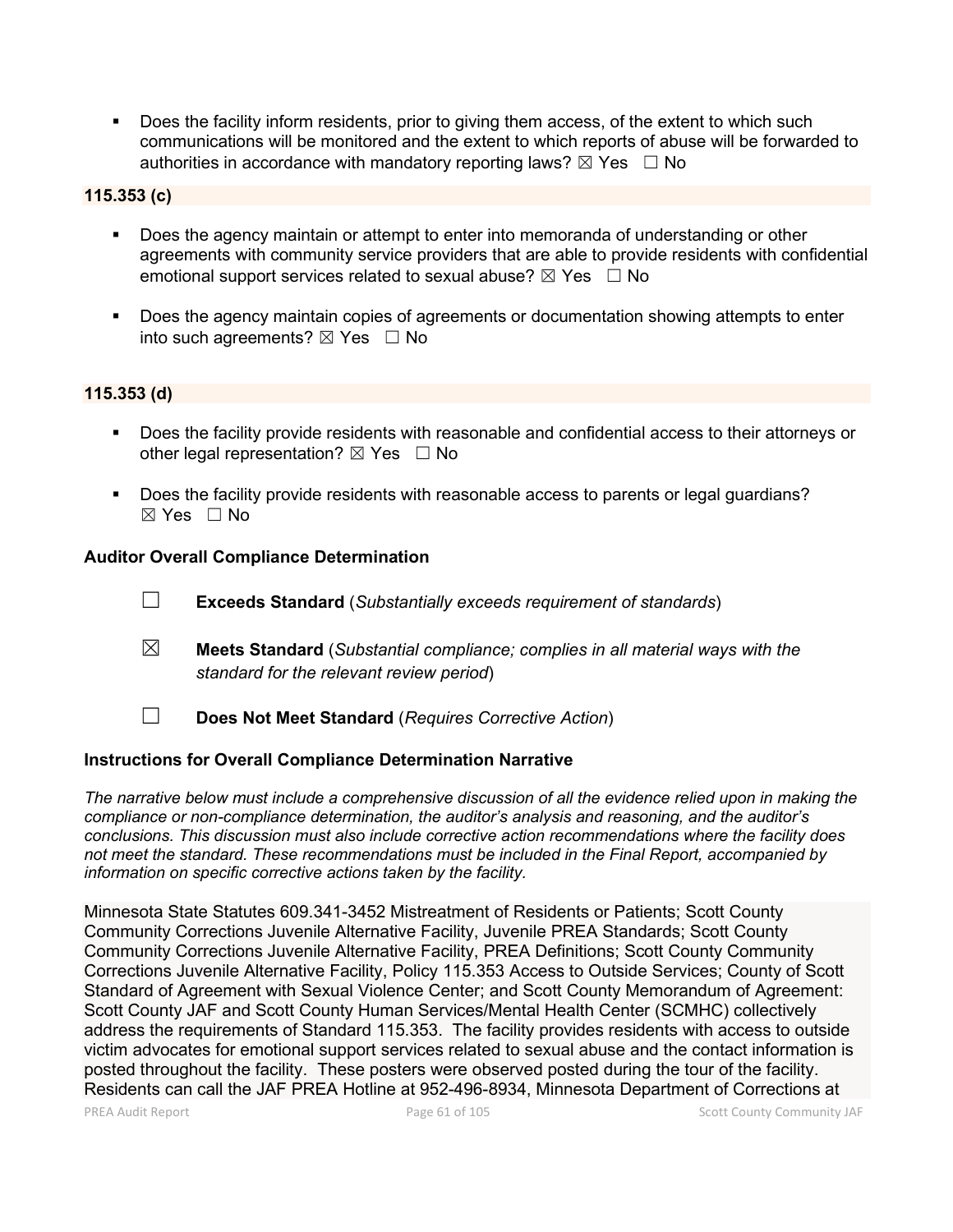Does the facility inform residents, prior to giving them access, of the extent to which such communications will be monitored and the extent to which reports of abuse will be forwarded to authorities in accordance with mandatory reporting laws?  $\boxtimes$  Yes  $\Box$  No

# **115.353 (c)**

- Does the agency maintain or attempt to enter into memoranda of understanding or other agreements with community service providers that are able to provide residents with confidential emotional support services related to sexual abuse?  $\boxtimes$  Yes  $\Box$  No
- **Does the agency maintain copies of agreements or documentation showing attempts to enter** into such agreements?  $\boxtimes$  Yes  $\Box$  No

#### **115.353 (d)**

- Does the facility provide residents with reasonable and confidential access to their attorneys or other legal representation?  $\boxtimes$  Yes  $\Box$  No
- Does the facility provide residents with reasonable access to parents or legal guardians?  $\boxtimes$  Yes  $\Box$  No

#### **Auditor Overall Compliance Determination**

- ☐ **Exceeds Standard** (*Substantially exceeds requirement of standards*)
- ☒ **Meets Standard** (*Substantial compliance; complies in all material ways with the standard for the relevant review period*)
- ☐ **Does Not Meet Standard** (*Requires Corrective Action*)

#### **Instructions for Overall Compliance Determination Narrative**

*The narrative below must include a comprehensive discussion of all the evidence relied upon in making the compliance or non-compliance determination, the auditor's analysis and reasoning, and the auditor's conclusions. This discussion must also include corrective action recommendations where the facility does not meet the standard. These recommendations must be included in the Final Report, accompanied by information on specific corrective actions taken by the facility.*

Minnesota State Statutes 609.341-3452 Mistreatment of Residents or Patients; Scott County Community Corrections Juvenile Alternative Facility, Juvenile PREA Standards; Scott County Community Corrections Juvenile Alternative Facility, PREA Definitions; Scott County Community Corrections Juvenile Alternative Facility, Policy 115.353 Access to Outside Services; County of Scott Standard of Agreement with Sexual Violence Center; and Scott County Memorandum of Agreement: Scott County JAF and Scott County Human Services/Mental Health Center (SCMHC) collectively address the requirements of Standard 115.353. The facility provides residents with access to outside victim advocates for emotional support services related to sexual abuse and the contact information is posted throughout the facility. These posters were observed posted during the tour of the facility. Residents can call the JAF PREA Hotline at 952-496-8934, Minnesota Department of Corrections at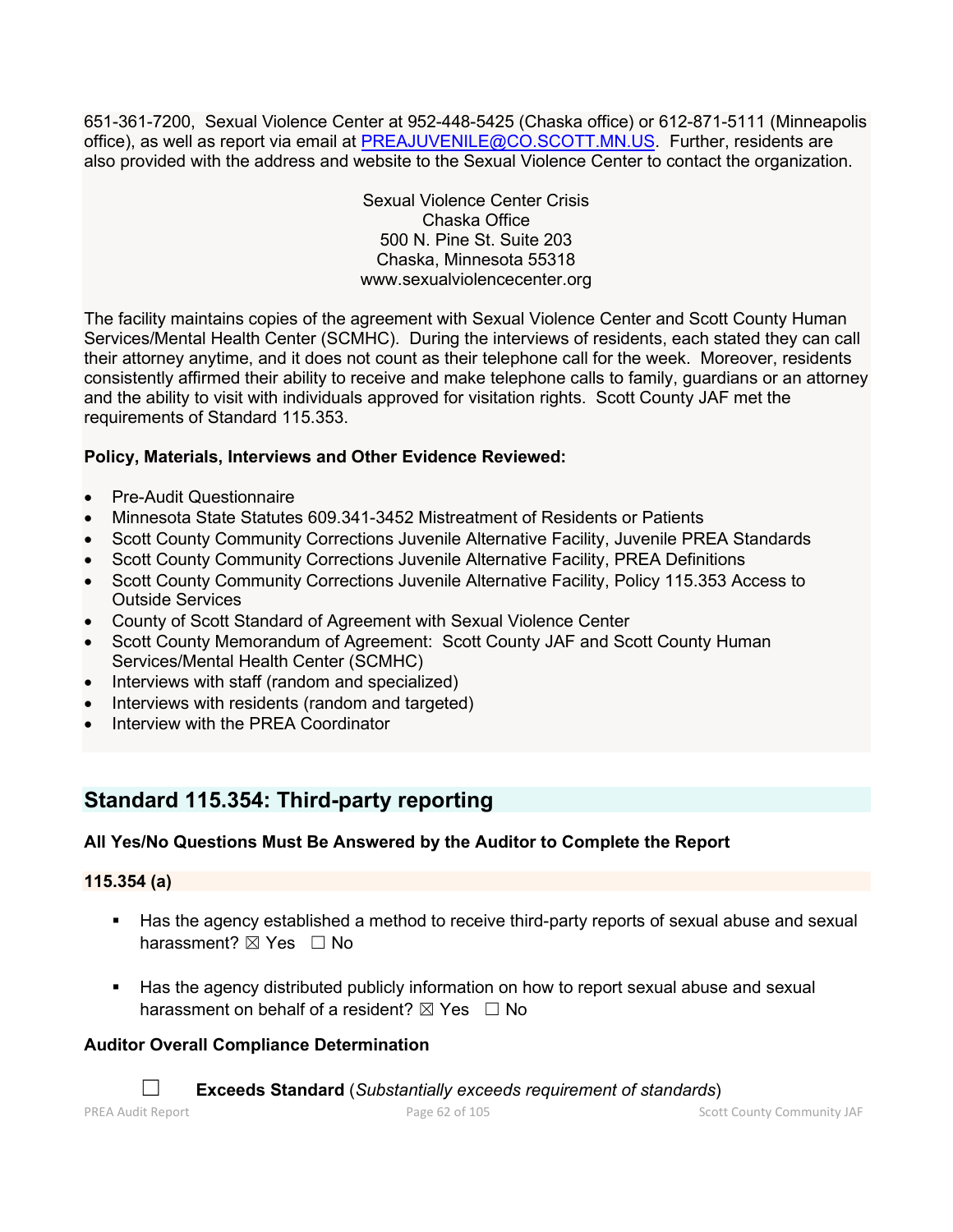651-361-7200, Sexual Violence Center at 952-448-5425 (Chaska office) or 612-871-5111 (Minneapolis office), as well as report via email at [PREAJUVENILE@CO.SCOTT.MN.US.](mailto:PREAJUVENILE@CO.SCOTT.MN.US) Further, residents are also provided with the address and website to the Sexual Violence Center to contact the organization.

> Sexual Violence Center Crisis Chaska Office 500 N. Pine St. Suite 203 Chaska, Minnesota 55318 www.sexualviolencecenter.org

The facility maintains copies of the agreement with Sexual Violence Center and Scott County Human Services/Mental Health Center (SCMHC). During the interviews of residents, each stated they can call their attorney anytime, and it does not count as their telephone call for the week. Moreover, residents consistently affirmed their ability to receive and make telephone calls to family, guardians or an attorney and the ability to visit with individuals approved for visitation rights. Scott County JAF met the requirements of Standard 115.353.

# **Policy, Materials, Interviews and Other Evidence Reviewed:**

- Pre-Audit Questionnaire
- Minnesota State Statutes 609.341-3452 Mistreatment of Residents or Patients
- Scott County Community Corrections Juvenile Alternative Facility, Juvenile PREA Standards
- Scott County Community Corrections Juvenile Alternative Facility, PREA Definitions
- Scott County Community Corrections Juvenile Alternative Facility, Policy 115.353 Access to Outside Services
- County of Scott Standard of Agreement with Sexual Violence Center
- Scott County Memorandum of Agreement: Scott County JAF and Scott County Human Services/Mental Health Center (SCMHC)
- Interviews with staff (random and specialized)
- Interviews with residents (random and targeted)
- Interview with the PREA Coordinator

# **Standard 115.354: Third-party reporting**

# **All Yes/No Questions Must Be Answered by the Auditor to Complete the Report**

# **115.354 (a)**

- Has the agency established a method to receive third-party reports of sexual abuse and sexual harassment? ⊠ Yes □ No
- Has the agency distributed publicly information on how to report sexual abuse and sexual harassment on behalf of a resident?  $\boxtimes$  Yes  $\Box$  No

# **Auditor Overall Compliance Determination**

☐ **Exceeds Standard** (*Substantially exceeds requirement of standards*)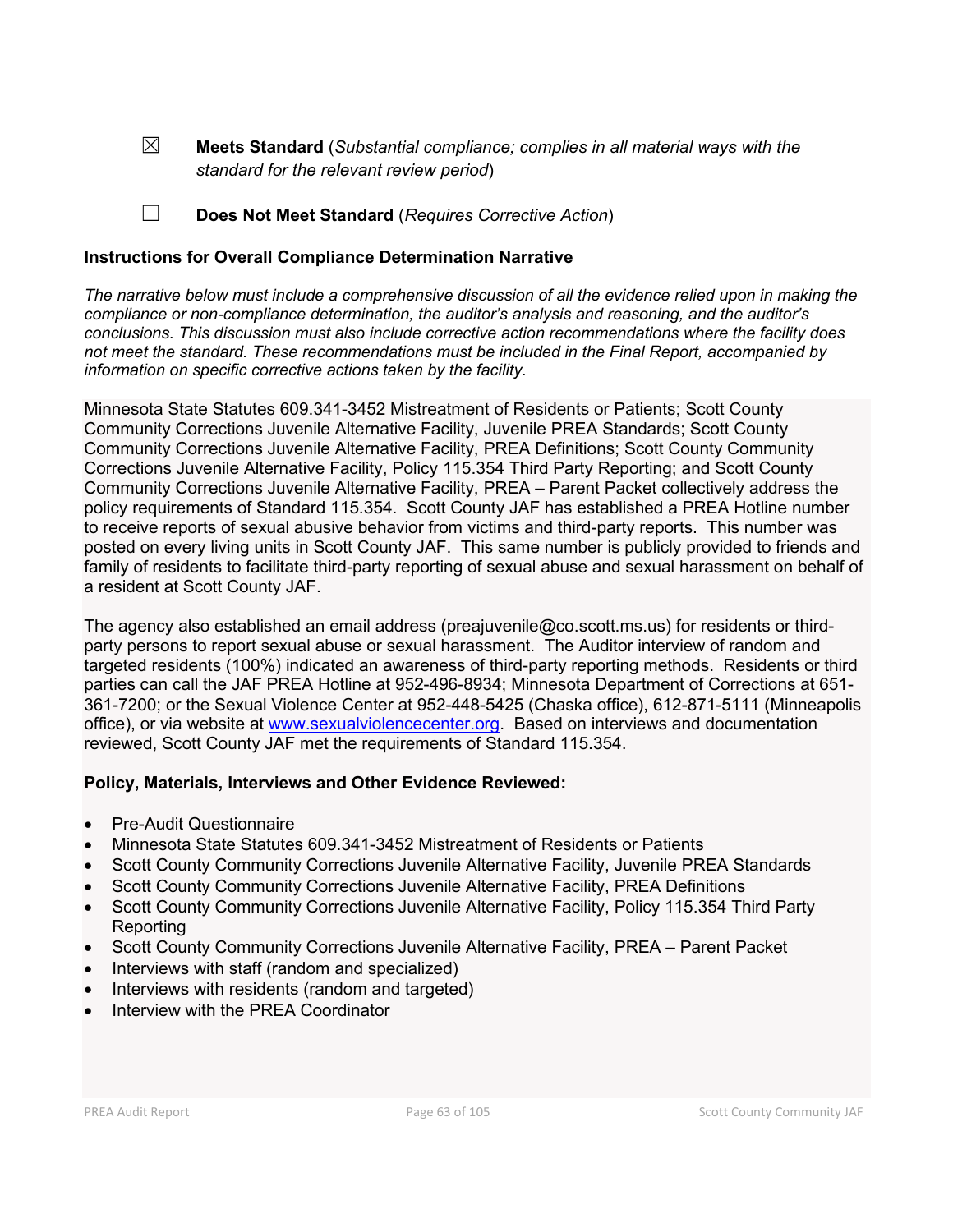☒ **Meets Standard** (*Substantial compliance; complies in all material ways with the standard for the relevant review period*)

☐ **Does Not Meet Standard** (*Requires Corrective Action*)

# **Instructions for Overall Compliance Determination Narrative**

*The narrative below must include a comprehensive discussion of all the evidence relied upon in making the compliance or non-compliance determination, the auditor's analysis and reasoning, and the auditor's conclusions. This discussion must also include corrective action recommendations where the facility does not meet the standard. These recommendations must be included in the Final Report, accompanied by information on specific corrective actions taken by the facility.*

Minnesota State Statutes 609.341-3452 Mistreatment of Residents or Patients; Scott County Community Corrections Juvenile Alternative Facility, Juvenile PREA Standards; Scott County Community Corrections Juvenile Alternative Facility, PREA Definitions; Scott County Community Corrections Juvenile Alternative Facility, Policy 115.354 Third Party Reporting; and Scott County Community Corrections Juvenile Alternative Facility, PREA – Parent Packet collectively address the policy requirements of Standard 115.354. Scott County JAF has established a PREA Hotline number to receive reports of sexual abusive behavior from victims and third-party reports. This number was posted on every living units in Scott County JAF. This same number is publicly provided to friends and family of residents to facilitate third-party reporting of sexual abuse and sexual harassment on behalf of a resident at Scott County JAF.

The agency also established an email address (preajuvenile@co.scott.ms.us) for residents or thirdparty persons to report sexual abuse or sexual harassment. The Auditor interview of random and targeted residents (100%) indicated an awareness of third-party reporting methods. Residents or third parties can call the JAF PREA Hotline at 952-496-8934; Minnesota Department of Corrections at 651- 361-7200; or the Sexual Violence Center at 952-448-5425 (Chaska office), 612-871-5111 (Minneapolis office), or via website at [www.sexualviolencecenter.org.](http://www.sexualviolencecenter.org/) Based on interviews and documentation reviewed, Scott County JAF met the requirements of Standard 115.354.

# **Policy, Materials, Interviews and Other Evidence Reviewed:**

- Pre-Audit Questionnaire
- Minnesota State Statutes 609.341-3452 Mistreatment of Residents or Patients
- Scott County Community Corrections Juvenile Alternative Facility, Juvenile PREA Standards
- Scott County Community Corrections Juvenile Alternative Facility, PREA Definitions
- Scott County Community Corrections Juvenile Alternative Facility, Policy 115.354 Third Party Reporting
- Scott County Community Corrections Juvenile Alternative Facility, PREA Parent Packet
- Interviews with staff (random and specialized)
- Interviews with residents (random and targeted)
- Interview with the PREA Coordinator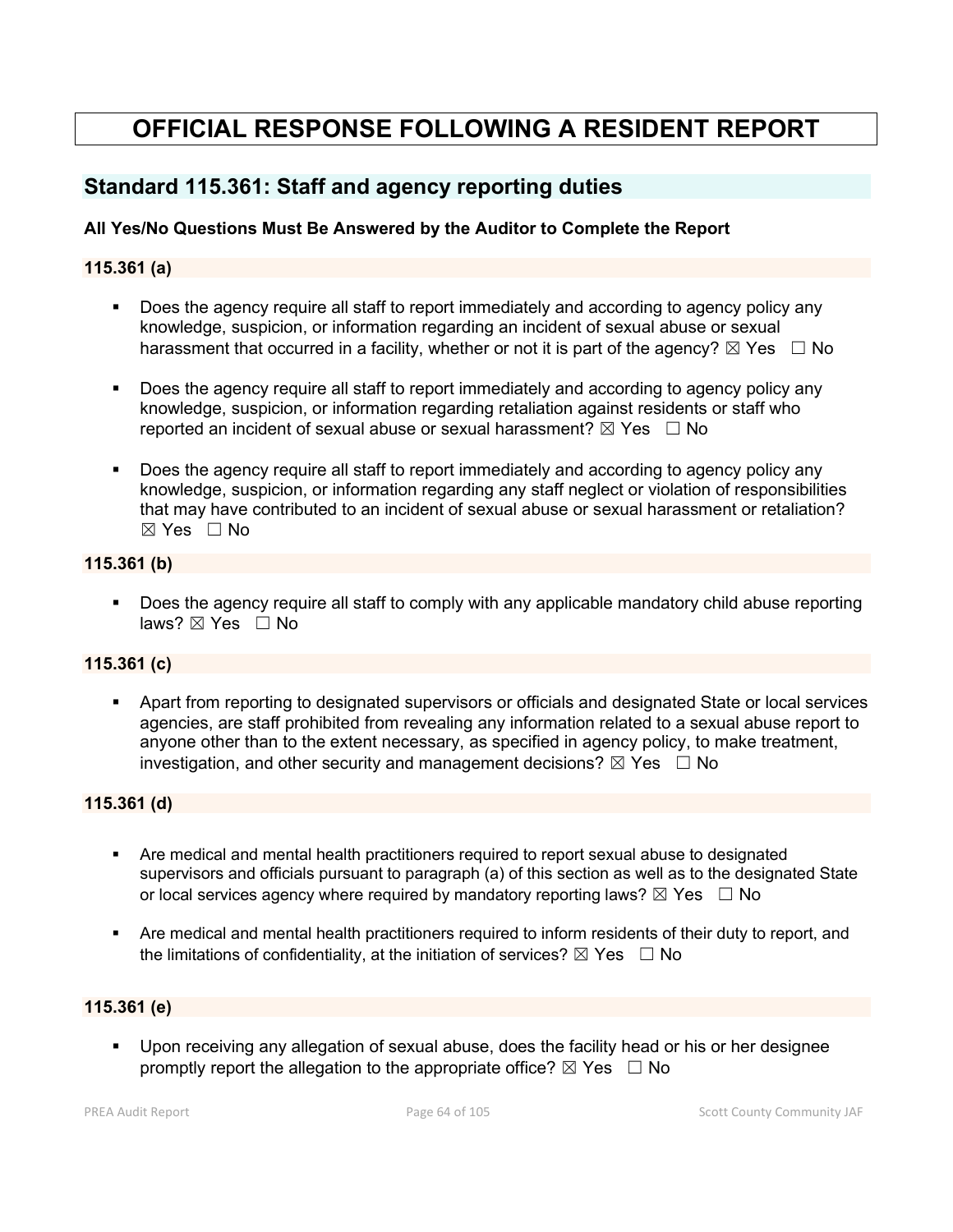# **OFFICIAL RESPONSE FOLLOWING A RESIDENT REPORT**

# **Standard 115.361: Staff and agency reporting duties**

# **All Yes/No Questions Must Be Answered by the Auditor to Complete the Report**

# **115.361 (a)**

- Does the agency require all staff to report immediately and according to agency policy any knowledge, suspicion, or information regarding an incident of sexual abuse or sexual harassment that occurred in a facility, whether or not it is part of the agency?  $\boxtimes$  Yes  $\Box$  No
- Does the agency require all staff to report immediately and according to agency policy any knowledge, suspicion, or information regarding retaliation against residents or staff who reported an incident of sexual abuse or sexual harassment?  $\boxtimes$  Yes  $\Box$  No
- Does the agency require all staff to report immediately and according to agency policy any knowledge, suspicion, or information regarding any staff neglect or violation of responsibilities that may have contributed to an incident of sexual abuse or sexual harassment or retaliation?  $\boxtimes$  Yes  $\Box$  No

### **115.361 (b)**

 Does the agency require all staff to comply with any applicable mandatory child abuse reporting laws? ⊠ Yes □ No

#### **115.361 (c)**

 Apart from reporting to designated supervisors or officials and designated State or local services agencies, are staff prohibited from revealing any information related to a sexual abuse report to anyone other than to the extent necessary, as specified in agency policy, to make treatment, investigation, and other security and management decisions?  $\boxtimes$  Yes  $\Box$  No

#### **115.361 (d)**

- Are medical and mental health practitioners required to report sexual abuse to designated supervisors and officials pursuant to paragraph (a) of this section as well as to the designated State or local services agency where required by mandatory reporting laws?  $\boxtimes$  Yes  $\Box$  No
- Are medical and mental health practitioners required to inform residents of their duty to report, and the limitations of confidentiality, at the initiation of services?  $\boxtimes$  Yes  $\Box$  No

#### **115.361 (e)**

 Upon receiving any allegation of sexual abuse, does the facility head or his or her designee promptly report the allegation to the appropriate office?  $\boxtimes$  Yes  $\Box$  No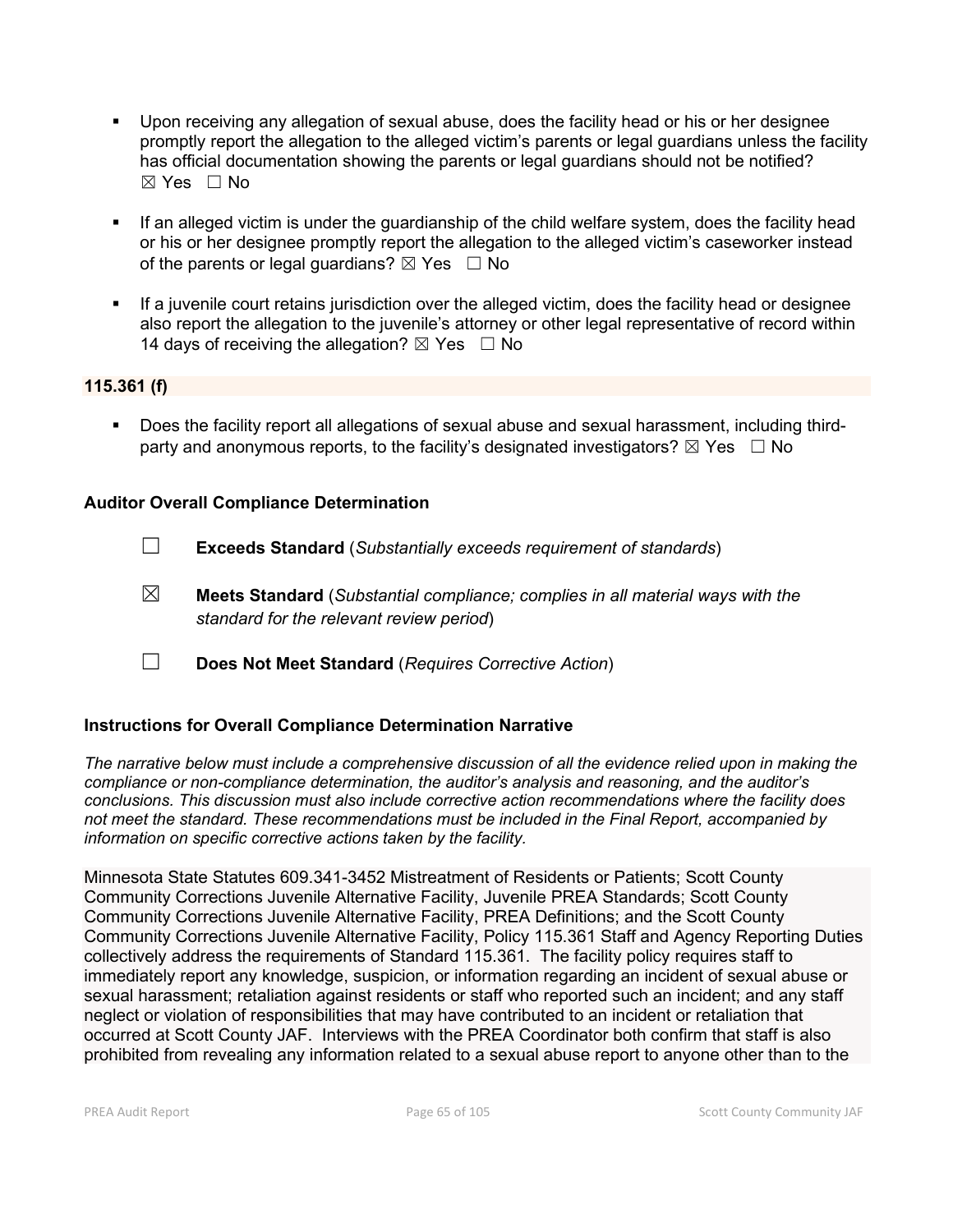- Upon receiving any allegation of sexual abuse, does the facility head or his or her designee promptly report the allegation to the alleged victim's parents or legal guardians unless the facility has official documentation showing the parents or legal guardians should not be notified? ☒ Yes ☐ No
- **If an alleged victim is under the guardianship of the child welfare system, does the facility head** or his or her designee promptly report the allegation to the alleged victim's caseworker instead of the parents or legal guardians?  $\boxtimes$  Yes  $\Box$  No
- If a juvenile court retains jurisdiction over the alleged victim, does the facility head or designee also report the allegation to the juvenile's attorney or other legal representative of record within 14 days of receiving the allegation?  $\boxtimes$  Yes  $\Box$  No

# **115.361 (f)**

 Does the facility report all allegations of sexual abuse and sexual harassment, including thirdparty and anonymous reports, to the facility's designated investigators?  $\boxtimes$  Yes  $\Box$  No

### **Auditor Overall Compliance Determination**

- ☐ **Exceeds Standard** (*Substantially exceeds requirement of standards*)
- ☒ **Meets Standard** (*Substantial compliance; complies in all material ways with the standard for the relevant review period*)
- ☐ **Does Not Meet Standard** (*Requires Corrective Action*)

# **Instructions for Overall Compliance Determination Narrative**

*The narrative below must include a comprehensive discussion of all the evidence relied upon in making the compliance or non-compliance determination, the auditor's analysis and reasoning, and the auditor's conclusions. This discussion must also include corrective action recommendations where the facility does not meet the standard. These recommendations must be included in the Final Report, accompanied by information on specific corrective actions taken by the facility.*

Minnesota State Statutes 609.341-3452 Mistreatment of Residents or Patients; Scott County Community Corrections Juvenile Alternative Facility, Juvenile PREA Standards; Scott County Community Corrections Juvenile Alternative Facility, PREA Definitions; and the Scott County Community Corrections Juvenile Alternative Facility, Policy 115.361 Staff and Agency Reporting Duties collectively address the requirements of Standard 115.361. The facility policy requires staff to immediately report any knowledge, suspicion, or information regarding an incident of sexual abuse or sexual harassment; retaliation against residents or staff who reported such an incident; and any staff neglect or violation of responsibilities that may have contributed to an incident or retaliation that occurred at Scott County JAF. Interviews with the PREA Coordinator both confirm that staff is also prohibited from revealing any information related to a sexual abuse report to anyone other than to the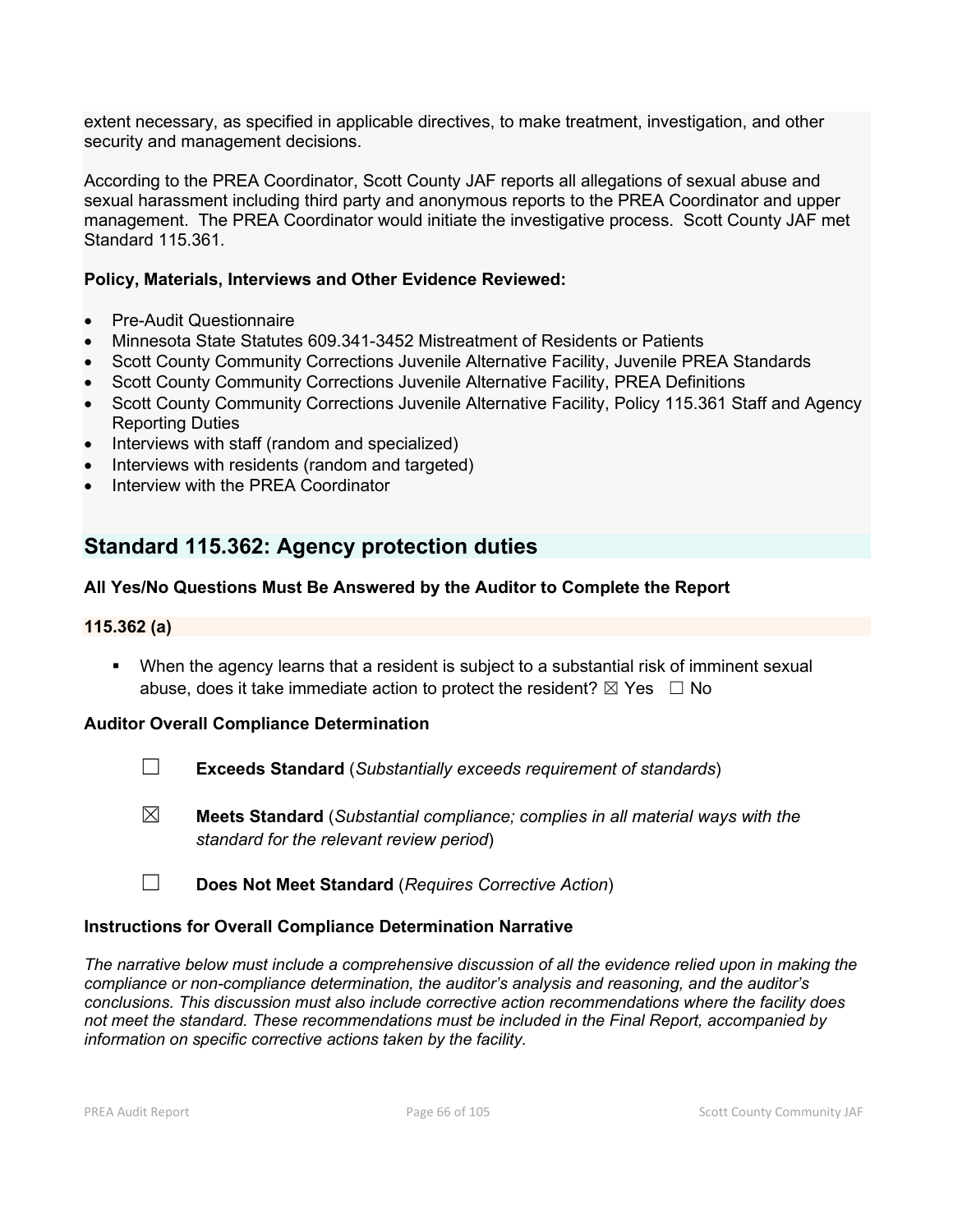extent necessary, as specified in applicable directives, to make treatment, investigation, and other security and management decisions.

According to the PREA Coordinator, Scott County JAF reports all allegations of sexual abuse and sexual harassment including third party and anonymous reports to the PREA Coordinator and upper management. The PREA Coordinator would initiate the investigative process. Scott County JAF met Standard 115.361.

# **Policy, Materials, Interviews and Other Evidence Reviewed:**

- Pre-Audit Questionnaire
- Minnesota State Statutes 609.341-3452 Mistreatment of Residents or Patients
- Scott County Community Corrections Juvenile Alternative Facility, Juvenile PREA Standards
- Scott County Community Corrections Juvenile Alternative Facility, PREA Definitions
- Scott County Community Corrections Juvenile Alternative Facility, Policy 115.361 Staff and Agency Reporting Duties
- Interviews with staff (random and specialized)
- Interviews with residents (random and targeted)
- Interview with the PREA Coordinator

# **Standard 115.362: Agency protection duties**

# **All Yes/No Questions Must Be Answered by the Auditor to Complete the Report**

# **115.362 (a)**

 When the agency learns that a resident is subject to a substantial risk of imminent sexual abuse, does it take immediate action to protect the resident?  $\boxtimes$  Yes  $\Box$  No

# **Auditor Overall Compliance Determination**

- ☐ **Exceeds Standard** (*Substantially exceeds requirement of standards*)
- ☒ **Meets Standard** (*Substantial compliance; complies in all material ways with the standard for the relevant review period*)
- ☐ **Does Not Meet Standard** (*Requires Corrective Action*)

# **Instructions for Overall Compliance Determination Narrative**

*The narrative below must include a comprehensive discussion of all the evidence relied upon in making the compliance or non-compliance determination, the auditor's analysis and reasoning, and the auditor's conclusions. This discussion must also include corrective action recommendations where the facility does not meet the standard. These recommendations must be included in the Final Report, accompanied by information on specific corrective actions taken by the facility.*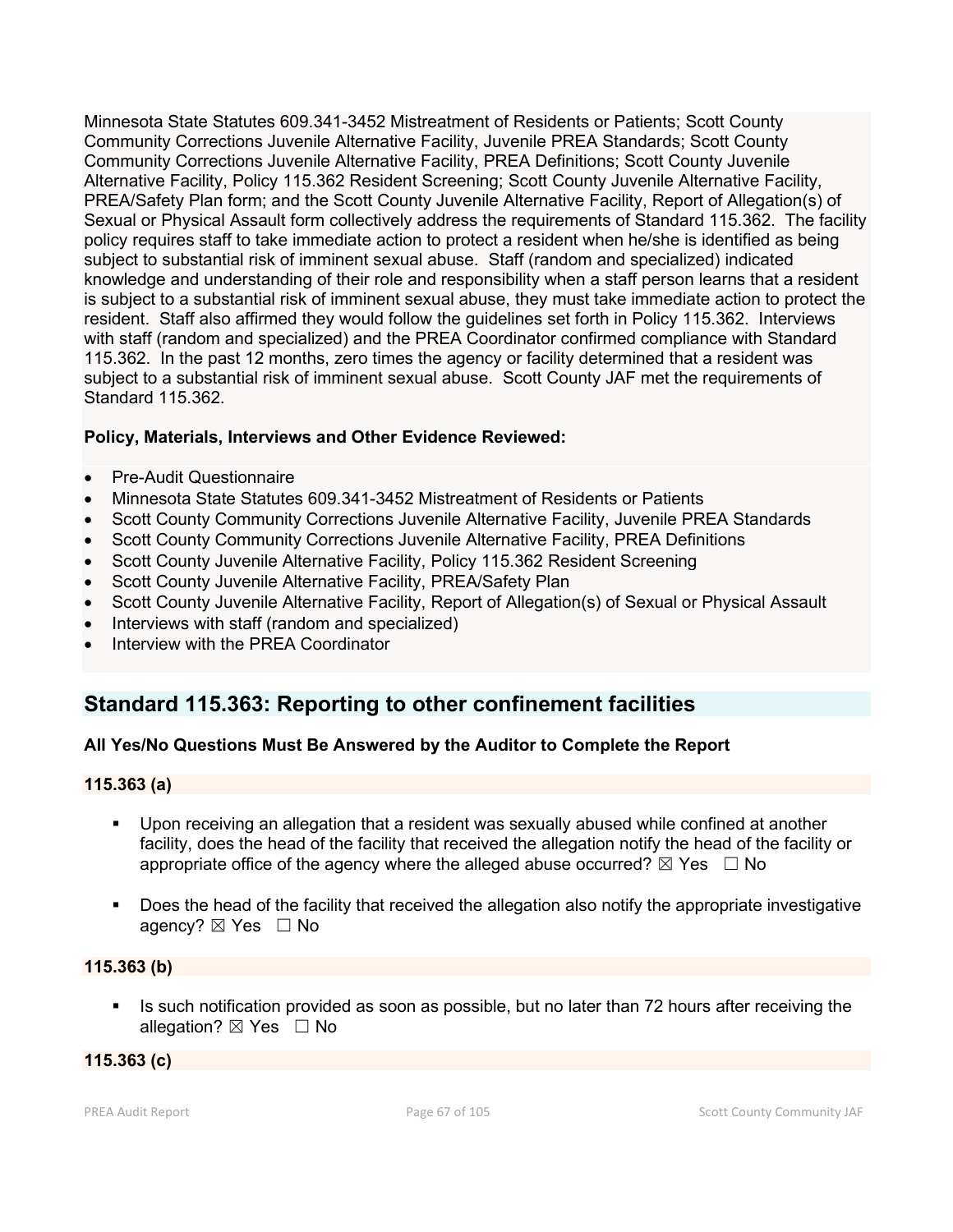Minnesota State Statutes 609.341-3452 Mistreatment of Residents or Patients; Scott County Community Corrections Juvenile Alternative Facility, Juvenile PREA Standards; Scott County Community Corrections Juvenile Alternative Facility, PREA Definitions; Scott County Juvenile Alternative Facility, Policy 115.362 Resident Screening; Scott County Juvenile Alternative Facility, PREA/Safety Plan form; and the Scott County Juvenile Alternative Facility, Report of Allegation(s) of Sexual or Physical Assault form collectively address the requirements of Standard 115.362. The facility policy requires staff to take immediate action to protect a resident when he/she is identified as being subject to substantial risk of imminent sexual abuse. Staff (random and specialized) indicated knowledge and understanding of their role and responsibility when a staff person learns that a resident is subject to a substantial risk of imminent sexual abuse, they must take immediate action to protect the resident. Staff also affirmed they would follow the guidelines set forth in Policy 115.362. Interviews with staff (random and specialized) and the PREA Coordinator confirmed compliance with Standard 115.362. In the past 12 months, zero times the agency or facility determined that a resident was subject to a substantial risk of imminent sexual abuse. Scott County JAF met the requirements of Standard 115.362.

# **Policy, Materials, Interviews and Other Evidence Reviewed:**

- Pre-Audit Questionnaire
- Minnesota State Statutes 609.341-3452 Mistreatment of Residents or Patients
- Scott County Community Corrections Juvenile Alternative Facility, Juvenile PREA Standards
- Scott County Community Corrections Juvenile Alternative Facility, PREA Definitions
- Scott County Juvenile Alternative Facility, Policy 115.362 Resident Screening
- Scott County Juvenile Alternative Facility, PREA/Safety Plan
- Scott County Juvenile Alternative Facility, Report of Allegation(s) of Sexual or Physical Assault
- Interviews with staff (random and specialized)
- Interview with the PREA Coordinator

# **Standard 115.363: Reporting to other confinement facilities**

# **All Yes/No Questions Must Be Answered by the Auditor to Complete the Report**

# **115.363 (a)**

- Upon receiving an allegation that a resident was sexually abused while confined at another facility, does the head of the facility that received the allegation notify the head of the facility or appropriate office of the agency where the alleged abuse occurred?  $\boxtimes$  Yes  $\Box$  No
- Does the head of the facility that received the allegation also notify the appropriate investigative agency? ⊠ Yes □ No

# **115.363 (b)**

Is such notification provided as soon as possible, but no later than 72 hours after receiving the allegation? ⊠ Yes □ No

# **115.363 (c)**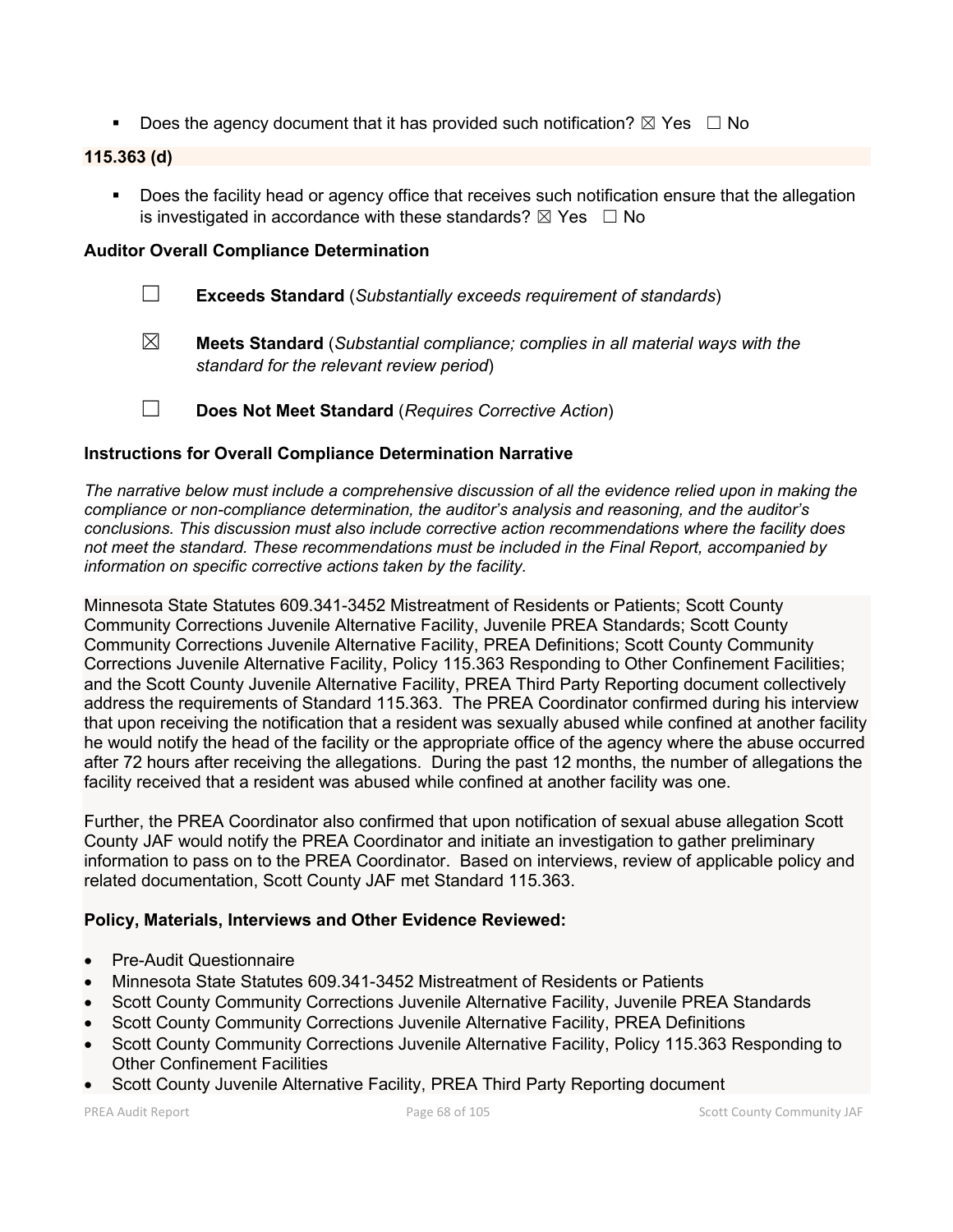Does the agency document that it has provided such notification?  $\boxtimes$  Yes  $\Box$  No

# **115.363 (d)**

**Does the facility head or agency office that receives such notification ensure that the allegation** is investigated in accordance with these standards?  $\boxtimes$  Yes  $\Box$  No

### **Auditor Overall Compliance Determination**

- ☐ **Exceeds Standard** (*Substantially exceeds requirement of standards*)
- ☒ **Meets Standard** (*Substantial compliance; complies in all material ways with the standard for the relevant review period*)
- ☐ **Does Not Meet Standard** (*Requires Corrective Action*)

# **Instructions for Overall Compliance Determination Narrative**

*The narrative below must include a comprehensive discussion of all the evidence relied upon in making the compliance or non-compliance determination, the auditor's analysis and reasoning, and the auditor's conclusions. This discussion must also include corrective action recommendations where the facility does not meet the standard. These recommendations must be included in the Final Report, accompanied by information on specific corrective actions taken by the facility.*

Minnesota State Statutes 609.341-3452 Mistreatment of Residents or Patients; Scott County Community Corrections Juvenile Alternative Facility, Juvenile PREA Standards; Scott County Community Corrections Juvenile Alternative Facility, PREA Definitions; Scott County Community Corrections Juvenile Alternative Facility, Policy 115.363 Responding to Other Confinement Facilities; and the Scott County Juvenile Alternative Facility, PREA Third Party Reporting document collectively address the requirements of Standard 115.363. The PREA Coordinator confirmed during his interview that upon receiving the notification that a resident was sexually abused while confined at another facility he would notify the head of the facility or the appropriate office of the agency where the abuse occurred after 72 hours after receiving the allegations. During the past 12 months, the number of allegations the facility received that a resident was abused while confined at another facility was one.

Further, the PREA Coordinator also confirmed that upon notification of sexual abuse allegation Scott County JAF would notify the PREA Coordinator and initiate an investigation to gather preliminary information to pass on to the PREA Coordinator. Based on interviews, review of applicable policy and related documentation, Scott County JAF met Standard 115.363.

#### **Policy, Materials, Interviews and Other Evidence Reviewed:**

- Pre-Audit Questionnaire
- Minnesota State Statutes 609.341-3452 Mistreatment of Residents or Patients
- Scott County Community Corrections Juvenile Alternative Facility, Juvenile PREA Standards
- Scott County Community Corrections Juvenile Alternative Facility, PREA Definitions
- Scott County Community Corrections Juvenile Alternative Facility, Policy 115.363 Responding to Other Confinement Facilities
- Scott County Juvenile Alternative Facility, PREA Third Party Reporting document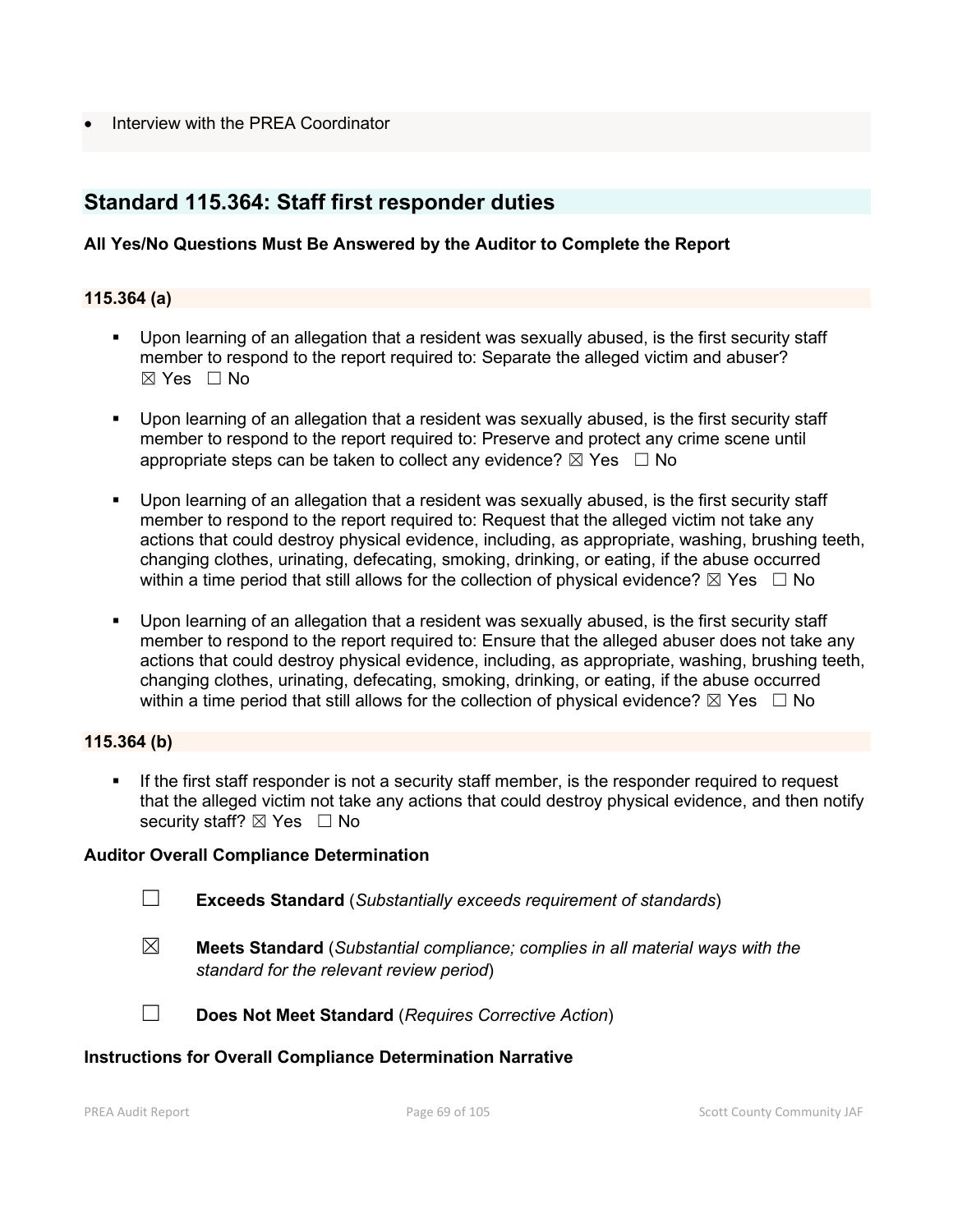• Interview with the PREA Coordinator

# **Standard 115.364: Staff first responder duties**

# **All Yes/No Questions Must Be Answered by the Auditor to Complete the Report**

## **115.364 (a)**

- Upon learning of an allegation that a resident was sexually abused, is the first security staff member to respond to the report required to: Separate the alleged victim and abuser?  $\boxtimes$  Yes  $\Box$  No
- Upon learning of an allegation that a resident was sexually abused, is the first security staff member to respond to the report required to: Preserve and protect any crime scene until appropriate steps can be taken to collect any evidence?  $\boxtimes$  Yes  $\Box$  No
- Upon learning of an allegation that a resident was sexually abused, is the first security staff member to respond to the report required to: Request that the alleged victim not take any actions that could destroy physical evidence, including, as appropriate, washing, brushing teeth, changing clothes, urinating, defecating, smoking, drinking, or eating, if the abuse occurred within a time period that still allows for the collection of physical evidence?  $\boxtimes$  Yes  $\Box$  No
- Upon learning of an allegation that a resident was sexually abused, is the first security staff member to respond to the report required to: Ensure that the alleged abuser does not take any actions that could destroy physical evidence, including, as appropriate, washing, brushing teeth, changing clothes, urinating, defecating, smoking, drinking, or eating, if the abuse occurred within a time period that still allows for the collection of physical evidence?  $\boxtimes$  Yes  $\Box$  No

# **115.364 (b)**

 If the first staff responder is not a security staff member, is the responder required to request that the alleged victim not take any actions that could destroy physical evidence, and then notify security staff? ⊠ Yes □ No

#### **Auditor Overall Compliance Determination**

- ☐ **Exceeds Standard** (*Substantially exceeds requirement of standards*)
- 
- ☒ **Meets Standard** (*Substantial compliance; complies in all material ways with the standard for the relevant review period*)



☐ **Does Not Meet Standard** (*Requires Corrective Action*)

#### **Instructions for Overall Compliance Determination Narrative**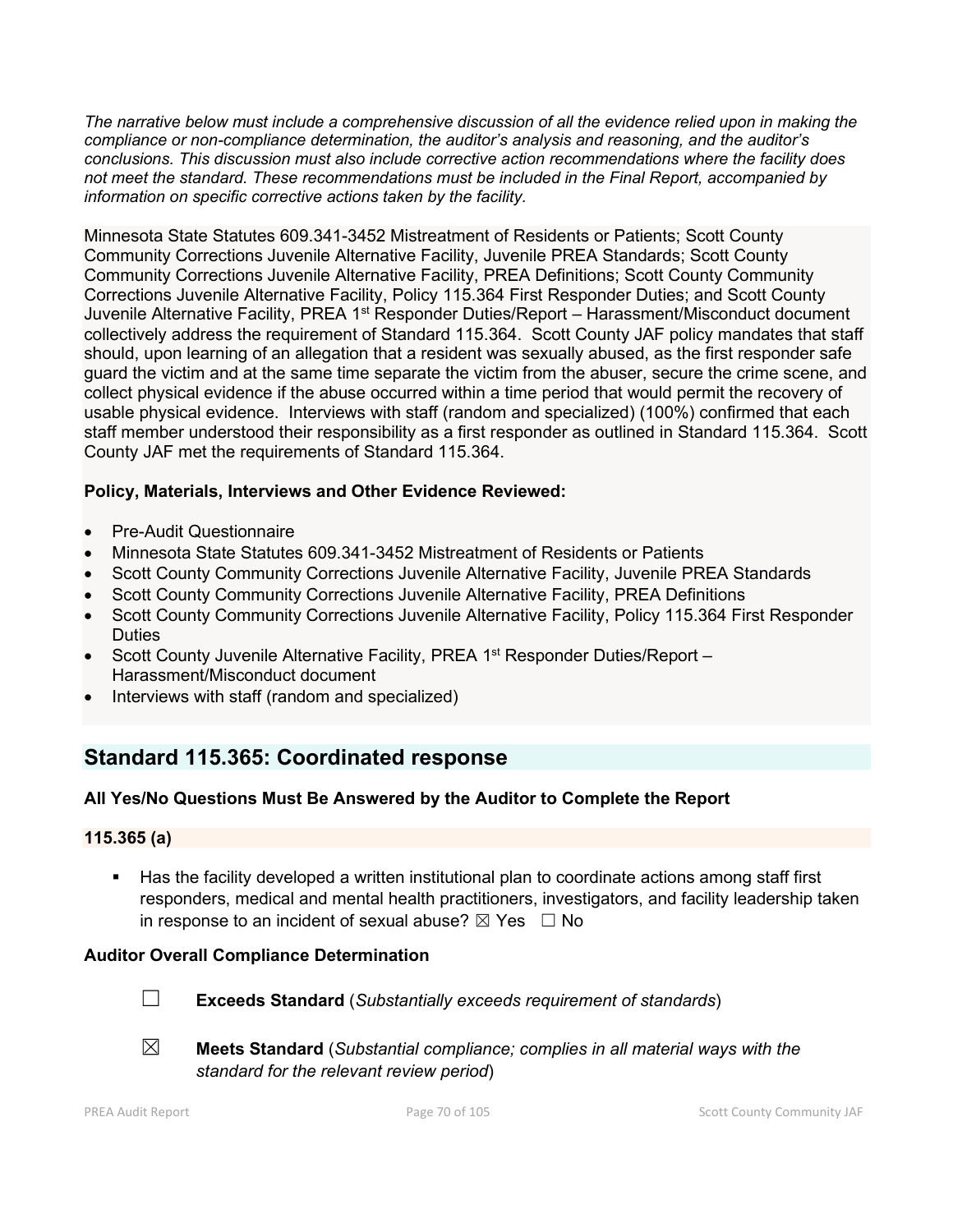*The narrative below must include a comprehensive discussion of all the evidence relied upon in making the compliance or non-compliance determination, the auditor's analysis and reasoning, and the auditor's conclusions. This discussion must also include corrective action recommendations where the facility does not meet the standard. These recommendations must be included in the Final Report, accompanied by information on specific corrective actions taken by the facility.*

Minnesota State Statutes 609.341-3452 Mistreatment of Residents or Patients; Scott County Community Corrections Juvenile Alternative Facility, Juvenile PREA Standards; Scott County Community Corrections Juvenile Alternative Facility, PREA Definitions; Scott County Community Corrections Juvenile Alternative Facility, Policy 115.364 First Responder Duties; and Scott County Juvenile Alternative Facility, PREA 1<sup>st</sup> Responder Duties/Report – Harassment/Misconduct document collectively address the requirement of Standard 115.364. Scott County JAF policy mandates that staff should, upon learning of an allegation that a resident was sexually abused, as the first responder safe guard the victim and at the same time separate the victim from the abuser, secure the crime scene, and collect physical evidence if the abuse occurred within a time period that would permit the recovery of usable physical evidence. Interviews with staff (random and specialized) (100%) confirmed that each staff member understood their responsibility as a first responder as outlined in Standard 115.364. Scott County JAF met the requirements of Standard 115.364.

# **Policy, Materials, Interviews and Other Evidence Reviewed:**

- Pre-Audit Questionnaire
- Minnesota State Statutes 609.341-3452 Mistreatment of Residents or Patients
- Scott County Community Corrections Juvenile Alternative Facility, Juvenile PREA Standards
- Scott County Community Corrections Juvenile Alternative Facility, PREA Definitions
- Scott County Community Corrections Juvenile Alternative Facility, Policy 115.364 First Responder **Duties**
- Scott County Juvenile Alternative Facility, PREA 1<sup>st</sup> Responder Duties/Report -Harassment/Misconduct document
- Interviews with staff (random and specialized)

# **Standard 115.365: Coordinated response**

# **All Yes/No Questions Must Be Answered by the Auditor to Complete the Report**

# **115.365 (a)**

 Has the facility developed a written institutional plan to coordinate actions among staff first responders, medical and mental health practitioners, investigators, and facility leadership taken in response to an incident of sexual abuse?  $\boxtimes$  Yes  $\Box$  No

# **Auditor Overall Compliance Determination**



☐ **Exceeds Standard** (*Substantially exceeds requirement of standards*)



☒ **Meets Standard** (*Substantial compliance; complies in all material ways with the standard for the relevant review period*)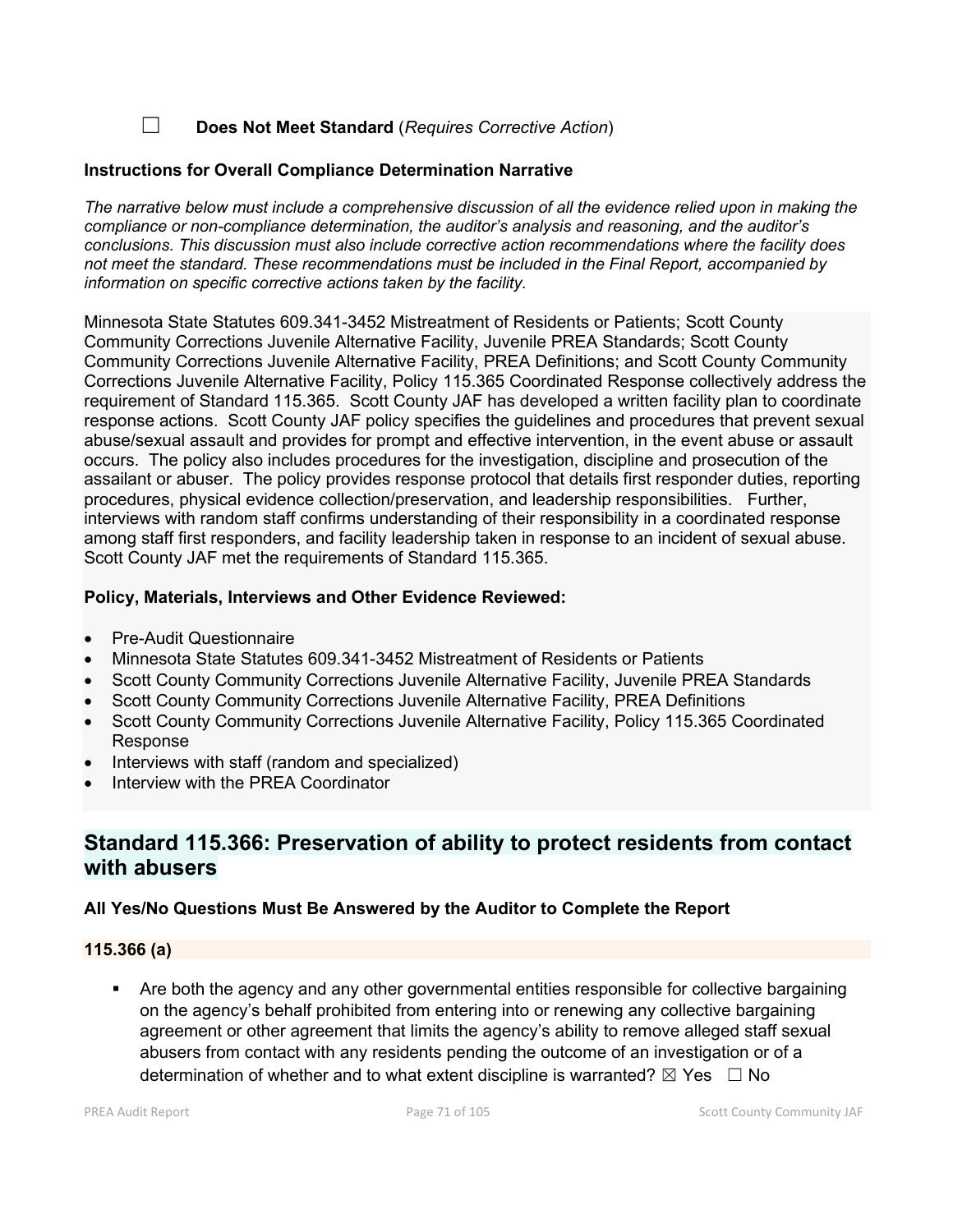☐ **Does Not Meet Standard** (*Requires Corrective Action*)

### **Instructions for Overall Compliance Determination Narrative**

*The narrative below must include a comprehensive discussion of all the evidence relied upon in making the compliance or non-compliance determination, the auditor's analysis and reasoning, and the auditor's conclusions. This discussion must also include corrective action recommendations where the facility does not meet the standard. These recommendations must be included in the Final Report, accompanied by information on specific corrective actions taken by the facility.*

Minnesota State Statutes 609.341-3452 Mistreatment of Residents or Patients; Scott County Community Corrections Juvenile Alternative Facility, Juvenile PREA Standards; Scott County Community Corrections Juvenile Alternative Facility, PREA Definitions; and Scott County Community Corrections Juvenile Alternative Facility, Policy 115.365 Coordinated Response collectively address the requirement of Standard 115.365. Scott County JAF has developed a written facility plan to coordinate response actions. Scott County JAF policy specifies the guidelines and procedures that prevent sexual abuse/sexual assault and provides for prompt and effective intervention, in the event abuse or assault occurs. The policy also includes procedures for the investigation, discipline and prosecution of the assailant or abuser. The policy provides response protocol that details first responder duties, reporting procedures, physical evidence collection/preservation, and leadership responsibilities. Further, interviews with random staff confirms understanding of their responsibility in a coordinated response among staff first responders, and facility leadership taken in response to an incident of sexual abuse. Scott County JAF met the requirements of Standard 115.365.

### **Policy, Materials, Interviews and Other Evidence Reviewed:**

- Pre-Audit Questionnaire
- Minnesota State Statutes 609.341-3452 Mistreatment of Residents or Patients
- Scott County Community Corrections Juvenile Alternative Facility, Juvenile PREA Standards
- Scott County Community Corrections Juvenile Alternative Facility, PREA Definitions
- Scott County Community Corrections Juvenile Alternative Facility, Policy 115.365 Coordinated Response
- Interviews with staff (random and specialized)
- Interview with the PREA Coordinator

# **Standard 115.366: Preservation of ability to protect residents from contact with abusers**

# **All Yes/No Questions Must Be Answered by the Auditor to Complete the Report**

#### **115.366 (a)**

 Are both the agency and any other governmental entities responsible for collective bargaining on the agency's behalf prohibited from entering into or renewing any collective bargaining agreement or other agreement that limits the agency's ability to remove alleged staff sexual abusers from contact with any residents pending the outcome of an investigation or of a determination of whether and to what extent discipline is warranted?  $\boxtimes$  Yes  $\Box$  No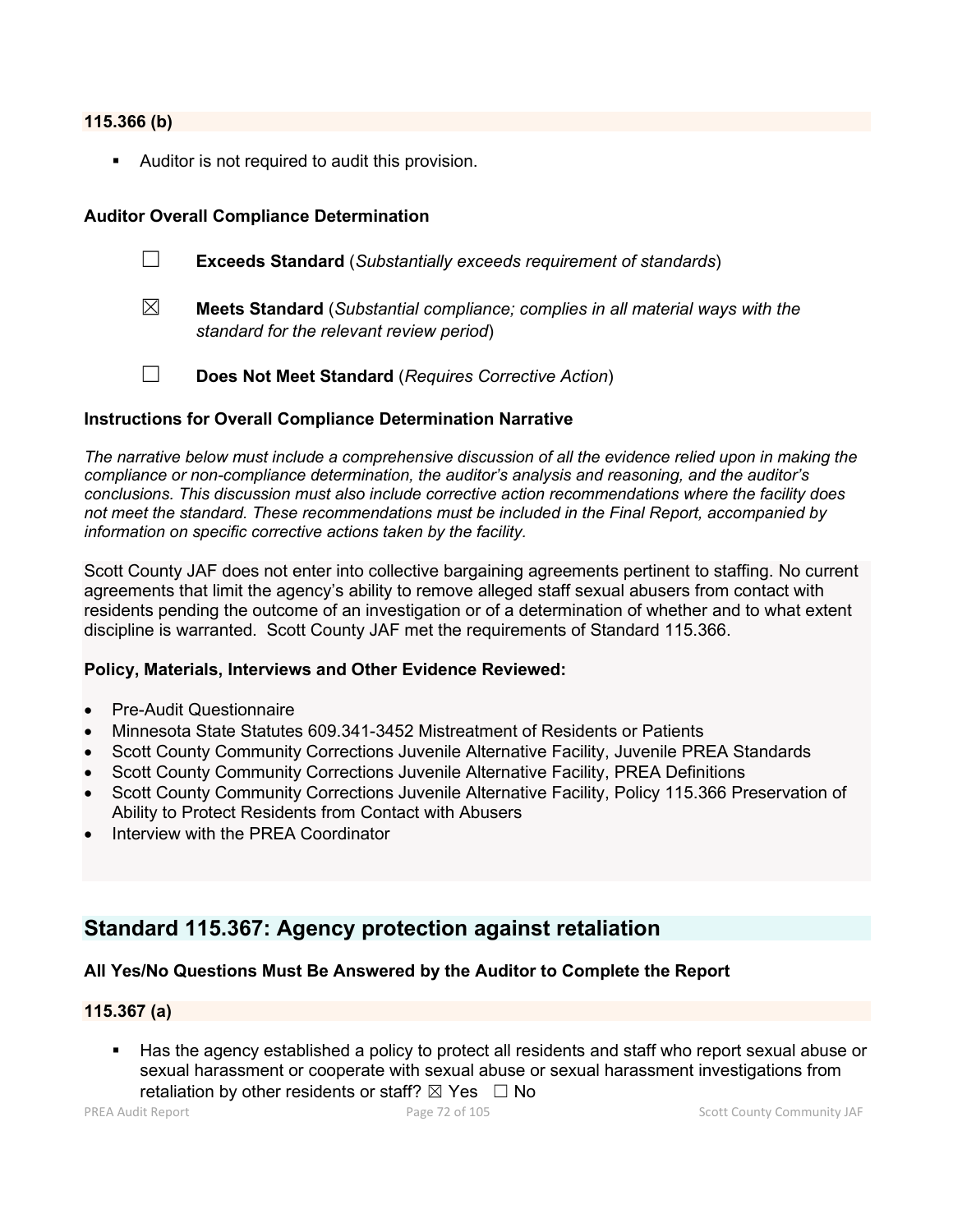#### **115.366 (b)**

**Auditor is not required to audit this provision.** 

## **Auditor Overall Compliance Determination**

- ☐ **Exceeds Standard** (*Substantially exceeds requirement of standards*)
- ☒ **Meets Standard** (*Substantial compliance; complies in all material ways with the standard for the relevant review period*)
- ☐ **Does Not Meet Standard** (*Requires Corrective Action*)

### **Instructions for Overall Compliance Determination Narrative**

*The narrative below must include a comprehensive discussion of all the evidence relied upon in making the compliance or non-compliance determination, the auditor's analysis and reasoning, and the auditor's conclusions. This discussion must also include corrective action recommendations where the facility does not meet the standard. These recommendations must be included in the Final Report, accompanied by information on specific corrective actions taken by the facility.*

Scott County JAF does not enter into collective bargaining agreements pertinent to staffing. No current agreements that limit the agency's ability to remove alleged staff sexual abusers from contact with residents pending the outcome of an investigation or of a determination of whether and to what extent discipline is warranted. Scott County JAF met the requirements of Standard 115.366.

#### **Policy, Materials, Interviews and Other Evidence Reviewed:**

- Pre-Audit Questionnaire
- Minnesota State Statutes 609.341-3452 Mistreatment of Residents or Patients
- Scott County Community Corrections Juvenile Alternative Facility, Juvenile PREA Standards
- Scott County Community Corrections Juvenile Alternative Facility, PREA Definitions
- Scott County Community Corrections Juvenile Alternative Facility, Policy 115.366 Preservation of Ability to Protect Residents from Contact with Abusers
- Interview with the PREA Coordinator

# **Standard 115.367: Agency protection against retaliation**

# **All Yes/No Questions Must Be Answered by the Auditor to Complete the Report**

#### **115.367 (a)**

 Has the agency established a policy to protect all residents and staff who report sexual abuse or sexual harassment or cooperate with sexual abuse or sexual harassment investigations from retaliation by other residents or staff?  $\boxtimes$  Yes  $\Box$  No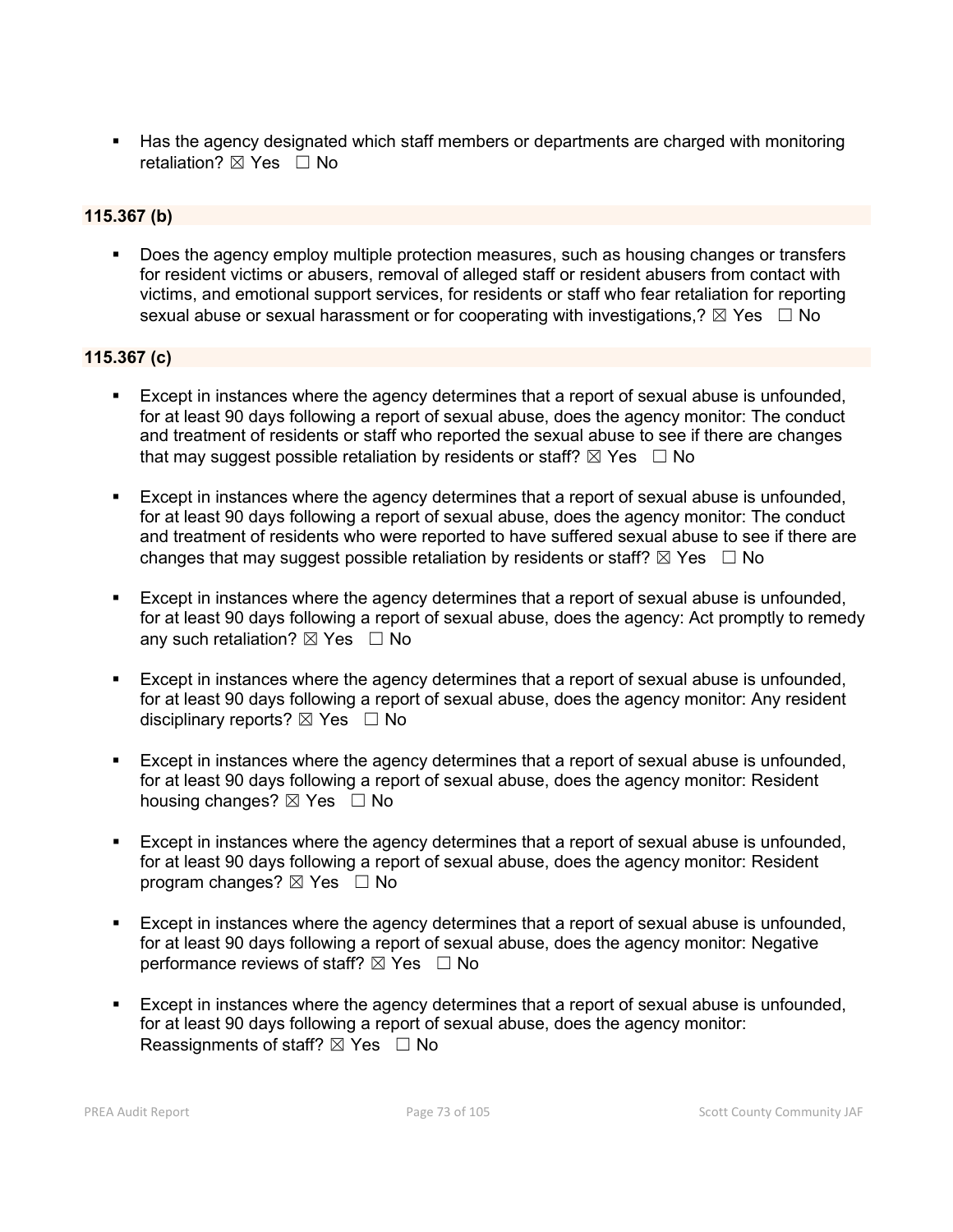Has the agency designated which staff members or departments are charged with monitoring retaliation? ⊠ Yes □ No

### **115.367 (b)**

**Does the agency employ multiple protection measures, such as housing changes or transfers** for resident victims or abusers, removal of alleged staff or resident abusers from contact with victims, and emotional support services, for residents or staff who fear retaliation for reporting sexual abuse or sexual harassment or for cooperating with investigations,?  $\boxtimes$  Yes  $\Box$  No

#### **115.367 (c)**

- Except in instances where the agency determines that a report of sexual abuse is unfounded, for at least 90 days following a report of sexual abuse, does the agency monitor: The conduct and treatment of residents or staff who reported the sexual abuse to see if there are changes that may suggest possible retaliation by residents or staff?  $\boxtimes$  Yes  $\Box$  No
- Except in instances where the agency determines that a report of sexual abuse is unfounded, for at least 90 days following a report of sexual abuse, does the agency monitor: The conduct and treatment of residents who were reported to have suffered sexual abuse to see if there are changes that may suggest possible retaliation by residents or staff?  $\boxtimes$  Yes  $\Box$  No
- Except in instances where the agency determines that a report of sexual abuse is unfounded, for at least 90 days following a report of sexual abuse, does the agency: Act promptly to remedy any such retaliation?  $\boxtimes$  Yes  $\Box$  No
- Except in instances where the agency determines that a report of sexual abuse is unfounded, for at least 90 days following a report of sexual abuse, does the agency monitor: Any resident disciplinary reports?  $\boxtimes$  Yes  $\Box$  No
- Except in instances where the agency determines that a report of sexual abuse is unfounded, for at least 90 days following a report of sexual abuse, does the agency monitor: Resident housing changes?  $\boxtimes$  Yes  $\Box$  No
- Except in instances where the agency determines that a report of sexual abuse is unfounded, for at least 90 days following a report of sexual abuse, does the agency monitor: Resident program changes?  $\boxtimes$  Yes  $\Box$  No
- Except in instances where the agency determines that a report of sexual abuse is unfounded, for at least 90 days following a report of sexual abuse, does the agency monitor: Negative performance reviews of staff?  $\boxtimes$  Yes  $\Box$  No
- Except in instances where the agency determines that a report of sexual abuse is unfounded, for at least 90 days following a report of sexual abuse, does the agency monitor: Reassignments of staff?  $\boxtimes$  Yes  $\Box$  No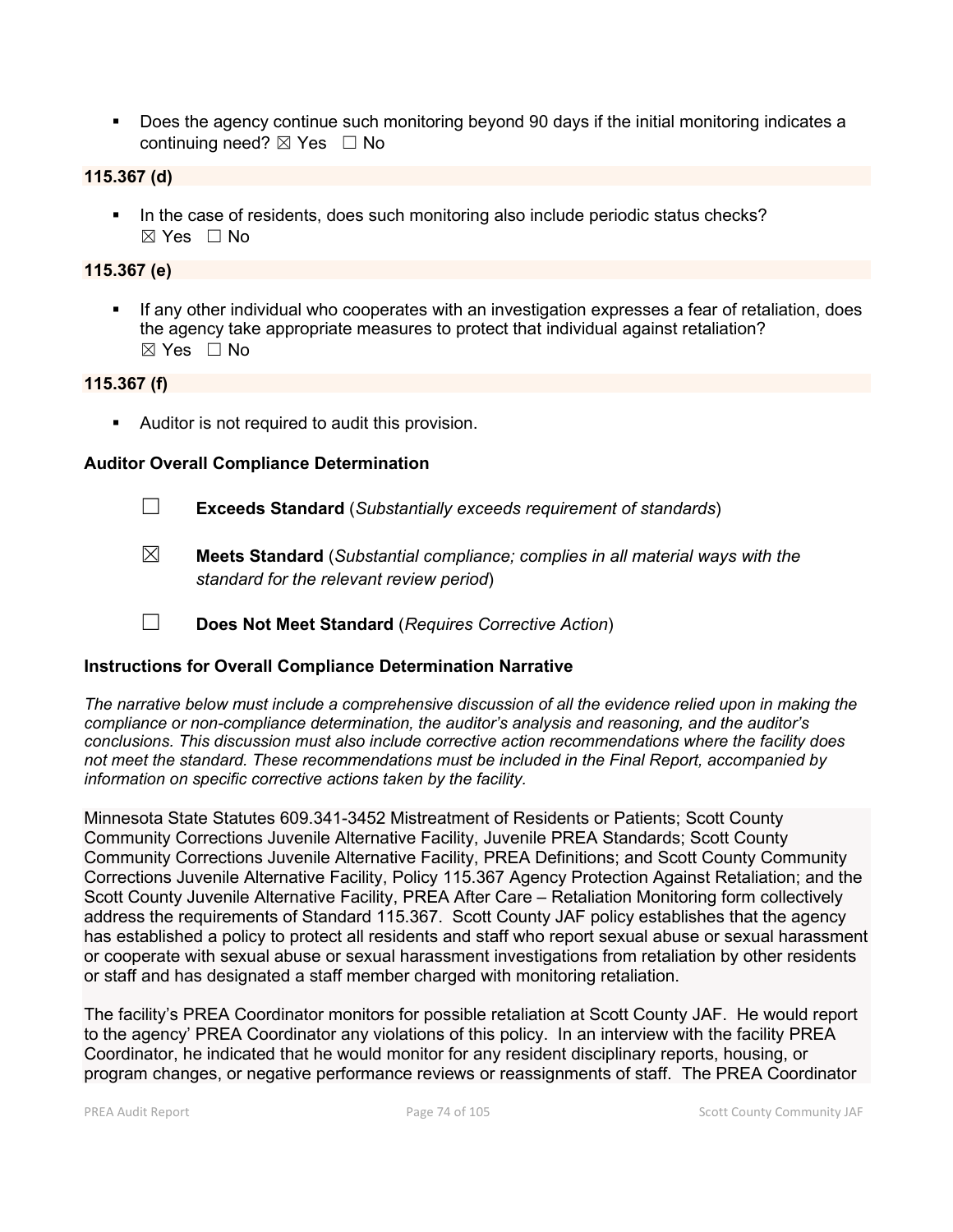Does the agency continue such monitoring beyond 90 days if the initial monitoring indicates a continuing need?  $\boxtimes$  Yes  $\Box$  No

#### **115.367 (d)**

In the case of residents, does such monitoring also include periodic status checks?  $\boxtimes$  Yes  $\Box$  No

#### **115.367 (e)**

 If any other individual who cooperates with an investigation expresses a fear of retaliation, does the agency take appropriate measures to protect that individual against retaliation?  $\boxtimes$  Yes  $\Box$  No

#### **115.367 (f)**

**Auditor is not required to audit this provision.** 

#### **Auditor Overall Compliance Determination**

- ☐ **Exceeds Standard** (*Substantially exceeds requirement of standards*)
- ☒ **Meets Standard** (*Substantial compliance; complies in all material ways with the standard for the relevant review period*)
- ☐ **Does Not Meet Standard** (*Requires Corrective Action*)

#### **Instructions for Overall Compliance Determination Narrative**

*The narrative below must include a comprehensive discussion of all the evidence relied upon in making the compliance or non-compliance determination, the auditor's analysis and reasoning, and the auditor's conclusions. This discussion must also include corrective action recommendations where the facility does not meet the standard. These recommendations must be included in the Final Report, accompanied by information on specific corrective actions taken by the facility.*

Minnesota State Statutes 609.341-3452 Mistreatment of Residents or Patients; Scott County Community Corrections Juvenile Alternative Facility, Juvenile PREA Standards; Scott County Community Corrections Juvenile Alternative Facility, PREA Definitions; and Scott County Community Corrections Juvenile Alternative Facility, Policy 115.367 Agency Protection Against Retaliation; and the Scott County Juvenile Alternative Facility, PREA After Care – Retaliation Monitoring form collectively address the requirements of Standard 115.367. Scott County JAF policy establishes that the agency has established a policy to protect all residents and staff who report sexual abuse or sexual harassment or cooperate with sexual abuse or sexual harassment investigations from retaliation by other residents or staff and has designated a staff member charged with monitoring retaliation.

The facility's PREA Coordinator monitors for possible retaliation at Scott County JAF. He would report to the agency' PREA Coordinator any violations of this policy. In an interview with the facility PREA Coordinator, he indicated that he would monitor for any resident disciplinary reports, housing, or program changes, or negative performance reviews or reassignments of staff. The PREA Coordinator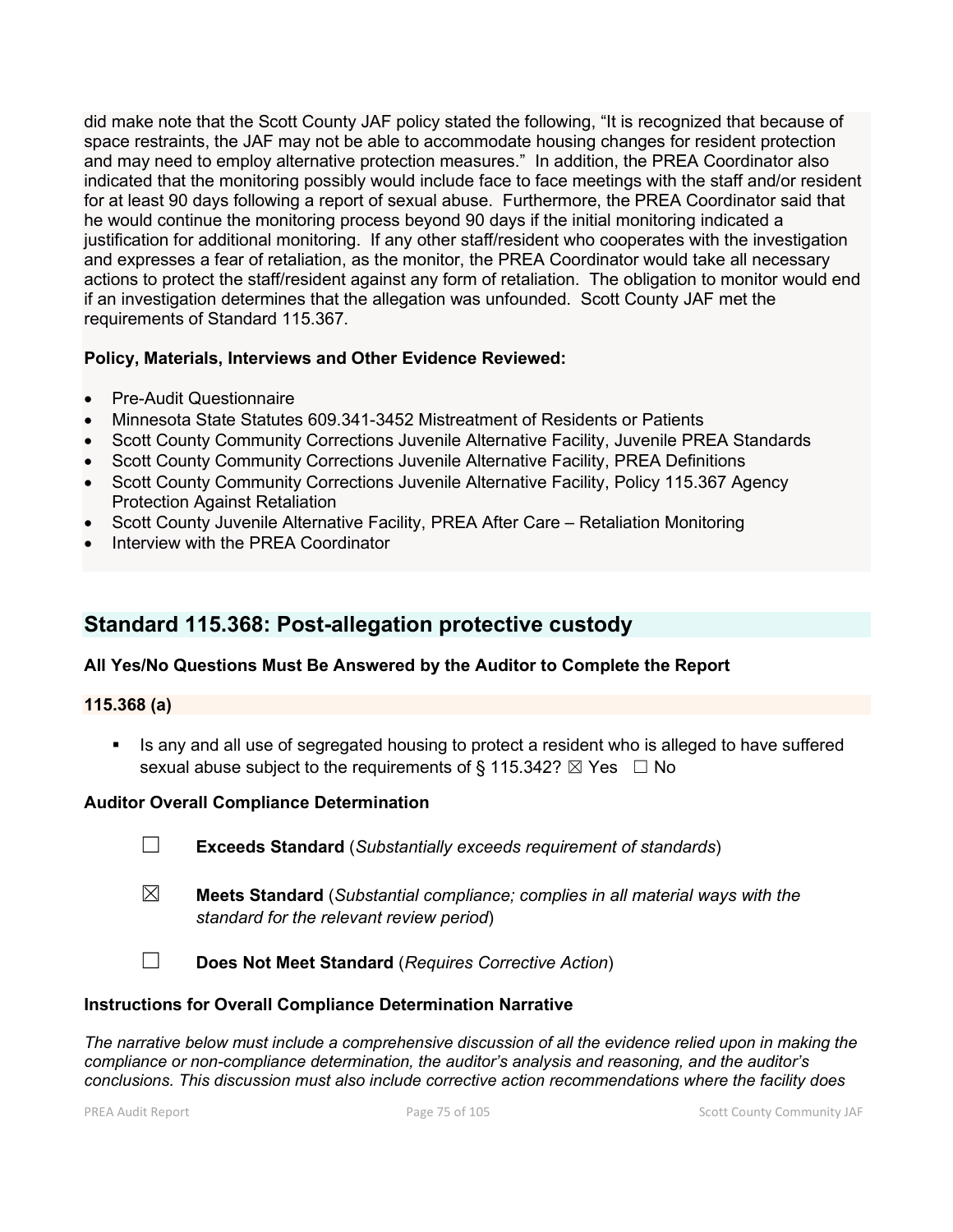did make note that the Scott County JAF policy stated the following, "It is recognized that because of space restraints, the JAF may not be able to accommodate housing changes for resident protection and may need to employ alternative protection measures." In addition, the PREA Coordinator also indicated that the monitoring possibly would include face to face meetings with the staff and/or resident for at least 90 days following a report of sexual abuse. Furthermore, the PREA Coordinator said that he would continue the monitoring process beyond 90 days if the initial monitoring indicated a justification for additional monitoring. If any other staff/resident who cooperates with the investigation and expresses a fear of retaliation, as the monitor, the PREA Coordinator would take all necessary actions to protect the staff/resident against any form of retaliation. The obligation to monitor would end if an investigation determines that the allegation was unfounded. Scott County JAF met the requirements of Standard 115.367.

#### **Policy, Materials, Interviews and Other Evidence Reviewed:**

- Pre-Audit Questionnaire
- Minnesota State Statutes 609.341-3452 Mistreatment of Residents or Patients
- Scott County Community Corrections Juvenile Alternative Facility, Juvenile PREA Standards
- Scott County Community Corrections Juvenile Alternative Facility, PREA Definitions
- Scott County Community Corrections Juvenile Alternative Facility, Policy 115.367 Agency Protection Against Retaliation
- Scott County Juvenile Alternative Facility, PREA After Care Retaliation Monitoring
- Interview with the PREA Coordinator

## **Standard 115.368: Post-allegation protective custody**

### **All Yes/No Questions Must Be Answered by the Auditor to Complete the Report**

#### **115.368 (a)**

 Is any and all use of segregated housing to protect a resident who is alleged to have suffered sexual abuse subject to the requirements of § 115.342?  $\boxtimes$  Yes  $\Box$  No

#### **Auditor Overall Compliance Determination**

- ☐ **Exceeds Standard** (*Substantially exceeds requirement of standards*)
- ☒ **Meets Standard** (*Substantial compliance; complies in all material ways with the standard for the relevant review period*)
- ☐ **Does Not Meet Standard** (*Requires Corrective Action*)

#### **Instructions for Overall Compliance Determination Narrative**

*The narrative below must include a comprehensive discussion of all the evidence relied upon in making the compliance or non-compliance determination, the auditor's analysis and reasoning, and the auditor's conclusions. This discussion must also include corrective action recommendations where the facility does*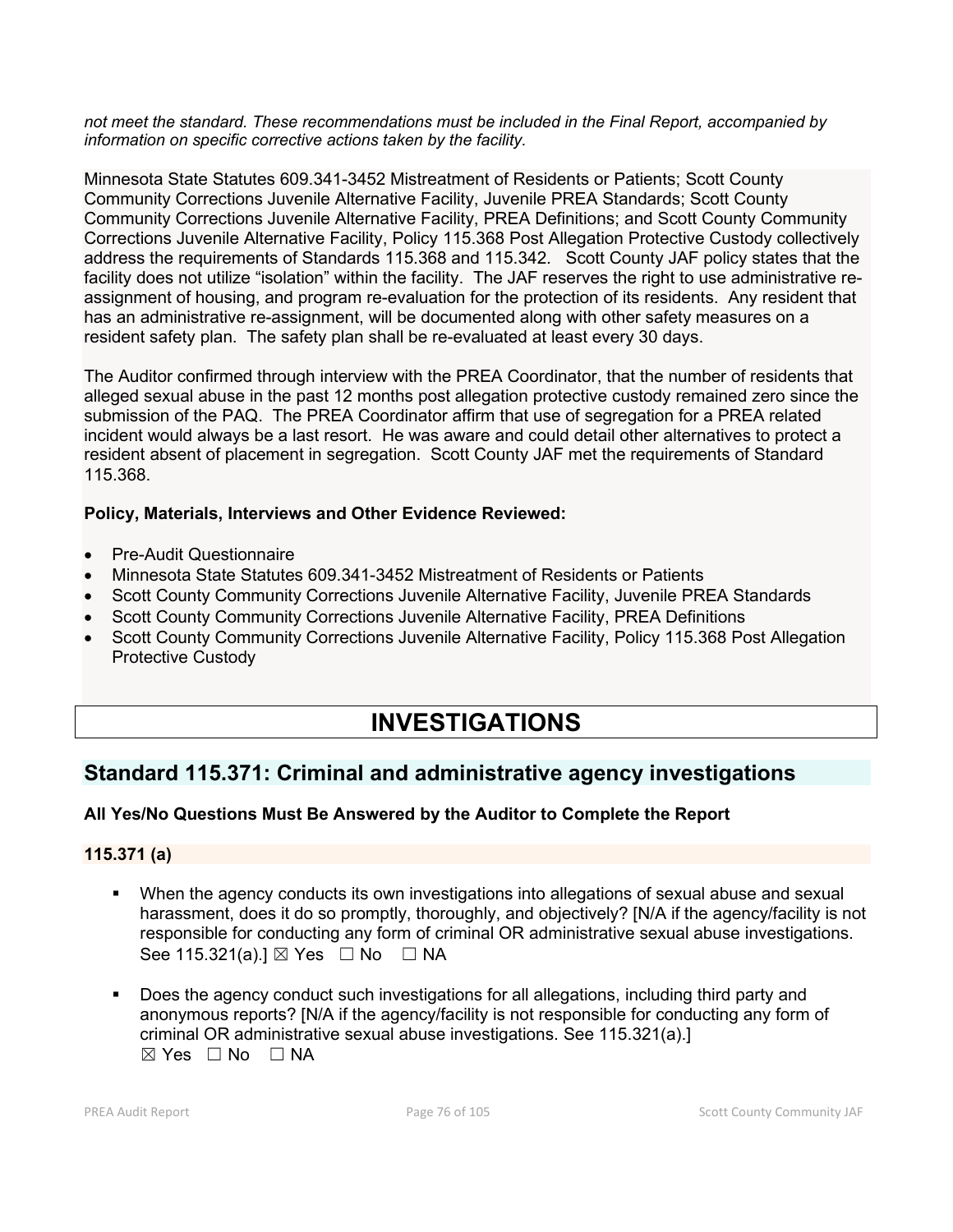*not meet the standard. These recommendations must be included in the Final Report, accompanied by information on specific corrective actions taken by the facility.*

Minnesota State Statutes 609.341-3452 Mistreatment of Residents or Patients; Scott County Community Corrections Juvenile Alternative Facility, Juvenile PREA Standards; Scott County Community Corrections Juvenile Alternative Facility, PREA Definitions; and Scott County Community Corrections Juvenile Alternative Facility, Policy 115.368 Post Allegation Protective Custody collectively address the requirements of Standards 115.368 and 115.342. Scott County JAF policy states that the facility does not utilize "isolation" within the facility. The JAF reserves the right to use administrative reassignment of housing, and program re-evaluation for the protection of its residents. Any resident that has an administrative re-assignment, will be documented along with other safety measures on a resident safety plan. The safety plan shall be re-evaluated at least every 30 days.

The Auditor confirmed through interview with the PREA Coordinator, that the number of residents that alleged sexual abuse in the past 12 months post allegation protective custody remained zero since the submission of the PAQ. The PREA Coordinator affirm that use of segregation for a PREA related incident would always be a last resort. He was aware and could detail other alternatives to protect a resident absent of placement in segregation. Scott County JAF met the requirements of Standard 115.368.

#### **Policy, Materials, Interviews and Other Evidence Reviewed:**

- Pre-Audit Questionnaire
- Minnesota State Statutes 609.341-3452 Mistreatment of Residents or Patients
- Scott County Community Corrections Juvenile Alternative Facility, Juvenile PREA Standards
- Scott County Community Corrections Juvenile Alternative Facility, PREA Definitions
- Scott County Community Corrections Juvenile Alternative Facility, Policy 115.368 Post Allegation Protective Custody

# **INVESTIGATIONS**

## **Standard 115.371: Criminal and administrative agency investigations**

### **All Yes/No Questions Must Be Answered by the Auditor to Complete the Report**

#### **115.371 (a)**

- When the agency conducts its own investigations into allegations of sexual abuse and sexual harassment, does it do so promptly, thoroughly, and objectively? [N/A if the agency/facility is not responsible for conducting any form of criminal OR administrative sexual abuse investigations. See 115.321(a).]  $\boxtimes$  Yes  $\Box$  No  $\Box$  NA
- Does the agency conduct such investigations for all allegations, including third party and anonymous reports? [N/A if the agency/facility is not responsible for conducting any form of criminal OR administrative sexual abuse investigations. See 115.321(a).]  $\boxtimes$  Yes  $\Box$  No  $\Box$  NA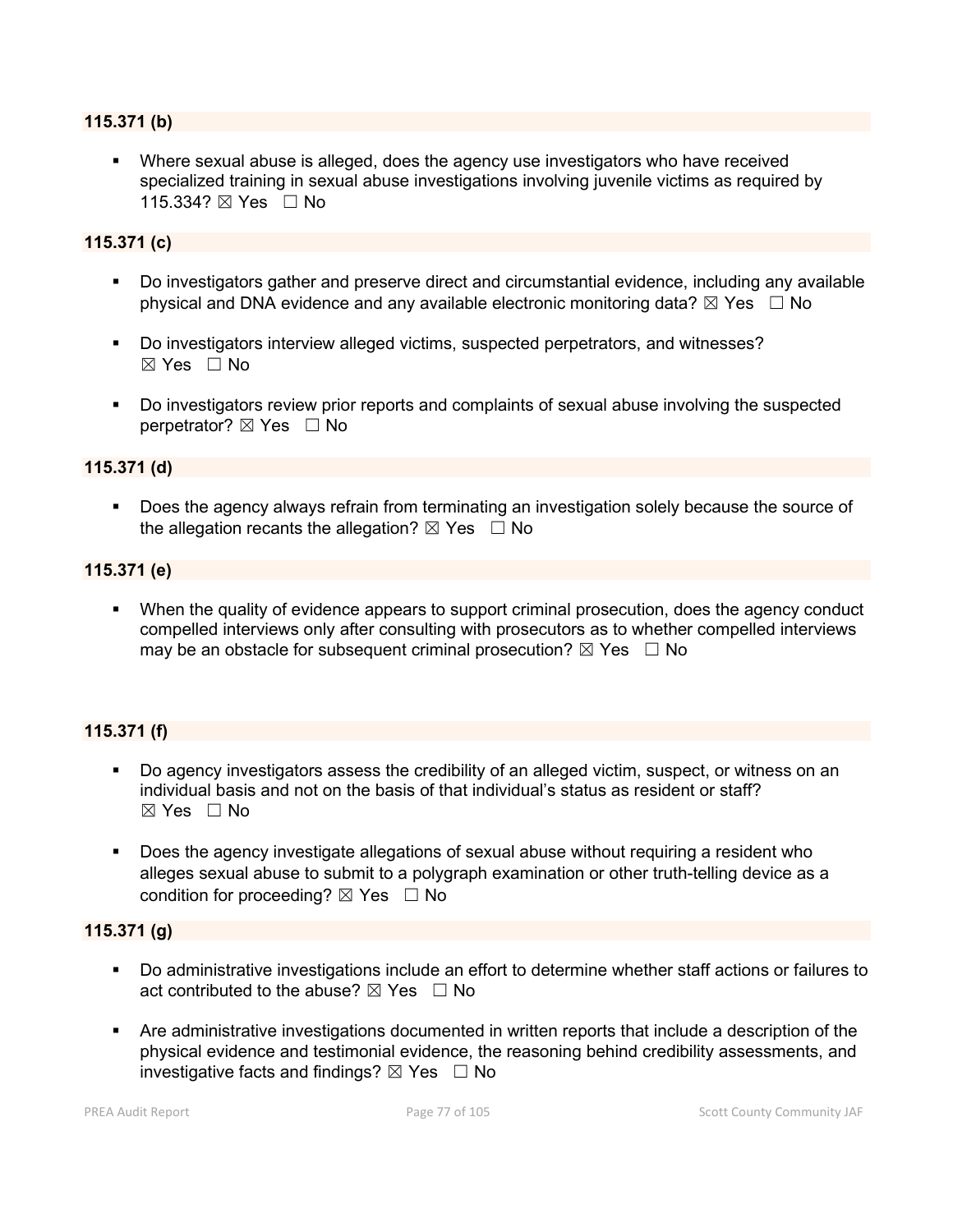#### **115.371 (b)**

 Where sexual abuse is alleged, does the agency use investigators who have received specialized training in sexual abuse investigations involving juvenile victims as required by 115.334? ⊠ Yes □ No

#### **115.371 (c)**

- Do investigators gather and preserve direct and circumstantial evidence, including any available physical and DNA evidence and any available electronic monitoring data?  $\boxtimes$  Yes  $\Box$  No
- Do investigators interview alleged victims, suspected perpetrators, and witnesses?  $\boxtimes$  Yes  $\Box$  No
- Do investigators review prior reports and complaints of sexual abuse involving the suspected perpetrator? ⊠ Yes □ No

#### **115.371 (d)**

 Does the agency always refrain from terminating an investigation solely because the source of the allegation recants the allegation?  $\boxtimes$  Yes  $\Box$  No

#### **115.371 (e)**

 When the quality of evidence appears to support criminal prosecution, does the agency conduct compelled interviews only after consulting with prosecutors as to whether compelled interviews may be an obstacle for subsequent criminal prosecution?  $\boxtimes$  Yes  $\Box$  No

#### **115.371 (f)**

- Do agency investigators assess the credibility of an alleged victim, suspect, or witness on an individual basis and not on the basis of that individual's status as resident or staff?  $\boxtimes$  Yes  $\Box$  No.
- Does the agency investigate allegations of sexual abuse without requiring a resident who alleges sexual abuse to submit to a polygraph examination or other truth-telling device as a condition for proceeding?  $\boxtimes$  Yes  $\Box$  No

#### **115.371 (g)**

- Do administrative investigations include an effort to determine whether staff actions or failures to act contributed to the abuse?  $\boxtimes$  Yes  $\Box$  No
- Are administrative investigations documented in written reports that include a description of the physical evidence and testimonial evidence, the reasoning behind credibility assessments, and investigative facts and findings?  $\boxtimes$  Yes  $\Box$  No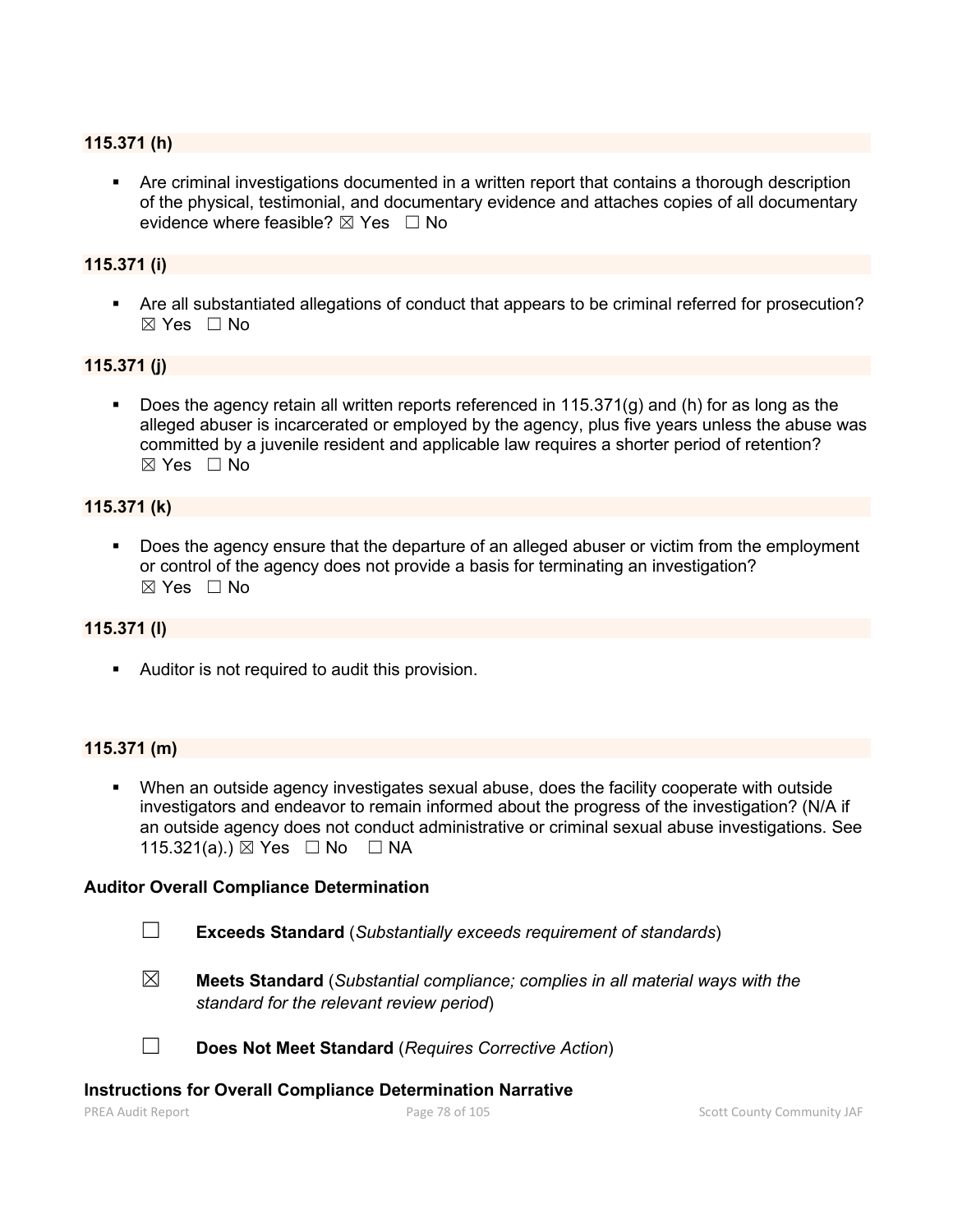#### **115.371 (h)**

 Are criminal investigations documented in a written report that contains a thorough description of the physical, testimonial, and documentary evidence and attaches copies of all documentary evidence where feasible?  $\boxtimes$  Yes  $\Box$  No

#### **115.371 (i)**

 Are all substantiated allegations of conduct that appears to be criminal referred for prosecution?  $\boxtimes$  Yes  $\Box$  No

#### **115.371 (j)**

 Does the agency retain all written reports referenced in 115.371(g) and (h) for as long as the alleged abuser is incarcerated or employed by the agency, plus five years unless the abuse was committed by a juvenile resident and applicable law requires a shorter period of retention?  $\boxtimes$  Yes  $\Box$  No

#### **115.371 (k)**

 Does the agency ensure that the departure of an alleged abuser or victim from the employment or control of the agency does not provide a basis for terminating an investigation?  $\boxtimes$  Yes  $\Box$  No

#### **115.371 (l)**

Auditor is not required to audit this provision.

#### **115.371 (m)**

 When an outside agency investigates sexual abuse, does the facility cooperate with outside investigators and endeavor to remain informed about the progress of the investigation? (N/A if an outside agency does not conduct administrative or criminal sexual abuse investigations. See 115.321(a).) ⊠ Yes □ No □ NA

#### **Auditor Overall Compliance Determination**

- ☐ **Exceeds Standard** (*Substantially exceeds requirement of standards*)
- ☒ **Meets Standard** (*Substantial compliance; complies in all material ways with the standard for the relevant review period*)

☐ **Does Not Meet Standard** (*Requires Corrective Action*)

#### **Instructions for Overall Compliance Determination Narrative**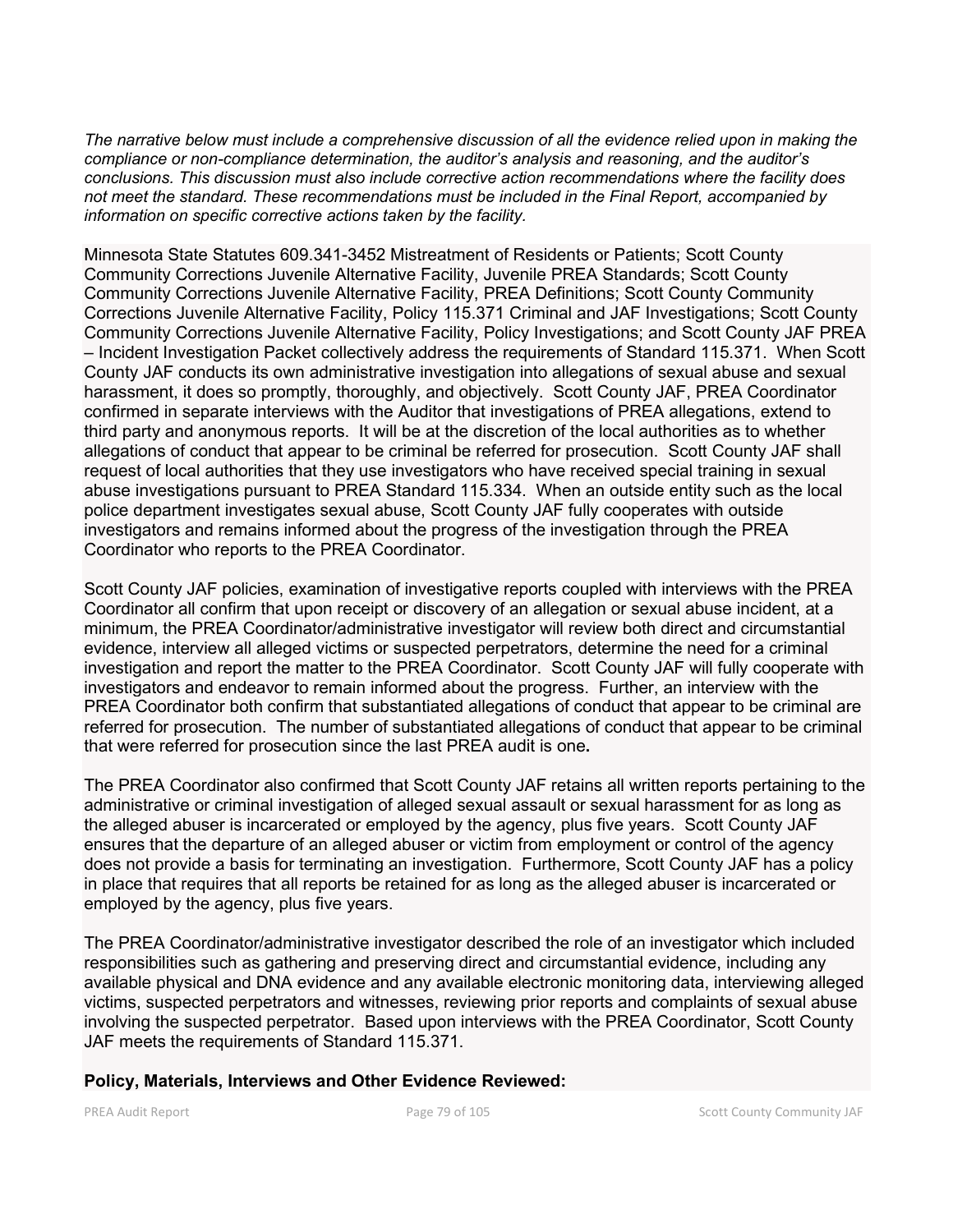*The narrative below must include a comprehensive discussion of all the evidence relied upon in making the compliance or non-compliance determination, the auditor's analysis and reasoning, and the auditor's conclusions. This discussion must also include corrective action recommendations where the facility does not meet the standard. These recommendations must be included in the Final Report, accompanied by information on specific corrective actions taken by the facility.*

Minnesota State Statutes 609.341-3452 Mistreatment of Residents or Patients; Scott County Community Corrections Juvenile Alternative Facility, Juvenile PREA Standards; Scott County Community Corrections Juvenile Alternative Facility, PREA Definitions; Scott County Community Corrections Juvenile Alternative Facility, Policy 115.371 Criminal and JAF Investigations; Scott County Community Corrections Juvenile Alternative Facility, Policy Investigations; and Scott County JAF PREA – Incident Investigation Packet collectively address the requirements of Standard 115.371. When Scott County JAF conducts its own administrative investigation into allegations of sexual abuse and sexual harassment, it does so promptly, thoroughly, and objectively. Scott County JAF, PREA Coordinator confirmed in separate interviews with the Auditor that investigations of PREA allegations, extend to third party and anonymous reports. It will be at the discretion of the local authorities as to whether allegations of conduct that appear to be criminal be referred for prosecution. Scott County JAF shall request of local authorities that they use investigators who have received special training in sexual abuse investigations pursuant to PREA Standard 115.334. When an outside entity such as the local police department investigates sexual abuse, Scott County JAF fully cooperates with outside investigators and remains informed about the progress of the investigation through the PREA Coordinator who reports to the PREA Coordinator.

Scott County JAF policies, examination of investigative reports coupled with interviews with the PREA Coordinator all confirm that upon receipt or discovery of an allegation or sexual abuse incident, at a minimum, the PREA Coordinator/administrative investigator will review both direct and circumstantial evidence, interview all alleged victims or suspected perpetrators, determine the need for a criminal investigation and report the matter to the PREA Coordinator. Scott County JAF will fully cooperate with investigators and endeavor to remain informed about the progress. Further, an interview with the PREA Coordinator both confirm that substantiated allegations of conduct that appear to be criminal are referred for prosecution. The number of substantiated allegations of conduct that appear to be criminal that were referred for prosecution since the last PREA audit is one**.**

The PREA Coordinator also confirmed that Scott County JAF retains all written reports pertaining to the administrative or criminal investigation of alleged sexual assault or sexual harassment for as long as the alleged abuser is incarcerated or employed by the agency, plus five years. Scott County JAF ensures that the departure of an alleged abuser or victim from employment or control of the agency does not provide a basis for terminating an investigation. Furthermore, Scott County JAF has a policy in place that requires that all reports be retained for as long as the alleged abuser is incarcerated or employed by the agency, plus five years.

The PREA Coordinator/administrative investigator described the role of an investigator which included responsibilities such as gathering and preserving direct and circumstantial evidence, including any available physical and DNA evidence and any available electronic monitoring data, interviewing alleged victims, suspected perpetrators and witnesses, reviewing prior reports and complaints of sexual abuse involving the suspected perpetrator. Based upon interviews with the PREA Coordinator, Scott County JAF meets the requirements of Standard 115.371.

#### **Policy, Materials, Interviews and Other Evidence Reviewed:**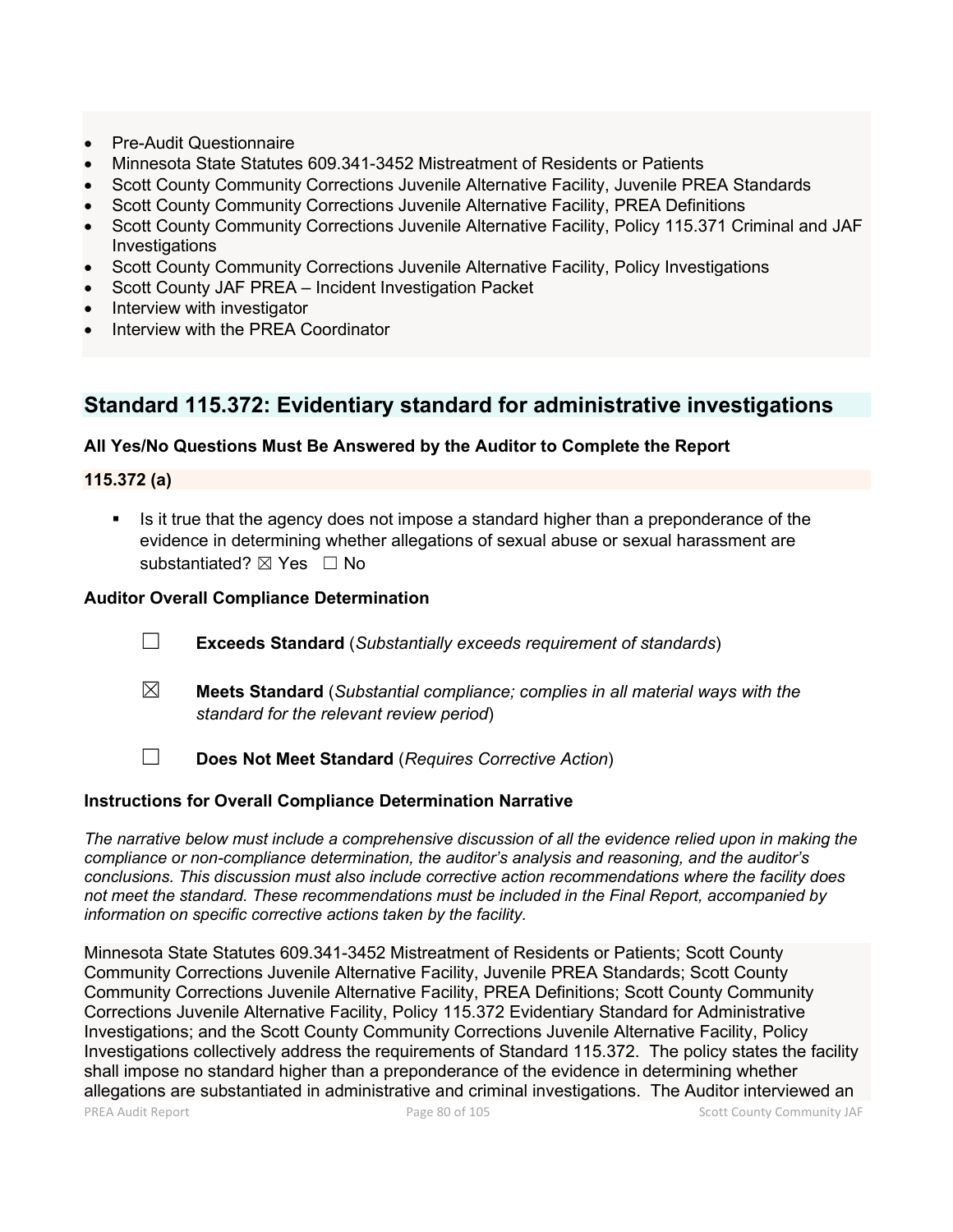- Pre-Audit Questionnaire
- Minnesota State Statutes 609.341-3452 Mistreatment of Residents or Patients
- Scott County Community Corrections Juvenile Alternative Facility, Juvenile PREA Standards
- Scott County Community Corrections Juvenile Alternative Facility, PREA Definitions
- Scott County Community Corrections Juvenile Alternative Facility, Policy 115.371 Criminal and JAF **Investigations**
- Scott County Community Corrections Juvenile Alternative Facility, Policy Investigations
- Scott County JAF PREA Incident Investigation Packet
- Interview with investigator
- Interview with the PREA Coordinator

## **Standard 115.372: Evidentiary standard for administrative investigations**

#### **All Yes/No Questions Must Be Answered by the Auditor to Complete the Report**

#### **115.372 (a)**

 Is it true that the agency does not impose a standard higher than a preponderance of the evidence in determining whether allegations of sexual abuse or sexual harassment are substantiated?  $\boxtimes$  Yes  $\Box$  No

#### **Auditor Overall Compliance Determination**

- ☐ **Exceeds Standard** (*Substantially exceeds requirement of standards*)
- ☒ **Meets Standard** (*Substantial compliance; complies in all material ways with the standard for the relevant review period*)
- ☐ **Does Not Meet Standard** (*Requires Corrective Action*)

#### **Instructions for Overall Compliance Determination Narrative**

*The narrative below must include a comprehensive discussion of all the evidence relied upon in making the compliance or non-compliance determination, the auditor's analysis and reasoning, and the auditor's conclusions. This discussion must also include corrective action recommendations where the facility does not meet the standard. These recommendations must be included in the Final Report, accompanied by information on specific corrective actions taken by the facility.*

Minnesota State Statutes 609.341-3452 Mistreatment of Residents or Patients; Scott County Community Corrections Juvenile Alternative Facility, Juvenile PREA Standards; Scott County Community Corrections Juvenile Alternative Facility, PREA Definitions; Scott County Community Corrections Juvenile Alternative Facility, Policy 115.372 Evidentiary Standard for Administrative Investigations; and the Scott County Community Corrections Juvenile Alternative Facility, Policy Investigations collectively address the requirements of Standard 115.372. The policy states the facility shall impose no standard higher than a preponderance of the evidence in determining whether allegations are substantiated in administrative and criminal investigations. The Auditor interviewed an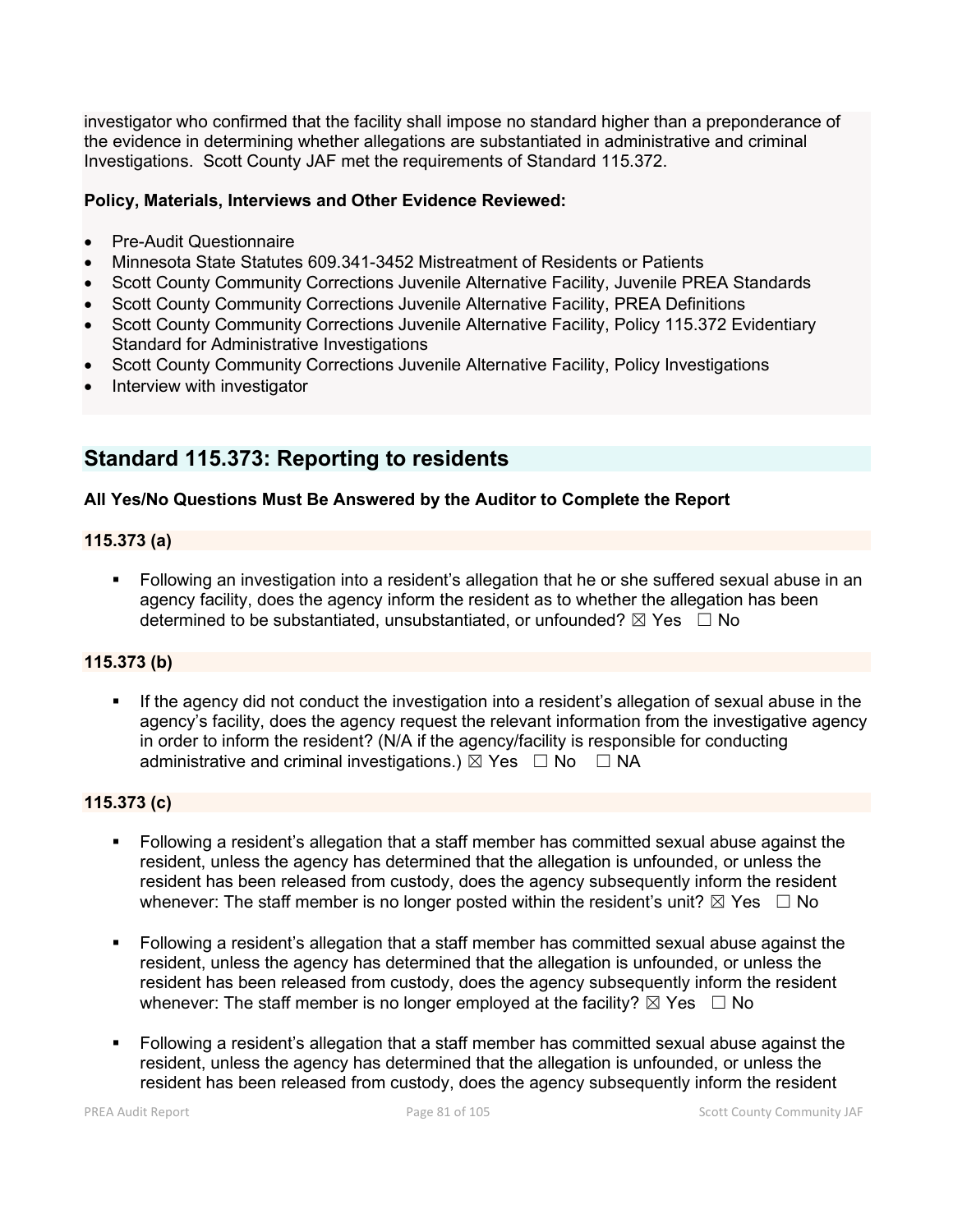investigator who confirmed that the facility shall impose no standard higher than a preponderance of the evidence in determining whether allegations are substantiated in administrative and criminal Investigations. Scott County JAF met the requirements of Standard 115.372.

### **Policy, Materials, Interviews and Other Evidence Reviewed:**

- Pre-Audit Questionnaire
- Minnesota State Statutes 609.341-3452 Mistreatment of Residents or Patients
- Scott County Community Corrections Juvenile Alternative Facility, Juvenile PREA Standards
- Scott County Community Corrections Juvenile Alternative Facility, PREA Definitions
- Scott County Community Corrections Juvenile Alternative Facility, Policy 115.372 Evidentiary Standard for Administrative Investigations
- Scott County Community Corrections Juvenile Alternative Facility, Policy Investigations
- Interview with investigator

## **Standard 115.373: Reporting to residents**

### **All Yes/No Questions Must Be Answered by the Auditor to Complete the Report**

#### **115.373 (a)**

 Following an investigation into a resident's allegation that he or she suffered sexual abuse in an agency facility, does the agency inform the resident as to whether the allegation has been determined to be substantiated, unsubstantiated, or unfounded?  $\boxtimes$  Yes  $\Box$  No

#### **115.373 (b)**

 If the agency did not conduct the investigation into a resident's allegation of sexual abuse in the agency's facility, does the agency request the relevant information from the investigative agency in order to inform the resident? (N/A if the agency/facility is responsible for conducting administrative and criminal investigations.)  $\boxtimes$  Yes  $\Box$  No  $\Box$  NA

#### **115.373 (c)**

- Following a resident's allegation that a staff member has committed sexual abuse against the resident, unless the agency has determined that the allegation is unfounded, or unless the resident has been released from custody, does the agency subsequently inform the resident whenever: The staff member is no longer posted within the resident's unit?  $\boxtimes$  Yes  $\Box$  No
- Following a resident's allegation that a staff member has committed sexual abuse against the resident, unless the agency has determined that the allegation is unfounded, or unless the resident has been released from custody, does the agency subsequently inform the resident whenever: The staff member is no longer employed at the facility?  $\boxtimes$  Yes  $\Box$  No
- Following a resident's allegation that a staff member has committed sexual abuse against the resident, unless the agency has determined that the allegation is unfounded, or unless the resident has been released from custody, does the agency subsequently inform the resident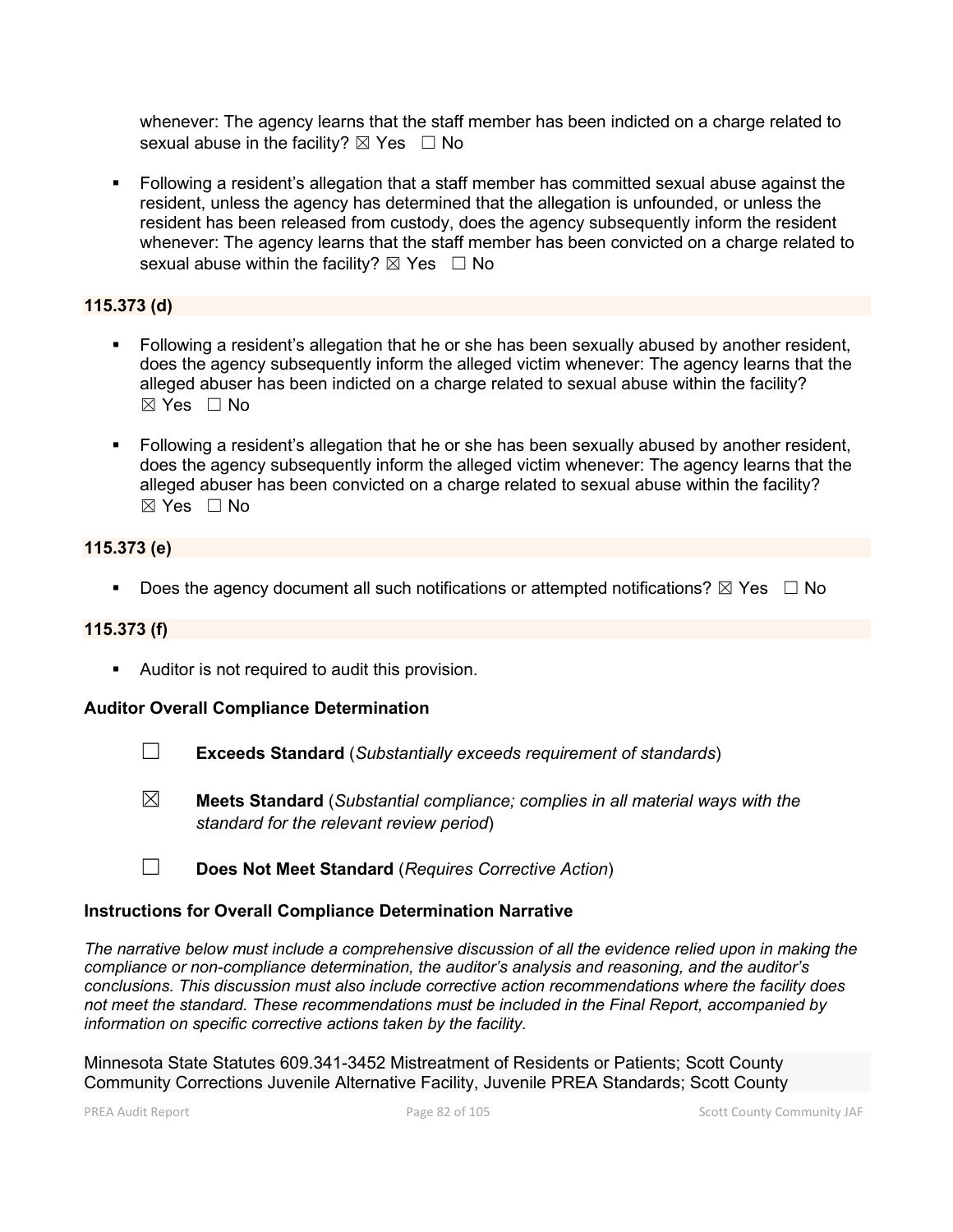whenever: The agency learns that the staff member has been indicted on a charge related to sexual abuse in the facility?  $\boxtimes$  Yes  $\Box$  No

 Following a resident's allegation that a staff member has committed sexual abuse against the resident, unless the agency has determined that the allegation is unfounded, or unless the resident has been released from custody, does the agency subsequently inform the resident whenever: The agency learns that the staff member has been convicted on a charge related to sexual abuse within the facility?  $\boxtimes$  Yes  $\Box$  No

### **115.373 (d)**

- Following a resident's allegation that he or she has been sexually abused by another resident, does the agency subsequently inform the alleged victim whenever: The agency learns that the alleged abuser has been indicted on a charge related to sexual abuse within the facility? ☒ Yes ☐ No
- Following a resident's allegation that he or she has been sexually abused by another resident, does the agency subsequently inform the alleged victim whenever: The agency learns that the alleged abuser has been convicted on a charge related to sexual abuse within the facility?  $\boxtimes$  Yes  $\Box$  No

### **115.373 (e)**

Does the agency document all such notifications or attempted notifications?  $\boxtimes$  Yes  $\Box$  No

#### **115.373 (f)**

**Auditor is not required to audit this provision.** 

#### **Auditor Overall Compliance Determination**

- ☐ **Exceeds Standard** (*Substantially exceeds requirement of standards*)
- ☒ **Meets Standard** (*Substantial compliance; complies in all material ways with the standard for the relevant review period*)
- ☐ **Does Not Meet Standard** (*Requires Corrective Action*)

#### **Instructions for Overall Compliance Determination Narrative**

*The narrative below must include a comprehensive discussion of all the evidence relied upon in making the compliance or non-compliance determination, the auditor's analysis and reasoning, and the auditor's conclusions. This discussion must also include corrective action recommendations where the facility does not meet the standard. These recommendations must be included in the Final Report, accompanied by information on specific corrective actions taken by the facility.*

Minnesota State Statutes 609.341-3452 Mistreatment of Residents or Patients; Scott County Community Corrections Juvenile Alternative Facility, Juvenile PREA Standards; Scott County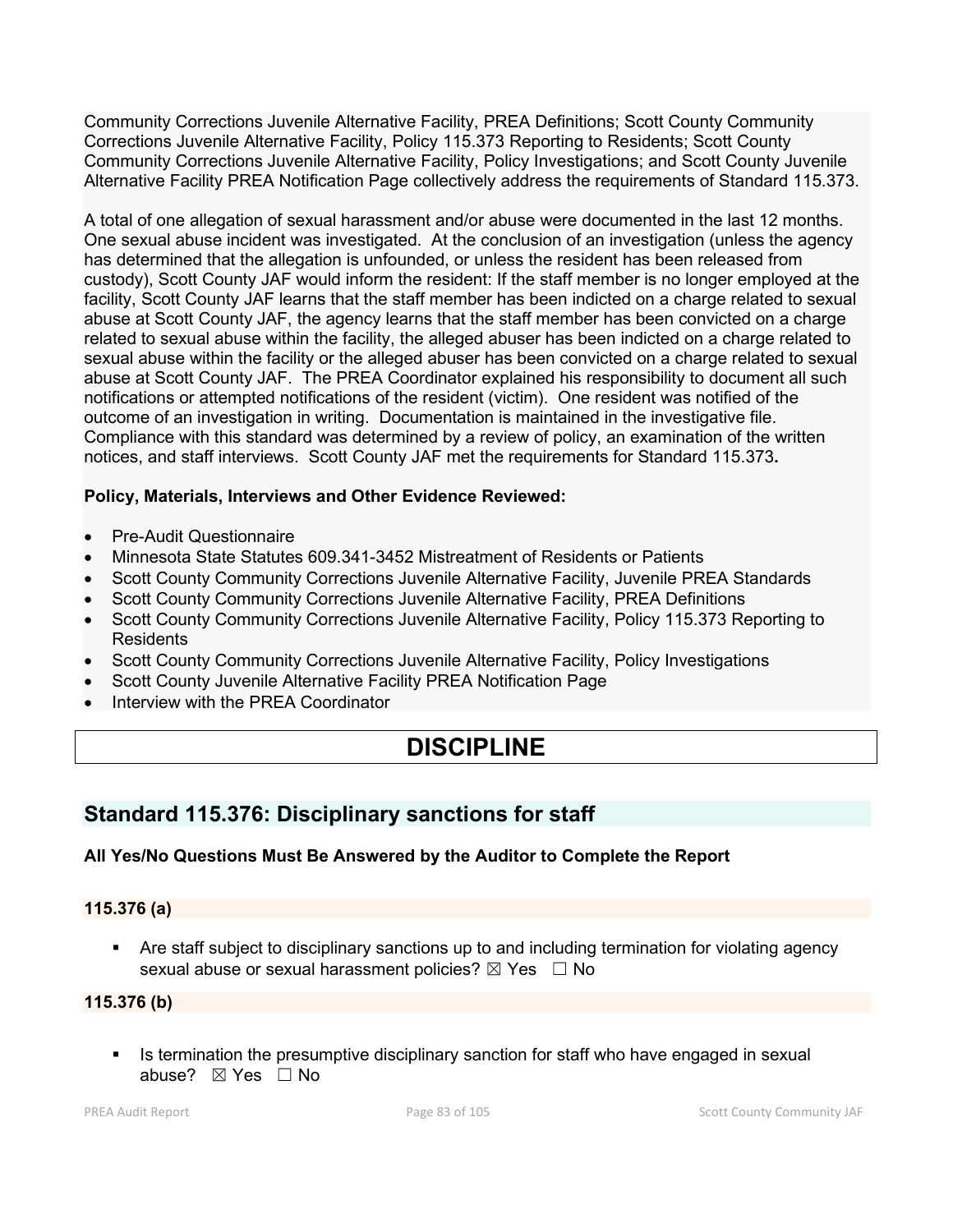Community Corrections Juvenile Alternative Facility, PREA Definitions; Scott County Community Corrections Juvenile Alternative Facility, Policy 115.373 Reporting to Residents; Scott County Community Corrections Juvenile Alternative Facility, Policy Investigations; and Scott County Juvenile Alternative Facility PREA Notification Page collectively address the requirements of Standard 115.373.

A total of one allegation of sexual harassment and/or abuse were documented in the last 12 months. One sexual abuse incident was investigated. At the conclusion of an investigation (unless the agency has determined that the allegation is unfounded, or unless the resident has been released from custody), Scott County JAF would inform the resident: If the staff member is no longer employed at the facility, Scott County JAF learns that the staff member has been indicted on a charge related to sexual abuse at Scott County JAF, the agency learns that the staff member has been convicted on a charge related to sexual abuse within the facility, the alleged abuser has been indicted on a charge related to sexual abuse within the facility or the alleged abuser has been convicted on a charge related to sexual abuse at Scott County JAF. The PREA Coordinator explained his responsibility to document all such notifications or attempted notifications of the resident (victim). One resident was notified of the outcome of an investigation in writing. Documentation is maintained in the investigative file. Compliance with this standard was determined by a review of policy, an examination of the written notices, and staff interviews. Scott County JAF met the requirements for Standard 115.373**.**

### **Policy, Materials, Interviews and Other Evidence Reviewed:**

- Pre-Audit Questionnaire
- Minnesota State Statutes 609.341-3452 Mistreatment of Residents or Patients
- Scott County Community Corrections Juvenile Alternative Facility, Juvenile PREA Standards
- Scott County Community Corrections Juvenile Alternative Facility, PREA Definitions
- Scott County Community Corrections Juvenile Alternative Facility, Policy 115.373 Reporting to **Residents**
- Scott County Community Corrections Juvenile Alternative Facility, Policy Investigations
- Scott County Juvenile Alternative Facility PREA Notification Page
- Interview with the PREA Coordinator

# **DISCIPLINE**

## **Standard 115.376: Disciplinary sanctions for staff**

### **All Yes/No Questions Must Be Answered by the Auditor to Complete the Report**

#### **115.376 (a)**

 Are staff subject to disciplinary sanctions up to and including termination for violating agency sexual abuse or sexual harassment policies?  $\boxtimes$  Yes  $\Box$  No

#### **115.376 (b)**

Is termination the presumptive disciplinary sanction for staff who have engaged in sexual abuse? ☒ Yes ☐ No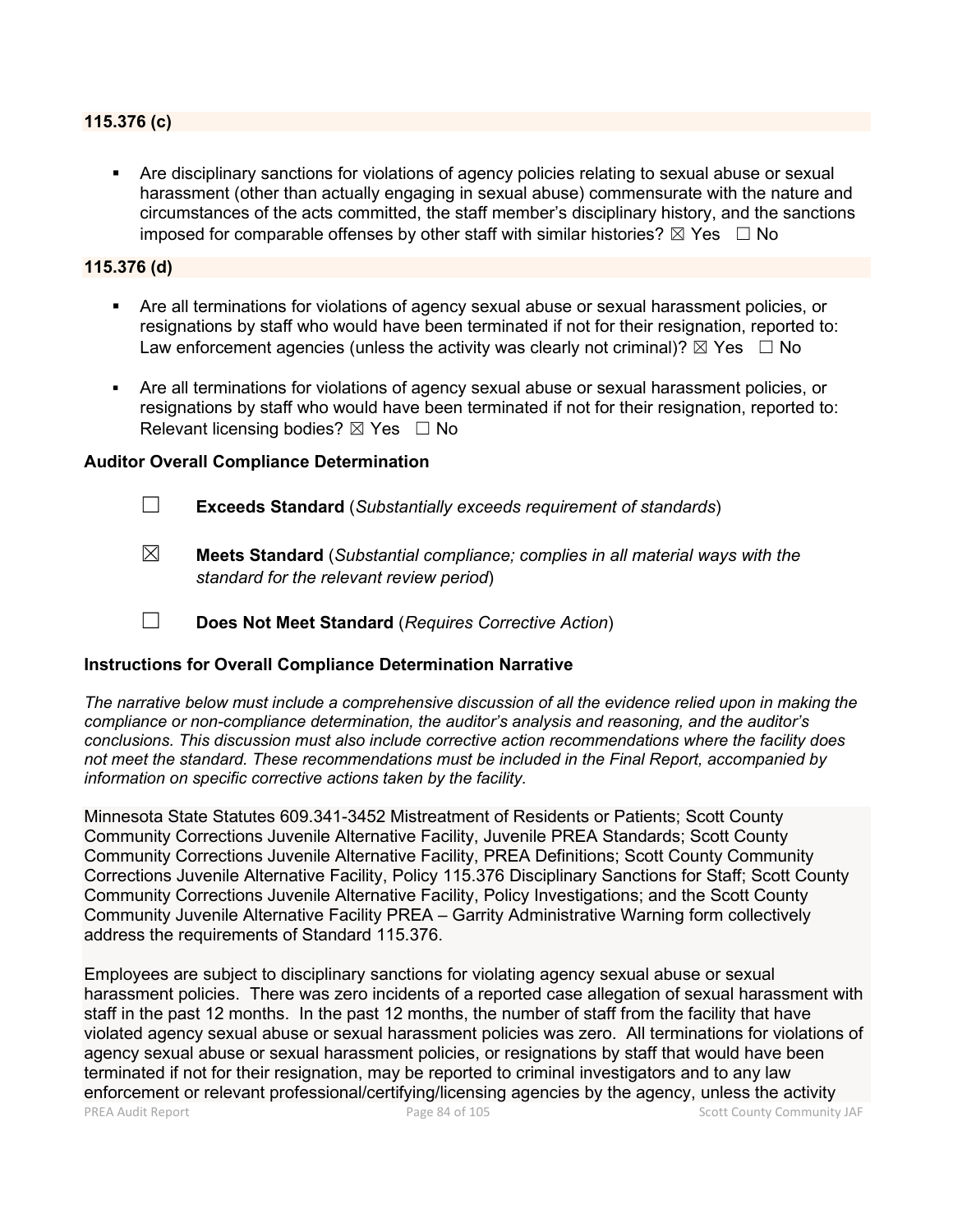#### **115.376 (c)**

 Are disciplinary sanctions for violations of agency policies relating to sexual abuse or sexual harassment (other than actually engaging in sexual abuse) commensurate with the nature and circumstances of the acts committed, the staff member's disciplinary history, and the sanctions imposed for comparable offenses by other staff with similar histories?  $\boxtimes$  Yes  $\Box$  No

#### **115.376 (d)**

- Are all terminations for violations of agency sexual abuse or sexual harassment policies, or resignations by staff who would have been terminated if not for their resignation, reported to: Law enforcement agencies (unless the activity was clearly not criminal)?  $\boxtimes$  Yes  $\Box$  No
- Are all terminations for violations of agency sexual abuse or sexual harassment policies, or resignations by staff who would have been terminated if not for their resignation, reported to: Relevant licensing bodies?  $\boxtimes$  Yes  $\Box$  No

#### **Auditor Overall Compliance Determination**

- ☐ **Exceeds Standard** (*Substantially exceeds requirement of standards*)
- ☒ **Meets Standard** (*Substantial compliance; complies in all material ways with the standard for the relevant review period*)
- ☐ **Does Not Meet Standard** (*Requires Corrective Action*)

#### **Instructions for Overall Compliance Determination Narrative**

*The narrative below must include a comprehensive discussion of all the evidence relied upon in making the compliance or non-compliance determination, the auditor's analysis and reasoning, and the auditor's conclusions. This discussion must also include corrective action recommendations where the facility does not meet the standard. These recommendations must be included in the Final Report, accompanied by information on specific corrective actions taken by the facility.*

Minnesota State Statutes 609.341-3452 Mistreatment of Residents or Patients; Scott County Community Corrections Juvenile Alternative Facility, Juvenile PREA Standards; Scott County Community Corrections Juvenile Alternative Facility, PREA Definitions; Scott County Community Corrections Juvenile Alternative Facility, Policy 115.376 Disciplinary Sanctions for Staff; Scott County Community Corrections Juvenile Alternative Facility, Policy Investigations; and the Scott County Community Juvenile Alternative Facility PREA – Garrity Administrative Warning form collectively address the requirements of Standard 115.376.

PREA Audit Report **Page 84 of 105** Page 84 of 105 Scott County Community JAF Employees are subject to disciplinary sanctions for violating agency sexual abuse or sexual harassment policies. There was zero incidents of a reported case allegation of sexual harassment with staff in the past 12 months. In the past 12 months, the number of staff from the facility that have violated agency sexual abuse or sexual harassment policies was zero. All terminations for violations of agency sexual abuse or sexual harassment policies, or resignations by staff that would have been terminated if not for their resignation, may be reported to criminal investigators and to any law enforcement or relevant professional/certifying/licensing agencies by the agency, unless the activity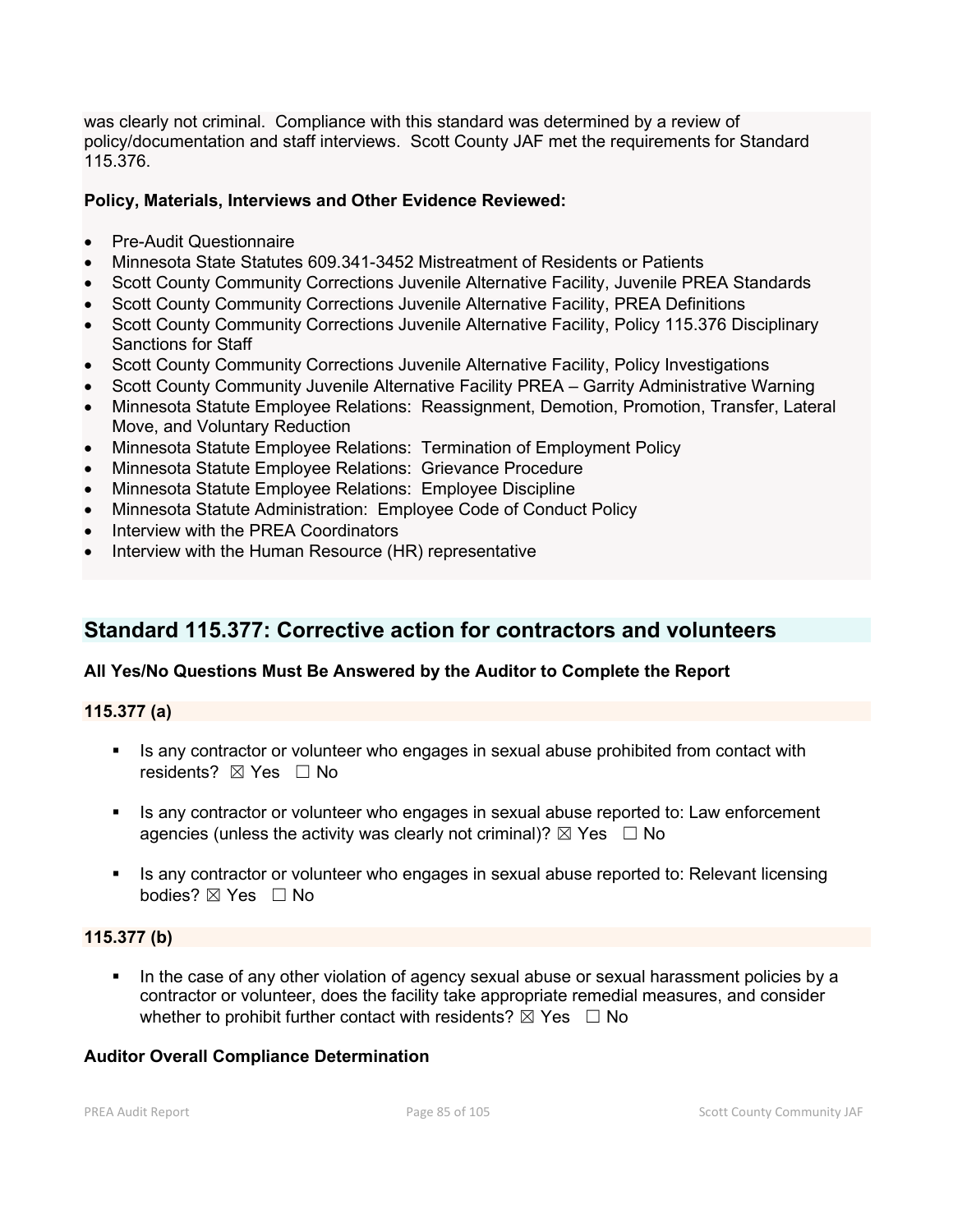was clearly not criminal. Compliance with this standard was determined by a review of policy/documentation and staff interviews. Scott County JAF met the requirements for Standard 115.376.

#### **Policy, Materials, Interviews and Other Evidence Reviewed:**

- Pre-Audit Questionnaire
- Minnesota State Statutes 609.341-3452 Mistreatment of Residents or Patients
- Scott County Community Corrections Juvenile Alternative Facility, Juvenile PREA Standards
- Scott County Community Corrections Juvenile Alternative Facility, PREA Definitions
- Scott County Community Corrections Juvenile Alternative Facility, Policy 115.376 Disciplinary Sanctions for Staff
- Scott County Community Corrections Juvenile Alternative Facility, Policy Investigations
- Scott County Community Juvenile Alternative Facility PREA Garrity Administrative Warning
- Minnesota Statute Employee Relations: Reassignment, Demotion, Promotion, Transfer, Lateral Move, and Voluntary Reduction
- Minnesota Statute Employee Relations: Termination of Employment Policy
- Minnesota Statute Employee Relations: Grievance Procedure
- Minnesota Statute Employee Relations: Employee Discipline
- Minnesota Statute Administration: Employee Code of Conduct Policy
- Interview with the PREA Coordinators
- Interview with the Human Resource (HR) representative

## **Standard 115.377: Corrective action for contractors and volunteers**

#### **All Yes/No Questions Must Be Answered by the Auditor to Complete the Report**

#### **115.377 (a)**

- **IS any contractor or volunteer who engages in sexual abuse prohibited from contact with** residents? ⊠ Yes □ No
- **IF** Is any contractor or volunteer who engages in sexual abuse reported to: Law enforcement agencies (unless the activity was clearly not criminal)?  $\boxtimes$  Yes  $\Box$  No
- Is any contractor or volunteer who engages in sexual abuse reported to: Relevant licensing bodies? ⊠ Yes □ No

#### **115.377 (b)**

 In the case of any other violation of agency sexual abuse or sexual harassment policies by a contractor or volunteer, does the facility take appropriate remedial measures, and consider whether to prohibit further contact with residents?  $\boxtimes$  Yes  $\Box$  No

#### **Auditor Overall Compliance Determination**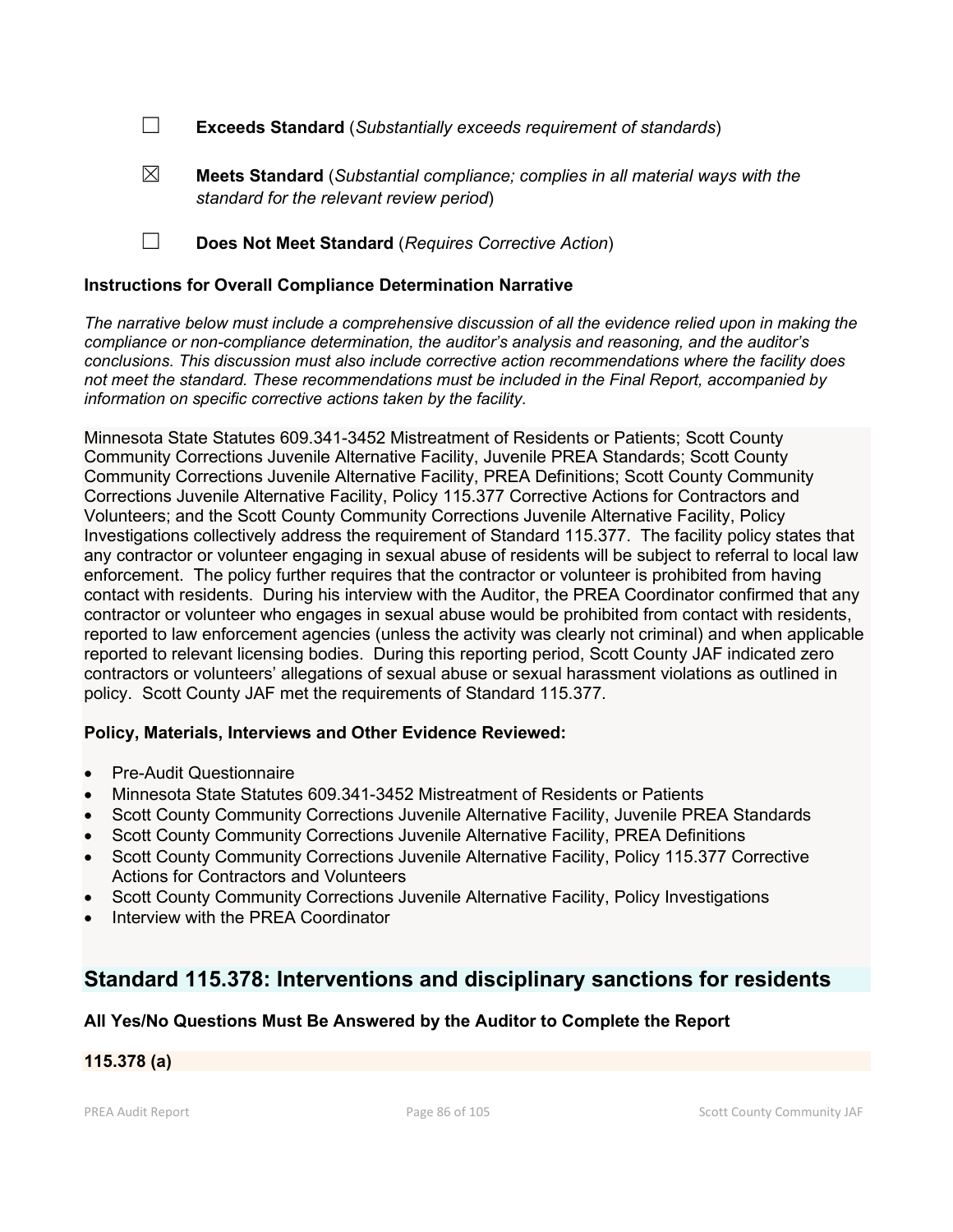☐ **Exceeds Standard** (*Substantially exceeds requirement of standards*)

- ☒ **Meets Standard** (*Substantial compliance; complies in all material ways with the standard for the relevant review period*)
- ☐ **Does Not Meet Standard** (*Requires Corrective Action*)

### **Instructions for Overall Compliance Determination Narrative**

*The narrative below must include a comprehensive discussion of all the evidence relied upon in making the compliance or non-compliance determination, the auditor's analysis and reasoning, and the auditor's conclusions. This discussion must also include corrective action recommendations where the facility does not meet the standard. These recommendations must be included in the Final Report, accompanied by information on specific corrective actions taken by the facility.*

Minnesota State Statutes 609.341-3452 Mistreatment of Residents or Patients; Scott County Community Corrections Juvenile Alternative Facility, Juvenile PREA Standards; Scott County Community Corrections Juvenile Alternative Facility, PREA Definitions; Scott County Community Corrections Juvenile Alternative Facility, Policy 115.377 Corrective Actions for Contractors and Volunteers; and the Scott County Community Corrections Juvenile Alternative Facility, Policy Investigations collectively address the requirement of Standard 115.377. The facility policy states that any contractor or volunteer engaging in sexual abuse of residents will be subject to referral to local law enforcement. The policy further requires that the contractor or volunteer is prohibited from having contact with residents. During his interview with the Auditor, the PREA Coordinator confirmed that any contractor or volunteer who engages in sexual abuse would be prohibited from contact with residents, reported to law enforcement agencies (unless the activity was clearly not criminal) and when applicable reported to relevant licensing bodies. During this reporting period, Scott County JAF indicated zero contractors or volunteers' allegations of sexual abuse or sexual harassment violations as outlined in policy. Scott County JAF met the requirements of Standard 115.377.

#### **Policy, Materials, Interviews and Other Evidence Reviewed:**

- Pre-Audit Questionnaire
- Minnesota State Statutes 609.341-3452 Mistreatment of Residents or Patients
- Scott County Community Corrections Juvenile Alternative Facility, Juvenile PREA Standards
- Scott County Community Corrections Juvenile Alternative Facility, PREA Definitions
- Scott County Community Corrections Juvenile Alternative Facility, Policy 115.377 Corrective Actions for Contractors and Volunteers
- Scott County Community Corrections Juvenile Alternative Facility, Policy Investigations
- Interview with the PREA Coordinator

### **Standard 115.378: Interventions and disciplinary sanctions for residents**

### **All Yes/No Questions Must Be Answered by the Auditor to Complete the Report**

#### **115.378 (a)**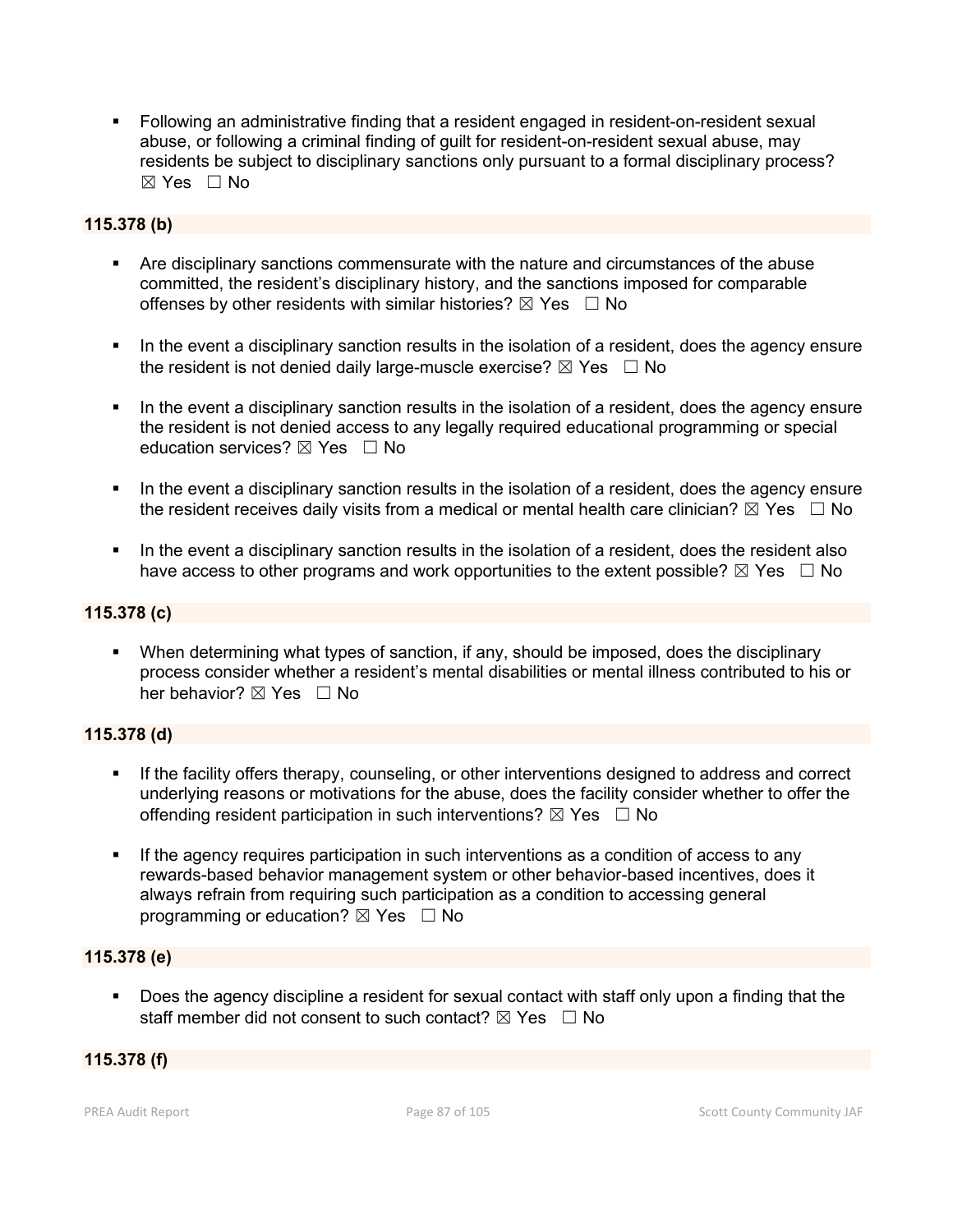Following an administrative finding that a resident engaged in resident-on-resident sexual abuse, or following a criminal finding of guilt for resident-on-resident sexual abuse, may residents be subject to disciplinary sanctions only pursuant to a formal disciplinary process?  $\boxtimes$  Yes  $\Box$  No

#### **115.378 (b)**

- Are disciplinary sanctions commensurate with the nature and circumstances of the abuse committed, the resident's disciplinary history, and the sanctions imposed for comparable offenses by other residents with similar histories?  $\boxtimes$  Yes  $\Box$  No
- In the event a disciplinary sanction results in the isolation of a resident, does the agency ensure the resident is not denied daily large-muscle exercise?  $\boxtimes$  Yes  $\Box$  No
- In the event a disciplinary sanction results in the isolation of a resident, does the agency ensure the resident is not denied access to any legally required educational programming or special education services?  $\boxtimes$  Yes  $\Box$  No
- In the event a disciplinary sanction results in the isolation of a resident, does the agency ensure the resident receives daily visits from a medical or mental health care clinician?  $\boxtimes$  Yes  $\Box$  No
- In the event a disciplinary sanction results in the isolation of a resident, does the resident also have access to other programs and work opportunities to the extent possible?  $\boxtimes$  Yes  $\Box$  No

#### **115.378 (c)**

 When determining what types of sanction, if any, should be imposed, does the disciplinary process consider whether a resident's mental disabilities or mental illness contributed to his or her behavior?  $\boxtimes$  Yes  $\Box$  No

#### **115.378 (d)**

- If the facility offers therapy, counseling, or other interventions designed to address and correct underlying reasons or motivations for the abuse, does the facility consider whether to offer the offending resident participation in such interventions?  $\boxtimes$  Yes  $\Box$  No
- **If the agency requires participation in such interventions as a condition of access to any** rewards-based behavior management system or other behavior-based incentives, does it always refrain from requiring such participation as a condition to accessing general programming or education?  $\boxtimes$  Yes  $\Box$  No

#### **115.378 (e)**

 Does the agency discipline a resident for sexual contact with staff only upon a finding that the staff member did not consent to such contact?  $\boxtimes$  Yes  $\Box$  No

#### **115.378 (f)**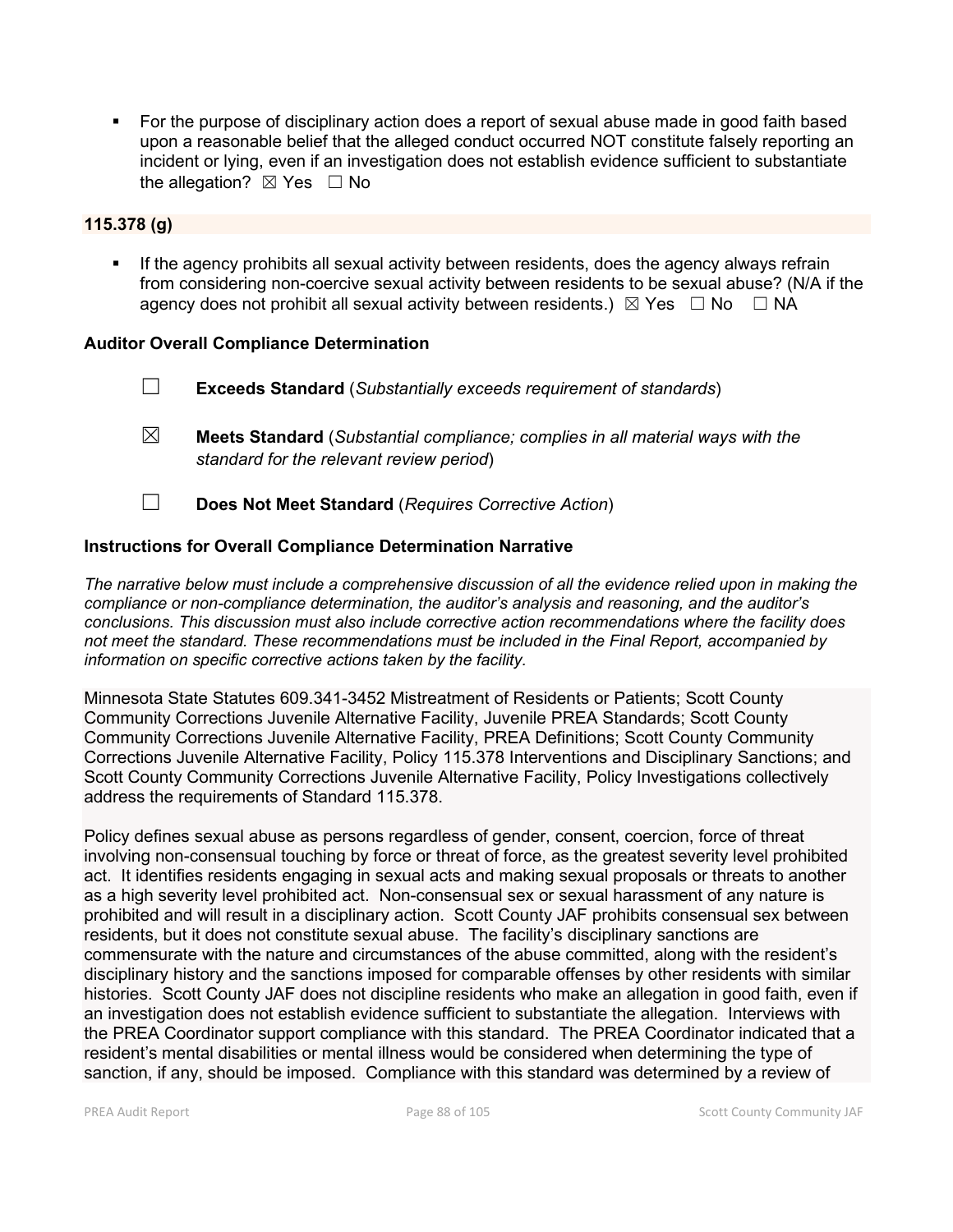• For the purpose of disciplinary action does a report of sexual abuse made in good faith based upon a reasonable belief that the alleged conduct occurred NOT constitute falsely reporting an incident or lying, even if an investigation does not establish evidence sufficient to substantiate the allegation?  $\boxtimes$  Yes  $\Box$  No

#### **115.378 (g)**

 If the agency prohibits all sexual activity between residents, does the agency always refrain from considering non-coercive sexual activity between residents to be sexual abuse? (N/A if the agency does not prohibit all sexual activity between residents.)  $\boxtimes$  Yes  $\Box$  No  $\Box$  NA

#### **Auditor Overall Compliance Determination**

- ☐ **Exceeds Standard** (*Substantially exceeds requirement of standards*)
- ☒ **Meets Standard** (*Substantial compliance; complies in all material ways with the standard for the relevant review period*)
- ☐ **Does Not Meet Standard** (*Requires Corrective Action*)

#### **Instructions for Overall Compliance Determination Narrative**

*The narrative below must include a comprehensive discussion of all the evidence relied upon in making the compliance or non-compliance determination, the auditor's analysis and reasoning, and the auditor's conclusions. This discussion must also include corrective action recommendations where the facility does not meet the standard. These recommendations must be included in the Final Report, accompanied by information on specific corrective actions taken by the facility.*

Minnesota State Statutes 609.341-3452 Mistreatment of Residents or Patients; Scott County Community Corrections Juvenile Alternative Facility, Juvenile PREA Standards; Scott County Community Corrections Juvenile Alternative Facility, PREA Definitions; Scott County Community Corrections Juvenile Alternative Facility, Policy 115.378 Interventions and Disciplinary Sanctions; and Scott County Community Corrections Juvenile Alternative Facility, Policy Investigations collectively address the requirements of Standard 115.378.

Policy defines sexual abuse as persons regardless of gender, consent, coercion, force of threat involving non-consensual touching by force or threat of force, as the greatest severity level prohibited act. It identifies residents engaging in sexual acts and making sexual proposals or threats to another as a high severity level prohibited act. Non-consensual sex or sexual harassment of any nature is prohibited and will result in a disciplinary action. Scott County JAF prohibits consensual sex between residents, but it does not constitute sexual abuse. The facility's disciplinary sanctions are commensurate with the nature and circumstances of the abuse committed, along with the resident's disciplinary history and the sanctions imposed for comparable offenses by other residents with similar histories. Scott County JAF does not discipline residents who make an allegation in good faith, even if an investigation does not establish evidence sufficient to substantiate the allegation. Interviews with the PREA Coordinator support compliance with this standard. The PREA Coordinator indicated that a resident's mental disabilities or mental illness would be considered when determining the type of sanction, if any, should be imposed. Compliance with this standard was determined by a review of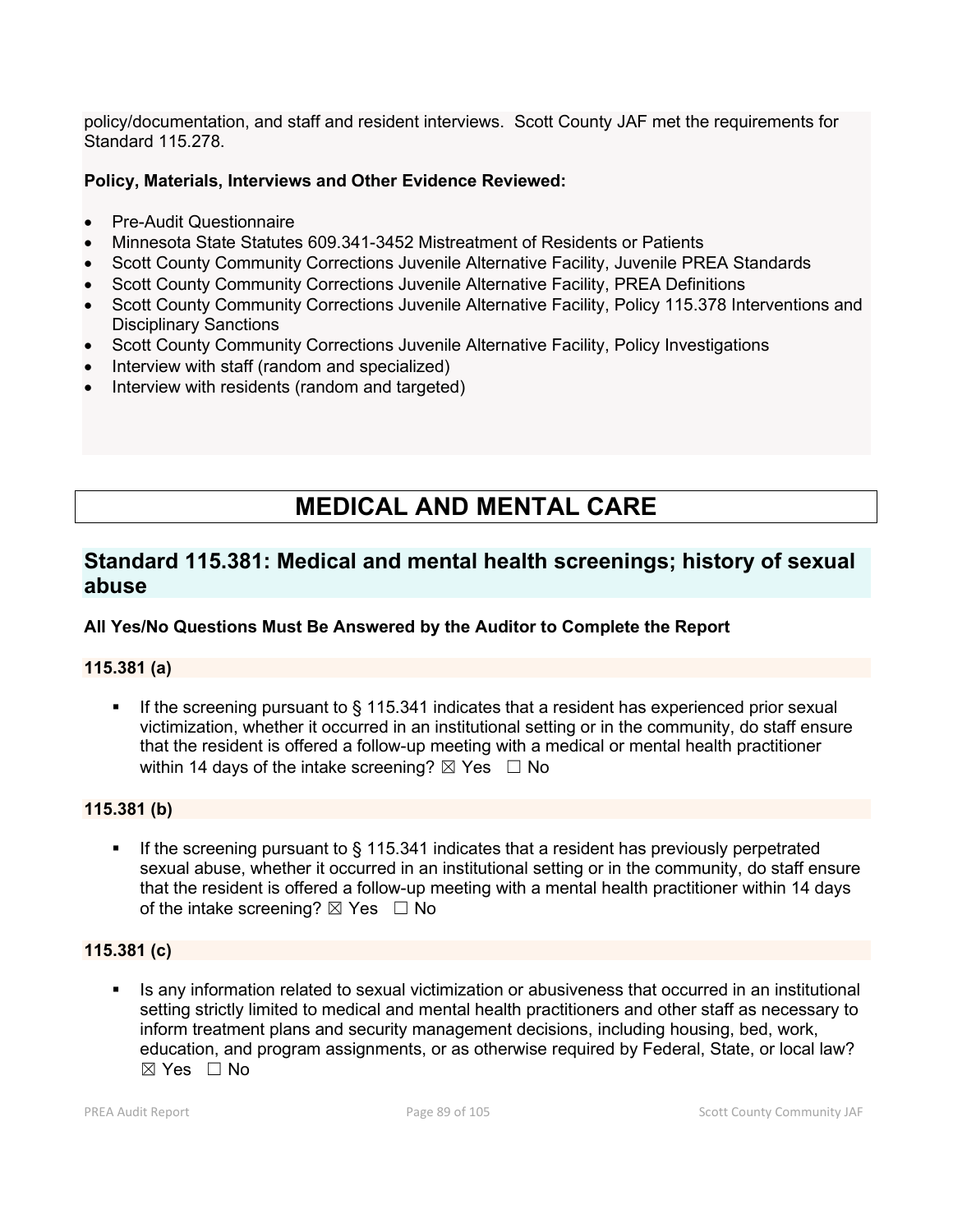policy/documentation, and staff and resident interviews. Scott County JAF met the requirements for Standard 115.278.

### **Policy, Materials, Interviews and Other Evidence Reviewed:**

- Pre-Audit Questionnaire
- Minnesota State Statutes 609.341-3452 Mistreatment of Residents or Patients
- Scott County Community Corrections Juvenile Alternative Facility, Juvenile PREA Standards
- Scott County Community Corrections Juvenile Alternative Facility, PREA Definitions
- Scott County Community Corrections Juvenile Alternative Facility, Policy 115.378 Interventions and Disciplinary Sanctions
- Scott County Community Corrections Juvenile Alternative Facility, Policy Investigations
- Interview with staff (random and specialized)
- Interview with residents (random and targeted)

# **MEDICAL AND MENTAL CARE**

## **Standard 115.381: Medical and mental health screenings; history of sexual abuse**

#### **All Yes/No Questions Must Be Answered by the Auditor to Complete the Report**

#### **115.381 (a)**

 If the screening pursuant to § 115.341 indicates that a resident has experienced prior sexual victimization, whether it occurred in an institutional setting or in the community, do staff ensure that the resident is offered a follow-up meeting with a medical or mental health practitioner within 14 days of the intake screening?  $\boxtimes$  Yes  $\Box$  No

#### **115.381 (b)**

 If the screening pursuant to § 115.341 indicates that a resident has previously perpetrated sexual abuse, whether it occurred in an institutional setting or in the community, do staff ensure that the resident is offered a follow-up meeting with a mental health practitioner within 14 days of the intake screening?  $\boxtimes$  Yes  $\Box$  No

#### **115.381 (c)**

 Is any information related to sexual victimization or abusiveness that occurred in an institutional setting strictly limited to medical and mental health practitioners and other staff as necessary to inform treatment plans and security management decisions, including housing, bed, work, education, and program assignments, or as otherwise required by Federal, State, or local law?  $\boxtimes$  Yes  $\Box$  No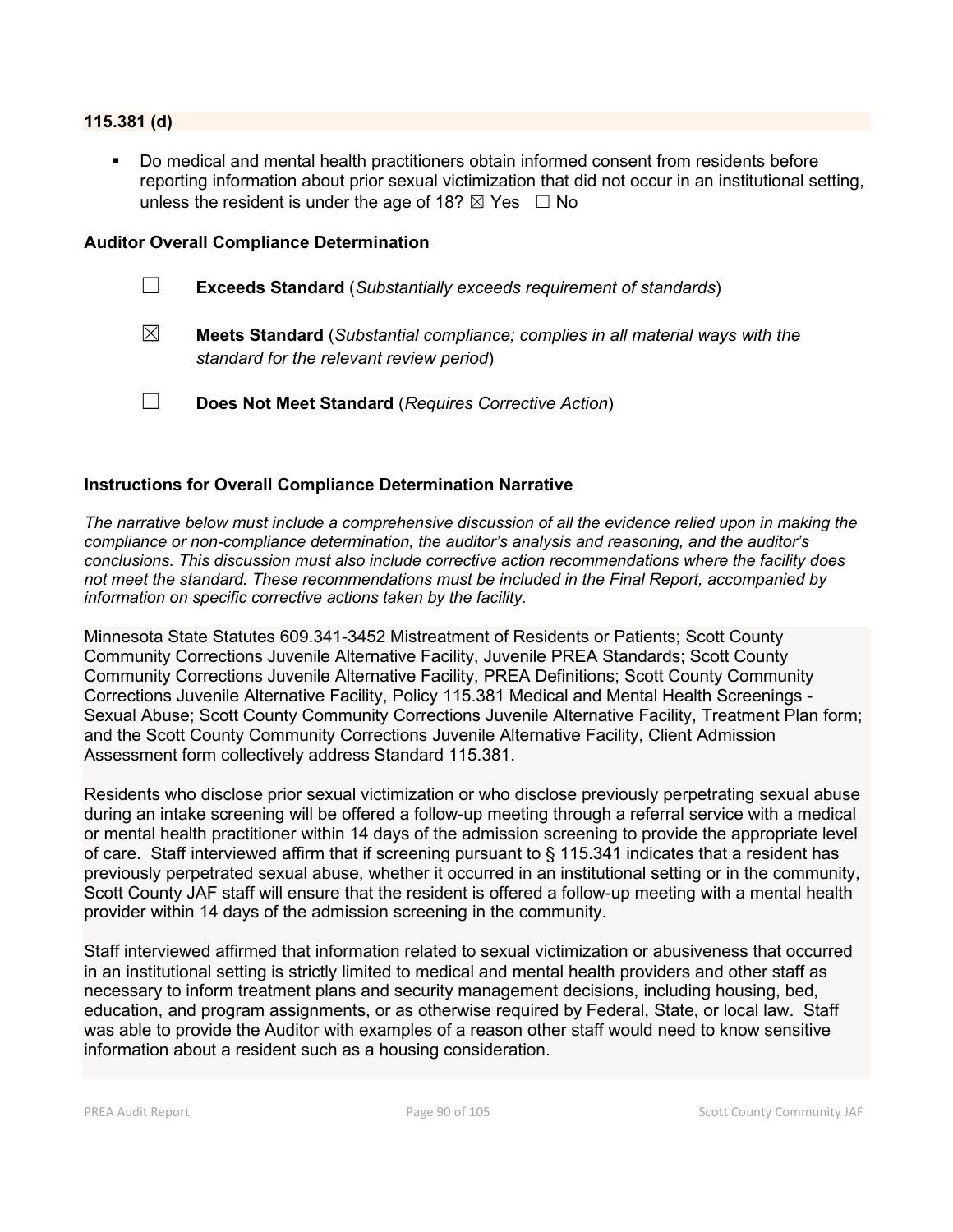#### **115.381 (d)**

 Do medical and mental health practitioners obtain informed consent from residents before reporting information about prior sexual victimization that did not occur in an institutional setting, unless the resident is under the age of 18?  $\boxtimes$  Yes  $\Box$  No

#### **Auditor Overall Compliance Determination**

- ☐ **Exceeds Standard** (*Substantially exceeds requirement of standards*)
- ☒ **Meets Standard** (*Substantial compliance; complies in all material ways with the standard for the relevant review period*)
- ☐ **Does Not Meet Standard** (*Requires Corrective Action*)

#### **Instructions for Overall Compliance Determination Narrative**

*The narrative below must include a comprehensive discussion of all the evidence relied upon in making the compliance or non-compliance determination, the auditor's analysis and reasoning, and the auditor's conclusions. This discussion must also include corrective action recommendations where the facility does not meet the standard. These recommendations must be included in the Final Report, accompanied by information on specific corrective actions taken by the facility.*

Minnesota State Statutes 609.341-3452 Mistreatment of Residents or Patients; Scott County Community Corrections Juvenile Alternative Facility, Juvenile PREA Standards; Scott County Community Corrections Juvenile Alternative Facility, PREA Definitions; Scott County Community Corrections Juvenile Alternative Facility, Policy 115.381 Medical and Mental Health Screenings - Sexual Abuse; Scott County Community Corrections Juvenile Alternative Facility, Treatment Plan form; and the Scott County Community Corrections Juvenile Alternative Facility, Client Admission Assessment form collectively address Standard 115.381.

Residents who disclose prior sexual victimization or who disclose previously perpetrating sexual abuse during an intake screening will be offered a follow-up meeting through a referral service with a medical or mental health practitioner within 14 days of the admission screening to provide the appropriate level of care. Staff interviewed affirm that if screening pursuant to § 115.341 indicates that a resident has previously perpetrated sexual abuse, whether it occurred in an institutional setting or in the community, Scott County JAF staff will ensure that the resident is offered a follow-up meeting with a mental health provider within 14 days of the admission screening in the community.

Staff interviewed affirmed that information related to sexual victimization or abusiveness that occurred in an institutional setting is strictly limited to medical and mental health providers and other staff as necessary to inform treatment plans and security management decisions, including housing, bed, education, and program assignments, or as otherwise required by Federal, State, or local law. Staff was able to provide the Auditor with examples of a reason other staff would need to know sensitive information about a resident such as a housing consideration.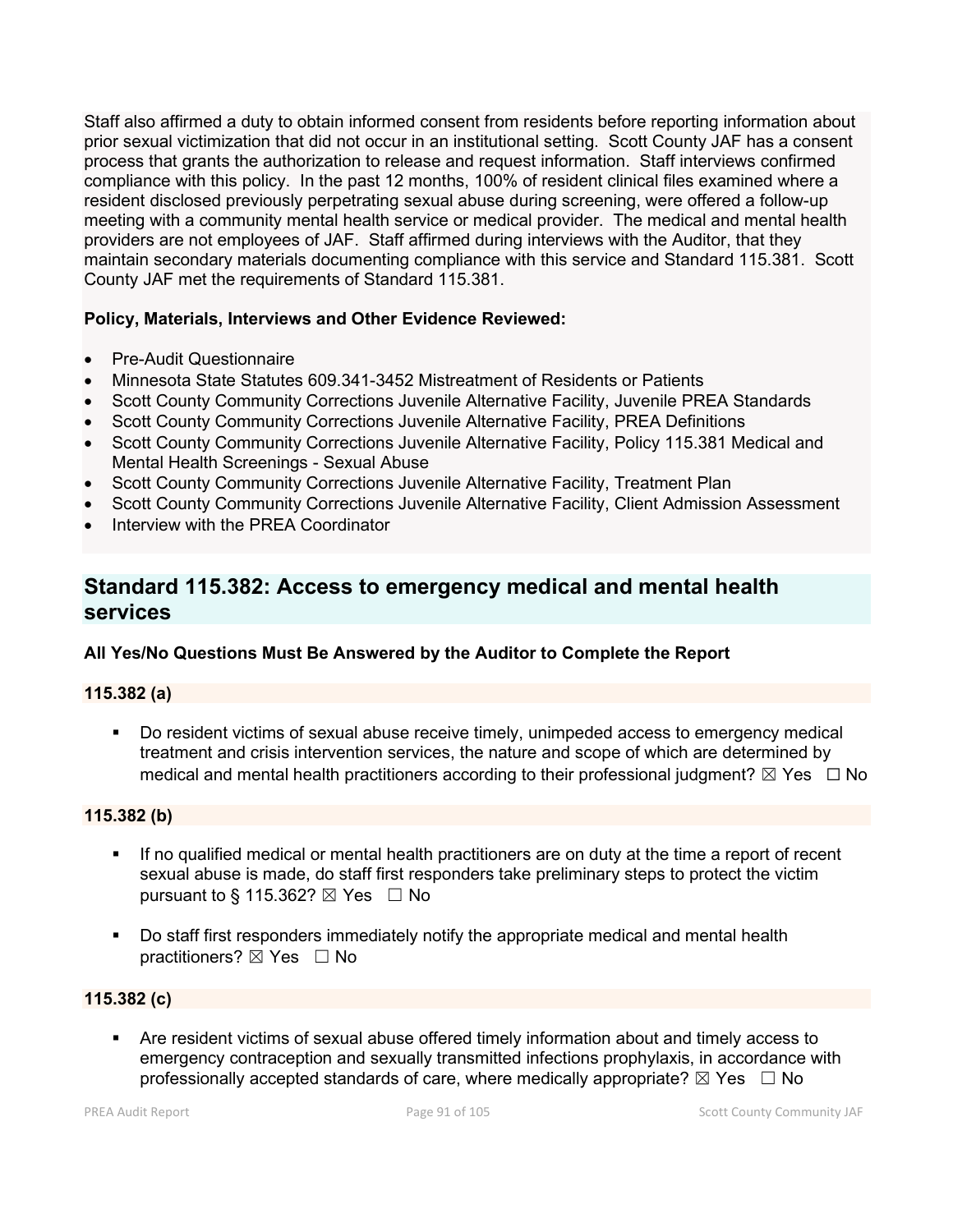Staff also affirmed a duty to obtain informed consent from residents before reporting information about prior sexual victimization that did not occur in an institutional setting. Scott County JAF has a consent process that grants the authorization to release and request information. Staff interviews confirmed compliance with this policy. In the past 12 months, 100% of resident clinical files examined where a resident disclosed previously perpetrating sexual abuse during screening, were offered a follow-up meeting with a community mental health service or medical provider. The medical and mental health providers are not employees of JAF. Staff affirmed during interviews with the Auditor, that they maintain secondary materials documenting compliance with this service and Standard 115.381. Scott County JAF met the requirements of Standard 115.381.

### **Policy, Materials, Interviews and Other Evidence Reviewed:**

- Pre-Audit Questionnaire
- Minnesota State Statutes 609.341-3452 Mistreatment of Residents or Patients
- Scott County Community Corrections Juvenile Alternative Facility, Juvenile PREA Standards
- Scott County Community Corrections Juvenile Alternative Facility, PREA Definitions
- Scott County Community Corrections Juvenile Alternative Facility, Policy 115.381 Medical and Mental Health Screenings - Sexual Abuse
- Scott County Community Corrections Juvenile Alternative Facility, Treatment Plan
- Scott County Community Corrections Juvenile Alternative Facility, Client Admission Assessment
- Interview with the PREA Coordinator

## **Standard 115.382: Access to emergency medical and mental health services**

#### **All Yes/No Questions Must Be Answered by the Auditor to Complete the Report**

#### **115.382 (a)**

 Do resident victims of sexual abuse receive timely, unimpeded access to emergency medical treatment and crisis intervention services, the nature and scope of which are determined by medical and mental health practitioners according to their professional judgment?  $\boxtimes$  Yes  $\Box$  No

#### **115.382 (b)**

- If no qualified medical or mental health practitioners are on duty at the time a report of recent sexual abuse is made, do staff first responders take preliminary steps to protect the victim pursuant to § 115.362?  $\boxtimes$  Yes  $\Box$  No
- Do staff first responders immediately notify the appropriate medical and mental health practitioners? ⊠ Yes □ No

#### **115.382 (c)**

 Are resident victims of sexual abuse offered timely information about and timely access to emergency contraception and sexually transmitted infections prophylaxis, in accordance with professionally accepted standards of care, where medically appropriate?  $\boxtimes$  Yes  $\Box$  No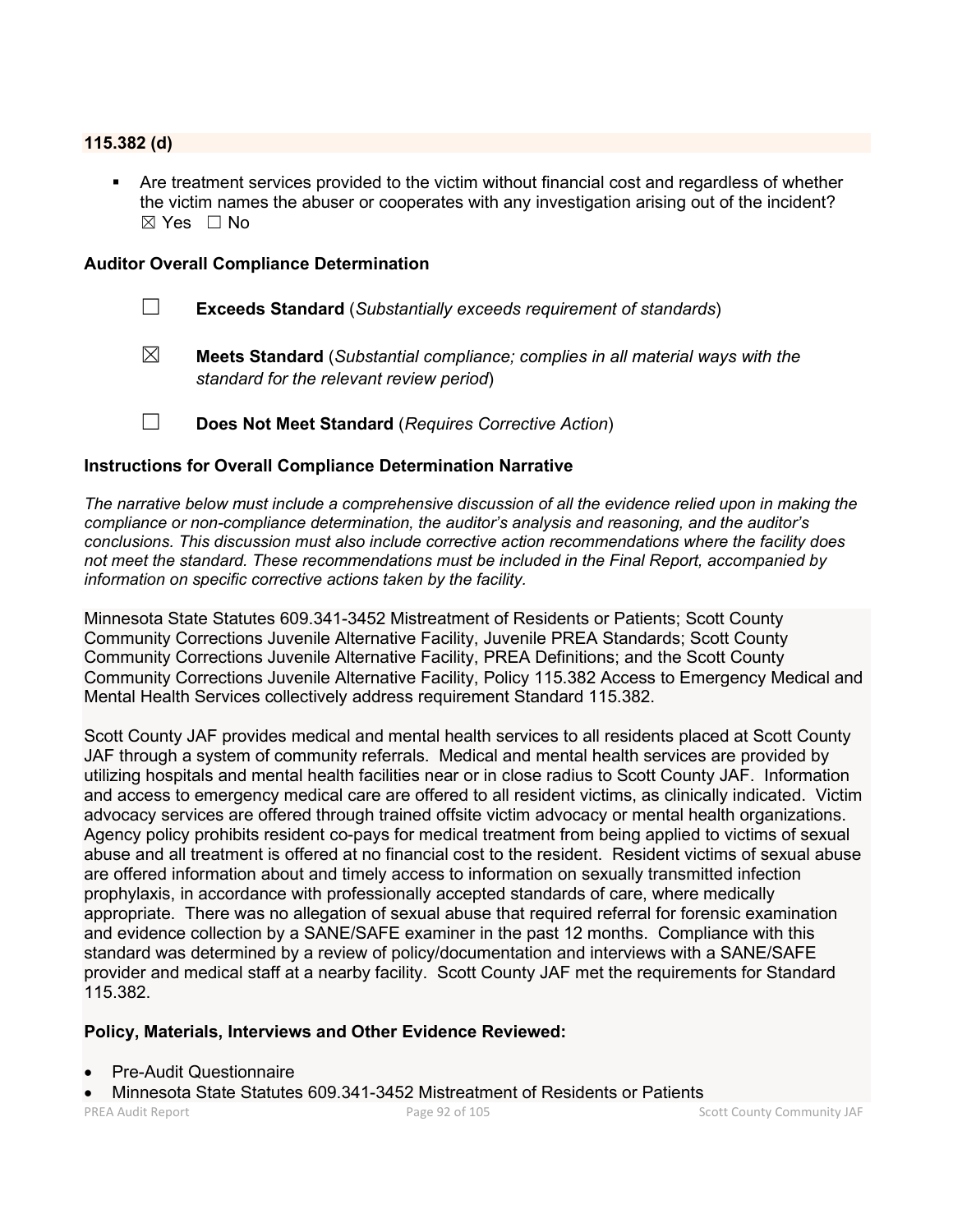#### **115.382 (d)**

 Are treatment services provided to the victim without financial cost and regardless of whether the victim names the abuser or cooperates with any investigation arising out of the incident?  $\boxtimes$  Yes  $\Box$  No

#### **Auditor Overall Compliance Determination**

- ☐ **Exceeds Standard** (*Substantially exceeds requirement of standards*)
- ☒ **Meets Standard** (*Substantial compliance; complies in all material ways with the standard for the relevant review period*)
- ☐ **Does Not Meet Standard** (*Requires Corrective Action*)

#### **Instructions for Overall Compliance Determination Narrative**

*The narrative below must include a comprehensive discussion of all the evidence relied upon in making the compliance or non-compliance determination, the auditor's analysis and reasoning, and the auditor's conclusions. This discussion must also include corrective action recommendations where the facility does not meet the standard. These recommendations must be included in the Final Report, accompanied by information on specific corrective actions taken by the facility.*

Minnesota State Statutes 609.341-3452 Mistreatment of Residents or Patients; Scott County Community Corrections Juvenile Alternative Facility, Juvenile PREA Standards; Scott County Community Corrections Juvenile Alternative Facility, PREA Definitions; and the Scott County Community Corrections Juvenile Alternative Facility, Policy 115.382 Access to Emergency Medical and Mental Health Services collectively address requirement Standard 115.382.

Scott County JAF provides medical and mental health services to all residents placed at Scott County JAF through a system of community referrals. Medical and mental health services are provided by utilizing hospitals and mental health facilities near or in close radius to Scott County JAF. Information and access to emergency medical care are offered to all resident victims, as clinically indicated. Victim advocacy services are offered through trained offsite victim advocacy or mental health organizations. Agency policy prohibits resident co-pays for medical treatment from being applied to victims of sexual abuse and all treatment is offered at no financial cost to the resident. Resident victims of sexual abuse are offered information about and timely access to information on sexually transmitted infection prophylaxis, in accordance with professionally accepted standards of care, where medically appropriate. There was no allegation of sexual abuse that required referral for forensic examination and evidence collection by a SANE/SAFE examiner in the past 12 months. Compliance with this standard was determined by a review of policy/documentation and interviews with a SANE/SAFE provider and medical staff at a nearby facility. Scott County JAF met the requirements for Standard 115.382.

#### **Policy, Materials, Interviews and Other Evidence Reviewed:**

- Pre-Audit Questionnaire
- Minnesota State Statutes 609.341-3452 Mistreatment of Residents or Patients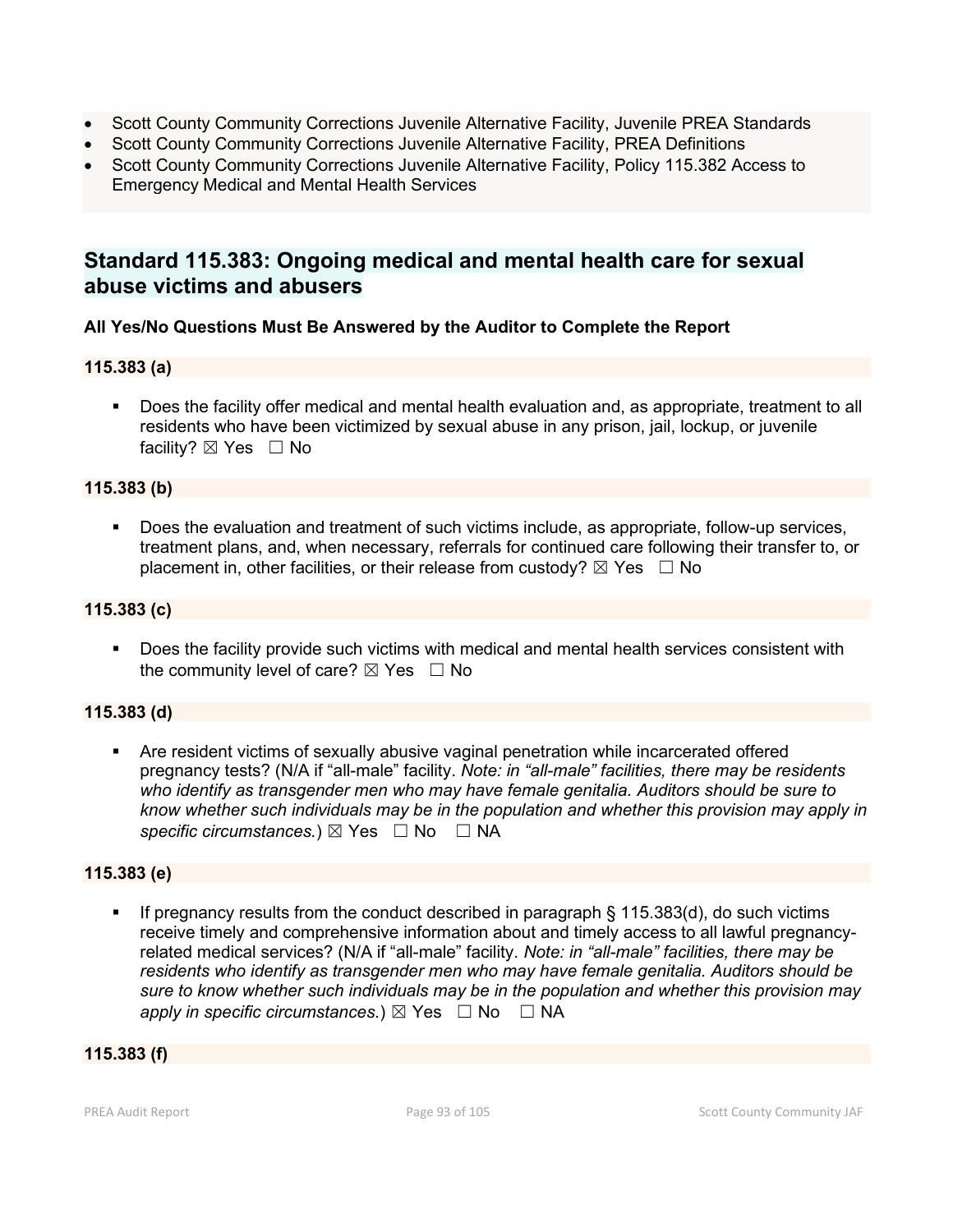- Scott County Community Corrections Juvenile Alternative Facility, Juvenile PREA Standards
- Scott County Community Corrections Juvenile Alternative Facility, PREA Definitions
- Scott County Community Corrections Juvenile Alternative Facility, Policy 115.382 Access to Emergency Medical and Mental Health Services

## **Standard 115.383: Ongoing medical and mental health care for sexual abuse victims and abusers**

### **All Yes/No Questions Must Be Answered by the Auditor to Complete the Report**

#### **115.383 (a)**

 Does the facility offer medical and mental health evaluation and, as appropriate, treatment to all residents who have been victimized by sexual abuse in any prison, jail, lockup, or juvenile facility?  $\boxtimes$  Yes  $\Box$  No

### **115.383 (b)**

 Does the evaluation and treatment of such victims include, as appropriate, follow-up services, treatment plans, and, when necessary, referrals for continued care following their transfer to, or placement in, other facilities, or their release from custody?  $\boxtimes$  Yes  $\Box$  No

#### **115.383 (c)**

**Does the facility provide such victims with medical and mental health services consistent with** the community level of care?  $\boxtimes$  Yes  $\Box$  No

#### **115.383 (d)**

 Are resident victims of sexually abusive vaginal penetration while incarcerated offered pregnancy tests? (N/A if "all-male" facility. *Note: in "all-male" facilities, there may be residents who identify as transgender men who may have female genitalia. Auditors should be sure to know whether such individuals may be in the population and whether this provision may apply in specific circumstances.*) ⊠ Yes  $□$  No  $□$  NA

#### **115.383 (e)**

 If pregnancy results from the conduct described in paragraph § 115.383(d), do such victims receive timely and comprehensive information about and timely access to all lawful pregnancyrelated medical services? (N/A if "all-male" facility. *Note: in "all-male" facilities, there may be residents who identify as transgender men who may have female genitalia. Auditors should be sure to know whether such individuals may be in the population and whether this provision may apply in specific circumstances.*)  $\boxtimes$  Yes  $\Box$  No  $\Box$  NA

### **115.383 (f)**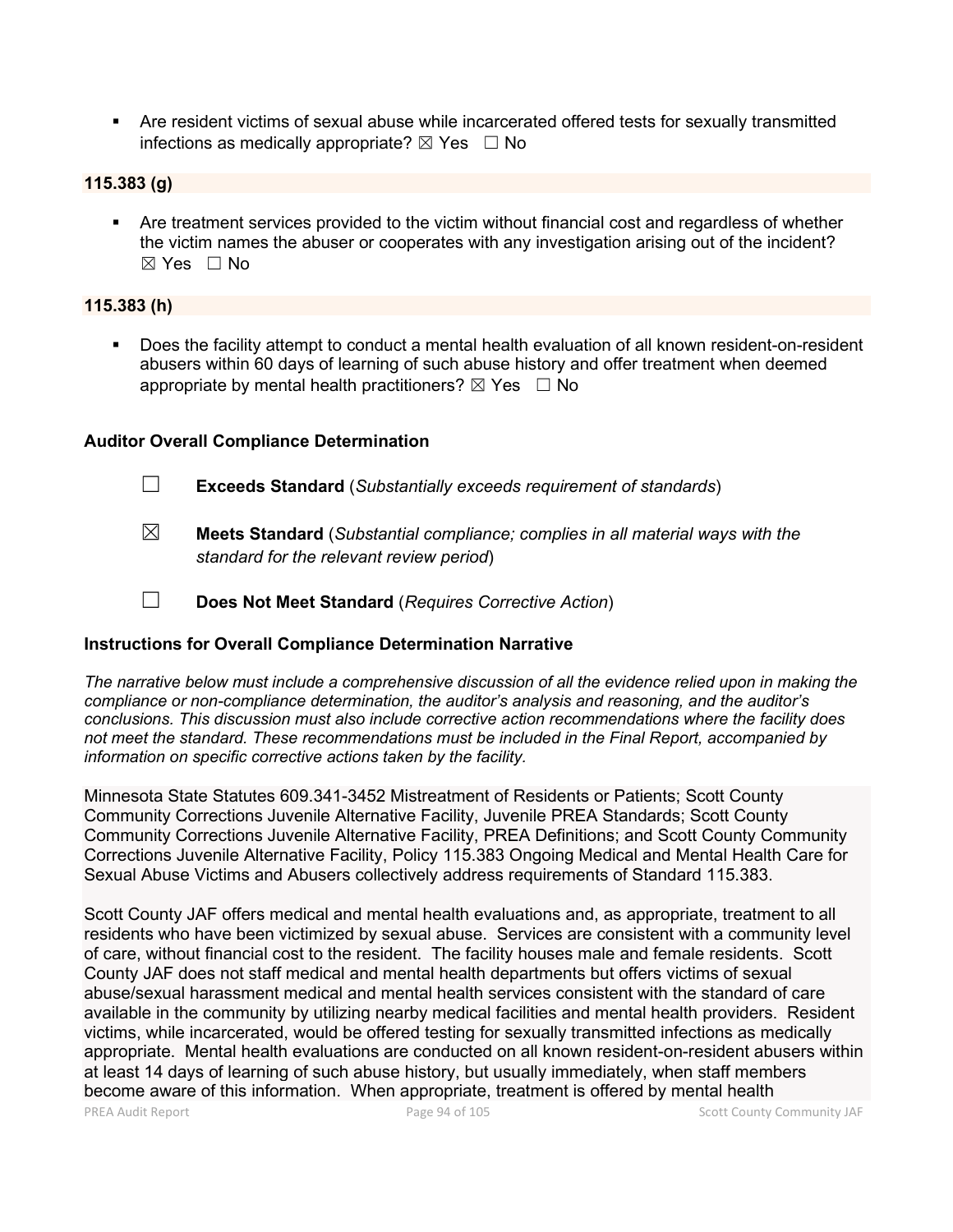Are resident victims of sexual abuse while incarcerated offered tests for sexually transmitted infections as medically appropriate?  $\boxtimes$  Yes  $\Box$  No

#### **115.383 (g)**

 Are treatment services provided to the victim without financial cost and regardless of whether the victim names the abuser or cooperates with any investigation arising out of the incident?  $\boxtimes$  Yes  $\Box$  No

#### **115.383 (h)**

 Does the facility attempt to conduct a mental health evaluation of all known resident-on-resident abusers within 60 days of learning of such abuse history and offer treatment when deemed appropriate by mental health practitioners?  $\boxtimes$  Yes  $\Box$  No

#### **Auditor Overall Compliance Determination**

☐ **Exceeds Standard** (*Substantially exceeds requirement of standards*)

- ☒ **Meets Standard** (*Substantial compliance; complies in all material ways with the standard for the relevant review period*)
- ☐ **Does Not Meet Standard** (*Requires Corrective Action*)

#### **Instructions for Overall Compliance Determination Narrative**

*The narrative below must include a comprehensive discussion of all the evidence relied upon in making the compliance or non-compliance determination, the auditor's analysis and reasoning, and the auditor's conclusions. This discussion must also include corrective action recommendations where the facility does not meet the standard. These recommendations must be included in the Final Report, accompanied by information on specific corrective actions taken by the facility.*

Minnesota State Statutes 609.341-3452 Mistreatment of Residents or Patients; Scott County Community Corrections Juvenile Alternative Facility, Juvenile PREA Standards; Scott County Community Corrections Juvenile Alternative Facility, PREA Definitions; and Scott County Community Corrections Juvenile Alternative Facility, Policy 115.383 Ongoing Medical and Mental Health Care for Sexual Abuse Victims and Abusers collectively address requirements of Standard 115.383.

Scott County JAF offers medical and mental health evaluations and, as appropriate, treatment to all residents who have been victimized by sexual abuse. Services are consistent with a community level of care, without financial cost to the resident. The facility houses male and female residents. Scott County JAF does not staff medical and mental health departments but offers victims of sexual abuse/sexual harassment medical and mental health services consistent with the standard of care available in the community by utilizing nearby medical facilities and mental health providers. Resident victims, while incarcerated, would be offered testing for sexually transmitted infections as medically appropriate. Mental health evaluations are conducted on all known resident-on-resident abusers within at least 14 days of learning of such abuse history, but usually immediately, when staff members become aware of this information. When appropriate, treatment is offered by mental health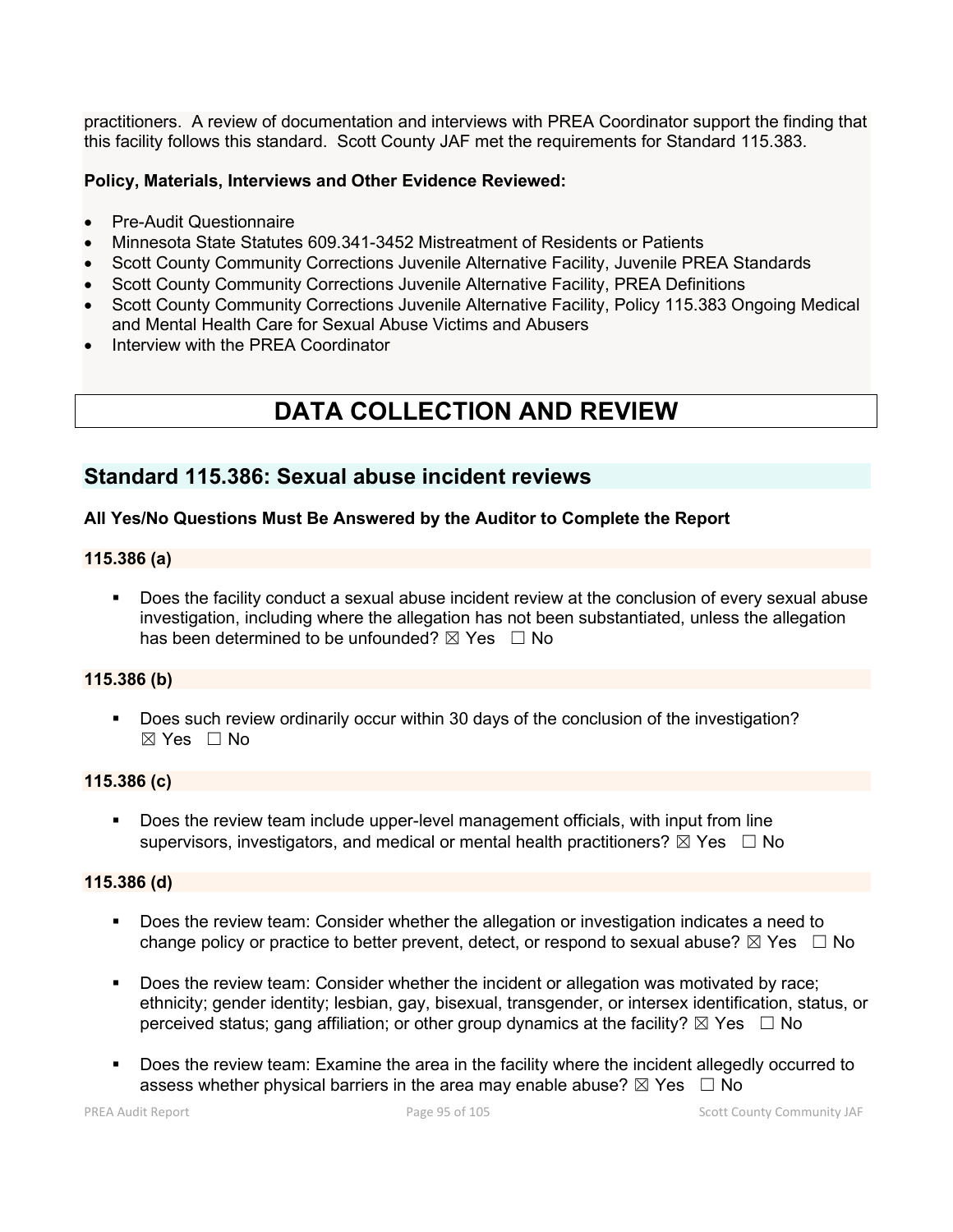practitioners. A review of documentation and interviews with PREA Coordinator support the finding that this facility follows this standard. Scott County JAF met the requirements for Standard 115.383.

#### **Policy, Materials, Interviews and Other Evidence Reviewed:**

- Pre-Audit Questionnaire
- Minnesota State Statutes 609.341-3452 Mistreatment of Residents or Patients
- Scott County Community Corrections Juvenile Alternative Facility, Juvenile PREA Standards
- Scott County Community Corrections Juvenile Alternative Facility, PREA Definitions
- Scott County Community Corrections Juvenile Alternative Facility, Policy 115.383 Ongoing Medical and Mental Health Care for Sexual Abuse Victims and Abusers
- Interview with the PREA Coordinator

# **DATA COLLECTION AND REVIEW**

## **Standard 115.386: Sexual abuse incident reviews**

#### **All Yes/No Questions Must Be Answered by the Auditor to Complete the Report**

#### **115.386 (a)**

 Does the facility conduct a sexual abuse incident review at the conclusion of every sexual abuse investigation, including where the allegation has not been substantiated, unless the allegation has been determined to be unfounded?  $\boxtimes$  Yes  $\Box$  No

#### **115.386 (b)**

 Does such review ordinarily occur within 30 days of the conclusion of the investigation?  $\boxtimes$  Yes  $\Box$  No

#### **115.386 (c)**

 Does the review team include upper-level management officials, with input from line supervisors, investigators, and medical or mental health practitioners?  $\boxtimes$  Yes  $\Box$  No

#### **115.386 (d)**

- Does the review team: Consider whether the allegation or investigation indicates a need to change policy or practice to better prevent, detect, or respond to sexual abuse?  $\boxtimes$  Yes  $\Box$  No
- Does the review team: Consider whether the incident or allegation was motivated by race; ethnicity; gender identity; lesbian, gay, bisexual, transgender, or intersex identification, status, or perceived status; gang affiliation; or other group dynamics at the facility?  $\boxtimes$  Yes  $\Box$  No
- Does the review team: Examine the area in the facility where the incident allegedly occurred to assess whether physical barriers in the area may enable abuse?  $\boxtimes$  Yes  $\Box$  No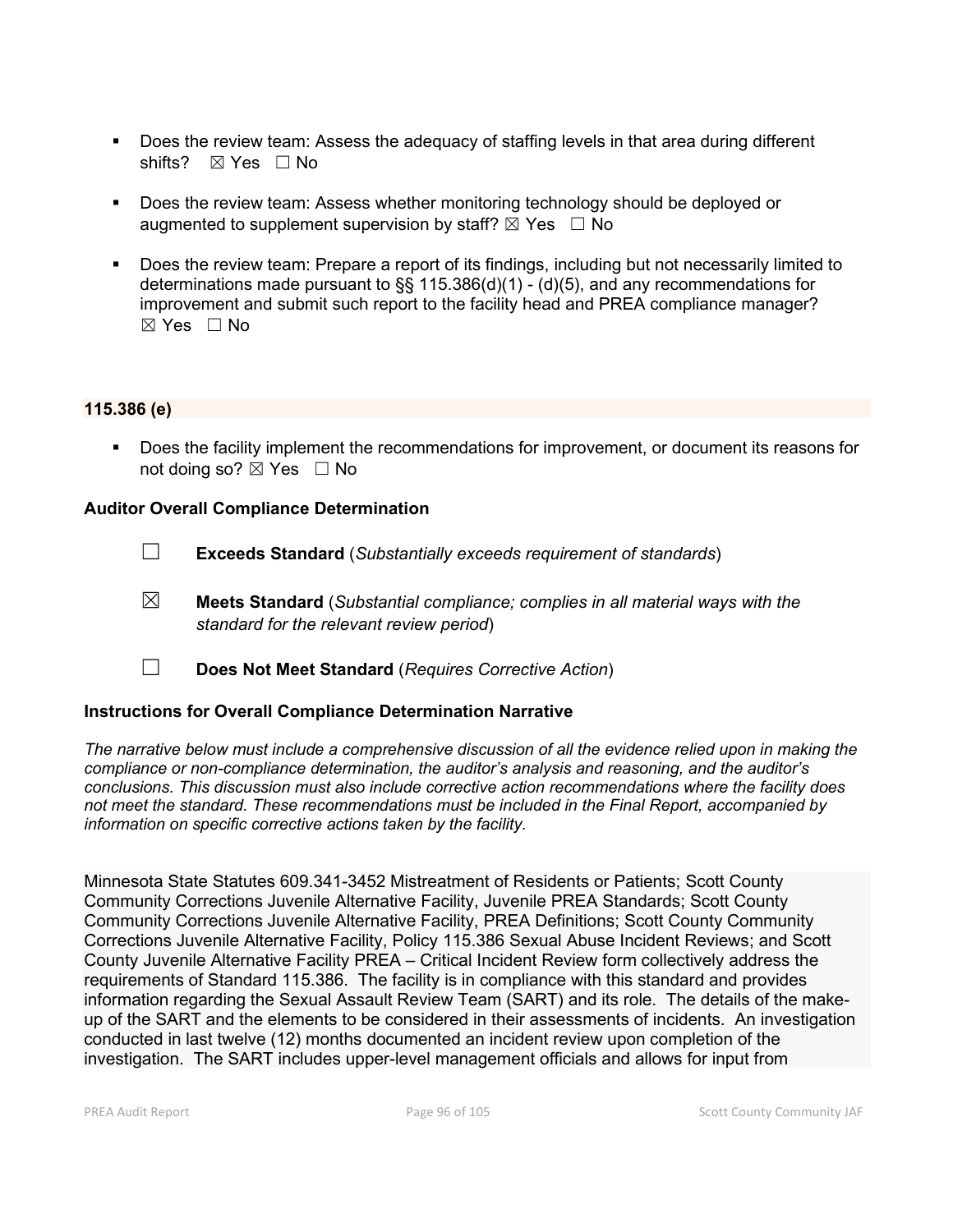- Does the review team: Assess the adequacy of staffing levels in that area during different shifts? ⊠ Yes □ No
- **Does the review team: Assess whether monitoring technology should be deployed or** augmented to supplement supervision by staff?  $\boxtimes$  Yes  $\Box$  No
- Does the review team: Prepare a report of its findings, including but not necessarily limited to determinations made pursuant to  $\S$ § 115.386(d)(1) - (d)(5), and any recommendations for improvement and submit such report to the facility head and PREA compliance manager?  $\boxtimes$  Yes  $\Box$  No

#### **115.386 (e)**

 Does the facility implement the recommendations for improvement, or document its reasons for not doing so?  $\boxtimes$  Yes  $\Box$  No

#### **Auditor Overall Compliance Determination**

- ☐ **Exceeds Standard** (*Substantially exceeds requirement of standards*)
- ☒ **Meets Standard** (*Substantial compliance; complies in all material ways with the standard for the relevant review period*)
- ☐ **Does Not Meet Standard** (*Requires Corrective Action*)

#### **Instructions for Overall Compliance Determination Narrative**

*The narrative below must include a comprehensive discussion of all the evidence relied upon in making the compliance or non-compliance determination, the auditor's analysis and reasoning, and the auditor's conclusions. This discussion must also include corrective action recommendations where the facility does not meet the standard. These recommendations must be included in the Final Report, accompanied by information on specific corrective actions taken by the facility.*

Minnesota State Statutes 609.341-3452 Mistreatment of Residents or Patients; Scott County Community Corrections Juvenile Alternative Facility, Juvenile PREA Standards; Scott County Community Corrections Juvenile Alternative Facility, PREA Definitions; Scott County Community Corrections Juvenile Alternative Facility, Policy 115.386 Sexual Abuse Incident Reviews; and Scott County Juvenile Alternative Facility PREA – Critical Incident Review form collectively address the requirements of Standard 115.386. The facility is in compliance with this standard and provides information regarding the Sexual Assault Review Team (SART) and its role. The details of the makeup of the SART and the elements to be considered in their assessments of incidents. An investigation conducted in last twelve (12) months documented an incident review upon completion of the investigation. The SART includes upper-level management officials and allows for input from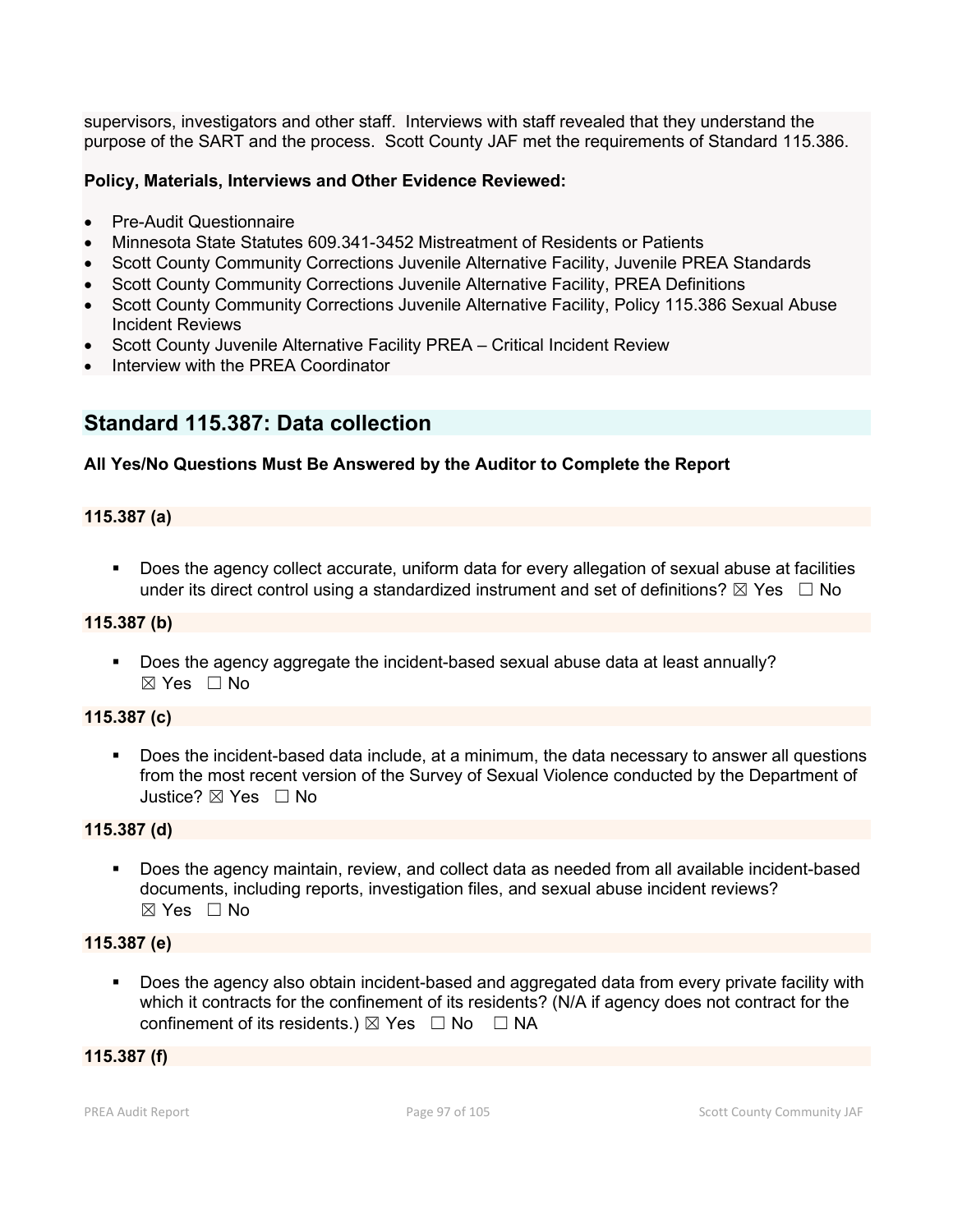supervisors, investigators and other staff. Interviews with staff revealed that they understand the purpose of the SART and the process. Scott County JAF met the requirements of Standard 115.386.

#### **Policy, Materials, Interviews and Other Evidence Reviewed:**

- Pre-Audit Questionnaire
- Minnesota State Statutes 609.341-3452 Mistreatment of Residents or Patients
- Scott County Community Corrections Juvenile Alternative Facility, Juvenile PREA Standards
- Scott County Community Corrections Juvenile Alternative Facility, PREA Definitions
- Scott County Community Corrections Juvenile Alternative Facility, Policy 115.386 Sexual Abuse Incident Reviews
- Scott County Juvenile Alternative Facility PREA Critical Incident Review
- Interview with the PREA Coordinator

## **Standard 115.387: Data collection**

### **All Yes/No Questions Must Be Answered by the Auditor to Complete the Report**

### **115.387 (a)**

 Does the agency collect accurate, uniform data for every allegation of sexual abuse at facilities under its direct control using a standardized instrument and set of definitions?  $\boxtimes$  Yes  $\Box$  No

#### **115.387 (b)**

 Does the agency aggregate the incident-based sexual abuse data at least annually?  $\boxtimes$  Yes  $\Box$  No

#### **115.387 (c)**

 Does the incident-based data include, at a minimum, the data necessary to answer all questions from the most recent version of the Survey of Sexual Violence conducted by the Department of Justice? ☒ Yes ☐ No

#### **115.387 (d)**

 Does the agency maintain, review, and collect data as needed from all available incident-based documents, including reports, investigation files, and sexual abuse incident reviews?  $\boxtimes$  Yes  $\Box$  No

#### **115.387 (e)**

 Does the agency also obtain incident-based and aggregated data from every private facility with which it contracts for the confinement of its residents? (N/A if agency does not contract for the confinement of its residents.)  $\boxtimes$  Yes  $\Box$  No  $\Box$  NA

#### **115.387 (f)**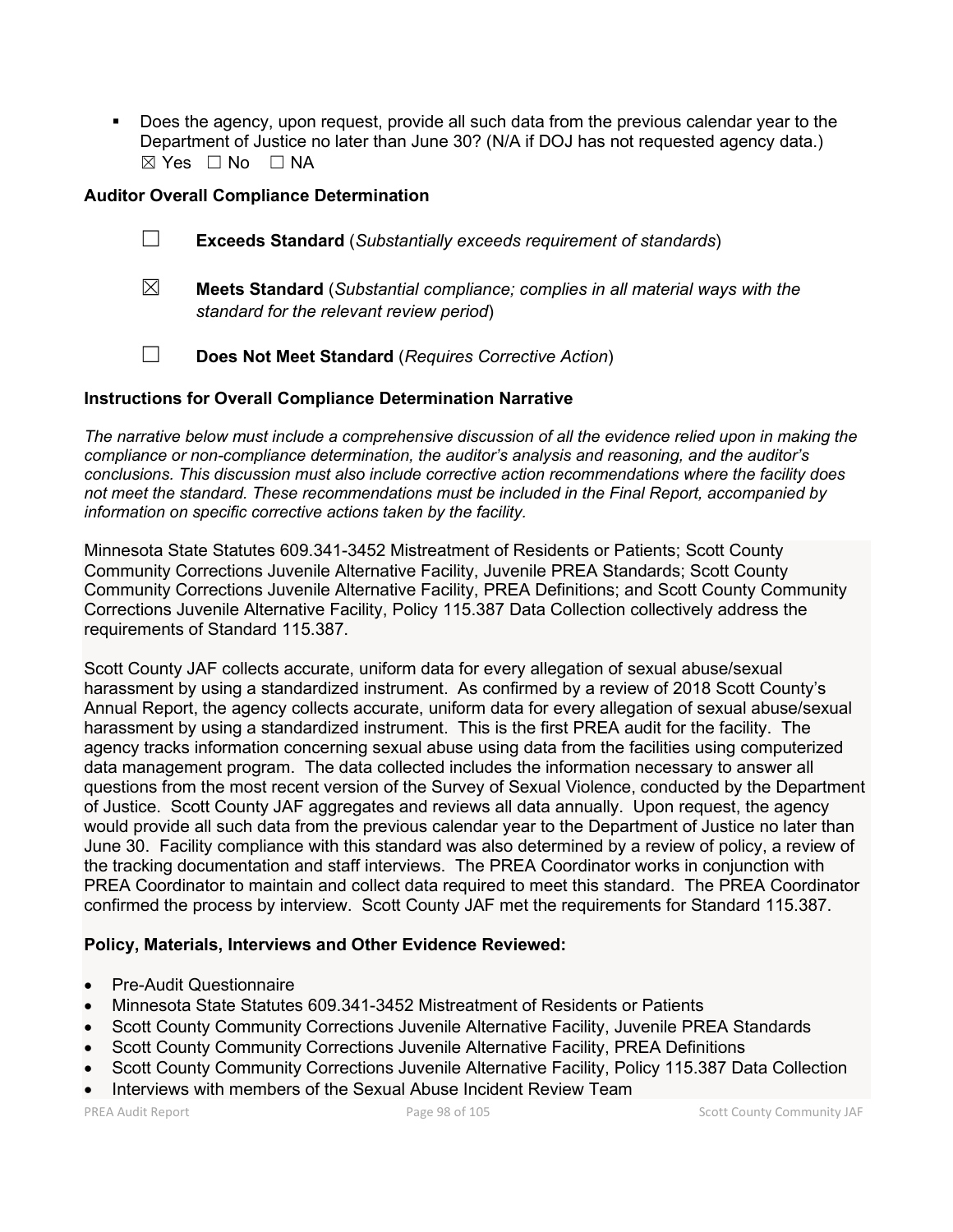Does the agency, upon request, provide all such data from the previous calendar year to the Department of Justice no later than June 30? (N/A if DOJ has not requested agency data.) ☒ Yes ☐ No ☐ NA

#### **Auditor Overall Compliance Determination**

- ☐ **Exceeds Standard** (*Substantially exceeds requirement of standards*)
- ☒ **Meets Standard** (*Substantial compliance; complies in all material ways with the standard for the relevant review period*)
- ☐ **Does Not Meet Standard** (*Requires Corrective Action*)

#### **Instructions for Overall Compliance Determination Narrative**

*The narrative below must include a comprehensive discussion of all the evidence relied upon in making the compliance or non-compliance determination, the auditor's analysis and reasoning, and the auditor's conclusions. This discussion must also include corrective action recommendations where the facility does not meet the standard. These recommendations must be included in the Final Report, accompanied by information on specific corrective actions taken by the facility.*

Minnesota State Statutes 609.341-3452 Mistreatment of Residents or Patients; Scott County Community Corrections Juvenile Alternative Facility, Juvenile PREA Standards; Scott County Community Corrections Juvenile Alternative Facility, PREA Definitions; and Scott County Community Corrections Juvenile Alternative Facility, Policy 115.387 Data Collection collectively address the requirements of Standard 115.387.

Scott County JAF collects accurate, uniform data for every allegation of sexual abuse/sexual harassment by using a standardized instrument. As confirmed by a review of 2018 Scott County's Annual Report, the agency collects accurate, uniform data for every allegation of sexual abuse/sexual harassment by using a standardized instrument. This is the first PREA audit for the facility. The agency tracks information concerning sexual abuse using data from the facilities using computerized data management program. The data collected includes the information necessary to answer all questions from the most recent version of the Survey of Sexual Violence, conducted by the Department of Justice. Scott County JAF aggregates and reviews all data annually. Upon request, the agency would provide all such data from the previous calendar year to the Department of Justice no later than June 30. Facility compliance with this standard was also determined by a review of policy, a review of the tracking documentation and staff interviews. The PREA Coordinator works in conjunction with PREA Coordinator to maintain and collect data required to meet this standard. The PREA Coordinator confirmed the process by interview. Scott County JAF met the requirements for Standard 115.387.

#### **Policy, Materials, Interviews and Other Evidence Reviewed:**

- Pre-Audit Questionnaire
- Minnesota State Statutes 609.341-3452 Mistreatment of Residents or Patients
- Scott County Community Corrections Juvenile Alternative Facility, Juvenile PREA Standards
- Scott County Community Corrections Juvenile Alternative Facility, PREA Definitions
- Scott County Community Corrections Juvenile Alternative Facility, Policy 115.387 Data Collection
- Interviews with members of the Sexual Abuse Incident Review Team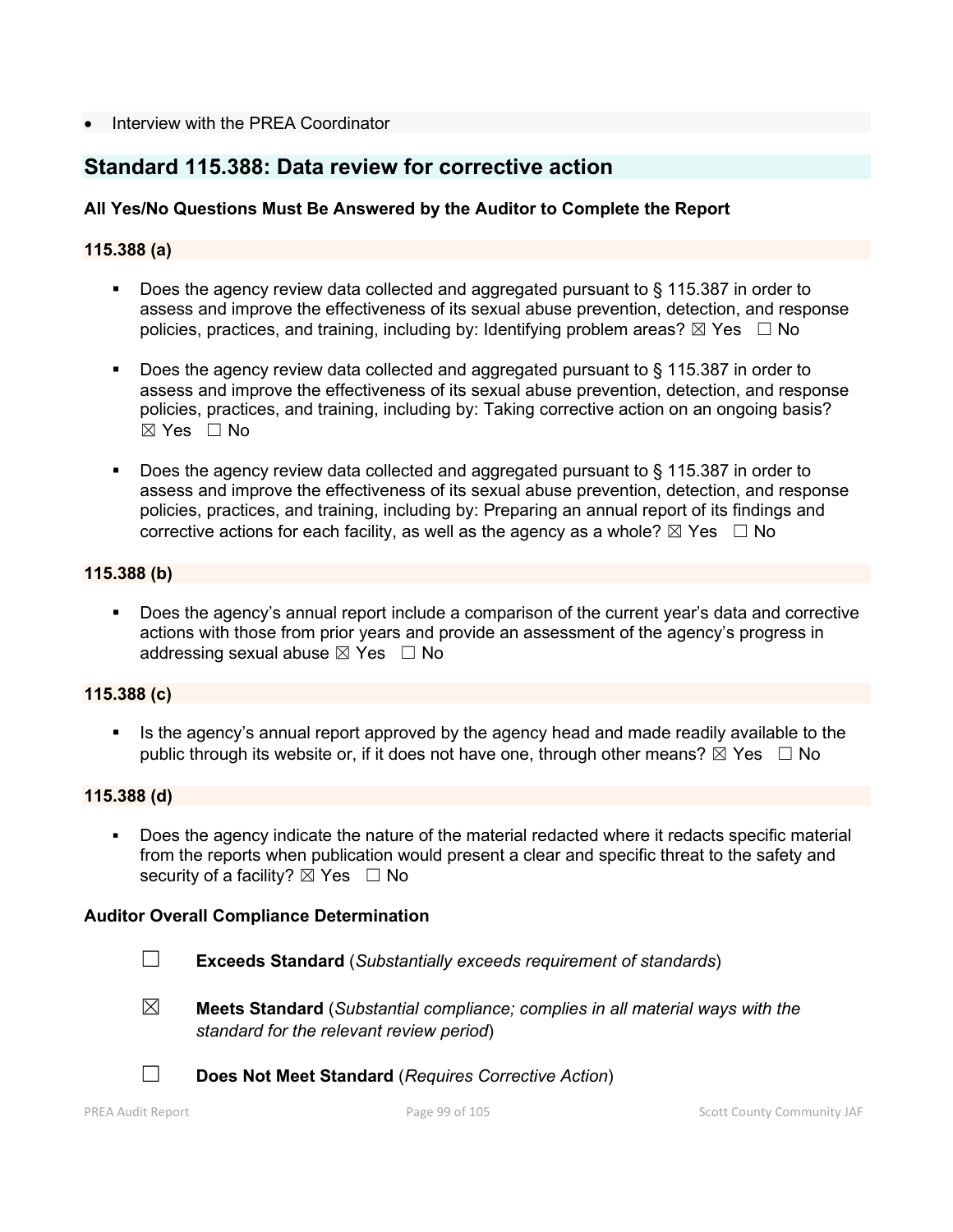#### • Interview with the PREA Coordinator

## **Standard 115.388: Data review for corrective action**

### **All Yes/No Questions Must Be Answered by the Auditor to Complete the Report**

#### **115.388 (a)**

- Does the agency review data collected and aggregated pursuant to § 115.387 in order to assess and improve the effectiveness of its sexual abuse prevention, detection, and response policies, practices, and training, including by: Identifying problem areas?  $\boxtimes$  Yes  $\Box$  No
- Does the agency review data collected and aggregated pursuant to § 115.387 in order to assess and improve the effectiveness of its sexual abuse prevention, detection, and response policies, practices, and training, including by: Taking corrective action on an ongoing basis? ☒ Yes ☐ No
- Does the agency review data collected and aggregated pursuant to § 115.387 in order to assess and improve the effectiveness of its sexual abuse prevention, detection, and response policies, practices, and training, including by: Preparing an annual report of its findings and corrective actions for each facility, as well as the agency as a whole?  $\boxtimes$  Yes  $\Box$  No

#### **115.388 (b)**

 Does the agency's annual report include a comparison of the current year's data and corrective actions with those from prior years and provide an assessment of the agency's progress in addressing sexual abuse  $\boxtimes$  Yes  $\Box$  No

#### **115.388 (c)**

 Is the agency's annual report approved by the agency head and made readily available to the public through its website or, if it does not have one, through other means?  $\boxtimes$  Yes  $\Box$  No

#### **115.388 (d)**

 Does the agency indicate the nature of the material redacted where it redacts specific material from the reports when publication would present a clear and specific threat to the safety and security of a facility?  $\boxtimes$  Yes  $\Box$  No

#### **Auditor Overall Compliance Determination**

- ☐ **Exceeds Standard** (*Substantially exceeds requirement of standards*)
- 
- ☒ **Meets Standard** (*Substantial compliance; complies in all material ways with the standard for the relevant review period*)



☐ **Does Not Meet Standard** (*Requires Corrective Action*)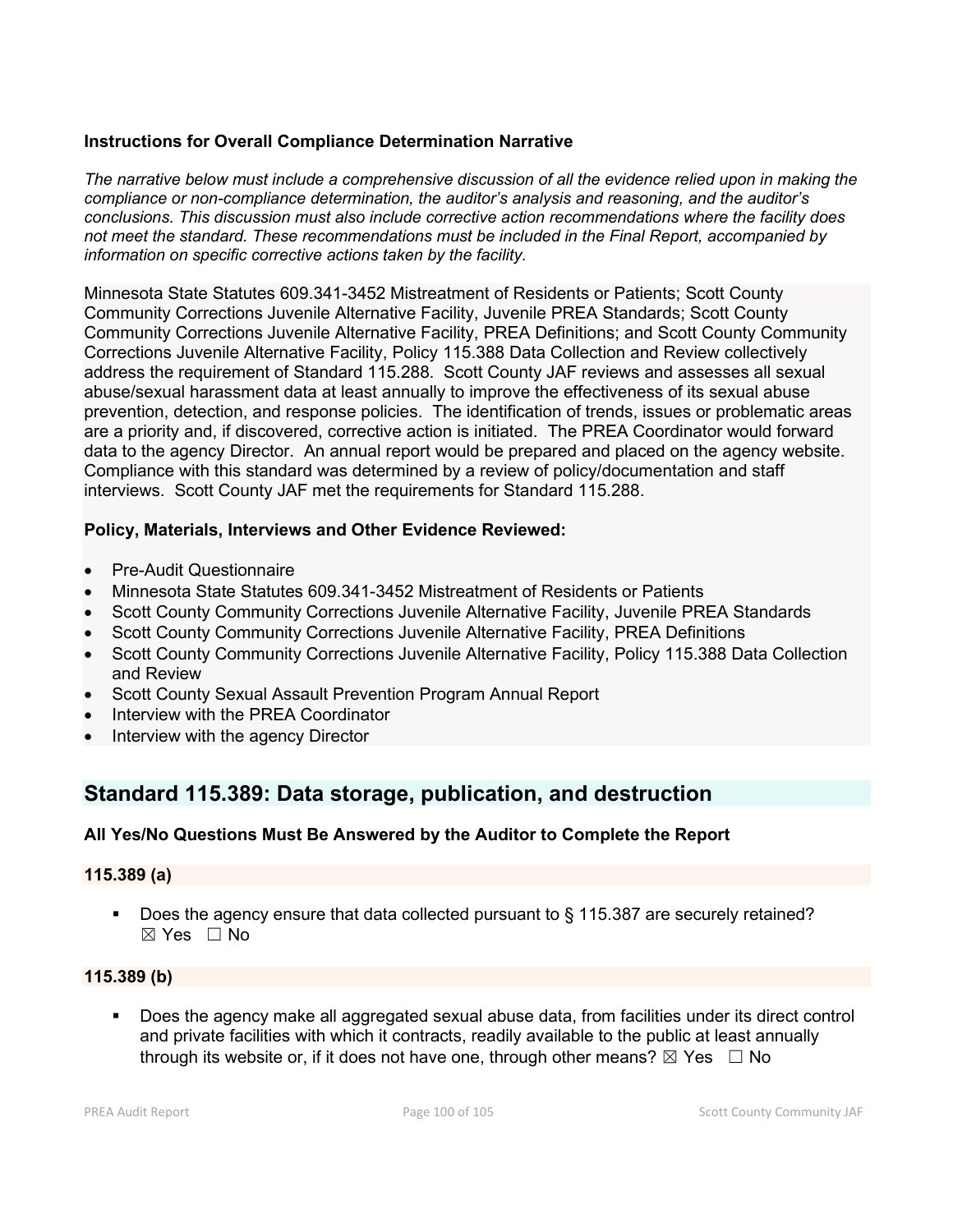### **Instructions for Overall Compliance Determination Narrative**

*The narrative below must include a comprehensive discussion of all the evidence relied upon in making the compliance or non-compliance determination, the auditor's analysis and reasoning, and the auditor's conclusions. This discussion must also include corrective action recommendations where the facility does not meet the standard. These recommendations must be included in the Final Report, accompanied by information on specific corrective actions taken by the facility.*

Minnesota State Statutes 609.341-3452 Mistreatment of Residents or Patients; Scott County Community Corrections Juvenile Alternative Facility, Juvenile PREA Standards; Scott County Community Corrections Juvenile Alternative Facility, PREA Definitions; and Scott County Community Corrections Juvenile Alternative Facility, Policy 115.388 Data Collection and Review collectively address the requirement of Standard 115.288. Scott County JAF reviews and assesses all sexual abuse/sexual harassment data at least annually to improve the effectiveness of its sexual abuse prevention, detection, and response policies. The identification of trends, issues or problematic areas are a priority and, if discovered, corrective action is initiated. The PREA Coordinator would forward data to the agency Director. An annual report would be prepared and placed on the agency website. Compliance with this standard was determined by a review of policy/documentation and staff interviews. Scott County JAF met the requirements for Standard 115.288.

### **Policy, Materials, Interviews and Other Evidence Reviewed:**

- Pre-Audit Questionnaire
- Minnesota State Statutes 609.341-3452 Mistreatment of Residents or Patients
- Scott County Community Corrections Juvenile Alternative Facility, Juvenile PREA Standards
- Scott County Community Corrections Juvenile Alternative Facility, PREA Definitions
- Scott County Community Corrections Juvenile Alternative Facility, Policy 115.388 Data Collection and Review
- Scott County Sexual Assault Prevention Program Annual Report
- Interview with the PREA Coordinator
- Interview with the agency Director

## **Standard 115.389: Data storage, publication, and destruction**

### **All Yes/No Questions Must Be Answered by the Auditor to Complete the Report**

#### **115.389 (a)**

■ Does the agency ensure that data collected pursuant to § 115.387 are securely retained? ☒ Yes ☐ No

### **115.389 (b)**

 Does the agency make all aggregated sexual abuse data, from facilities under its direct control and private facilities with which it contracts, readily available to the public at least annually through its website or, if it does not have one, through other means?  $\boxtimes$  Yes  $\Box$  No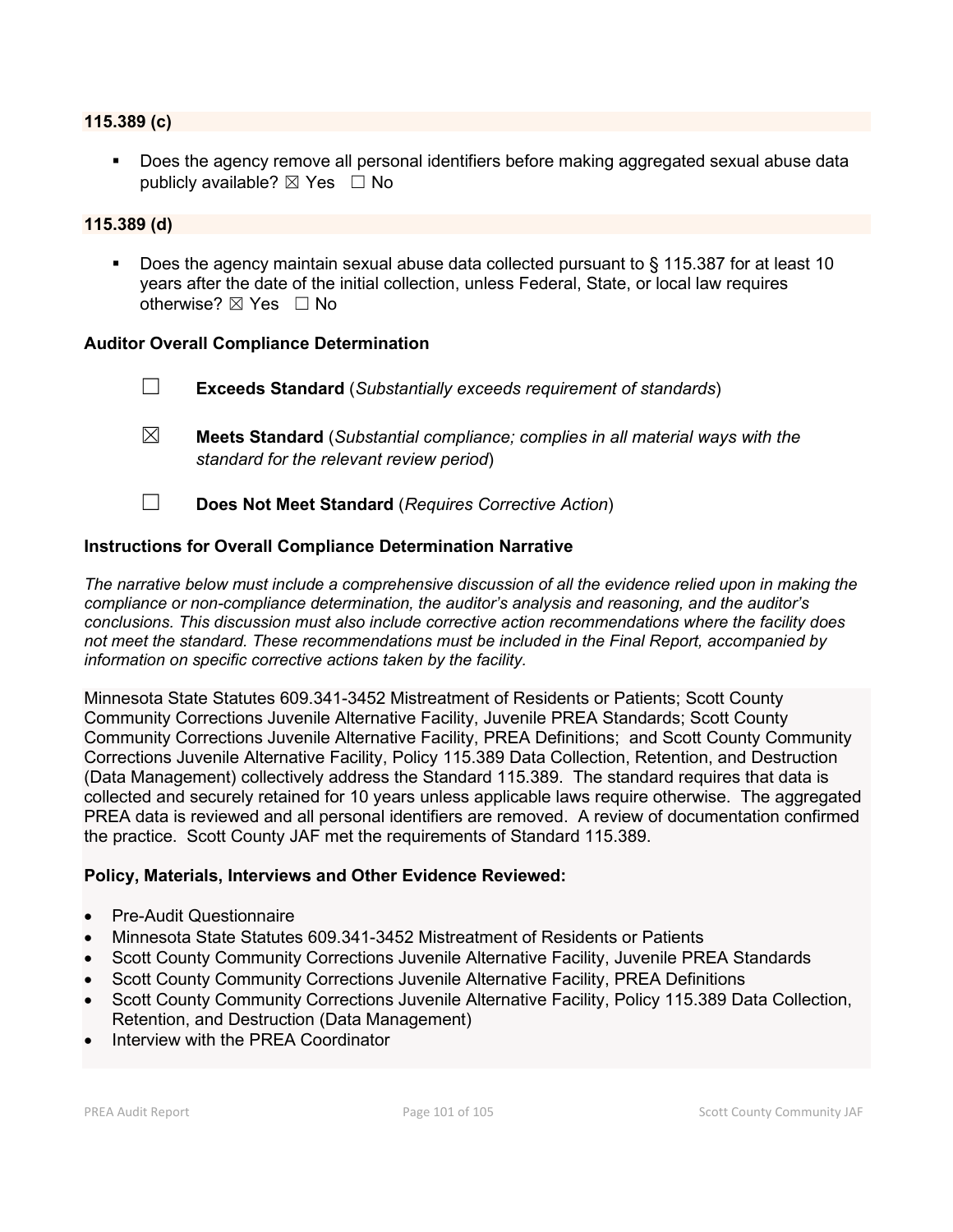#### **115.389 (c)**

 Does the agency remove all personal identifiers before making aggregated sexual abuse data publicly available?  $\boxtimes$  Yes  $\Box$  No

#### **115.389 (d)**

Does the agency maintain sexual abuse data collected pursuant to  $\S$  115.387 for at least 10 years after the date of the initial collection, unless Federal, State, or local law requires otherwise?  $\boxtimes$  Yes  $\Box$  No

#### **Auditor Overall Compliance Determination**

- ☐ **Exceeds Standard** (*Substantially exceeds requirement of standards*)
- ☒ **Meets Standard** (*Substantial compliance; complies in all material ways with the standard for the relevant review period*)
- ☐ **Does Not Meet Standard** (*Requires Corrective Action*)

#### **Instructions for Overall Compliance Determination Narrative**

*The narrative below must include a comprehensive discussion of all the evidence relied upon in making the compliance or non-compliance determination, the auditor's analysis and reasoning, and the auditor's conclusions. This discussion must also include corrective action recommendations where the facility does not meet the standard. These recommendations must be included in the Final Report, accompanied by information on specific corrective actions taken by the facility.*

Minnesota State Statutes 609.341-3452 Mistreatment of Residents or Patients; Scott County Community Corrections Juvenile Alternative Facility, Juvenile PREA Standards; Scott County Community Corrections Juvenile Alternative Facility, PREA Definitions; and Scott County Community Corrections Juvenile Alternative Facility, Policy 115.389 Data Collection, Retention, and Destruction (Data Management) collectively address the Standard 115.389. The standard requires that data is collected and securely retained for 10 years unless applicable laws require otherwise. The aggregated PREA data is reviewed and all personal identifiers are removed. A review of documentation confirmed the practice. Scott County JAF met the requirements of Standard 115.389.

#### **Policy, Materials, Interviews and Other Evidence Reviewed:**

- Pre-Audit Questionnaire
- Minnesota State Statutes 609.341-3452 Mistreatment of Residents or Patients
- Scott County Community Corrections Juvenile Alternative Facility, Juvenile PREA Standards
- Scott County Community Corrections Juvenile Alternative Facility, PREA Definitions
- Scott County Community Corrections Juvenile Alternative Facility, Policy 115.389 Data Collection, Retention, and Destruction (Data Management)
- Interview with the PREA Coordinator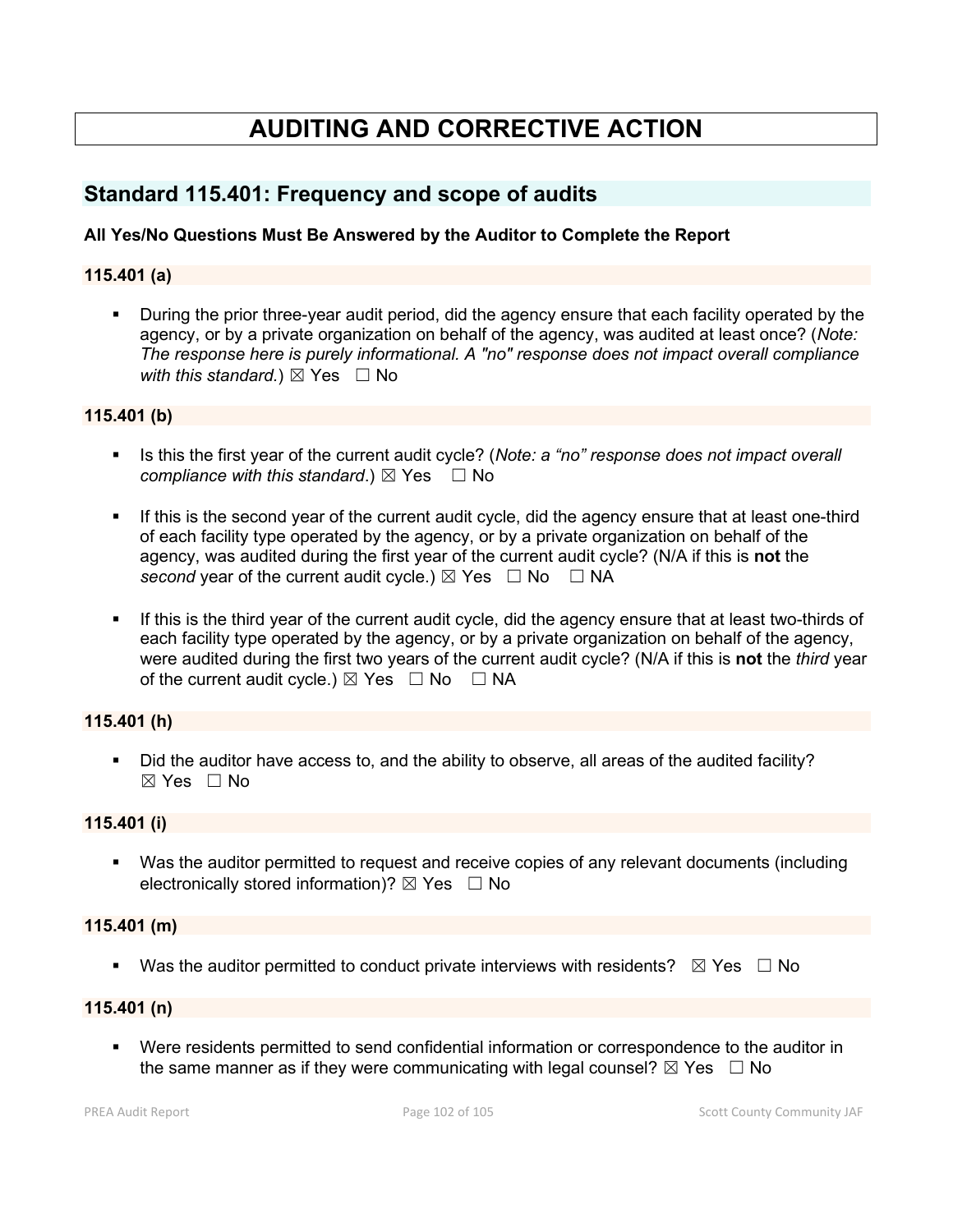# **AUDITING AND CORRECTIVE ACTION**

## **Standard 115.401: Frequency and scope of audits**

#### **All Yes/No Questions Must Be Answered by the Auditor to Complete the Report**

#### **115.401 (a)**

 During the prior three-year audit period, did the agency ensure that each facility operated by the agency, or by a private organization on behalf of the agency, was audited at least once? (*Note: The response here is purely informational. A "no" response does not impact overall compliance with this standard.*)  $\boxtimes$  Yes  $\Box$  No

#### **115.401 (b)**

- Is this the first year of the current audit cycle? (*Note: a "no" response does not impact overall compliance with this standard.*)  $\boxtimes$  Yes  $\Box$  No
- If this is the second year of the current audit cycle, did the agency ensure that at least one-third of each facility type operated by the agency, or by a private organization on behalf of the agency, was audited during the first year of the current audit cycle? (N/A if this is **not** the *second* year of the current audit cycle.)  $\boxtimes$  Yes  $\Box$  No  $\Box$  NA
- If this is the third year of the current audit cycle, did the agency ensure that at least two-thirds of each facility type operated by the agency, or by a private organization on behalf of the agency, were audited during the first two years of the current audit cycle? (N/A if this is **not** the *third* year of the current audit cycle.)  $\boxtimes$  Yes  $\Box$  No  $\Box$  NA

#### **115.401 (h)**

 Did the auditor have access to, and the ability to observe, all areas of the audited facility?  $\boxtimes$  Yes  $\Box$  No

#### **115.401 (i)**

 Was the auditor permitted to request and receive copies of any relevant documents (including electronically stored information)?  $\boxtimes$  Yes  $\Box$  No

#### **115.401 (m)**

Was the auditor permitted to conduct private interviews with residents?  $\boxtimes$  Yes  $\Box$  No

#### **115.401 (n)**

 Were residents permitted to send confidential information or correspondence to the auditor in the same manner as if they were communicating with legal counsel?  $\boxtimes$  Yes  $\Box$  No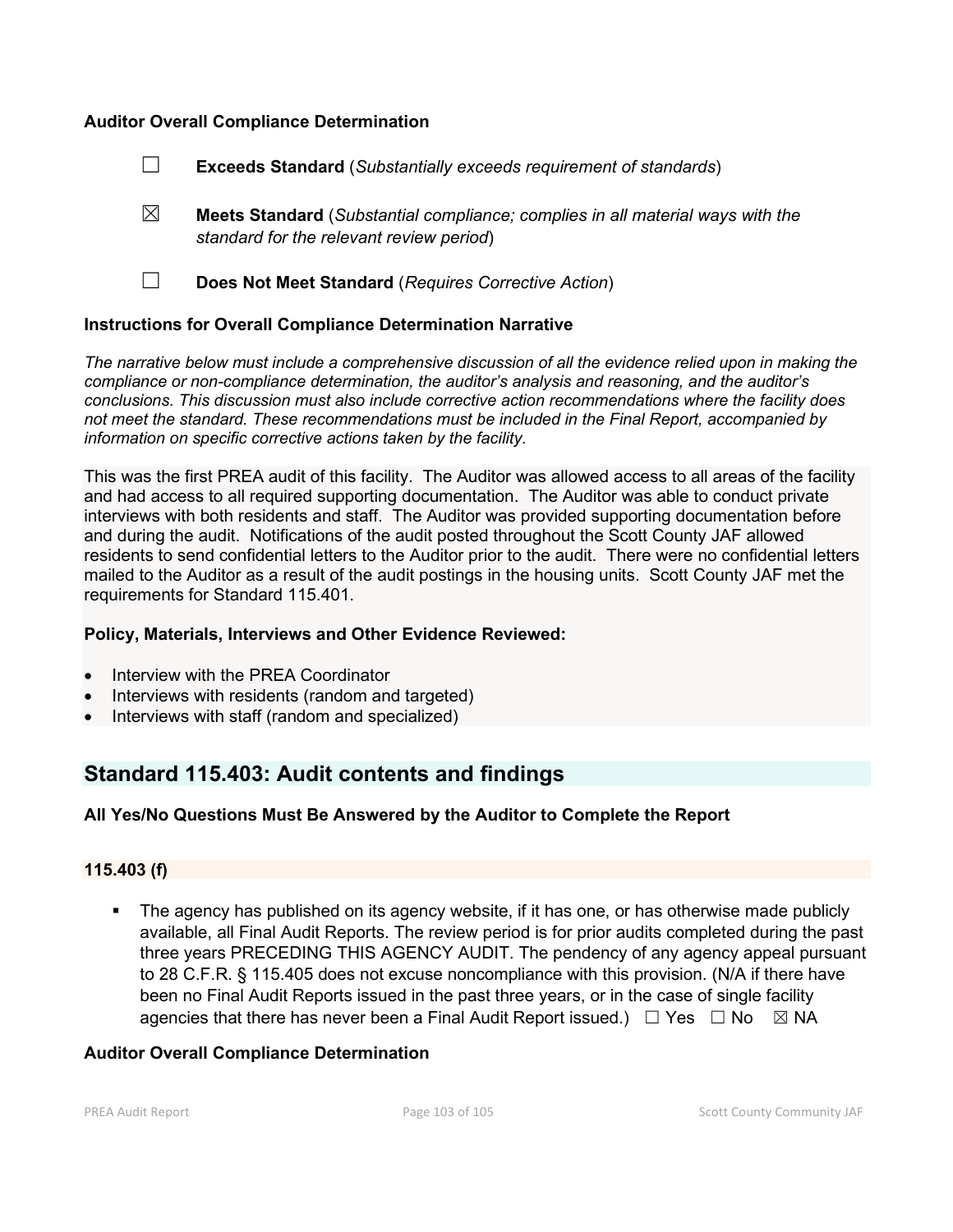#### **Auditor Overall Compliance Determination**

- ☐ **Exceeds Standard** (*Substantially exceeds requirement of standards*)
- ☒ **Meets Standard** (*Substantial compliance; complies in all material ways with the standard for the relevant review period*)
- 
- ☐ **Does Not Meet Standard** (*Requires Corrective Action*)

#### **Instructions for Overall Compliance Determination Narrative**

*The narrative below must include a comprehensive discussion of all the evidence relied upon in making the compliance or non-compliance determination, the auditor's analysis and reasoning, and the auditor's conclusions. This discussion must also include corrective action recommendations where the facility does not meet the standard. These recommendations must be included in the Final Report, accompanied by information on specific corrective actions taken by the facility.*

This was the first PREA audit of this facility. The Auditor was allowed access to all areas of the facility and had access to all required supporting documentation. The Auditor was able to conduct private interviews with both residents and staff. The Auditor was provided supporting documentation before and during the audit. Notifications of the audit posted throughout the Scott County JAF allowed residents to send confidential letters to the Auditor prior to the audit. There were no confidential letters mailed to the Auditor as a result of the audit postings in the housing units. Scott County JAF met the requirements for Standard 115.401.

#### **Policy, Materials, Interviews and Other Evidence Reviewed:**

- Interview with the PREA Coordinator
- Interviews with residents (random and targeted)
- Interviews with staff (random and specialized)

### **Standard 115.403: Audit contents and findings**

#### **All Yes/No Questions Must Be Answered by the Auditor to Complete the Report**

#### **115.403 (f)**

 The agency has published on its agency website, if it has one, or has otherwise made publicly available, all Final Audit Reports. The review period is for prior audits completed during the past three years PRECEDING THIS AGENCY AUDIT. The pendency of any agency appeal pursuant to 28 C.F.R. § 115.405 does not excuse noncompliance with this provision. (N/A if there have been no Final Audit Reports issued in the past three years, or in the case of single facility agencies that there has never been a Final Audit Report issued.)  $\Box$  Yes  $\Box$  No  $\boxtimes$  NA

#### **Auditor Overall Compliance Determination**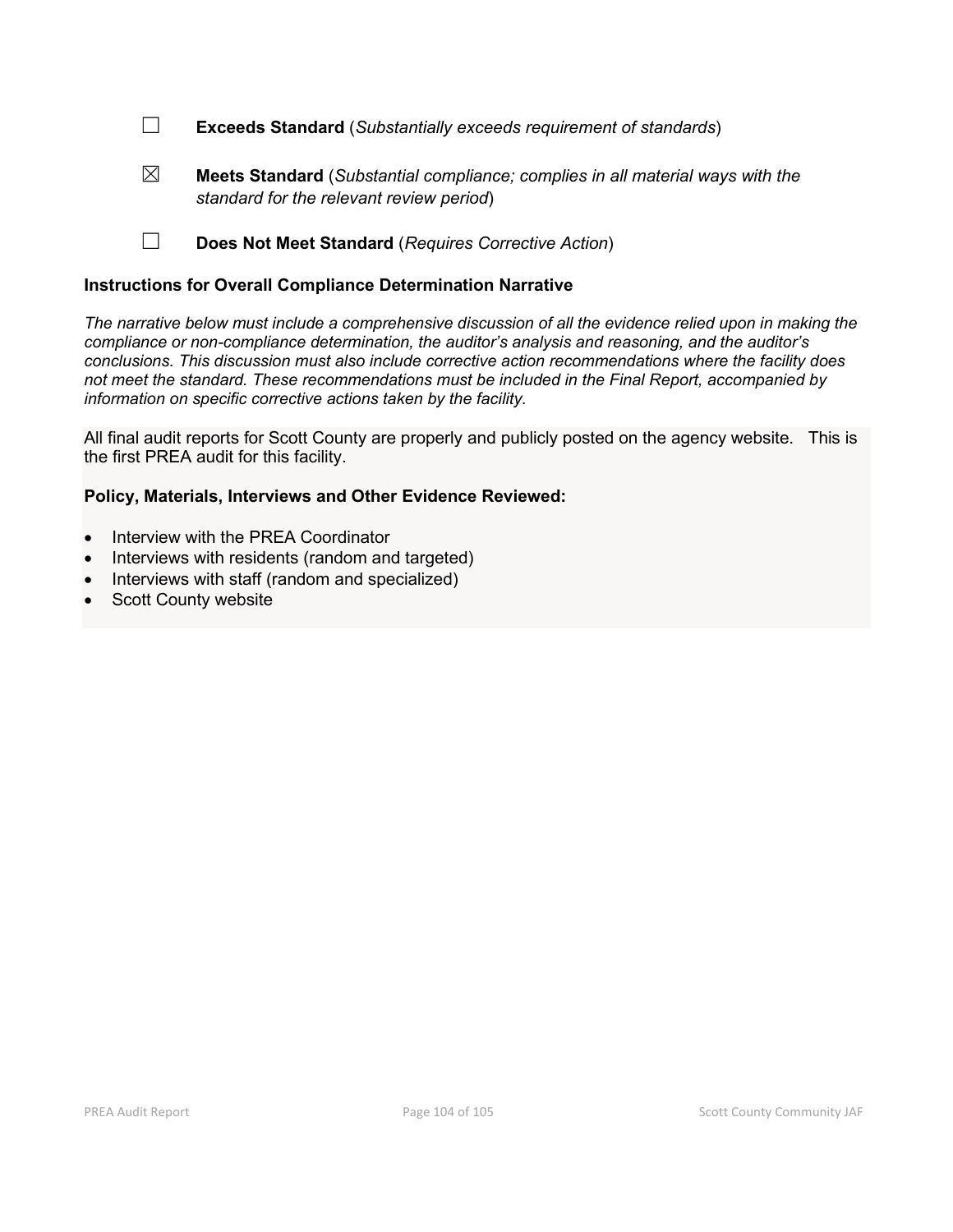☐ **Exceeds Standard** (*Substantially exceeds requirement of standards*)

☒ **Meets Standard** (*Substantial compliance; complies in all material ways with the standard for the relevant review period*)

☐ **Does Not Meet Standard** (*Requires Corrective Action*)

#### **Instructions for Overall Compliance Determination Narrative**

*The narrative below must include a comprehensive discussion of all the evidence relied upon in making the compliance or non-compliance determination, the auditor's analysis and reasoning, and the auditor's conclusions. This discussion must also include corrective action recommendations where the facility does not meet the standard. These recommendations must be included in the Final Report, accompanied by information on specific corrective actions taken by the facility.*

All final audit reports for Scott County are properly and publicly posted on the agency website. This is the first PREA audit for this facility.

#### **Policy, Materials, Interviews and Other Evidence Reviewed:**

- Interview with the PREA Coordinator
- Interviews with residents (random and targeted)
- Interviews with staff (random and specialized)
- **Scott County website**